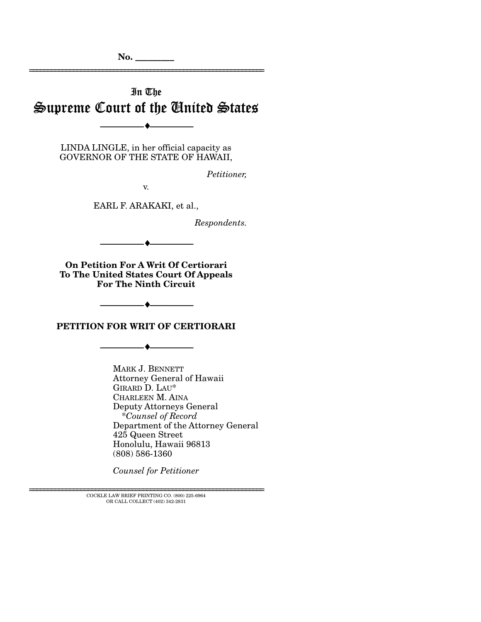# In The Supreme Court of the United States

--------------------------------- ♦ ---------------------------------

LINDA LINGLE, in her official capacity as GOVERNOR OF THE STATE OF HAWAII,

*Petitioner,* 

================================================================

v.

EARL F. ARAKAKI, et al.,

*Respondents.* 

**On Petition For A Writ Of Certiorari To The United States Court Of Appeals For The Ninth Circuit**

--------------------------------- ♦ ---------------------------------

**PETITION FOR WRIT OF CERTIORARI** 

--------------------------------- ♦ ---------------------------------

--------------------------------- ♦ ---------------------------------

MARK J. BENNETT Attorney General of Hawaii GIRARD D. LAU\* CHARLEEN M. AINA Deputy Attorneys General \**Counsel of Record* Department of the Attorney General 425 Queen Street Honolulu, Hawaii 96813 (808) 586-1360

*Counsel for Petitioner* 

 ${\rm COCKLE}$  LAW BRIEF PRINTING CO. (800) 225-6964 OR CALL COLLECT (402) 342-2831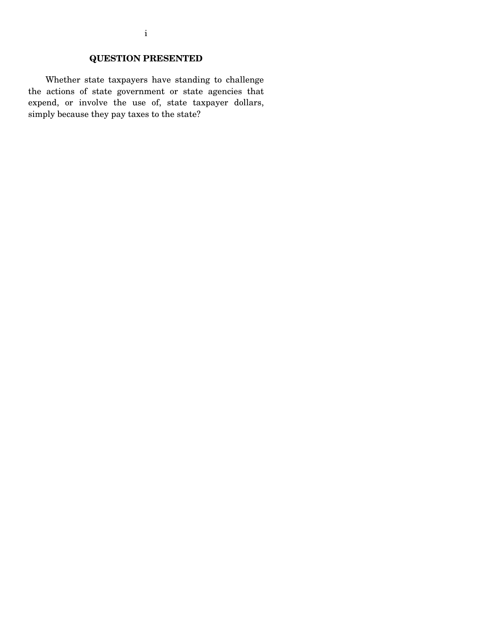# **QUESTION PRESENTED**

 Whether state taxpayers have standing to challenge the actions of state government or state agencies that expend, or involve the use of, state taxpayer dollars, simply because they pay taxes to the state?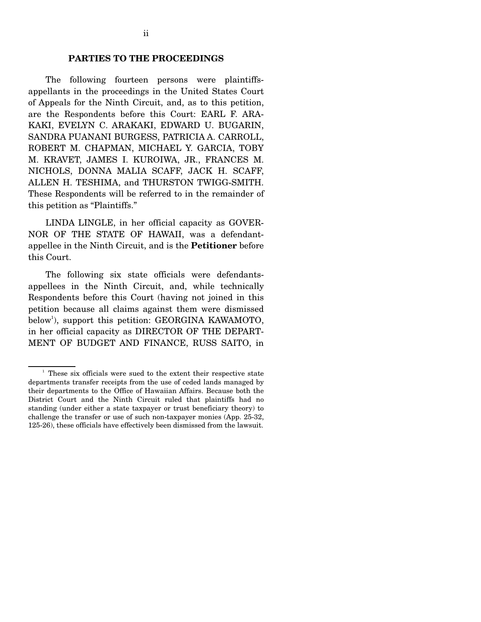#### **PARTIES TO THE PROCEEDINGS**

 The following fourteen persons were plaintiffsappellants in the proceedings in the United States Court of Appeals for the Ninth Circuit, and, as to this petition, are the Respondents before this Court: EARL F. ARA-KAKI, EVELYN C. ARAKAKI, EDWARD U. BUGARIN, SANDRA PUANANI BURGESS, PATRICIA A. CARROLL, ROBERT M. CHAPMAN, MICHAEL Y. GARCIA, TOBY M. KRAVET, JAMES I. KUROIWA, JR., FRANCES M. NICHOLS, DONNA MALIA SCAFF, JACK H. SCAFF, ALLEN H. TESHIMA, and THURSTON TWIGG-SMITH. These Respondents will be referred to in the remainder of this petition as "Plaintiffs."

 LINDA LINGLE, in her official capacity as GOVER-NOR OF THE STATE OF HAWAII, was a defendantappellee in the Ninth Circuit, and is the **Petitioner** before this Court.

 The following six state officials were defendantsappellees in the Ninth Circuit, and, while technically Respondents before this Court (having not joined in this petition because all claims against them were dismissed below<sup>1</sup>), support this petition: GEORGINA KAWAMOTO, in her official capacity as DIRECTOR OF THE DEPART-MENT OF BUDGET AND FINANCE, RUSS SAITO, in

<sup>&</sup>lt;sup>1</sup> These six officials were sued to the extent their respective state departments transfer receipts from the use of ceded lands managed by their departments to the Office of Hawaiian Affairs. Because both the District Court and the Ninth Circuit ruled that plaintiffs had no standing (under either a state taxpayer or trust beneficiary theory) to challenge the transfer or use of such non-taxpayer monies (App. 25-32, 125-26), these officials have effectively been dismissed from the lawsuit.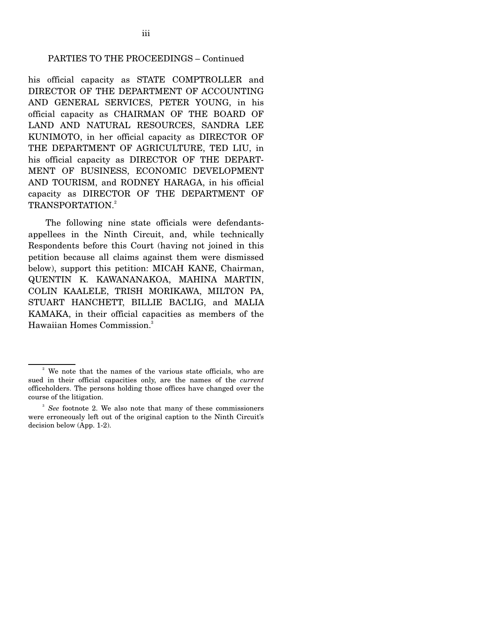#### PARTIES TO THE PROCEEDINGS – Continued

his official capacity as STATE COMPTROLLER and DIRECTOR OF THE DEPARTMENT OF ACCOUNTING AND GENERAL SERVICES, PETER YOUNG, in his official capacity as CHAIRMAN OF THE BOARD OF LAND AND NATURAL RESOURCES, SANDRA LEE KUNIMOTO, in her official capacity as DIRECTOR OF THE DEPARTMENT OF AGRICULTURE, TED LIU, in his official capacity as DIRECTOR OF THE DEPART-MENT OF BUSINESS, ECONOMIC DEVELOPMENT AND TOURISM, and RODNEY HARAGA, in his official capacity as DIRECTOR OF THE DEPARTMENT OF TRANSPORTATION.<sup>2</sup>

 The following nine state officials were defendantsappellees in the Ninth Circuit, and, while technically Respondents before this Court (having not joined in this petition because all claims against them were dismissed below), support this petition: MICAH KANE, Chairman, QUENTIN K. KAWANANAKOA, MAHINA MARTIN, COLIN KAALELE, TRISH MORIKAWA, MILTON PA, STUART HANCHETT, BILLIE BACLIG, and MALIA KAMAKA, in their official capacities as members of the Hawaiian Homes Commission.3

<sup>&</sup>lt;sup>2</sup> We note that the names of the various state officials, who are sued in their official capacities only, are the names of the *current* officeholders. The persons holding those offices have changed over the course of the litigation.

<sup>&</sup>lt;sup>3</sup> See footnote 2. We also note that many of these commissioners were erroneously left out of the original caption to the Ninth Circuit's decision below (App. 1-2).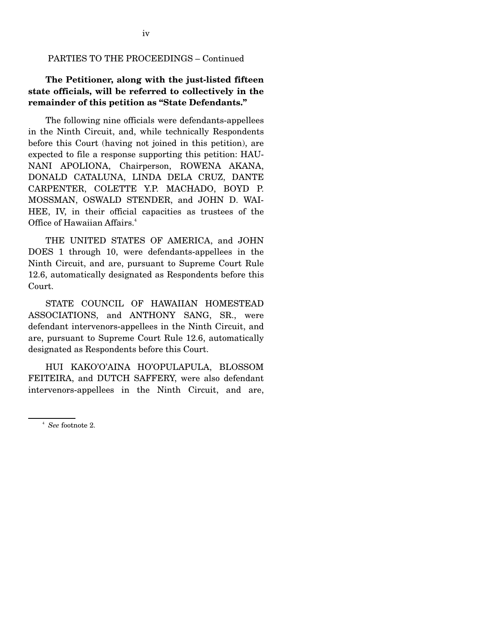#### PARTIES TO THE PROCEEDINGS – Continued

### **The Petitioner, along with the just-listed fifteen state officials, will be referred to collectively in the remainder of this petition as "State Defendants."**

 The following nine officials were defendants-appellees in the Ninth Circuit, and, while technically Respondents before this Court (having not joined in this petition), are expected to file a response supporting this petition: HAU-NANI APOLIONA, Chairperson, ROWENA AKANA, DONALD CATALUNA, LINDA DELA CRUZ, DANTE CARPENTER, COLETTE Y.P. MACHADO, BOYD P. MOSSMAN, OSWALD STENDER, and JOHN D. WAI-HEE, IV, in their official capacities as trustees of the Office of Hawaiian Affairs.<sup>4</sup>

 THE UNITED STATES OF AMERICA, and JOHN DOES 1 through 10, were defendants-appellees in the Ninth Circuit, and are, pursuant to Supreme Court Rule 12.6, automatically designated as Respondents before this Court.

 STATE COUNCIL OF HAWAIIAN HOMESTEAD ASSOCIATIONS, and ANTHONY SANG, SR., were defendant intervenors-appellees in the Ninth Circuit, and are, pursuant to Supreme Court Rule 12.6, automatically designated as Respondents before this Court.

 HUI KAKO'O'AINA HO'OPULAPULA, BLOSSOM FEITEIRA, and DUTCH SAFFERY, were also defendant intervenors-appellees in the Ninth Circuit, and are,

<sup>4</sup> *See* footnote 2.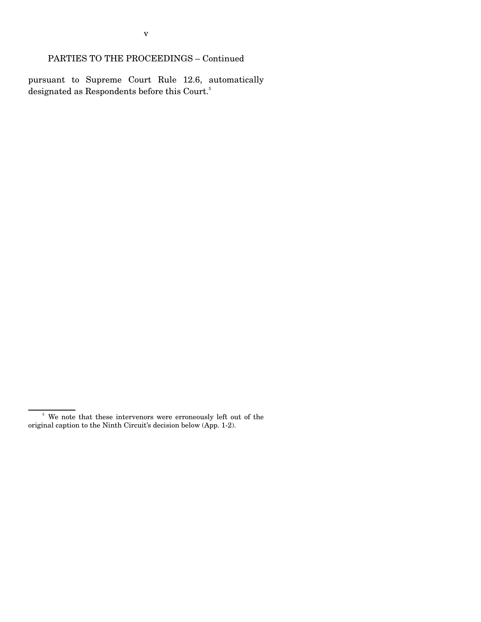pursuant to Supreme Court Rule 12.6, automatically designated as Respondents before this Court.<sup>5</sup>

<sup>&</sup>lt;sup>5</sup> We note that these intervenors were erroneously left out of the original caption to the Ninth Circuit's decision below (App. 1-2).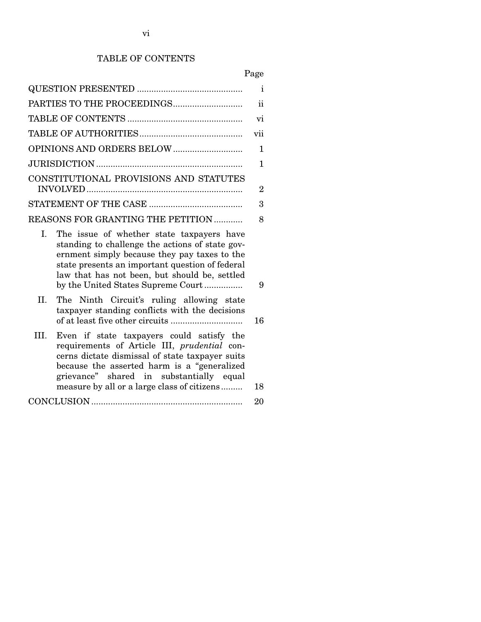### TABLE OF CONTENTS

Page

|                     |                                                                                                                                                                                                                                                                                        | i              |
|---------------------|----------------------------------------------------------------------------------------------------------------------------------------------------------------------------------------------------------------------------------------------------------------------------------------|----------------|
| $\ddot{\mathbf{i}}$ |                                                                                                                                                                                                                                                                                        |                |
|                     |                                                                                                                                                                                                                                                                                        | vi             |
|                     |                                                                                                                                                                                                                                                                                        | vii            |
|                     |                                                                                                                                                                                                                                                                                        | 1              |
|                     |                                                                                                                                                                                                                                                                                        | $\mathbf{1}$   |
|                     | CONSTITUTIONAL PROVISIONS AND STATUTES                                                                                                                                                                                                                                                 | $\overline{2}$ |
|                     |                                                                                                                                                                                                                                                                                        | 3              |
|                     | <b>REASONS FOR GRANTING THE PETITION </b>                                                                                                                                                                                                                                              | 8              |
| L                   | The issue of whether state taxpayers have<br>standing to challenge the actions of state gov-<br>ernment simply because they pay taxes to the<br>state presents an important question of federal<br>law that has not been, but should be, settled<br>by the United States Supreme Court | 9              |
| II.                 | The Ninth Circuit's ruling allowing state<br>taxpayer standing conflicts with the decisions                                                                                                                                                                                            | 16             |
| III.                | Even if state taxpayers could satisfy the<br>requirements of Article III, prudential con-<br>cerns dictate dismissal of state taxpayer suits<br>because the asserted harm is a "generalized<br>grievance" shared in substantially equal<br>measure by all or a large class of citizens | 18             |
|                     |                                                                                                                                                                                                                                                                                        | 20             |
|                     |                                                                                                                                                                                                                                                                                        |                |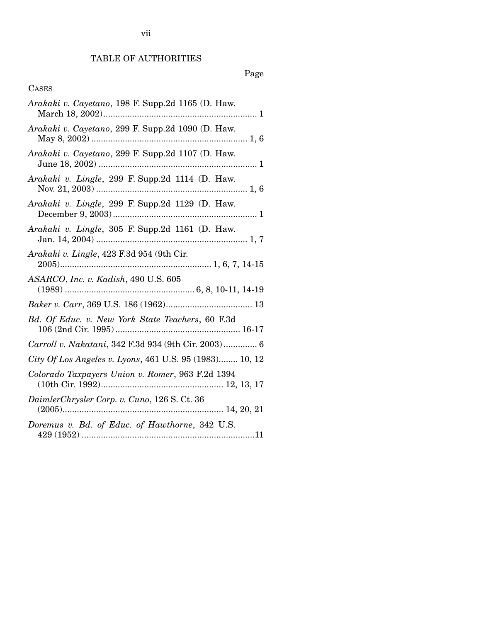# TABLE OF AUTHORITIES

# Page

### CASES

| Arakaki v. Cayetano, 198 F. Supp.2d 1165 (D. Haw.       |
|---------------------------------------------------------|
| Arakaki v. Cayetano, 299 F. Supp.2d 1090 (D. Haw.       |
| Arakaki v. Cayetano, 299 F. Supp.2d 1107 (D. Haw.       |
| Arakaki v. Lingle, 299 F. Supp.2d 1114 (D. Haw.         |
| Arakaki v. Lingle, 299 F. Supp.2d 1129 (D. Haw.         |
| Arakaki v. Lingle, 305 F. Supp.2d 1161 (D. Haw.         |
| Arakaki v. Lingle, 423 F.3d 954 (9th Cir.               |
| ASARCO, Inc. v. Kadish, 490 U.S. 605                    |
|                                                         |
| Bd. Of Educ. v. New York State Teachers, 60 F.3d        |
| Carroll v. Nakatani, 342 F.3d 934 (9th Cir. 2003) 6     |
| City Of Los Angeles v. Lyons, 461 U.S. 95 (1983) 10, 12 |
| Colorado Taxpayers Union v. Romer, 963 F.2d 1394        |
| DaimlerChrysler Corp. v. Cuno, 126 S. Ct. 36            |
| Doremus v. Bd. of Educ. of Hawthorne, 342 U.S.          |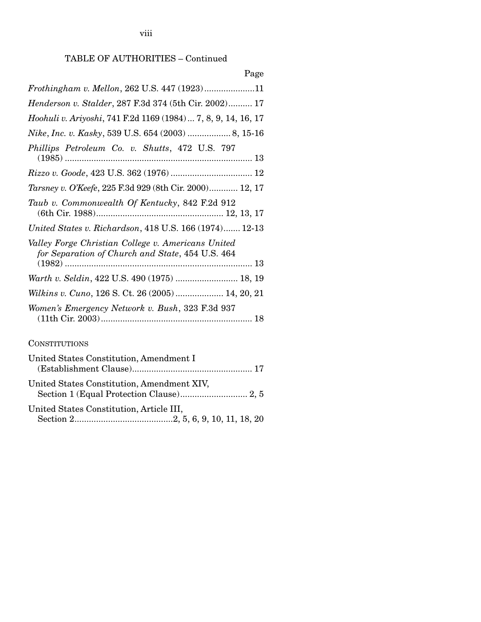viii

# TABLE OF AUTHORITIES – Continued

| Page                                                                                                   |
|--------------------------------------------------------------------------------------------------------|
| Frothingham v. Mellon, 262 U.S. 447 (1923)11                                                           |
| Henderson v. Stalder, 287 F.3d 374 (5th Cir. 2002) 17                                                  |
| Hoohuli v. Ariyoshi, 741 F.2d 1169 (1984)  7, 8, 9, 14, 16, 17                                         |
|                                                                                                        |
| Phillips Petroleum Co. v. Shutts, 472 U.S. 797                                                         |
|                                                                                                        |
| Tarsney v. O'Keefe, 225 F.3d 929 (8th Cir. 2000) 12, 17                                                |
| Taub v. Commonwealth Of Kentucky, 842 F.2d 912                                                         |
| United States v. Richardson, 418 U.S. 166 (1974) 12-13                                                 |
| Valley Forge Christian College v. Americans United<br>for Separation of Church and State, 454 U.S. 464 |
| Warth v. Seldin, 422 U.S. 490 (1975)  18, 19                                                           |
| Wilkins v. Cuno, 126 S. Ct. 26 (2005)  14, 20, 21                                                      |
| Women's Emergency Network v. Bush, 323 F.3d 937                                                        |

### **CONSTITUTIONS**

| United States Constitution, Amendment I    |
|--------------------------------------------|
| United States Constitution, Amendment XIV, |
| United States Constitution, Article III,   |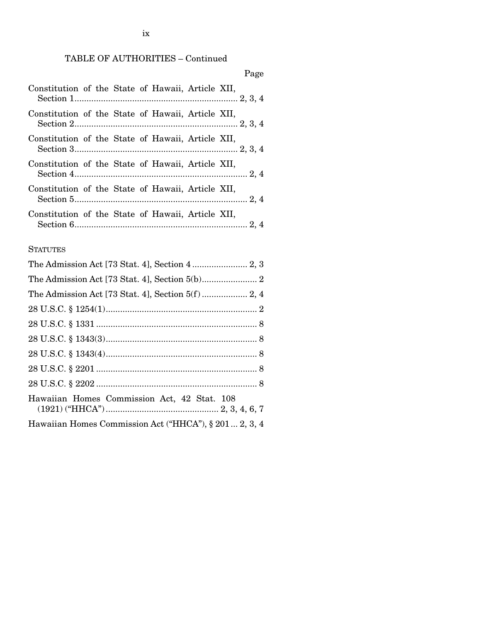### TABLE OF AUTHORITIES – Continued

### Page

| Constitution of the State of Hawaii, Article XII, |  |  |  |  |
|---------------------------------------------------|--|--|--|--|
| Constitution of the State of Hawaii, Article XII, |  |  |  |  |
| Constitution of the State of Hawaii, Article XII, |  |  |  |  |
| Constitution of the State of Hawaii, Article XII, |  |  |  |  |
| Constitution of the State of Hawaii, Article XII, |  |  |  |  |
| Constitution of the State of Hawaii, Article XII, |  |  |  |  |

### **STATUTES**

| Hawaiian Homes Commission Act, 42 Stat. 108            |
|--------------------------------------------------------|
| Hawaiian Homes Commission Act ("HHCA"), § 201  2, 3, 4 |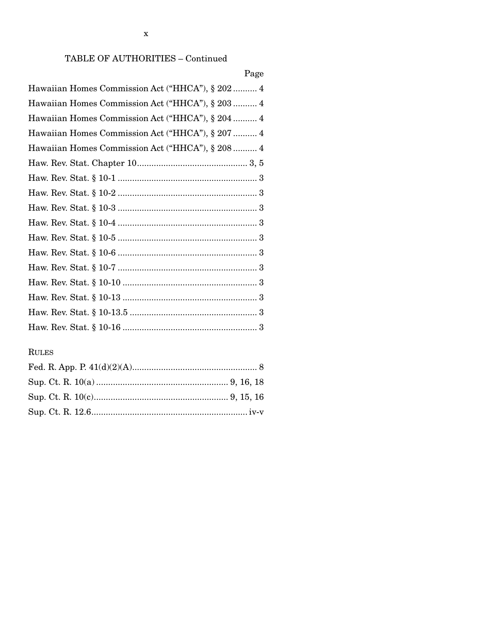### TABLE OF AUTHORITIES - Continued

### Page

| Hawaiian Homes Commission Act ("HHCA"), § 202 4  |
|--------------------------------------------------|
| Hawaiian Homes Commission Act ("HHCA"), § 203  4 |
| Hawaiian Homes Commission Act ("HHCA"), § 204  4 |
| Hawaiian Homes Commission Act ("HHCA"), § 207  4 |
| Hawaiian Homes Commission Act ("HHCA"), § 208  4 |
|                                                  |
|                                                  |
|                                                  |
|                                                  |
|                                                  |
|                                                  |
|                                                  |
|                                                  |
|                                                  |
|                                                  |
|                                                  |
|                                                  |

# **RULES**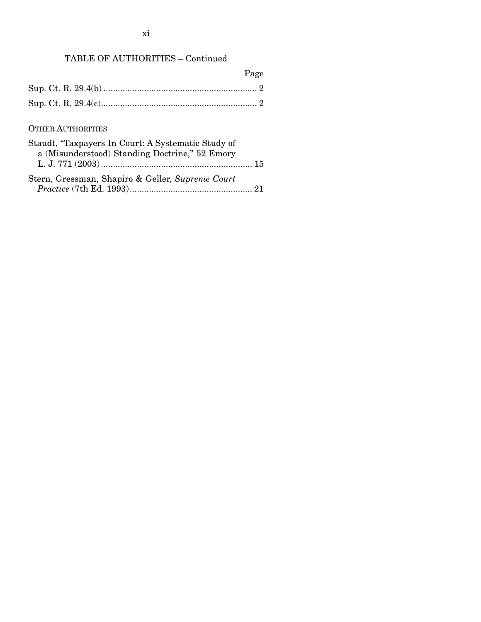# TABLE OF AUTHORITIES – Continued

|                                                                                                      | Page |
|------------------------------------------------------------------------------------------------------|------|
|                                                                                                      |      |
|                                                                                                      |      |
| <b>OTHER AUTHORITIES</b>                                                                             |      |
| Staudt, "Taxpayers In Court: A Systematic Study of<br>a (Misunderstood) Standing Doctrine," 52 Emory |      |
| Stern, Gressman, Shapiro & Geller, Supreme Court                                                     |      |

| $\beta$ ucin, Gressman, Dhapho & Gener, Dapreme Court |  |
|-------------------------------------------------------|--|
|                                                       |  |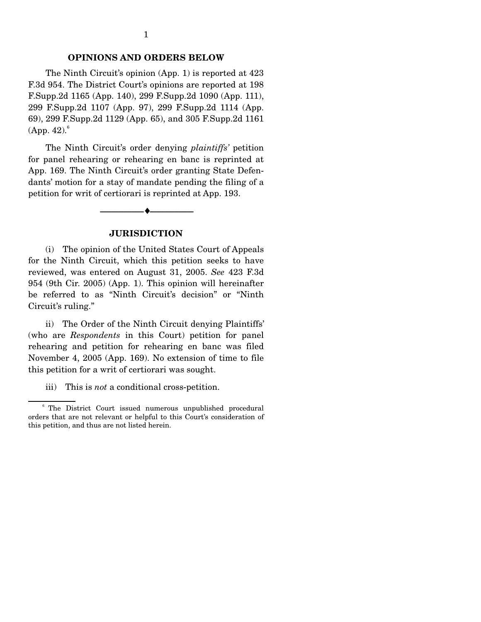#### **OPINIONS AND ORDERS BELOW**

 The Ninth Circuit's opinion (App. 1) is reported at 423 F.3d 954. The District Court's opinions are reported at 198 F.Supp.2d 1165 (App. 140), 299 F.Supp.2d 1090 (App. 111), 299 F.Supp.2d 1107 (App. 97), 299 F.Supp.2d 1114 (App. 69), 299 F.Supp.2d 1129 (App. 65), and 305 F.Supp.2d 1161  $(App. 42).$ <sup>6</sup>

 The Ninth Circuit's order denying *plaintiffs'* petition for panel rehearing or rehearing en banc is reprinted at App. 169. The Ninth Circuit's order granting State Defendants' motion for a stay of mandate pending the filing of a petition for writ of certiorari is reprinted at App. 193.

#### **JURISDICTION**

--------------------------------- ♦ ---------------------------------

 (i) The opinion of the United States Court of Appeals for the Ninth Circuit, which this petition seeks to have reviewed, was entered on August 31, 2005. *See* 423 F.3d 954 (9th Cir. 2005) (App. 1). This opinion will hereinafter be referred to as "Ninth Circuit's decision" or "Ninth Circuit's ruling."

 ii) The Order of the Ninth Circuit denying Plaintiffs' (who are *Respondents* in this Court) petition for panel rehearing and petition for rehearing en banc was filed November 4, 2005 (App. 169). No extension of time to file this petition for a writ of certiorari was sought.

iii) This is *not* a conditional cross-petition.

<sup>&</sup>lt;sup>6</sup> The District Court issued numerous unpublished procedural orders that are not relevant or helpful to this Court's consideration of this petition, and thus are not listed herein.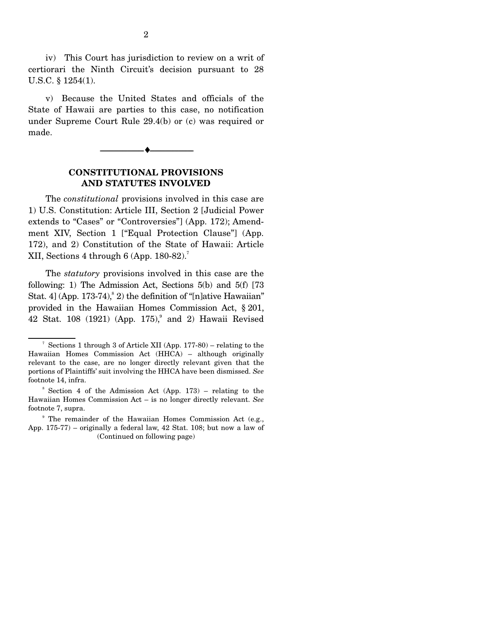iv) This Court has jurisdiction to review on a writ of certiorari the Ninth Circuit's decision pursuant to 28 U.S.C. § 1254(1).

 v) Because the United States and officials of the State of Hawaii are parties to this case, no notification under Supreme Court Rule 29.4(b) or (c) was required or made.



#### **CONSTITUTIONAL PROVISIONS AND STATUTES INVOLVED**

 The *constitutional* provisions involved in this case are 1) U.S. Constitution: Article III, Section 2 [Judicial Power extends to "Cases" or "Controversies"] (App. 172); Amendment XIV, Section 1 ["Equal Protection Clause"] (App. 172), and 2) Constitution of the State of Hawaii: Article XII, Sections 4 through 6 (App.  $180-82$ ).<sup>7</sup>

 The *statutory* provisions involved in this case are the following: 1) The Admission Act, Sections 5(b) and 5(f) [73 Stat. 4] (App. 173-74),  $\degree$  2) the definition of "[n]ative Hawaiian" provided in the Hawaiian Homes Commission Act, § 201, 42 Stat. 108 (1921) (App. 175), and 2) Hawaii Revised

<sup>7</sup> Sections 1 through 3 of Article XII (App. 177-80) – relating to the Hawaiian Homes Commission Act (HHCA) – although originally relevant to the case, are no longer directly relevant given that the portions of Plaintiffs' suit involving the HHCA have been dismissed. *See* footnote 14, infra.

 $8$  Section 4 of the Admission Act (App. 173) – relating to the Hawaiian Homes Commission Act – is no longer directly relevant. *See* footnote 7, supra.

<sup>&</sup>lt;sup>9</sup> The remainder of the Hawaiian Homes Commission Act (e.g., App. 175-77) – originally a federal law, 42 Stat. 108; but now a law of (Continued on following page)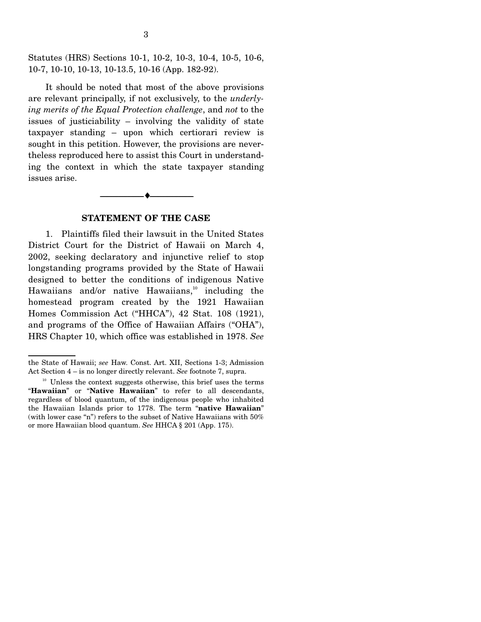Statutes (HRS) Sections 10-1, 10-2, 10-3, 10-4, 10-5, 10-6, 10-7, 10-10, 10-13, 10-13.5, 10-16 (App. 182-92).

 It should be noted that most of the above provisions are relevant principally, if not exclusively, to the *underlying merits of the Equal Protection challenge*, and *not* to the issues of justiciability – involving the validity of state taxpayer standing – upon which certiorari review is sought in this petition. However, the provisions are nevertheless reproduced here to assist this Court in understanding the context in which the state taxpayer standing issues arise.

#### **STATEMENT OF THE CASE**

--------------------------------- ♦ ---------------------------------

 1. Plaintiffs filed their lawsuit in the United States District Court for the District of Hawaii on March 4, 2002, seeking declaratory and injunctive relief to stop longstanding programs provided by the State of Hawaii designed to better the conditions of indigenous Native Hawaiians and/or native Hawaiians, $10$  including the homestead program created by the 1921 Hawaiian Homes Commission Act ("HHCA"), 42 Stat. 108 (1921), and programs of the Office of Hawaiian Affairs ("OHA"), HRS Chapter 10, which office was established in 1978. *See*

the State of Hawaii; *see* Haw. Const. Art. XII, Sections 1-3; Admission Act Section 4 – is no longer directly relevant. *See* footnote 7, supra.

 $10<sup>10</sup>$  Unless the context suggests otherwise, this brief uses the terms "**Hawaiian**" or "**Native Hawaiian**" to refer to all descendants, regardless of blood quantum, of the indigenous people who inhabited the Hawaiian Islands prior to 1778. The term "**native Hawaiian**" (with lower case "n") refers to the subset of Native Hawaiians with 50% or more Hawaiian blood quantum. *See* HHCA § 201 (App. 175).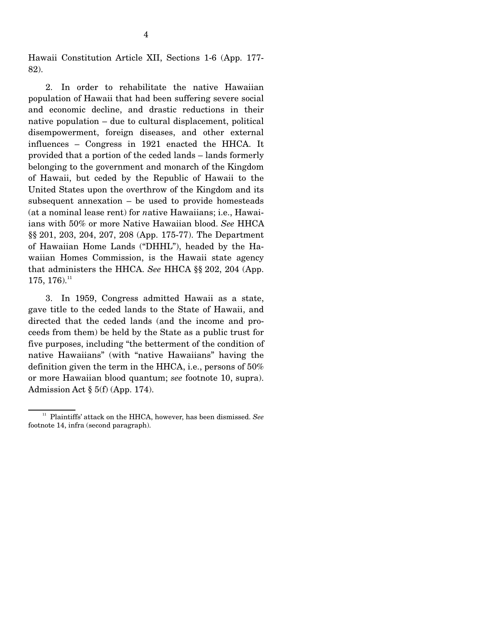Hawaii Constitution Article XII, Sections 1-6 (App. 177- 82).

 2. In order to rehabilitate the native Hawaiian population of Hawaii that had been suffering severe social and economic decline, and drastic reductions in their native population – due to cultural displacement, political disempowerment, foreign diseases, and other external influences – Congress in 1921 enacted the HHCA. It provided that a portion of the ceded lands – lands formerly belonging to the government and monarch of the Kingdom of Hawaii, but ceded by the Republic of Hawaii to the United States upon the overthrow of the Kingdom and its subsequent annexation – be used to provide homesteads (at a nominal lease rent) for *n*ative Hawaiians; i.e., Hawaiians with 50% or more Native Hawaiian blood. *See* HHCA §§ 201, 203, 204, 207, 208 (App. 175-77). The Department of Hawaiian Home Lands ("DHHL"), headed by the Hawaiian Homes Commission, is the Hawaii state agency that administers the HHCA. *See* HHCA §§ 202, 204 (App.  $175, 176$ <sup>11</sup>

 3. In 1959, Congress admitted Hawaii as a state, gave title to the ceded lands to the State of Hawaii, and directed that the ceded lands (and the income and proceeds from them) be held by the State as a public trust for five purposes, including "the betterment of the condition of native Hawaiians" (with "native Hawaiians" having the definition given the term in the HHCA, i.e., persons of 50% or more Hawaiian blood quantum; *see* footnote 10, supra). Admission Act  $\S 5(f)$  (App. 174).

<sup>&</sup>lt;sup>11</sup> Plaintiffs' attack on the HHCA, however, has been dismissed. See footnote 14, infra (second paragraph).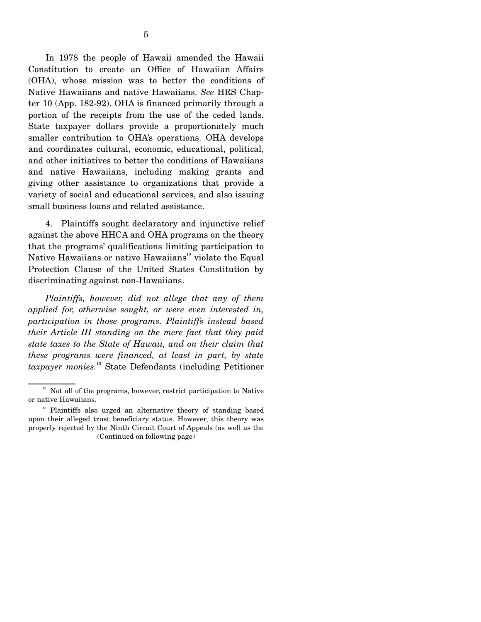In 1978 the people of Hawaii amended the Hawaii Constitution to create an Office of Hawaiian Affairs (OHA), whose mission was to better the conditions of Native Hawaiians and native Hawaiians. *See* HRS Chapter 10 (App. 182-92). OHA is financed primarily through a portion of the receipts from the use of the ceded lands. State taxpayer dollars provide a proportionately much smaller contribution to OHA's operations. OHA develops and coordinates cultural, economic, educational, political, and other initiatives to better the conditions of Hawaiians and native Hawaiians, including making grants and giving other assistance to organizations that provide a variety of social and educational services, and also issuing small business loans and related assistance.

 4. Plaintiffs sought declaratory and injunctive relief against the above HHCA and OHA programs on the theory that the programs' qualifications limiting participation to Native Hawaiians or native Hawaiians<sup>12</sup> violate the Equal Protection Clause of the United States Constitution by discriminating against non-Hawaiians.

 *Plaintiffs, however, did not allege that any of them applied for, otherwise sought, or were even interested in, participation in those programs. Plaintiffs instead based their Article III standing on the mere fact that they paid state taxes to the State of Hawaii, and on their claim that these programs were financed, at least in part, by state taxpayer monies.*13 State Defendants (including Petitioner

 $12$  Not all of the programs, however, restrict participation to Native or native Hawaiians.

<sup>&</sup>lt;sup>13</sup> Plaintiffs also urged an alternative theory of standing based upon their alleged trust beneficiary status. However, this theory was properly rejected by the Ninth Circuit Court of Appeals (as well as the (Continued on following page)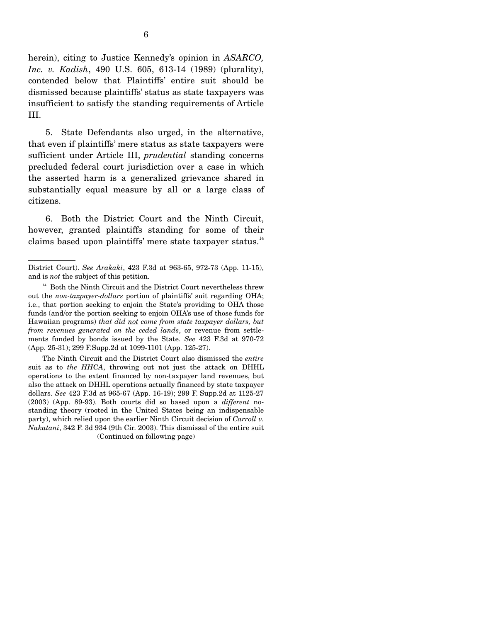herein), citing to Justice Kennedy's opinion in *ASARCO, Inc. v. Kadish*, 490 U.S. 605, 613-14 (1989) (plurality), contended below that Plaintiffs' entire suit should be dismissed because plaintiffs' status as state taxpayers was insufficient to satisfy the standing requirements of Article III.

 5. State Defendants also urged, in the alternative, that even if plaintiffs' mere status as state taxpayers were sufficient under Article III, *prudential* standing concerns precluded federal court jurisdiction over a case in which the asserted harm is a generalized grievance shared in substantially equal measure by all or a large class of citizens.

 6. Both the District Court and the Ninth Circuit, however, granted plaintiffs standing for some of their claims based upon plaintiffs' mere state taxpayer status.<sup>14</sup>

 The Ninth Circuit and the District Court also dismissed the *entire* suit as to *the HHCA*, throwing out not just the attack on DHHL operations to the extent financed by non-taxpayer land revenues, but also the attack on DHHL operations actually financed by state taxpayer dollars. *See* 423 F.3d at 965-67 (App. 16-19); 299 F. Supp.2d at 1125-27 (2003) (App. 89-93). Both courts did so based upon a *different* nostanding theory (rooted in the United States being an indispensable party), which relied upon the earlier Ninth Circuit decision of *Carroll v. Nakatani*, 342 F. 3d 934 (9th Cir. 2003). This dismissal of the entire suit (Continued on following page)

District Court). *See Arakaki*, 423 F.3d at 963-65, 972-73 (App. 11-15), and is *not* the subject of this petition.

<sup>&</sup>lt;sup>14</sup> Both the Ninth Circuit and the District Court nevertheless threw out the *non-taxpayer-dollars* portion of plaintiffs' suit regarding OHA; i.e., that portion seeking to enjoin the State's providing to OHA those funds (and/or the portion seeking to enjoin OHA's use of those funds for Hawaiian programs) *that did not come from state taxpayer dollars, but from revenues generated on the ceded lands*, or revenue from settlements funded by bonds issued by the State. *See* 423 F.3d at 970-72 (App. 25-31); 299 F.Supp.2d at 1099-1101 (App. 125-27).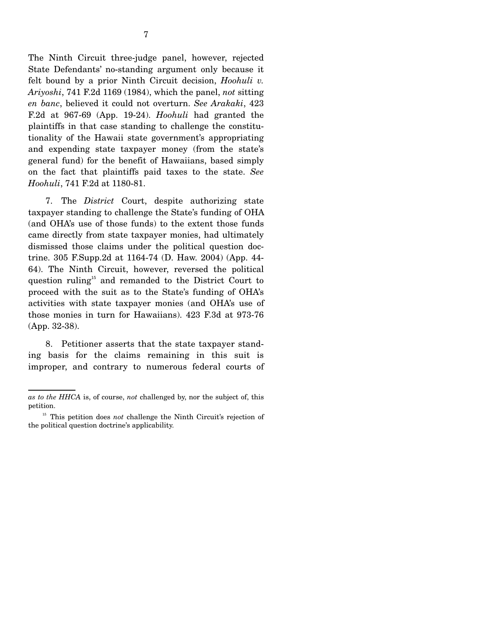The Ninth Circuit three-judge panel, however, rejected State Defendants' no-standing argument only because it felt bound by a prior Ninth Circuit decision, *Hoohuli v. Ariyoshi*, 741 F.2d 1169 (1984), which the panel, *not* sitting *en banc*, believed it could not overturn. *See Arakaki*, 423 F.2d at 967-69 (App. 19-24). *Hoohuli* had granted the plaintiffs in that case standing to challenge the constitutionality of the Hawaii state government's appropriating and expending state taxpayer money (from the state's general fund) for the benefit of Hawaiians, based simply on the fact that plaintiffs paid taxes to the state. *See Hoohuli*, 741 F.2d at 1180-81.

 7. The *District* Court, despite authorizing state taxpayer standing to challenge the State's funding of OHA (and OHA's use of those funds) to the extent those funds came directly from state taxpayer monies, had ultimately dismissed those claims under the political question doctrine. 305 F.Supp.2d at 1164-74 (D. Haw. 2004) (App. 44- 64). The Ninth Circuit, however, reversed the political question ruling<sup>15</sup> and remanded to the District Court to proceed with the suit as to the State's funding of OHA's activities with state taxpayer monies (and OHA's use of those monies in turn for Hawaiians). 423 F.3d at 973-76 (App. 32-38).

 8. Petitioner asserts that the state taxpayer standing basis for the claims remaining in this suit is improper, and contrary to numerous federal courts of

*as to the HHCA* is, of course, *not* challenged by, nor the subject of, this petition.

<sup>&</sup>lt;sup>15</sup> This petition does *not* challenge the Ninth Circuit's rejection of the political question doctrine's applicability.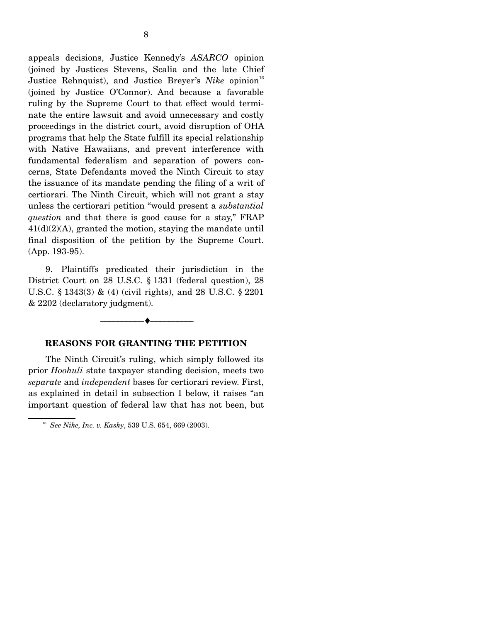appeals decisions, Justice Kennedy's *ASARCO* opinion (joined by Justices Stevens, Scalia and the late Chief Justice Rehnquist), and Justice Breyer's *Nike* opinion<sup>16</sup> (joined by Justice O'Connor). And because a favorable ruling by the Supreme Court to that effect would terminate the entire lawsuit and avoid unnecessary and costly proceedings in the district court, avoid disruption of OHA programs that help the State fulfill its special relationship with Native Hawaiians, and prevent interference with fundamental federalism and separation of powers concerns, State Defendants moved the Ninth Circuit to stay the issuance of its mandate pending the filing of a writ of certiorari. The Ninth Circuit, which will not grant a stay unless the certiorari petition "would present a *substantial question* and that there is good cause for a stay," FRAP 41(d)(2)(A), granted the motion, staying the mandate until final disposition of the petition by the Supreme Court. (App. 193-95).

9. Plaintiffs predicated their jurisdiction in the District Court on 28 U.S.C. § 1331 (federal question), 28 U.S.C. § 1343(3) & (4) (civil rights), and 28 U.S.C. § 2201 & 2202 (declaratory judgment).



#### **REASONS FOR GRANTING THE PETITION**

 The Ninth Circuit's ruling, which simply followed its prior *Hoohuli* state taxpayer standing decision, meets two *separate* and *independent* bases for certiorari review. First, as explained in detail in subsection I below, it raises "an important question of federal law that has not been, but

<sup>16</sup> *See Nike, Inc. v. Kasky*, 539 U.S. 654, 669 (2003).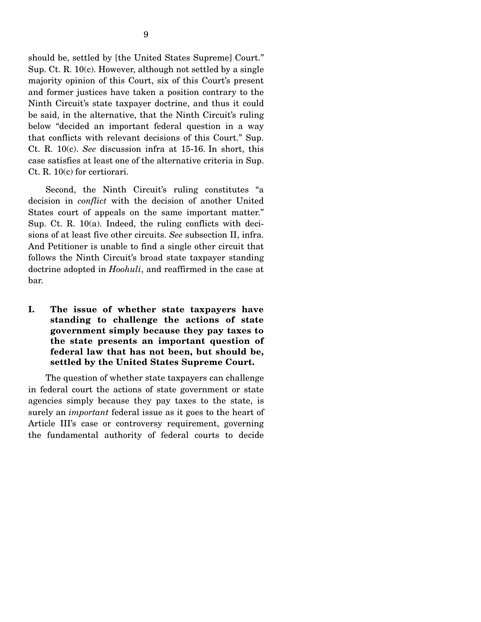should be, settled by [the United States Supreme] Court." Sup. Ct. R. 10(c). However, although not settled by a single majority opinion of this Court, six of this Court's present and former justices have taken a position contrary to the Ninth Circuit's state taxpayer doctrine, and thus it could be said, in the alternative, that the Ninth Circuit's ruling below "decided an important federal question in a way that conflicts with relevant decisions of this Court." Sup. Ct. R. 10(c). *See* discussion infra at 15-16. In short, this case satisfies at least one of the alternative criteria in Sup. Ct. R. 10(c) for certiorari.

 Second, the Ninth Circuit's ruling constitutes "a decision in *conflict* with the decision of another United States court of appeals on the same important matter." Sup. Ct. R. 10(a). Indeed, the ruling conflicts with decisions of at least five other circuits. *See* subsection II, infra. And Petitioner is unable to find a single other circuit that follows the Ninth Circuit's broad state taxpayer standing doctrine adopted in *Hoohuli*, and reaffirmed in the case at bar.

**I. The issue of whether state taxpayers have standing to challenge the actions of state government simply because they pay taxes to the state presents an important question of federal law that has not been, but should be, settled by the United States Supreme Court.** 

 The question of whether state taxpayers can challenge in federal court the actions of state government or state agencies simply because they pay taxes to the state, is surely an *important* federal issue as it goes to the heart of Article III's case or controversy requirement, governing the fundamental authority of federal courts to decide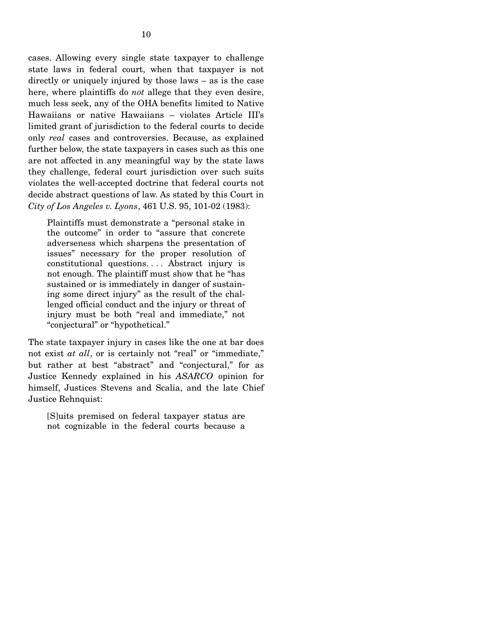cases. Allowing every single state taxpayer to challenge state laws in federal court, when that taxpayer is not directly or uniquely injured by those laws – as is the case here, where plaintiffs do *not* allege that they even desire, much less seek, any of the OHA benefits limited to Native Hawaiians or native Hawaiians – violates Article III's limited grant of jurisdiction to the federal courts to decide only *real* cases and controversies. Because, as explained further below, the state taxpayers in cases such as this one are not affected in any meaningful way by the state laws they challenge, federal court jurisdiction over such suits violates the well-accepted doctrine that federal courts not decide abstract questions of law. As stated by this Court in *City of Los Angeles v. Lyons*, 461 U.S. 95, 101-02 (1983):

Plaintiffs must demonstrate a "personal stake in the outcome" in order to "assure that concrete adverseness which sharpens the presentation of issues" necessary for the proper resolution of constitutional questions. . . . Abstract injury is not enough. The plaintiff must show that he "has sustained or is immediately in danger of sustaining some direct injury" as the result of the challenged official conduct and the injury or threat of injury must be both "real and immediate," not "conjectural" or "hypothetical."

The state taxpayer injury in cases like the one at bar does not exist *at all*, or is certainly not "real" or "immediate," but rather at best "abstract" and "conjectural," for as Justice Kennedy explained in his *ASARCO* opinion for himself, Justices Stevens and Scalia, and the late Chief Justice Rehnquist:

[S]uits premised on federal taxpayer status are not cognizable in the federal courts because a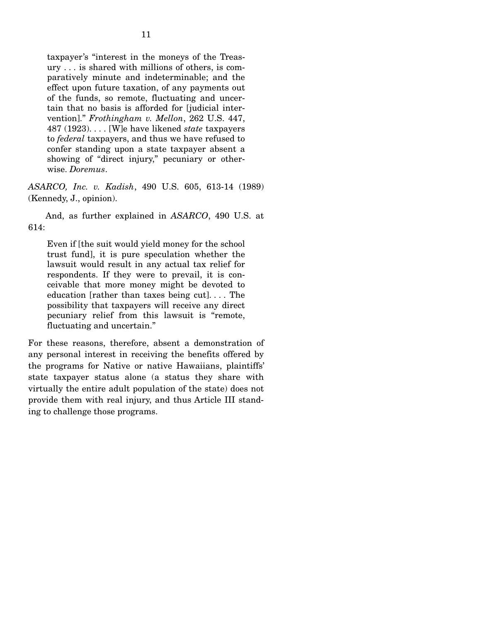taxpayer's "interest in the moneys of the Treasury . . . is shared with millions of others, is comparatively minute and indeterminable; and the effect upon future taxation, of any payments out of the funds, so remote, fluctuating and uncertain that no basis is afforded for [judicial intervention]." *Frothingham v. Mellon*, 262 U.S. 447, 487 (1923). . . . [W]e have likened *state* taxpayers to *federal* taxpayers, and thus we have refused to confer standing upon a state taxpayer absent a showing of "direct injury," pecuniary or otherwise. *Doremus*.

*ASARCO, Inc. v. Kadish*, 490 U.S. 605, 613-14 (1989) (Kennedy, J., opinion).

 And, as further explained in *ASARCO*, 490 U.S. at 614:

Even if [the suit would yield money for the school trust fund], it is pure speculation whether the lawsuit would result in any actual tax relief for respondents. If they were to prevail, it is conceivable that more money might be devoted to education [rather than taxes being cut]. . . . The possibility that taxpayers will receive any direct pecuniary relief from this lawsuit is "remote, fluctuating and uncertain."

For these reasons, therefore, absent a demonstration of any personal interest in receiving the benefits offered by the programs for Native or native Hawaiians, plaintiffs' state taxpayer status alone (a status they share with virtually the entire adult population of the state) does not provide them with real injury, and thus Article III standing to challenge those programs.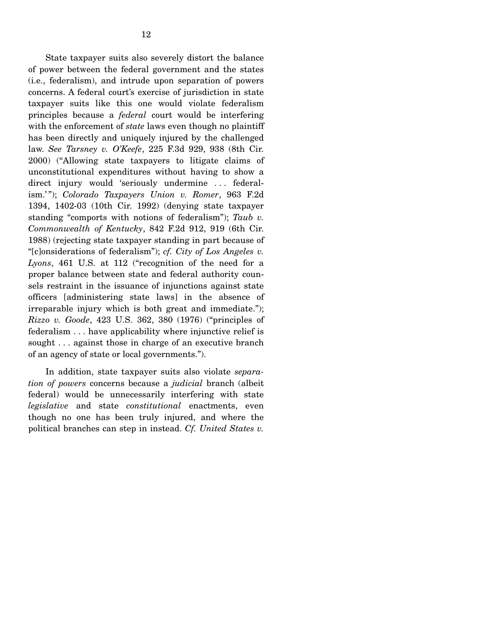State taxpayer suits also severely distort the balance of power between the federal government and the states (i.e., federalism), and intrude upon separation of powers concerns. A federal court's exercise of jurisdiction in state taxpayer suits like this one would violate federalism principles because a *federal* court would be interfering with the enforcement of *state* laws even though no plaintiff has been directly and uniquely injured by the challenged law. *See Tarsney v. O'Keefe*, 225 F.3d 929, 938 (8th Cir. 2000) ("Allowing state taxpayers to litigate claims of unconstitutional expenditures without having to show a direct injury would 'seriously undermine . . . federalism.' "); *Colorado Taxpayers Union v. Romer*, 963 F.2d 1394, 1402-03 (10th Cir. 1992) (denying state taxpayer standing "comports with notions of federalism"); *Taub v. Commonwealth of Kentucky*, 842 F.2d 912, 919 (6th Cir. 1988) (rejecting state taxpayer standing in part because of "[c]onsiderations of federalism"); *cf. City of Los Angeles v. Lyons*, 461 U.S. at 112 ("recognition of the need for a proper balance between state and federal authority counsels restraint in the issuance of injunctions against state officers [administering state laws] in the absence of irreparable injury which is both great and immediate."); *Rizzo v. Goode*, 423 U.S. 362, 380 (1976) ("principles of federalism . . . have applicability where injunctive relief is sought ... against those in charge of an executive branch of an agency of state or local governments.").

 In addition, state taxpayer suits also violate *separation of powers* concerns because a *judicial* branch (albeit federal) would be unnecessarily interfering with state *legislative* and state *constitutional* enactments, even though no one has been truly injured, and where the political branches can step in instead. *Cf. United States v.*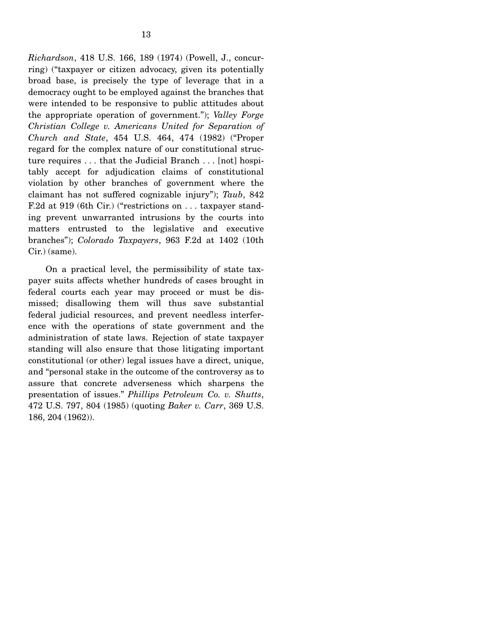*Richardson*, 418 U.S. 166, 189 (1974) (Powell, J., concurring) ("taxpayer or citizen advocacy, given its potentially broad base, is precisely the type of leverage that in a democracy ought to be employed against the branches that were intended to be responsive to public attitudes about the appropriate operation of government."); *Valley Forge Christian College v. Americans United for Separation of Church and State*, 454 U.S. 464, 474 (1982) ("Proper regard for the complex nature of our constitutional structure requires . . . that the Judicial Branch . . . [not] hospitably accept for adjudication claims of constitutional violation by other branches of government where the claimant has not suffered cognizable injury"); *Taub*, 842 F.2d at 919 (6th Cir.) ("restrictions on . . . taxpayer standing prevent unwarranted intrusions by the courts into matters entrusted to the legislative and executive branches"); *Colorado Taxpayers*, 963 F.2d at 1402 (10th Cir.) (same).

 On a practical level, the permissibility of state taxpayer suits affects whether hundreds of cases brought in federal courts each year may proceed or must be dismissed; disallowing them will thus save substantial federal judicial resources, and prevent needless interference with the operations of state government and the administration of state laws. Rejection of state taxpayer standing will also ensure that those litigating important constitutional (or other) legal issues have a direct, unique, and "personal stake in the outcome of the controversy as to assure that concrete adverseness which sharpens the presentation of issues." *Phillips Petroleum Co. v. Shutts*, 472 U.S. 797, 804 (1985) (quoting *Baker v. Carr*, 369 U.S. 186, 204 (1962)).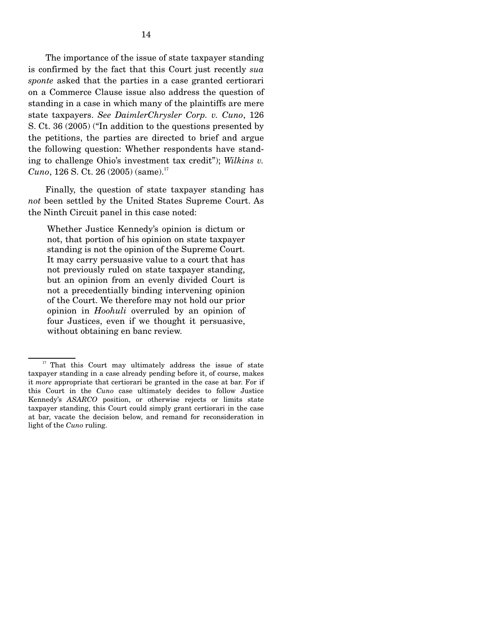The importance of the issue of state taxpayer standing is confirmed by the fact that this Court just recently *sua sponte* asked that the parties in a case granted certiorari on a Commerce Clause issue also address the question of standing in a case in which many of the plaintiffs are mere state taxpayers. *See DaimlerChrysler Corp. v. Cuno*, 126 S. Ct. 36 (2005) ("In addition to the questions presented by the petitions, the parties are directed to brief and argue the following question: Whether respondents have standing to challenge Ohio's investment tax credit"); *Wilkins v. Cuno*, 126 S. Ct. 26 (2005) (same).<sup>17</sup>

 Finally, the question of state taxpayer standing has *not* been settled by the United States Supreme Court. As the Ninth Circuit panel in this case noted:

Whether Justice Kennedy's opinion is dictum or not, that portion of his opinion on state taxpayer standing is not the opinion of the Supreme Court. It may carry persuasive value to a court that has not previously ruled on state taxpayer standing, but an opinion from an evenly divided Court is not a precedentially binding intervening opinion of the Court. We therefore may not hold our prior opinion in *Hoohuli* overruled by an opinion of four Justices, even if we thought it persuasive, without obtaining en banc review.

<sup>&</sup>lt;sup>17</sup> That this Court may ultimately address the issue of state taxpayer standing in a case already pending before it, of course, makes it *more* appropriate that certiorari be granted in the case at bar. For if this Court in the *Cuno* case ultimately decides to follow Justice Kennedy's *ASARCO* position, or otherwise rejects or limits state taxpayer standing, this Court could simply grant certiorari in the case at bar, vacate the decision below, and remand for reconsideration in light of the *Cuno* ruling.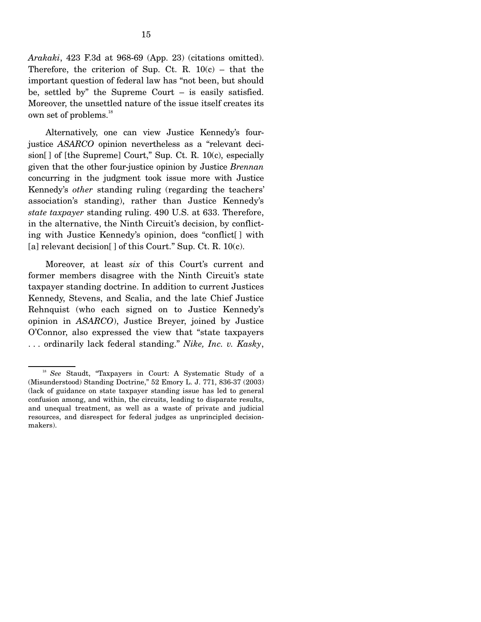*Arakaki*, 423 F.3d at 968-69 (App. 23) (citations omitted). Therefore, the criterion of Sup. Ct. R.  $10(c)$  – that the important question of federal law has "not been, but should be, settled by" the Supreme Court – is easily satisfied. Moreover, the unsettled nature of the issue itself creates its own set of problems.<sup>18</sup>

 Alternatively, one can view Justice Kennedy's fourjustice *ASARCO* opinion nevertheless as a "relevant decision[] of [the Supreme] Court," Sup. Ct. R. 10(c), especially given that the other four-justice opinion by Justice *Brennan* concurring in the judgment took issue more with Justice Kennedy's *other* standing ruling (regarding the teachers' association's standing), rather than Justice Kennedy's *state taxpayer* standing ruling. 490 U.S. at 633. Therefore, in the alternative, the Ninth Circuit's decision, by conflicting with Justice Kennedy's opinion, does "conflict[ ] with [a] relevant decision[] of this Court." Sup. Ct. R. 10(c).

 Moreover, at least *six* of this Court's current and former members disagree with the Ninth Circuit's state taxpayer standing doctrine. In addition to current Justices Kennedy, Stevens, and Scalia, and the late Chief Justice Rehnquist (who each signed on to Justice Kennedy's opinion in *ASARCO*), Justice Breyer, joined by Justice O'Connor, also expressed the view that "state taxpayers . . . ordinarily lack federal standing." *Nike, Inc. v. Kasky*,

<sup>18</sup> *See* Staudt, "Taxpayers in Court: A Systematic Study of a (Misunderstood) Standing Doctrine," 52 Emory L. J. 771, 836-37 (2003) (lack of guidance on state taxpayer standing issue has led to general confusion among, and within, the circuits, leading to disparate results, and unequal treatment, as well as a waste of private and judicial resources, and disrespect for federal judges as unprincipled decisionmakers).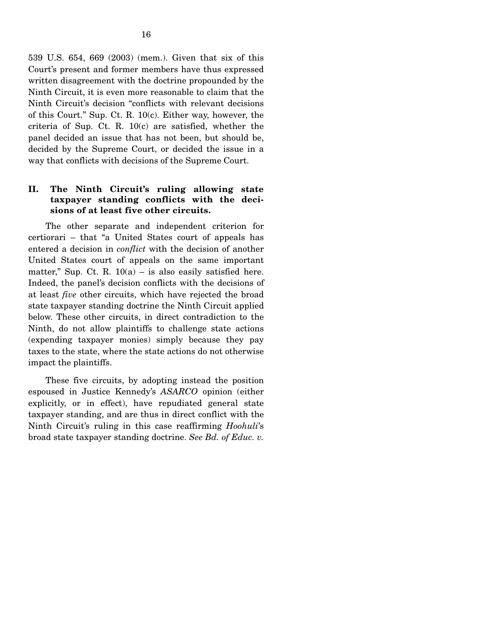539 U.S. 654, 669 (2003) (mem.). Given that six of this Court's present and former members have thus expressed written disagreement with the doctrine propounded by the Ninth Circuit, it is even more reasonable to claim that the Ninth Circuit's decision "conflicts with relevant decisions of this Court." Sup. Ct. R. 10(c). Either way, however, the criteria of Sup. Ct. R. 10(c) are satisfied, whether the panel decided an issue that has not been, but should be, decided by the Supreme Court, or decided the issue in a way that conflicts with decisions of the Supreme Court.

#### **II. The Ninth Circuit's ruling allowing state taxpayer standing conflicts with the decisions of at least five other circuits.**

The other separate and independent criterion for certiorari – that "a United States court of appeals has entered a decision in *conflict* with the decision of another United States court of appeals on the same important matter," Sup. Ct. R.  $10(a)$  – is also easily satisfied here. Indeed, the panel's decision conflicts with the decisions of at least *five* other circuits, which have rejected the broad state taxpayer standing doctrine the Ninth Circuit applied below. These other circuits, in direct contradiction to the Ninth, do not allow plaintiffs to challenge state actions (expending taxpayer monies) simply because they pay taxes to the state, where the state actions do not otherwise impact the plaintiffs.

 These five circuits, by adopting instead the position espoused in Justice Kennedy's *ASARCO* opinion (either explicitly, or in effect), have repudiated general state taxpayer standing, and are thus in direct conflict with the Ninth Circuit's ruling in this case reaffirming *Hoohuli*'s broad state taxpayer standing doctrine. *See Bd. of Educ. v.*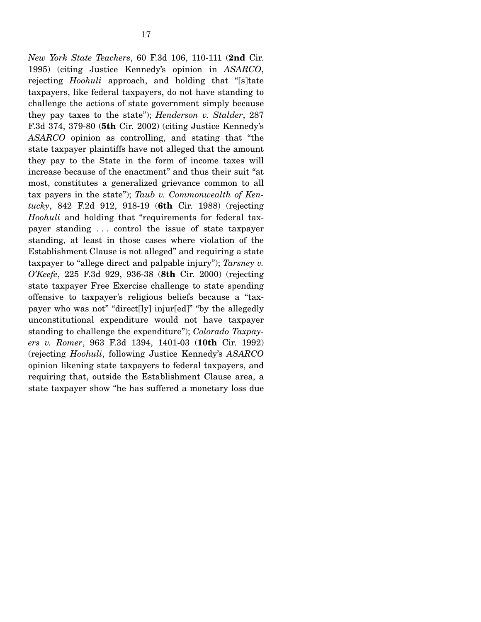*New York State Teachers*, 60 F.3d 106, 110-111 (**2nd** Cir. 1995) (citing Justice Kennedy's opinion in *ASARCO*, rejecting *Hoohuli* approach, and holding that "[s]tate taxpayers, like federal taxpayers, do not have standing to challenge the actions of state government simply because they pay taxes to the state"); *Henderson v. Stalder*, 287 F.3d 374, 379-80 (**5th** Cir. 2002) (citing Justice Kennedy's *ASARCO* opinion as controlling, and stating that "the state taxpayer plaintiffs have not alleged that the amount they pay to the State in the form of income taxes will increase because of the enactment" and thus their suit "at most, constitutes a generalized grievance common to all tax payers in the state"); *Taub v. Commonwealth of Kentucky*, 842 F.2d 912, 918-19 (**6th** Cir. 1988) (rejecting *Hoohuli* and holding that "requirements for federal taxpayer standing . . . control the issue of state taxpayer standing, at least in those cases where violation of the Establishment Clause is not alleged" and requiring a state taxpayer to "allege direct and palpable injury"); *Tarsney v. O'Keefe*, 225 F.3d 929, 936-38 (**8th** Cir. 2000) (rejecting state taxpayer Free Exercise challenge to state spending offensive to taxpayer's religious beliefs because a "taxpayer who was not" "direct[ly] injur[ed]" "by the allegedly unconstitutional expenditure would not have taxpayer standing to challenge the expenditure"); *Colorado Taxpayers v. Romer*, 963 F.3d 1394, 1401-03 (**10th** Cir. 1992) (rejecting *Hoohuli*, following Justice Kennedy's *ASARCO* opinion likening state taxpayers to federal taxpayers, and requiring that, outside the Establishment Clause area, a state taxpayer show "he has suffered a monetary loss due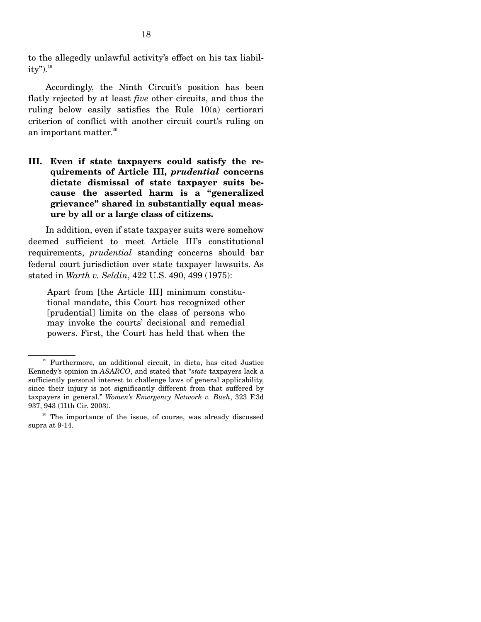to the allegedly unlawful activity's effect on his tax liabil $ity$ ").<sup>19</sup>

 Accordingly, the Ninth Circuit's position has been flatly rejected by at least *five* other circuits, and thus the ruling below easily satisfies the Rule 10(a) certiorari criterion of conflict with another circuit court's ruling on an important matter.<sup>20</sup>

**III. Even if state taxpayers could satisfy the requirements of Article III,** *prudential* **concerns dictate dismissal of state taxpayer suits because the asserted harm is a "generalized grievance" shared in substantially equal measure by all or a large class of citizens.** 

 In addition, even if state taxpayer suits were somehow deemed sufficient to meet Article III's constitutional requirements, *prudential* standing concerns should bar federal court jurisdiction over state taxpayer lawsuits. As stated in *Warth v. Seldin*, 422 U.S. 490, 499 (1975):

Apart from [the Article III] minimum constitutional mandate, this Court has recognized other [prudential] limits on the class of persons who may invoke the courts' decisional and remedial powers. First, the Court has held that when the

<sup>&</sup>lt;sup>19</sup> Furthermore, an additional circuit, in dicta, has cited Justice Kennedy's opinion in *ASARCO*, and stated that "*state* taxpayers lack a sufficiently personal interest to challenge laws of general applicability, since their injury is not significantly different from that suffered by taxpayers in general." *Women's Emergency Network v. Bush*, 323 F.3d 937, 943 (11th Cir. 2003).

<sup>&</sup>lt;sup>20</sup> The importance of the issue, of course, was already discussed supra at 9-14.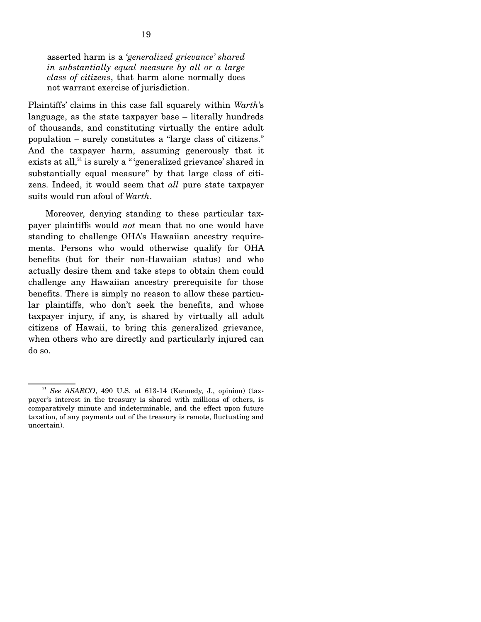asserted harm is a '*generalized grievance' shared in substantially equal measure by all or a large class of citizens*, that harm alone normally does not warrant exercise of jurisdiction.

Plaintiffs' claims in this case fall squarely within *Warth*'s language, as the state taxpayer base – literally hundreds of thousands, and constituting virtually the entire adult population – surely constitutes a "large class of citizens." And the taxpayer harm, assuming generously that it exists at all, $21$  is surely a " 'generalized grievance' shared in substantially equal measure" by that large class of citizens. Indeed, it would seem that *all* pure state taxpayer suits would run afoul of *Warth*.

 Moreover, denying standing to these particular taxpayer plaintiffs would *not* mean that no one would have standing to challenge OHA's Hawaiian ancestry requirements. Persons who would otherwise qualify for OHA benefits (but for their non-Hawaiian status) and who actually desire them and take steps to obtain them could challenge any Hawaiian ancestry prerequisite for those benefits. There is simply no reason to allow these particular plaintiffs, who don't seek the benefits, and whose taxpayer injury, if any, is shared by virtually all adult citizens of Hawaii, to bring this generalized grievance, when others who are directly and particularly injured can do so.

<sup>21</sup> *See ASARCO*, 490 U.S. at 613-14 (Kennedy, J., opinion) (taxpayer's interest in the treasury is shared with millions of others, is comparatively minute and indeterminable, and the effect upon future taxation, of any payments out of the treasury is remote, fluctuating and uncertain).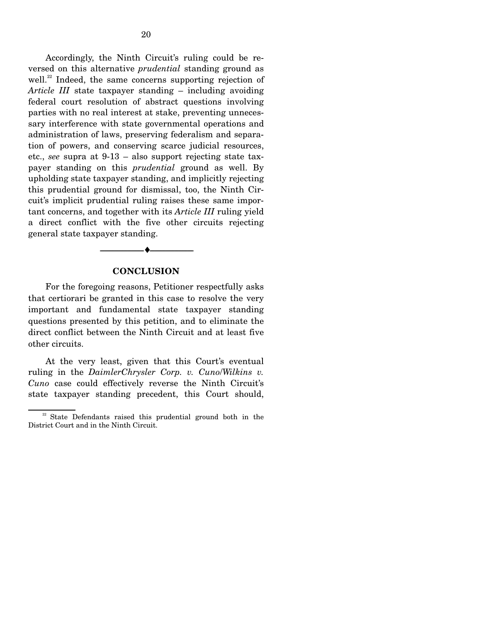Accordingly, the Ninth Circuit's ruling could be reversed on this alternative *prudential* standing ground as well.<sup>22</sup> Indeed, the same concerns supporting rejection of *Article III* state taxpayer standing – including avoiding federal court resolution of abstract questions involving parties with no real interest at stake, preventing unnecessary interference with state governmental operations and administration of laws, preserving federalism and separation of powers, and conserving scarce judicial resources, etc., *see* supra at 9-13 – also support rejecting state taxpayer standing on this *prudential* ground as well. By upholding state taxpayer standing, and implicitly rejecting this prudential ground for dismissal, too, the Ninth Circuit's implicit prudential ruling raises these same important concerns, and together with its *Article III* ruling yield a direct conflict with the five other circuits rejecting general state taxpayer standing.

# --------------------------------- ♦ ---------------------------------

#### **CONCLUSION**

 For the foregoing reasons, Petitioner respectfully asks that certiorari be granted in this case to resolve the very important and fundamental state taxpayer standing questions presented by this petition, and to eliminate the direct conflict between the Ninth Circuit and at least five other circuits.

 At the very least, given that this Court's eventual ruling in the *DaimlerChrysler Corp. v. Cuno*/*Wilkins v. Cuno* case could effectively reverse the Ninth Circuit's state taxpayer standing precedent, this Court should,

<sup>&</sup>lt;sup>22</sup> State Defendants raised this prudential ground both in the District Court and in the Ninth Circuit.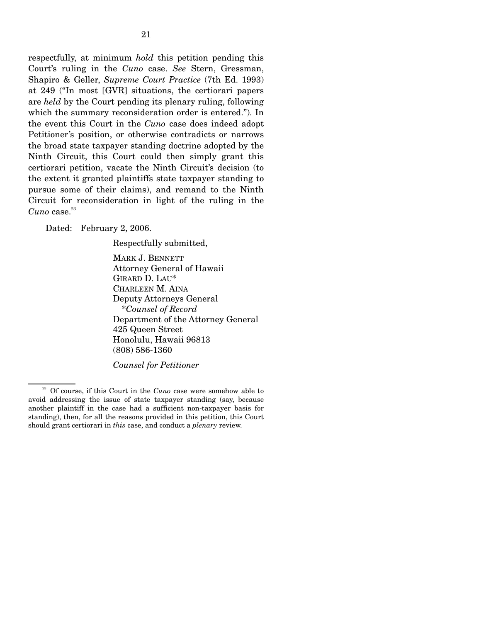respectfully, at minimum *hold* this petition pending this Court's ruling in the *Cuno* case. *See* Stern, Gressman, Shapiro & Geller, *Supreme Court Practice* (7th Ed. 1993) at 249 ("In most [GVR] situations, the certiorari papers are *held* by the Court pending its plenary ruling, following which the summary reconsideration order is entered."). In the event this Court in the *Cuno* case does indeed adopt Petitioner's position, or otherwise contradicts or narrows the broad state taxpayer standing doctrine adopted by the Ninth Circuit, this Court could then simply grant this certiorari petition, vacate the Ninth Circuit's decision (to the extent it granted plaintiffs state taxpayer standing to pursue some of their claims), and remand to the Ninth Circuit for reconsideration in light of the ruling in the  $Cuno$  case. $^{23}$ 

Dated: February 2, 2006.

Respectfully submitted,

MARK J. BENNETT Attorney General of Hawaii GIRARD D. LAU\* CHARLEEN M. AINA Deputy Attorneys General \**Counsel of Record*  Department of the Attorney General 425 Queen Street Honolulu, Hawaii 96813 (808) 586-1360

*Counsel for Petitioner*

23 Of course, if this Court in the *Cuno* case were somehow able to avoid addressing the issue of state taxpayer standing (say, because another plaintiff in the case had a sufficient non-taxpayer basis for standing), then, for all the reasons provided in this petition, this Court should grant certiorari in *this* case, and conduct a *plenary* review.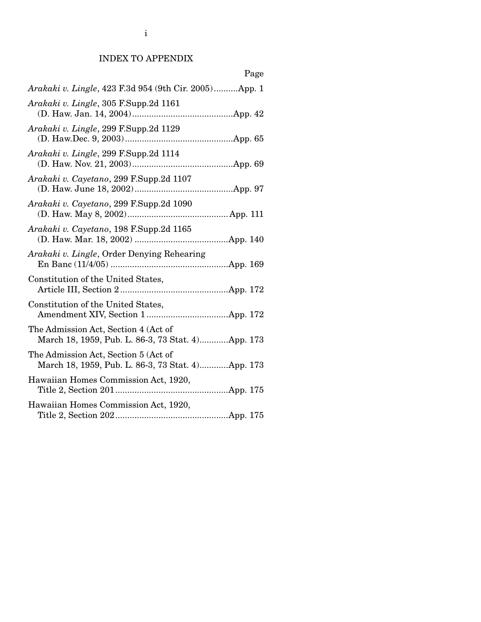### INDEX TO APPENDIX

| Page                                                                                      |
|-------------------------------------------------------------------------------------------|
| Arakaki v. Lingle, 423 F.3d 954 (9th Cir. 2005)App. 1                                     |
| Arakaki v. Lingle, 305 F.Supp.2d 1161                                                     |
| Arakaki v. Lingle, 299 F.Supp.2d 1129                                                     |
| Arakaki v. Lingle, 299 F.Supp.2d 1114                                                     |
| Arakaki v. Cayetano, 299 F.Supp.2d 1107                                                   |
| Arakaki v. Cayetano, 299 F.Supp.2d 1090                                                   |
| Arakaki v. Cayetano, 198 F.Supp.2d 1165                                                   |
| Arakaki v. Lingle, Order Denying Rehearing                                                |
| Constitution of the United States,                                                        |
| Constitution of the United States,                                                        |
| The Admission Act, Section 4 (Act of<br>March 18, 1959, Pub. L. 86-3, 73 Stat. 4App. 173  |
| The Admission Act, Section 5 (Act of<br>March 18, 1959, Pub. L. 86-3, 73 Stat. 4)App. 173 |
| Hawaiian Homes Commission Act, 1920,                                                      |
| Hawaiian Homes Commission Act, 1920,                                                      |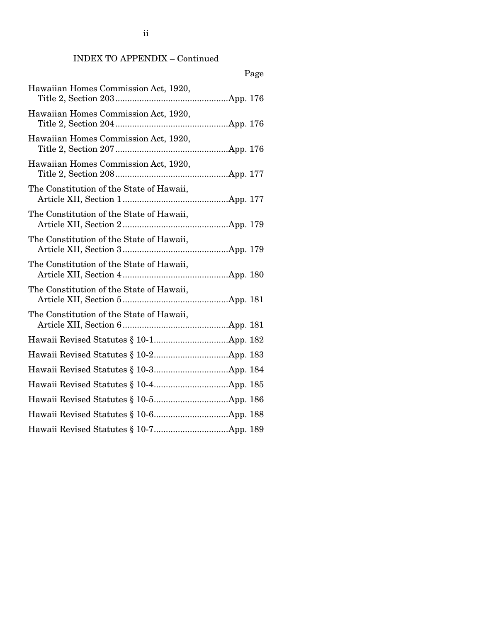### INDEX TO APPENDIX – Continued

| Page                                     |
|------------------------------------------|
| Hawaiian Homes Commission Act, 1920,     |
| Hawaiian Homes Commission Act, 1920,     |
| Hawaiian Homes Commission Act, 1920,     |
| Hawaiian Homes Commission Act, 1920,     |
| The Constitution of the State of Hawaii, |
| The Constitution of the State of Hawaii, |
| The Constitution of the State of Hawaii, |
| The Constitution of the State of Hawaii, |
| The Constitution of the State of Hawaii, |
| The Constitution of the State of Hawaii, |
|                                          |
|                                          |
|                                          |
|                                          |
|                                          |
|                                          |
|                                          |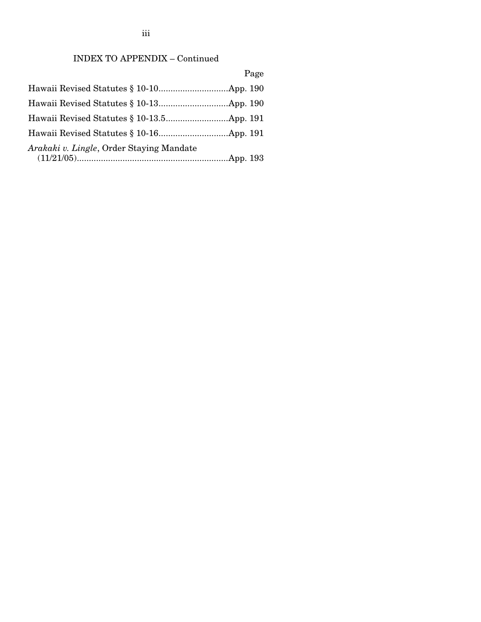# INDEX TO APPENDIX – Continued

Page

| Arakaki v. Lingle, Order Staying Mandate |  |
|------------------------------------------|--|
|                                          |  |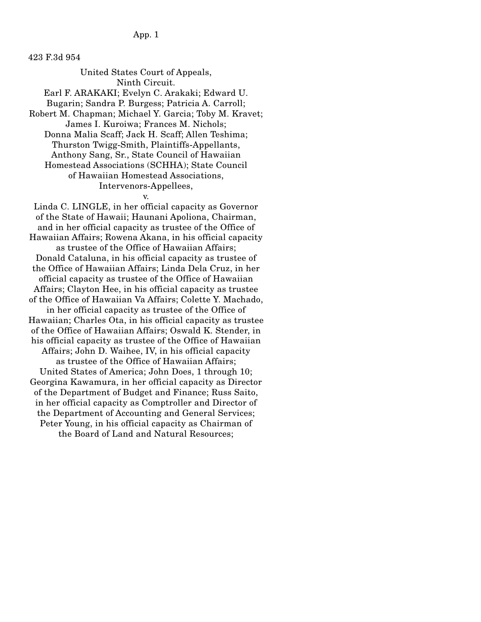## App. 1

423 F.3d 954

United States Court of Appeals, Ninth Circuit. Earl F. ARAKAKI; Evelyn C. Arakaki; Edward U. Bugarin; Sandra P. Burgess; Patricia A. Carroll; Robert M. Chapman; Michael Y. Garcia; Toby M. Kravet; James I. Kuroiwa; Frances M. Nichols; Donna Malia Scaff; Jack H. Scaff; Allen Teshima; Thurston Twigg-Smith, Plaintiffs-Appellants, Anthony Sang, Sr., State Council of Hawaiian Homestead Associations (SCHHA); State Council of Hawaiian Homestead Associations, Intervenors-Appellees, v.

Linda C. LINGLE, in her official capacity as Governor of the State of Hawaii; Haunani Apoliona, Chairman, and in her official capacity as trustee of the Office of Hawaiian Affairs; Rowena Akana, in his official capacity as trustee of the Office of Hawaiian Affairs; Donald Cataluna, in his official capacity as trustee of the Office of Hawaiian Affairs; Linda Dela Cruz, in her official capacity as trustee of the Office of Hawaiian Affairs; Clayton Hee, in his official capacity as trustee of the Office of Hawaiian Va Affairs; Colette Y. Machado, in her official capacity as trustee of the Office of Hawaiian; Charles Ota, in his official capacity as trustee of the Office of Hawaiian Affairs; Oswald K. Stender, in his official capacity as trustee of the Office of Hawaiian Affairs; John D. Waihee, IV, in his official capacity as trustee of the Office of Hawaiian Affairs; United States of America; John Does, 1 through 10; Georgina Kawamura, in her official capacity as Director of the Department of Budget and Finance; Russ Saito, in her official capacity as Comptroller and Director of the Department of Accounting and General Services; Peter Young, in his official capacity as Chairman of the Board of Land and Natural Resources;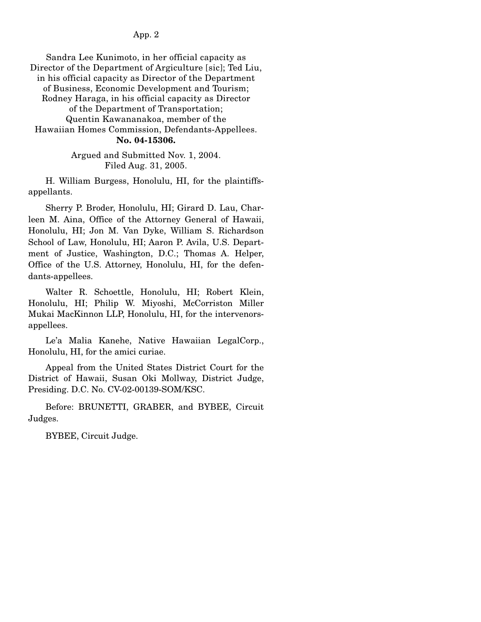Sandra Lee Kunimoto, in her official capacity as Director of the Department of Argiculture [sic]; Ted Liu, in his official capacity as Director of the Department of Business, Economic Development and Tourism; Rodney Haraga, in his official capacity as Director of the Department of Transportation; Quentin Kawananakoa, member of the Hawaiian Homes Commission, Defendants-Appellees. **No. 04-15306.**

> Argued and Submitted Nov. 1, 2004. Filed Aug. 31, 2005.

 H. William Burgess, Honolulu, HI, for the plaintiffsappellants.

 Sherry P. Broder, Honolulu, HI; Girard D. Lau, Charleen M. Aina, Office of the Attorney General of Hawaii, Honolulu, HI; Jon M. Van Dyke, William S. Richardson School of Law, Honolulu, HI; Aaron P. Avila, U.S. Department of Justice, Washington, D.C.; Thomas A. Helper, Office of the U.S. Attorney, Honolulu, HI, for the defendants-appellees.

 Walter R. Schoettle, Honolulu, HI; Robert Klein, Honolulu, HI; Philip W. Miyoshi, McCorriston Miller Mukai MacKinnon LLP, Honolulu, HI, for the intervenorsappellees.

 Le'a Malia Kanehe, Native Hawaiian LegalCorp., Honolulu, HI, for the amici curiae.

 Appeal from the United States District Court for the District of Hawaii, Susan Oki Mollway, District Judge, Presiding. D.C. No. CV-02-00139-SOM/KSC.

 Before: BRUNETTI, GRABER, and BYBEE, Circuit Judges.

BYBEE, Circuit Judge.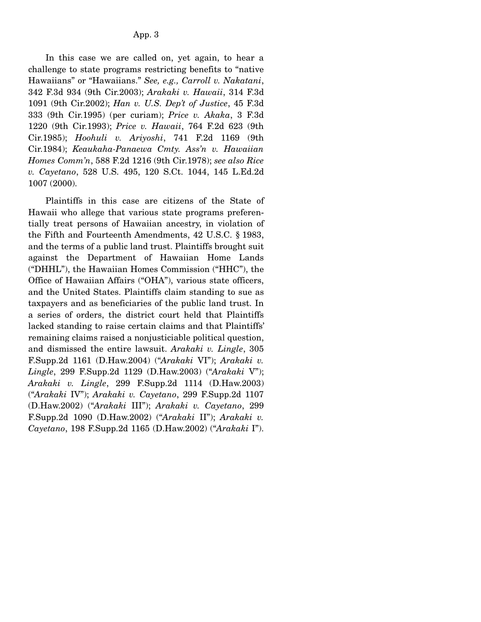In this case we are called on, yet again, to hear a challenge to state programs restricting benefits to "native Hawaiians" or "Hawaiians." *See, e.g., Carroll v. Nakatani*, 342 F.3d 934 (9th Cir.2003); *Arakaki v. Hawaii*, 314 F.3d 1091 (9th Cir.2002); *Han v. U.S. Dep't of Justice*, 45 F.3d 333 (9th Cir.1995) (per curiam); *Price v. Akaka*, 3 F.3d 1220 (9th Cir.1993); *Price v. Hawaii*, 764 F.2d 623 (9th Cir.1985); *Hoohuli v. Ariyoshi*, 741 F.2d 1169 (9th Cir.1984); *Keaukaha-Panaewa Cmty. Ass'n v. Hawaiian Homes Comm'n*, 588 F.2d 1216 (9th Cir.1978); *see also Rice v. Cayetano*, 528 U.S. 495, 120 S.Ct. 1044, 145 L.Ed.2d 1007 (2000).

 Plaintiffs in this case are citizens of the State of Hawaii who allege that various state programs preferentially treat persons of Hawaiian ancestry, in violation of the Fifth and Fourteenth Amendments, 42 U.S.C. § 1983, and the terms of a public land trust. Plaintiffs brought suit against the Department of Hawaiian Home Lands ("DHHL"), the Hawaiian Homes Commission ("HHC"), the Office of Hawaiian Affairs ("OHA"), various state officers, and the United States. Plaintiffs claim standing to sue as taxpayers and as beneficiaries of the public land trust. In a series of orders, the district court held that Plaintiffs lacked standing to raise certain claims and that Plaintiffs' remaining claims raised a nonjusticiable political question, and dismissed the entire lawsuit. *Arakaki v. Lingle*, 305 F.Supp.2d 1161 (D.Haw.2004) ("*Arakaki* VI"); *Arakaki v. Lingle*, 299 F.Supp.2d 1129 (D.Haw.2003) ("*Arakaki* V"); *Arakaki v. Lingle*, 299 F.Supp.2d 1114 (D.Haw.2003) ("*Arakaki* IV"); *Arakaki v. Cayetano*, 299 F.Supp.2d 1107 (D.Haw.2002) ("*Arakaki* III"); *Arakaki v. Cayetano*, 299 F.Supp.2d 1090 (D.Haw.2002) ("*Arakaki* II"); *Arakaki v. Cayetano*, 198 F.Supp.2d 1165 (D.Haw.2002) ("*Arakaki* I").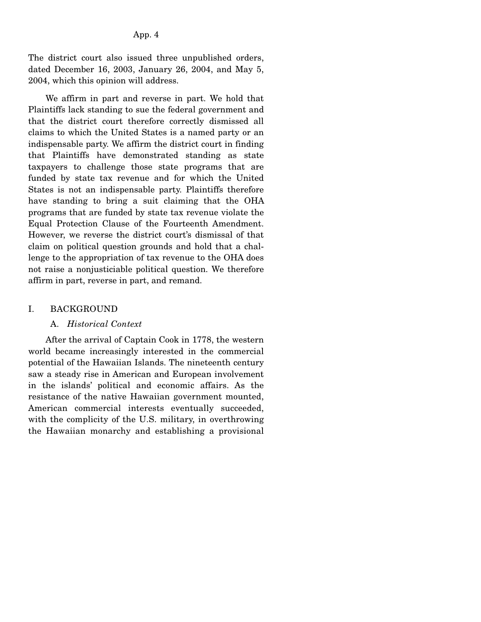The district court also issued three unpublished orders, dated December 16, 2003, January 26, 2004, and May 5, 2004, which this opinion will address.

 We affirm in part and reverse in part. We hold that Plaintiffs lack standing to sue the federal government and that the district court therefore correctly dismissed all claims to which the United States is a named party or an indispensable party. We affirm the district court in finding that Plaintiffs have demonstrated standing as state taxpayers to challenge those state programs that are funded by state tax revenue and for which the United States is not an indispensable party. Plaintiffs therefore have standing to bring a suit claiming that the OHA programs that are funded by state tax revenue violate the Equal Protection Clause of the Fourteenth Amendment. However, we reverse the district court's dismissal of that claim on political question grounds and hold that a challenge to the appropriation of tax revenue to the OHA does not raise a nonjusticiable political question. We therefore affirm in part, reverse in part, and remand.

### I. BACKGROUND

#### A. *Historical Context*

 After the arrival of Captain Cook in 1778, the western world became increasingly interested in the commercial potential of the Hawaiian Islands. The nineteenth century saw a steady rise in American and European involvement in the islands' political and economic affairs. As the resistance of the native Hawaiian government mounted, American commercial interests eventually succeeded, with the complicity of the U.S. military, in overthrowing the Hawaiian monarchy and establishing a provisional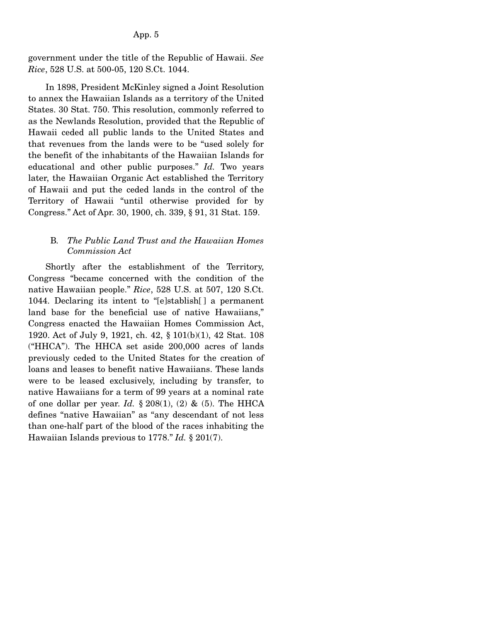government under the title of the Republic of Hawaii. *See Rice*, 528 U.S. at 500-05, 120 S.Ct. 1044.

 In 1898, President McKinley signed a Joint Resolution to annex the Hawaiian Islands as a territory of the United States. 30 Stat. 750. This resolution, commonly referred to as the Newlands Resolution, provided that the Republic of Hawaii ceded all public lands to the United States and that revenues from the lands were to be "used solely for the benefit of the inhabitants of the Hawaiian Islands for educational and other public purposes." *Id.* Two years later, the Hawaiian Organic Act established the Territory of Hawaii and put the ceded lands in the control of the Territory of Hawaii "until otherwise provided for by Congress." Act of Apr. 30, 1900, ch. 339, § 91, 31 Stat. 159.

## B*. The Public Land Trust and the Hawaiian Homes Commission Act*

 Shortly after the establishment of the Territory, Congress "became concerned with the condition of the native Hawaiian people." *Rice*, 528 U.S. at 507, 120 S.Ct. 1044. Declaring its intent to "[e]stablish[ ] a permanent land base for the beneficial use of native Hawaiians," Congress enacted the Hawaiian Homes Commission Act, 1920. Act of July 9, 1921, ch. 42, § 101(b)(1), 42 Stat. 108 ("HHCA"). The HHCA set aside 200,000 acres of lands previously ceded to the United States for the creation of loans and leases to benefit native Hawaiians. These lands were to be leased exclusively, including by transfer, to native Hawaiians for a term of 99 years at a nominal rate of one dollar per year. *Id.*  $\S 208(1)$ , (2) & (5). The HHCA defines "native Hawaiian" as "any descendant of not less than one-half part of the blood of the races inhabiting the Hawaiian Islands previous to 1778." *Id.* § 201(7).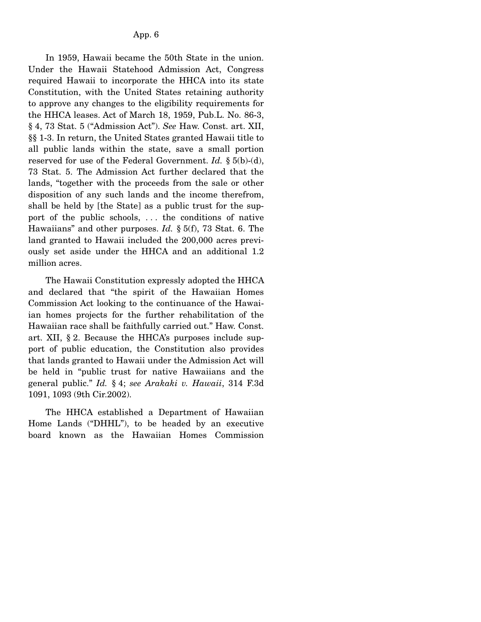In 1959, Hawaii became the 50th State in the union. Under the Hawaii Statehood Admission Act, Congress required Hawaii to incorporate the HHCA into its state Constitution, with the United States retaining authority to approve any changes to the eligibility requirements for the HHCA leases. Act of March 18, 1959, Pub.L. No. 86-3, § 4, 73 Stat. 5 ("Admission Act"). *See* Haw. Const. art. XII, §§ 1-3. In return, the United States granted Hawaii title to all public lands within the state, save a small portion reserved for use of the Federal Government. *Id.* § 5(b)-(d), 73 Stat. 5. The Admission Act further declared that the lands, "together with the proceeds from the sale or other disposition of any such lands and the income therefrom, shall be held by [the State] as a public trust for the support of the public schools, . . . the conditions of native Hawaiians" and other purposes. *Id.* § 5(f), 73 Stat. 6. The land granted to Hawaii included the 200,000 acres previously set aside under the HHCA and an additional 1.2 million acres.

 The Hawaii Constitution expressly adopted the HHCA and declared that "the spirit of the Hawaiian Homes Commission Act looking to the continuance of the Hawaiian homes projects for the further rehabilitation of the Hawaiian race shall be faithfully carried out." Haw. Const. art. XII, § 2. Because the HHCA's purposes include support of public education, the Constitution also provides that lands granted to Hawaii under the Admission Act will be held in "public trust for native Hawaiians and the general public." *Id.* § 4; *see Arakaki v. Hawaii*, 314 F.3d 1091, 1093 (9th Cir.2002).

 The HHCA established a Department of Hawaiian Home Lands ("DHHL"), to be headed by an executive board known as the Hawaiian Homes Commission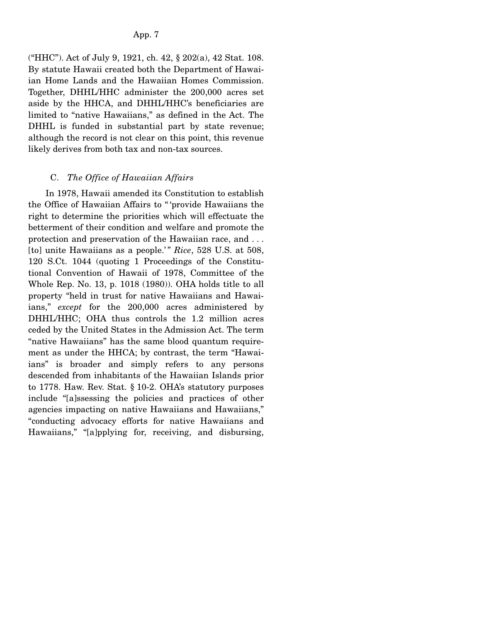("HHC"). Act of July 9, 1921, ch. 42, § 202(a), 42 Stat. 108. By statute Hawaii created both the Department of Hawaiian Home Lands and the Hawaiian Homes Commission. Together, DHHL/HHC administer the 200,000 acres set aside by the HHCA, and DHHL/HHC's beneficiaries are limited to "native Hawaiians," as defined in the Act. The DHHL is funded in substantial part by state revenue; although the record is not clear on this point, this revenue likely derives from both tax and non-tax sources.

# C. *The Office of Hawaiian Affairs*

 In 1978, Hawaii amended its Constitution to establish the Office of Hawaiian Affairs to " 'provide Hawaiians the right to determine the priorities which will effectuate the betterment of their condition and welfare and promote the protection and preservation of the Hawaiian race, and . . . [to] unite Hawaiians as a people.'" *Rice*, 528 U.S. at 508, 120 S.Ct. 1044 (quoting 1 Proceedings of the Constitutional Convention of Hawaii of 1978, Committee of the Whole Rep. No. 13, p. 1018 (1980)). OHA holds title to all property "held in trust for native Hawaiians and Hawaiians," *except* for the 200,000 acres administered by DHHL/HHC; OHA thus controls the 1.2 million acres ceded by the United States in the Admission Act. The term "native Hawaiians" has the same blood quantum requirement as under the HHCA; by contrast, the term "Hawaiians" is broader and simply refers to any persons descended from inhabitants of the Hawaiian Islands prior to 1778. Haw. Rev. Stat. § 10-2. OHA's statutory purposes include "[a]ssessing the policies and practices of other agencies impacting on native Hawaiians and Hawaiians," "conducting advocacy efforts for native Hawaiians and Hawaiians," "[a]pplying for, receiving, and disbursing,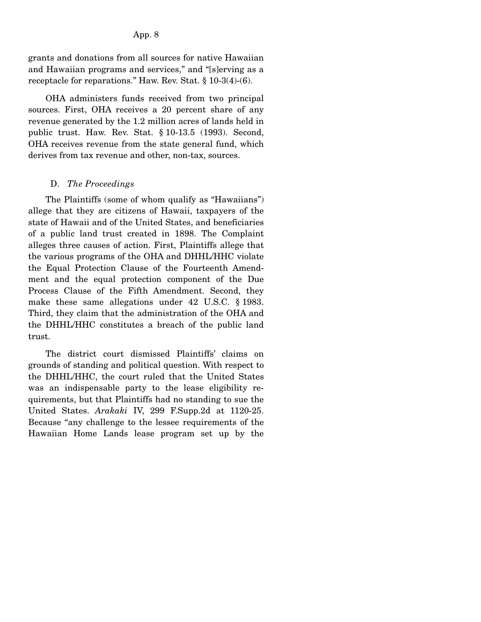#### App. 8

grants and donations from all sources for native Hawaiian and Hawaiian programs and services," and "[s]erving as a receptacle for reparations." Haw. Rev. Stat. § 10-3(4)-(6).

 OHA administers funds received from two principal sources. First, OHA receives a 20 percent share of any revenue generated by the 1.2 million acres of lands held in public trust. Haw. Rev. Stat. § 10-13.5 (1993). Second, OHA receives revenue from the state general fund, which derives from tax revenue and other, non-tax, sources.

#### D. *The Proceedings*

 The Plaintiffs (some of whom qualify as "Hawaiians") allege that they are citizens of Hawaii, taxpayers of the state of Hawaii and of the United States, and beneficiaries of a public land trust created in 1898. The Complaint alleges three causes of action. First, Plaintiffs allege that the various programs of the OHA and DHHL/HHC violate the Equal Protection Clause of the Fourteenth Amendment and the equal protection component of the Due Process Clause of the Fifth Amendment. Second, they make these same allegations under 42 U.S.C. § 1983. Third, they claim that the administration of the OHA and the DHHL/HHC constitutes a breach of the public land trust.

 The district court dismissed Plaintiffs' claims on grounds of standing and political question. With respect to the DHHL/HHC, the court ruled that the United States was an indispensable party to the lease eligibility requirements, but that Plaintiffs had no standing to sue the United States. *Arakaki* IV, 299 F.Supp.2d at 1120-25. Because "any challenge to the lessee requirements of the Hawaiian Home Lands lease program set up by the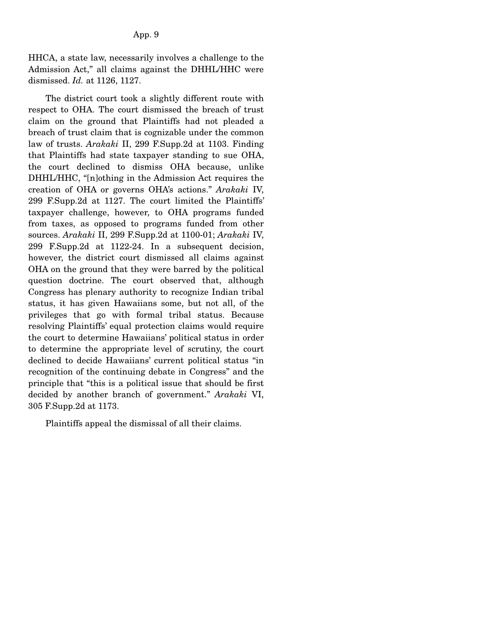HHCA, a state law, necessarily involves a challenge to the Admission Act," all claims against the DHHL/HHC were dismissed. *Id.* at 1126, 1127.

 The district court took a slightly different route with respect to OHA. The court dismissed the breach of trust claim on the ground that Plaintiffs had not pleaded a breach of trust claim that is cognizable under the common law of trusts. *Arakaki* II, 299 F.Supp.2d at 1103. Finding that Plaintiffs had state taxpayer standing to sue OHA, the court declined to dismiss OHA because, unlike DHHL/HHC, "[n]othing in the Admission Act requires the creation of OHA or governs OHA's actions." *Arakaki* IV, 299 F.Supp.2d at 1127. The court limited the Plaintiffs' taxpayer challenge, however, to OHA programs funded from taxes, as opposed to programs funded from other sources. *Arakaki* II, 299 F.Supp.2d at 1100-01; *Arakaki* IV, 299 F.Supp.2d at 1122-24. In a subsequent decision, however, the district court dismissed all claims against OHA on the ground that they were barred by the political question doctrine. The court observed that, although Congress has plenary authority to recognize Indian tribal status, it has given Hawaiians some, but not all, of the privileges that go with formal tribal status. Because resolving Plaintiffs' equal protection claims would require the court to determine Hawaiians' political status in order to determine the appropriate level of scrutiny, the court declined to decide Hawaiians' current political status "in recognition of the continuing debate in Congress" and the principle that "this is a political issue that should be first decided by another branch of government." *Arakaki* VI, 305 F.Supp.2d at 1173.

Plaintiffs appeal the dismissal of all their claims.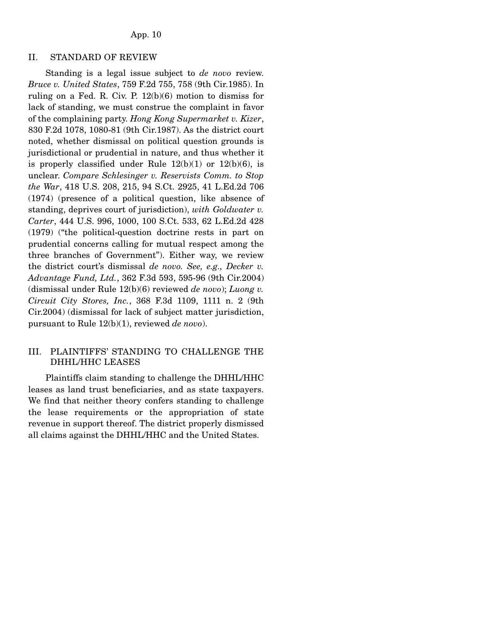#### II. STANDARD OF REVIEW

 Standing is a legal issue subject to *de novo* review. *Bruce v. United States*, 759 F.2d 755, 758 (9th Cir.1985). In ruling on a Fed. R. Civ. P. 12(b)(6) motion to dismiss for lack of standing, we must construe the complaint in favor of the complaining party. *Hong Kong Supermarket v. Kizer*, 830 F.2d 1078, 1080-81 (9th Cir.1987). As the district court noted, whether dismissal on political question grounds is jurisdictional or prudential in nature, and thus whether it is properly classified under Rule  $12(b)(1)$  or  $12(b)(6)$ , is unclear. *Compare Schlesinger v. Reservists Comm. to Stop the War*, 418 U.S. 208, 215, 94 S.Ct. 2925, 41 L.Ed.2d 706 (1974) (presence of a political question, like absence of standing, deprives court of jurisdiction), *with Goldwater v. Carter*, 444 U.S. 996, 1000, 100 S.Ct. 533, 62 L.Ed.2d 428 (1979) ("the political-question doctrine rests in part on prudential concerns calling for mutual respect among the three branches of Government"). Either way, we review the district court's dismissal *de novo. See, e.g., Decker v. Advantage Fund, Ltd.*, 362 F.3d 593, 595-96 (9th Cir.2004) (dismissal under Rule 12(b)(6) reviewed *de novo*); *Luong v. Circuit City Stores, Inc.*, 368 F.3d 1109, 1111 n. 2 (9th Cir.2004) (dismissal for lack of subject matter jurisdiction, pursuant to Rule 12(b)(1), reviewed *de novo*).

## III. PLAINTIFFS' STANDING TO CHALLENGE THE DHHL/HHC LEASES

 Plaintiffs claim standing to challenge the DHHL/HHC leases as land trust beneficiaries, and as state taxpayers. We find that neither theory confers standing to challenge the lease requirements or the appropriation of state revenue in support thereof. The district properly dismissed all claims against the DHHL/HHC and the United States.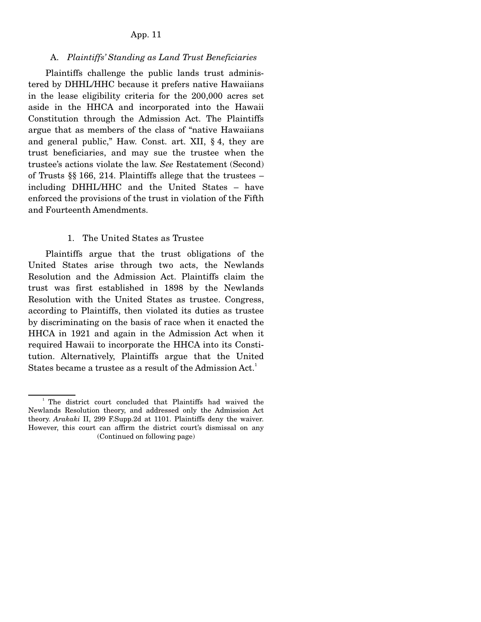### App. 11

### A. *Plaintiffs' Standing as Land Trust Beneficiaries*

 Plaintiffs challenge the public lands trust administered by DHHL/HHC because it prefers native Hawaiians in the lease eligibility criteria for the 200,000 acres set aside in the HHCA and incorporated into the Hawaii Constitution through the Admission Act. The Plaintiffs argue that as members of the class of "native Hawaiians and general public," Haw. Const. art. XII, § 4, they are trust beneficiaries, and may sue the trustee when the trustee's actions violate the law. *See* Restatement (Second) of Trusts §§ 166, 214. Plaintiffs allege that the trustees – including DHHL/HHC and the United States – have enforced the provisions of the trust in violation of the Fifth and Fourteenth Amendments.

#### 1. The United States as Trustee

 Plaintiffs argue that the trust obligations of the United States arise through two acts, the Newlands Resolution and the Admission Act. Plaintiffs claim the trust was first established in 1898 by the Newlands Resolution with the United States as trustee. Congress, according to Plaintiffs, then violated its duties as trustee by discriminating on the basis of race when it enacted the HHCA in 1921 and again in the Admission Act when it required Hawaii to incorporate the HHCA into its Constitution. Alternatively, Plaintiffs argue that the United States became a trustee as a result of the Admission Act.<sup>1</sup>

<sup>&</sup>lt;sup>1</sup> The district court concluded that Plaintiffs had waived the Newlands Resolution theory, and addressed only the Admission Act theory. *Arakaki* II, 299 F.Supp.2d at 1101. Plaintiffs deny the waiver. However, this court can affirm the district court's dismissal on any (Continued on following page)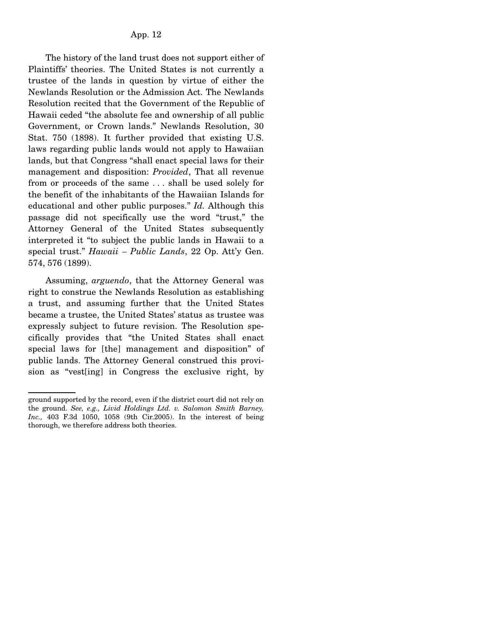The history of the land trust does not support either of Plaintiffs' theories. The United States is not currently a trustee of the lands in question by virtue of either the Newlands Resolution or the Admission Act. The Newlands Resolution recited that the Government of the Republic of Hawaii ceded "the absolute fee and ownership of all public Government, or Crown lands." Newlands Resolution, 30 Stat. 750 (1898). It further provided that existing U.S. laws regarding public lands would not apply to Hawaiian lands, but that Congress "shall enact special laws for their management and disposition: *Provided*, That all revenue from or proceeds of the same . . . shall be used solely for the benefit of the inhabitants of the Hawaiian Islands for educational and other public purposes." *Id.* Although this passage did not specifically use the word "trust," the Attorney General of the United States subsequently interpreted it "to subject the public lands in Hawaii to a special trust." *Hawaii – Public Lands*, 22 Op. Att'y Gen. 574, 576 (1899).

 Assuming, *arguendo*, that the Attorney General was right to construe the Newlands Resolution as establishing a trust, and assuming further that the United States became a trustee, the United States' status as trustee was expressly subject to future revision. The Resolution specifically provides that "the United States shall enact special laws for [the] management and disposition" of public lands. The Attorney General construed this provision as "vest[ing] in Congress the exclusive right, by

ground supported by the record, even if the district court did not rely on the ground. *See, e.g., Livid Holdings Ltd. v. Salomon Smith Barney, Inc.,* 403 F.3d 1050, 1058 (9th Cir.2005). In the interest of being thorough, we therefore address both theories.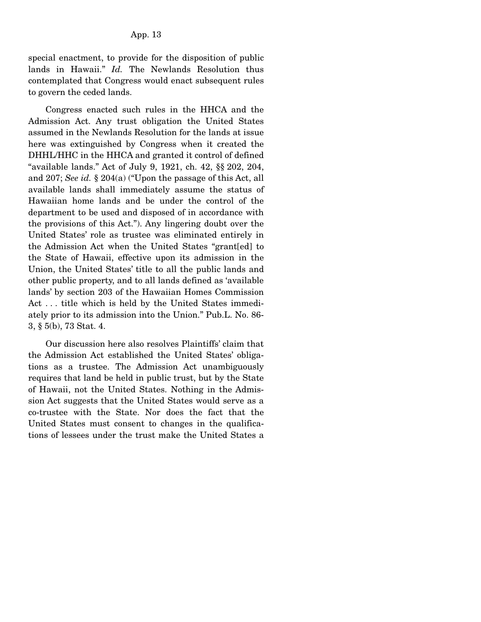special enactment, to provide for the disposition of public lands in Hawaii." *Id.* The Newlands Resolution thus contemplated that Congress would enact subsequent rules to govern the ceded lands.

 Congress enacted such rules in the HHCA and the Admission Act. Any trust obligation the United States assumed in the Newlands Resolution for the lands at issue here was extinguished by Congress when it created the DHHL/HHC in the HHCA and granted it control of defined "available lands." Act of July 9, 1921, ch. 42, §§ 202, 204, and 207; *See id.* § 204(a) ("Upon the passage of this Act, all available lands shall immediately assume the status of Hawaiian home lands and be under the control of the department to be used and disposed of in accordance with the provisions of this Act."). Any lingering doubt over the United States' role as trustee was eliminated entirely in the Admission Act when the United States "grant[ed] to the State of Hawaii, effective upon its admission in the Union, the United States' title to all the public lands and other public property, and to all lands defined as 'available lands' by section 203 of the Hawaiian Homes Commission Act . . . title which is held by the United States immediately prior to its admission into the Union." Pub.L. No. 86- 3, § 5(b), 73 Stat. 4.

 Our discussion here also resolves Plaintiffs' claim that the Admission Act established the United States' obligations as a trustee. The Admission Act unambiguously requires that land be held in public trust, but by the State of Hawaii, not the United States. Nothing in the Admission Act suggests that the United States would serve as a co-trustee with the State. Nor does the fact that the United States must consent to changes in the qualifications of lessees under the trust make the United States a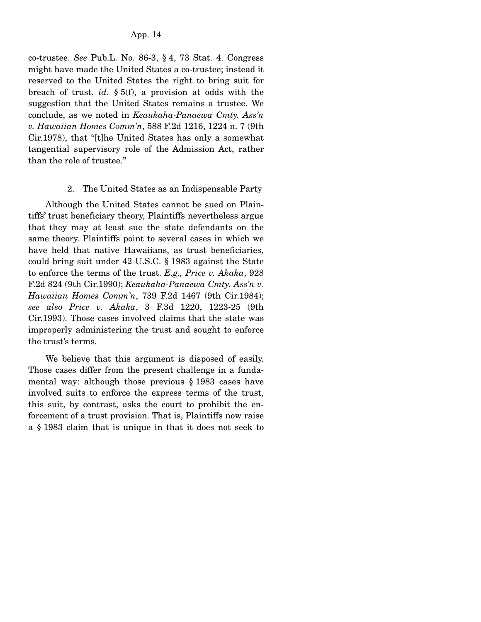co-trustee. *See* Pub.L. No. 86-3, § 4, 73 Stat. 4. Congress might have made the United States a co-trustee; instead it reserved to the United States the right to bring suit for breach of trust, *id.* § 5(f), a provision at odds with the suggestion that the United States remains a trustee. We conclude, as we noted in *Keaukaha-Panaewa Cmty. Ass'n v. Hawaiian Homes Comm'n*, 588 F.2d 1216, 1224 n. 7 (9th Cir.1978), that "[t]he United States has only a somewhat tangential supervisory role of the Admission Act, rather than the role of trustee."

### 2. The United States as an Indispensable Party

 Although the United States cannot be sued on Plaintiffs' trust beneficiary theory, Plaintiffs nevertheless argue that they may at least sue the state defendants on the same theory. Plaintiffs point to several cases in which we have held that native Hawaiians, as trust beneficiaries, could bring suit under 42 U.S.C. § 1983 against the State to enforce the terms of the trust. *E.g., Price v. Akaka*, 928 F.2d 824 (9th Cir.1990); *Keaukaha-Panaewa Cmty. Ass'n v. Hawaiian Homes Comm'n*, 739 F.2d 1467 (9th Cir.1984); *see also Price v. Akaka*, 3 F.3d 1220, 1223-25 (9th Cir.1993). Those cases involved claims that the state was improperly administering the trust and sought to enforce the trust's terms.

 We believe that this argument is disposed of easily. Those cases differ from the present challenge in a fundamental way: although those previous § 1983 cases have involved suits to enforce the express terms of the trust, this suit, by contrast, asks the court to prohibit the enforcement of a trust provision. That is, Plaintiffs now raise a § 1983 claim that is unique in that it does not seek to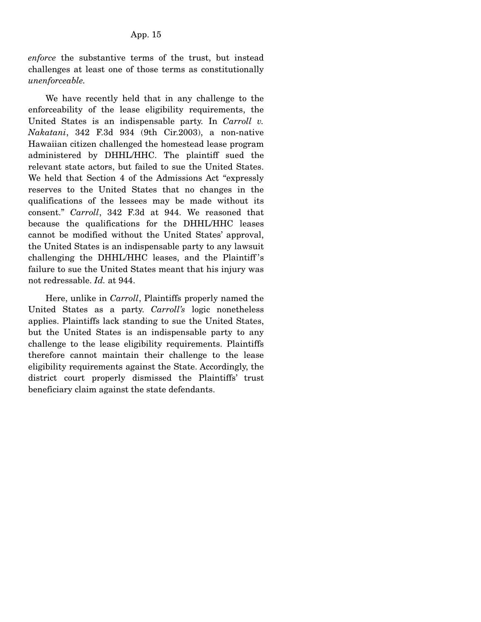*enforce* the substantive terms of the trust, but instead challenges at least one of those terms as constitutionally *unenforceable.*

 We have recently held that in any challenge to the enforceability of the lease eligibility requirements, the United States is an indispensable party. In *Carroll v. Nakatani*, 342 F.3d 934 (9th Cir.2003), a non-native Hawaiian citizen challenged the homestead lease program administered by DHHL/HHC. The plaintiff sued the relevant state actors, but failed to sue the United States. We held that Section 4 of the Admissions Act "expressly reserves to the United States that no changes in the qualifications of the lessees may be made without its consent." *Carroll*, 342 F.3d at 944. We reasoned that because the qualifications for the DHHL/HHC leases cannot be modified without the United States' approval, the United States is an indispensable party to any lawsuit challenging the DHHL/HHC leases, and the Plaintiff 's failure to sue the United States meant that his injury was not redressable. *Id.* at 944.

 Here, unlike in *Carroll*, Plaintiffs properly named the United States as a party. *Carroll's* logic nonetheless applies. Plaintiffs lack standing to sue the United States, but the United States is an indispensable party to any challenge to the lease eligibility requirements. Plaintiffs therefore cannot maintain their challenge to the lease eligibility requirements against the State. Accordingly, the district court properly dismissed the Plaintiffs' trust beneficiary claim against the state defendants.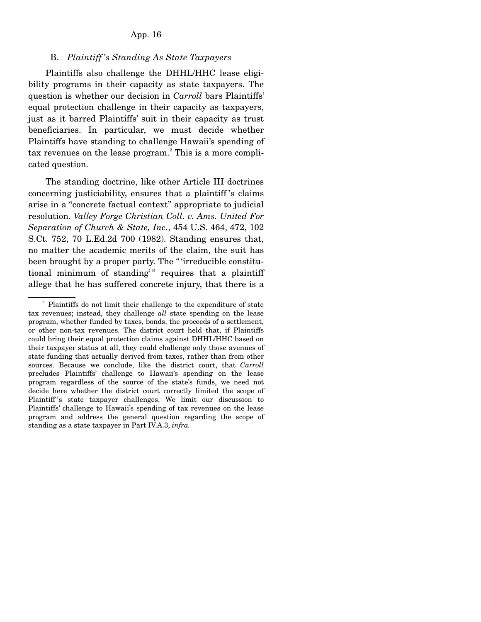#### App. 16

### B. *Plaintiff 's Standing As State Taxpayers*

 Plaintiffs also challenge the DHHL/HHC lease eligibility programs in their capacity as state taxpayers. The question is whether our decision in *Carroll* bars Plaintiffs' equal protection challenge in their capacity as taxpayers, just as it barred Plaintiffs' suit in their capacity as trust beneficiaries. In particular, we must decide whether Plaintiffs have standing to challenge Hawaii's spending of tax revenues on the lease program.<sup>2</sup> This is a more complicated question.

 The standing doctrine, like other Article III doctrines concerning justiciability, ensures that a plaintiff 's claims arise in a "concrete factual context" appropriate to judicial resolution. *Valley Forge Christian Coll. v. Ams. United For Separation of Church & State, Inc.*, 454 U.S. 464, 472, 102 S.Ct. 752, 70 L.Ed.2d 700 (1982). Standing ensures that, no matter the academic merits of the claim, the suit has been brought by a proper party. The " 'irreducible constitutional minimum of standing'" requires that a plaintiff allege that he has suffered concrete injury, that there is a

<sup>&</sup>lt;sup>2</sup> Plaintiffs do not limit their challenge to the expenditure of state tax revenues; instead, they challenge *all* state spending on the lease program, whether funded by taxes, bonds, the proceeds of a settlement, or other non-tax revenues. The district court held that, if Plaintiffs could bring their equal protection claims against DHHL/HHC based on their taxpayer status at all, they could challenge only those avenues of state funding that actually derived from taxes, rather than from other sources. Because we conclude, like the district court, that *Carroll* precludes Plaintiffs' challenge to Hawaii's spending on the lease program regardless of the source of the state's funds, we need not decide here whether the district court correctly limited the scope of Plaintiff 's state taxpayer challenges. We limit our discussion to Plaintiffs' challenge to Hawaii's spending of tax revenues on the lease program and address the general question regarding the scope of standing as a state taxpayer in Part IV.A.3, *infra.*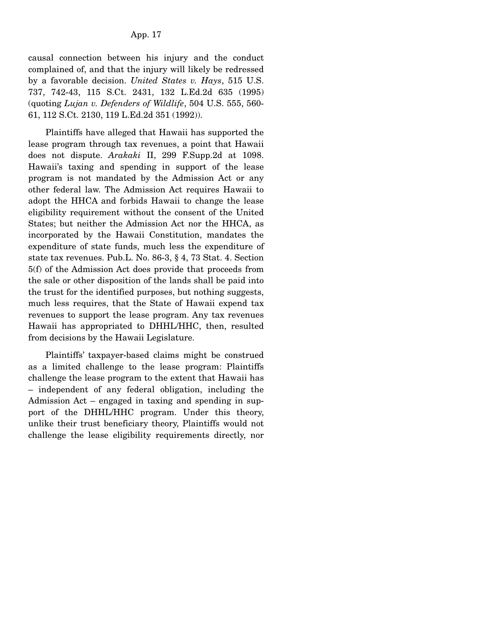causal connection between his injury and the conduct complained of, and that the injury will likely be redressed by a favorable decision. *United States v. Hays*, 515 U.S. 737, 742-43, 115 S.Ct. 2431, 132 L.Ed.2d 635 (1995) (quoting *Lujan v. Defenders of Wildlife*, 504 U.S. 555, 560- 61, 112 S.Ct. 2130, 119 L.Ed.2d 351 (1992)).

 Plaintiffs have alleged that Hawaii has supported the lease program through tax revenues, a point that Hawaii does not dispute. *Arakaki* II, 299 F.Supp.2d at 1098. Hawaii's taxing and spending in support of the lease program is not mandated by the Admission Act or any other federal law. The Admission Act requires Hawaii to adopt the HHCA and forbids Hawaii to change the lease eligibility requirement without the consent of the United States; but neither the Admission Act nor the HHCA, as incorporated by the Hawaii Constitution, mandates the expenditure of state funds, much less the expenditure of state tax revenues. Pub.L. No. 86-3, § 4, 73 Stat. 4. Section 5(f) of the Admission Act does provide that proceeds from the sale or other disposition of the lands shall be paid into the trust for the identified purposes, but nothing suggests, much less requires, that the State of Hawaii expend tax revenues to support the lease program. Any tax revenues Hawaii has appropriated to DHHL/HHC, then, resulted from decisions by the Hawaii Legislature.

 Plaintiffs' taxpayer-based claims might be construed as a limited challenge to the lease program: Plaintiffs challenge the lease program to the extent that Hawaii has – independent of any federal obligation, including the Admission Act – engaged in taxing and spending in support of the DHHL/HHC program. Under this theory, unlike their trust beneficiary theory, Plaintiffs would not challenge the lease eligibility requirements directly, nor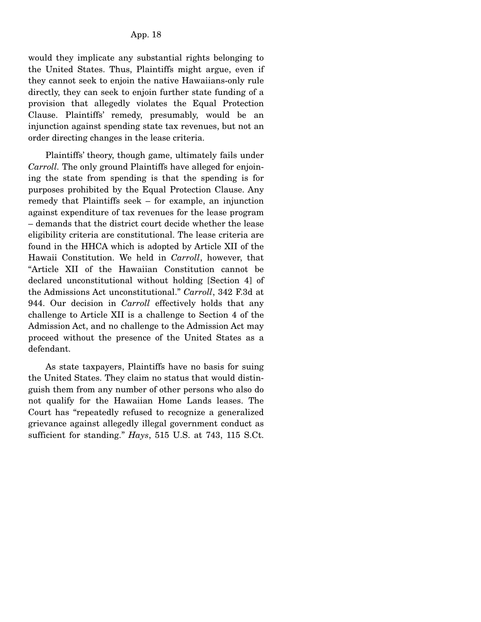would they implicate any substantial rights belonging to the United States. Thus, Plaintiffs might argue, even if they cannot seek to enjoin the native Hawaiians-only rule directly, they can seek to enjoin further state funding of a provision that allegedly violates the Equal Protection Clause. Plaintiffs' remedy, presumably, would be an injunction against spending state tax revenues, but not an order directing changes in the lease criteria.

 Plaintiffs' theory, though game, ultimately fails under *Carroll.* The only ground Plaintiffs have alleged for enjoining the state from spending is that the spending is for purposes prohibited by the Equal Protection Clause. Any remedy that Plaintiffs seek – for example, an injunction against expenditure of tax revenues for the lease program – demands that the district court decide whether the lease eligibility criteria are constitutional. The lease criteria are found in the HHCA which is adopted by Article XII of the Hawaii Constitution. We held in *Carroll*, however, that "Article XII of the Hawaiian Constitution cannot be declared unconstitutional without holding [Section 4] of the Admissions Act unconstitutional." *Carroll*, 342 F.3d at 944. Our decision in *Carroll* effectively holds that any challenge to Article XII is a challenge to Section 4 of the Admission Act, and no challenge to the Admission Act may proceed without the presence of the United States as a defendant.

 As state taxpayers, Plaintiffs have no basis for suing the United States. They claim no status that would distinguish them from any number of other persons who also do not qualify for the Hawaiian Home Lands leases. The Court has "repeatedly refused to recognize a generalized grievance against allegedly illegal government conduct as sufficient for standing." *Hays*, 515 U.S. at 743, 115 S.Ct.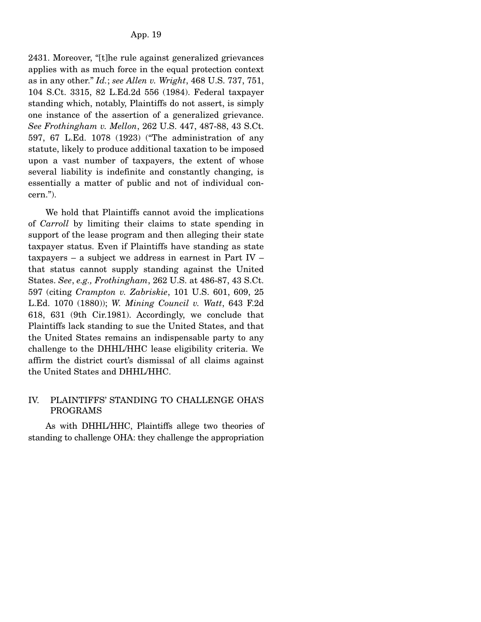2431. Moreover, "[t]he rule against generalized grievances applies with as much force in the equal protection context as in any other." *Id.*; *see Allen v. Wright*, 468 U.S. 737, 751, 104 S.Ct. 3315, 82 L.Ed.2d 556 (1984). Federal taxpayer standing which, notably, Plaintiffs do not assert, is simply one instance of the assertion of a generalized grievance. *See Frothingham v. Mellon*, 262 U.S. 447, 487-88, 43 S.Ct. 597, 67 L.Ed. 1078 (1923) ("The administration of any statute, likely to produce additional taxation to be imposed upon a vast number of taxpayers, the extent of whose several liability is indefinite and constantly changing, is essentially a matter of public and not of individual concern.").

 We hold that Plaintiffs cannot avoid the implications of *Carroll* by limiting their claims to state spending in support of the lease program and then alleging their state taxpayer status. Even if Plaintiffs have standing as state taxpayers – a subject we address in earnest in Part IV – that status cannot supply standing against the United States. *See*, *e.g., Frothingham*, 262 U.S. at 486-87, 43 S.Ct. 597 (citing *Crampton v. Zabriskie*, 101 U.S. 601, 609, 25 L.Ed. 1070 (1880)); *W. Mining Council v. Watt*, 643 F.2d 618, 631 (9th Cir.1981). Accordingly, we conclude that Plaintiffs lack standing to sue the United States, and that the United States remains an indispensable party to any challenge to the DHHL/HHC lease eligibility criteria. We affirm the district court's dismissal of all claims against the United States and DHHL/HHC.

## IV. PLAINTIFFS' STANDING TO CHALLENGE OHA'S PROGRAMS

 As with DHHL/HHC, Plaintiffs allege two theories of standing to challenge OHA: they challenge the appropriation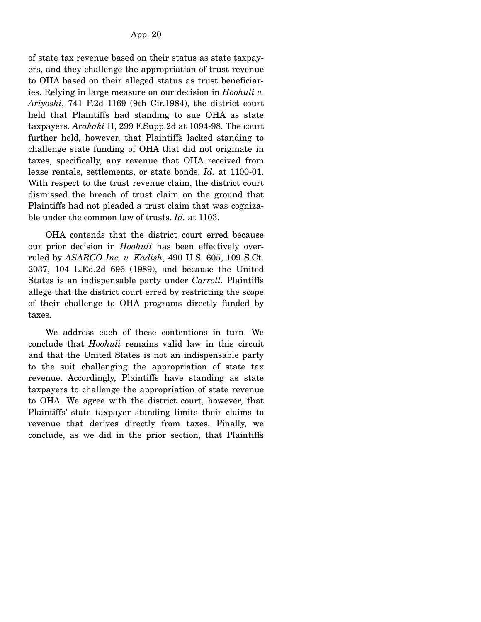of state tax revenue based on their status as state taxpayers, and they challenge the appropriation of trust revenue to OHA based on their alleged status as trust beneficiaries. Relying in large measure on our decision in *Hoohuli v. Ariyoshi*, 741 F.2d 1169 (9th Cir.1984), the district court held that Plaintiffs had standing to sue OHA as state taxpayers. *Arakaki* II, 299 F.Supp.2d at 1094-98. The court further held, however, that Plaintiffs lacked standing to challenge state funding of OHA that did not originate in taxes, specifically, any revenue that OHA received from lease rentals, settlements, or state bonds. *Id.* at 1100-01. With respect to the trust revenue claim, the district court dismissed the breach of trust claim on the ground that Plaintiffs had not pleaded a trust claim that was cognizable under the common law of trusts. *Id.* at 1103.

 OHA contends that the district court erred because our prior decision in *Hoohuli* has been effectively overruled by *ASARCO Inc. v. Kadish*, 490 U.S. 605, 109 S.Ct. 2037, 104 L.Ed.2d 696 (1989), and because the United States is an indispensable party under *Carroll.* Plaintiffs allege that the district court erred by restricting the scope of their challenge to OHA programs directly funded by taxes.

 We address each of these contentions in turn. We conclude that *Hoohuli* remains valid law in this circuit and that the United States is not an indispensable party to the suit challenging the appropriation of state tax revenue. Accordingly, Plaintiffs have standing as state taxpayers to challenge the appropriation of state revenue to OHA. We agree with the district court, however, that Plaintiffs' state taxpayer standing limits their claims to revenue that derives directly from taxes. Finally, we conclude, as we did in the prior section, that Plaintiffs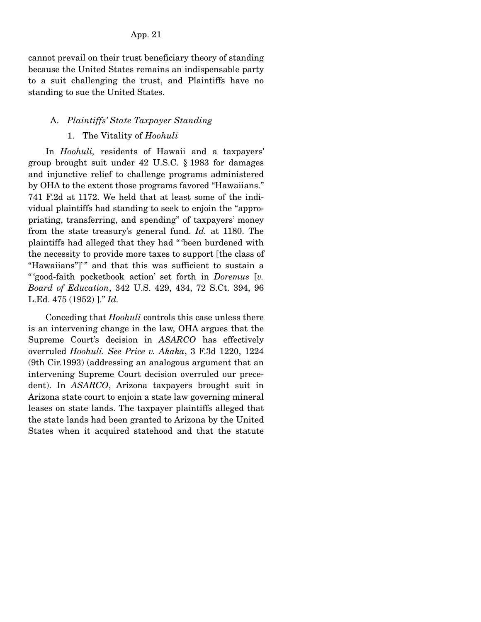App. 21

cannot prevail on their trust beneficiary theory of standing because the United States remains an indispensable party to a suit challenging the trust, and Plaintiffs have no standing to sue the United States.

## A. *Plaintiffs' State Taxpayer Standing*

## 1. The Vitality of *Hoohuli*

 In *Hoohuli,* residents of Hawaii and a taxpayers' group brought suit under 42 U.S.C. § 1983 for damages and injunctive relief to challenge programs administered by OHA to the extent those programs favored "Hawaiians." 741 F.2d at 1172. We held that at least some of the individual plaintiffs had standing to seek to enjoin the "appropriating, transferring, and spending" of taxpayers' money from the state treasury's general fund. *Id.* at 1180. The plaintiffs had alleged that they had " 'been burdened with the necessity to provide more taxes to support [the class of "Hawaiians"]" and that this was sufficient to sustain a " 'good-faith pocketbook action' set forth in *Doremus* [*v. Board of Education*, 342 U.S. 429, 434, 72 S.Ct. 394, 96 L.Ed. 475 (1952) ]." *Id.*

 Conceding that *Hoohuli* controls this case unless there is an intervening change in the law, OHA argues that the Supreme Court's decision in *ASARCO* has effectively overruled *Hoohuli. See Price v. Akaka*, 3 F.3d 1220, 1224 (9th Cir.1993) (addressing an analogous argument that an intervening Supreme Court decision overruled our precedent). In *ASARCO*, Arizona taxpayers brought suit in Arizona state court to enjoin a state law governing mineral leases on state lands. The taxpayer plaintiffs alleged that the state lands had been granted to Arizona by the United States when it acquired statehood and that the statute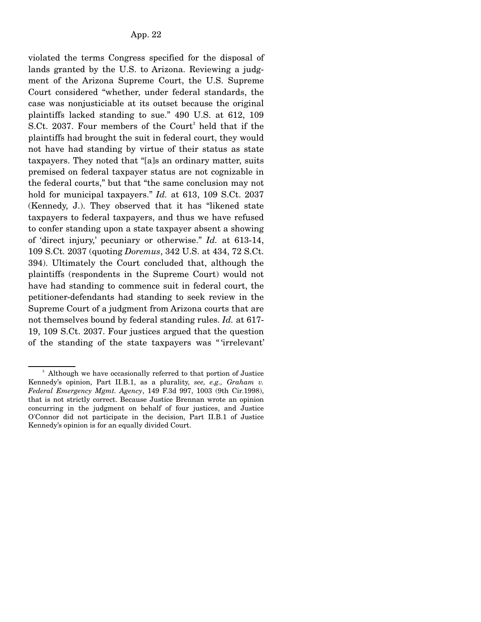violated the terms Congress specified for the disposal of lands granted by the U.S. to Arizona. Reviewing a judgment of the Arizona Supreme Court, the U.S. Supreme Court considered "whether, under federal standards, the case was nonjusticiable at its outset because the original plaintiffs lacked standing to sue." 490 U.S. at 612, 109 S.Ct. 2037. Four members of the Court<sup>3</sup> held that if the plaintiffs had brought the suit in federal court, they would not have had standing by virtue of their status as state taxpayers. They noted that "[a]s an ordinary matter, suits premised on federal taxpayer status are not cognizable in the federal courts," but that "the same conclusion may not hold for municipal taxpayers." *Id.* at 613, 109 S.Ct. 2037 (Kennedy, J.). They observed that it has "likened state taxpayers to federal taxpayers, and thus we have refused to confer standing upon a state taxpayer absent a showing of 'direct injury,' pecuniary or otherwise." *Id.* at 613-14, 109 S.Ct. 2037 (quoting *Doremus*, 342 U.S. at 434, 72 S.Ct. 394). Ultimately the Court concluded that, although the plaintiffs (respondents in the Supreme Court) would not have had standing to commence suit in federal court, the petitioner-defendants had standing to seek review in the Supreme Court of a judgment from Arizona courts that are not themselves bound by federal standing rules. *Id.* at 617- 19, 109 S.Ct. 2037. Four justices argued that the question of the standing of the state taxpayers was " 'irrelevant'

<sup>&</sup>lt;sup>3</sup> Although we have occasionally referred to that portion of Justice Kennedy's opinion, Part II.B.1, as a plurality, *see, e.g., Graham v. Federal Emergency Mgmt. Agency*, 149 F.3d 997, 1003 (9th Cir.1998), that is not strictly correct. Because Justice Brennan wrote an opinion concurring in the judgment on behalf of four justices, and Justice O'Connor did not participate in the decision, Part II.B.1 of Justice Kennedy's opinion is for an equally divided Court.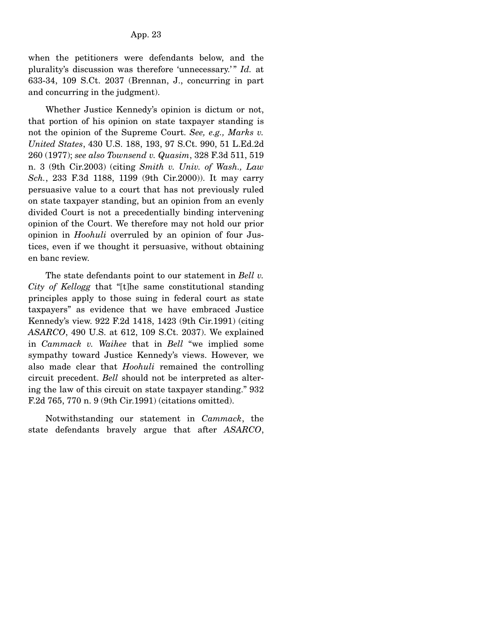when the petitioners were defendants below, and the plurality's discussion was therefore 'unnecessary.'" *Id.* at 633-34, 109 S.Ct. 2037 (Brennan, J., concurring in part and concurring in the judgment).

 Whether Justice Kennedy's opinion is dictum or not, that portion of his opinion on state taxpayer standing is not the opinion of the Supreme Court. *See, e.g., Marks v. United States*, 430 U.S. 188, 193, 97 S.Ct. 990, 51 L.Ed.2d 260 (1977); *see also Townsend v. Quasim*, 328 F.3d 511, 519 n. 3 (9th Cir.2003) (citing *Smith v. Univ. of Wash., Law Sch.*, 233 F.3d 1188, 1199 (9th Cir.2000)). It may carry persuasive value to a court that has not previously ruled on state taxpayer standing, but an opinion from an evenly divided Court is not a precedentially binding intervening opinion of the Court. We therefore may not hold our prior opinion in *Hoohuli* overruled by an opinion of four Justices, even if we thought it persuasive, without obtaining en banc review.

 The state defendants point to our statement in *Bell v. City of Kellogg* that "[t]he same constitutional standing principles apply to those suing in federal court as state taxpayers" as evidence that we have embraced Justice Kennedy's view. 922 F.2d 1418, 1423 (9th Cir.1991) (citing *ASARCO*, 490 U.S. at 612, 109 S.Ct. 2037). We explained in *Cammack v. Waihee* that in *Bell* "we implied some sympathy toward Justice Kennedy's views. However, we also made clear that *Hoohuli* remained the controlling circuit precedent. *Bell* should not be interpreted as altering the law of this circuit on state taxpayer standing." 932 F.2d 765, 770 n. 9 (9th Cir.1991) (citations omitted).

 Notwithstanding our statement in *Cammack*, the state defendants bravely argue that after *ASARCO*,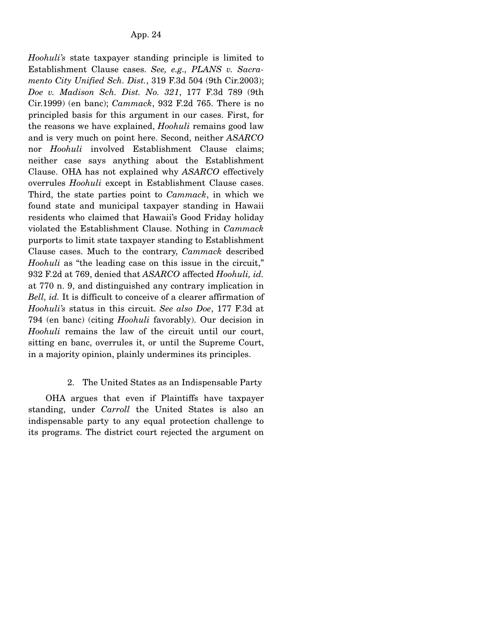*Hoohuli's* state taxpayer standing principle is limited to Establishment Clause cases. *See, e.g., PLANS v. Sacramento City Unified Sch. Dist.*, 319 F.3d 504 (9th Cir.2003); *Doe v. Madison Sch. Dist. No. 321*, 177 F.3d 789 (9th Cir.1999) (en banc); *Cammack*, 932 F.2d 765. There is no principled basis for this argument in our cases. First, for the reasons we have explained, *Hoohuli* remains good law and is very much on point here. Second, neither *ASARCO* nor *Hoohuli* involved Establishment Clause claims; neither case says anything about the Establishment Clause. OHA has not explained why *ASARCO* effectively overrules *Hoohuli* except in Establishment Clause cases. Third, the state parties point to *Cammack*, in which we found state and municipal taxpayer standing in Hawaii residents who claimed that Hawaii's Good Friday holiday violated the Establishment Clause. Nothing in *Cammack* purports to limit state taxpayer standing to Establishment Clause cases. Much to the contrary, *Cammack* described *Hoohuli* as "the leading case on this issue in the circuit," 932 F.2d at 769, denied that *ASARCO* affected *Hoohuli, id.* at 770 n. 9, and distinguished any contrary implication in *Bell, id.* It is difficult to conceive of a clearer affirmation of *Hoohuli's* status in this circuit. *See also Doe*, 177 F.3d at 794 (en banc) (citing *Hoohuli* favorably). Our decision in *Hoohuli* remains the law of the circuit until our court, sitting en banc, overrules it, or until the Supreme Court, in a majority opinion, plainly undermines its principles.

### 2. The United States as an Indispensable Party

 OHA argues that even if Plaintiffs have taxpayer standing, under *Carroll* the United States is also an indispensable party to any equal protection challenge to its programs. The district court rejected the argument on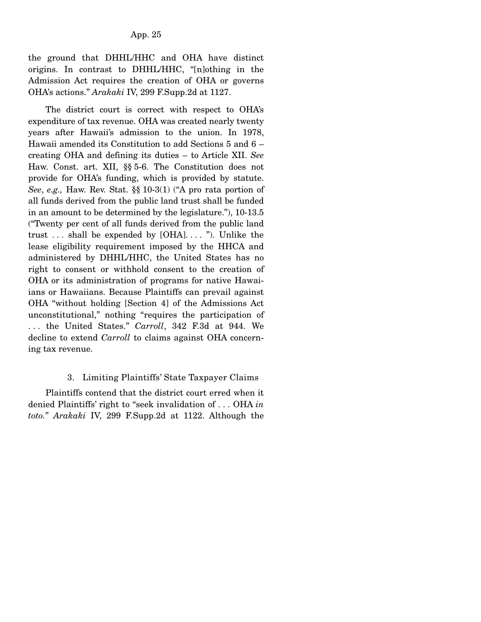the ground that DHHL/HHC and OHA have distinct origins. In contrast to DHHL/HHC, "[n]othing in the Admission Act requires the creation of OHA or governs OHA's actions." *Arakaki* IV, 299 F.Supp.2d at 1127.

 The district court is correct with respect to OHA's expenditure of tax revenue. OHA was created nearly twenty years after Hawaii's admission to the union. In 1978, Hawaii amended its Constitution to add Sections 5 and 6 – creating OHA and defining its duties – to Article XII. *See* Haw. Const. art. XII, §§ 5-6. The Constitution does not provide for OHA's funding, which is provided by statute. *See*, *e.g.,* Haw. Rev. Stat. §§ 10-3(1) ("A pro rata portion of all funds derived from the public land trust shall be funded in an amount to be determined by the legislature."), 10-13.5 ("Twenty per cent of all funds derived from the public land trust  $\dots$  shall be expended by [OHA] $\dots$  "). Unlike the lease eligibility requirement imposed by the HHCA and administered by DHHL/HHC, the United States has no right to consent or withhold consent to the creation of OHA or its administration of programs for native Hawaiians or Hawaiians. Because Plaintiffs can prevail against OHA "without holding [Section 4] of the Admissions Act unconstitutional," nothing "requires the participation of . . . the United States." *Carroll*, 342 F.3d at 944. We decline to extend *Carroll* to claims against OHA concerning tax revenue.

## 3. Limiting Plaintiffs' State Taxpayer Claims

 Plaintiffs contend that the district court erred when it denied Plaintiffs' right to "seek invalidation of . . . OHA *in toto.*" *Arakaki* IV, 299 F.Supp.2d at 1122. Although the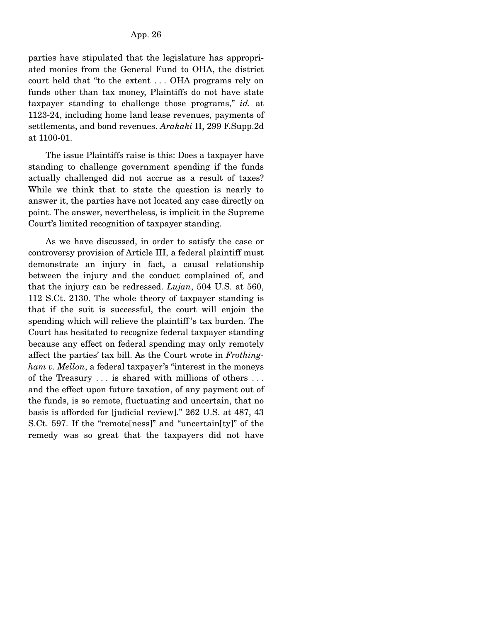parties have stipulated that the legislature has appropriated monies from the General Fund to OHA, the district court held that "to the extent . . . OHA programs rely on funds other than tax money, Plaintiffs do not have state taxpayer standing to challenge those programs," *id.* at 1123-24, including home land lease revenues, payments of settlements, and bond revenues. *Arakaki* II, 299 F.Supp.2d at 1100-01.

 The issue Plaintiffs raise is this: Does a taxpayer have standing to challenge government spending if the funds actually challenged did not accrue as a result of taxes? While we think that to state the question is nearly to answer it, the parties have not located any case directly on point. The answer, nevertheless, is implicit in the Supreme Court's limited recognition of taxpayer standing.

 As we have discussed, in order to satisfy the case or controversy provision of Article III, a federal plaintiff must demonstrate an injury in fact, a causal relationship between the injury and the conduct complained of, and that the injury can be redressed. *Lujan*, 504 U.S. at 560, 112 S.Ct. 2130. The whole theory of taxpayer standing is that if the suit is successful, the court will enjoin the spending which will relieve the plaintiff 's tax burden. The Court has hesitated to recognize federal taxpayer standing because any effect on federal spending may only remotely affect the parties' tax bill. As the Court wrote in *Frothingham v. Mellon*, a federal taxpayer's "interest in the moneys of the Treasury . . . is shared with millions of others . . . and the effect upon future taxation, of any payment out of the funds, is so remote, fluctuating and uncertain, that no basis is afforded for [judicial review]." 262 U.S. at 487, 43 S.Ct. 597. If the "remote[ness]" and "uncertain[ty]" of the remedy was so great that the taxpayers did not have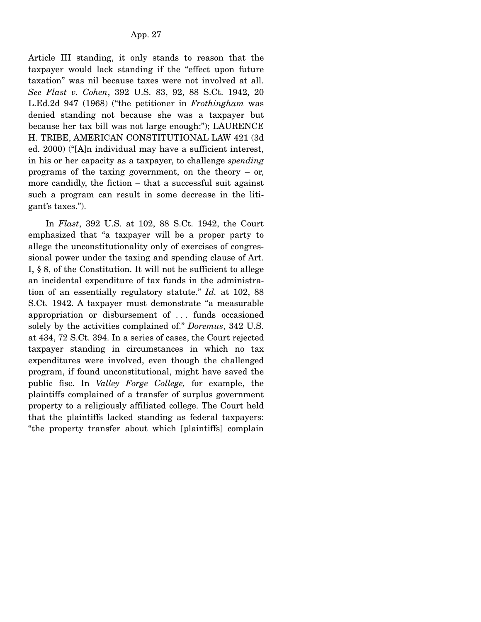Article III standing, it only stands to reason that the taxpayer would lack standing if the "effect upon future taxation" was nil because taxes were not involved at all. *See Flast v. Cohen*, 392 U.S. 83, 92, 88 S.Ct. 1942, 20 L.Ed.2d 947 (1968) ("the petitioner in *Frothingham* was denied standing not because she was a taxpayer but because her tax bill was not large enough:"); LAURENCE H. TRIBE, AMERICAN CONSTITUTIONAL LAW 421 (3d ed. 2000) ("[A]n individual may have a sufficient interest, in his or her capacity as a taxpayer, to challenge *spending* programs of the taxing government, on the theory – or, more candidly, the fiction – that a successful suit against such a program can result in some decrease in the litigant's taxes.").

 In *Flast*, 392 U.S. at 102, 88 S.Ct. 1942, the Court emphasized that "a taxpayer will be a proper party to allege the unconstitutionality only of exercises of congressional power under the taxing and spending clause of Art. I, § 8, of the Constitution. It will not be sufficient to allege an incidental expenditure of tax funds in the administration of an essentially regulatory statute." *Id.* at 102, 88 S.Ct. 1942. A taxpayer must demonstrate "a measurable appropriation or disbursement of . . . funds occasioned solely by the activities complained of." *Doremus*, 342 U.S. at 434, 72 S.Ct. 394. In a series of cases, the Court rejected taxpayer standing in circumstances in which no tax expenditures were involved, even though the challenged program, if found unconstitutional, might have saved the public fisc. In *Valley Forge College,* for example, the plaintiffs complained of a transfer of surplus government property to a religiously affiliated college. The Court held that the plaintiffs lacked standing as federal taxpayers: "the property transfer about which [plaintiffs] complain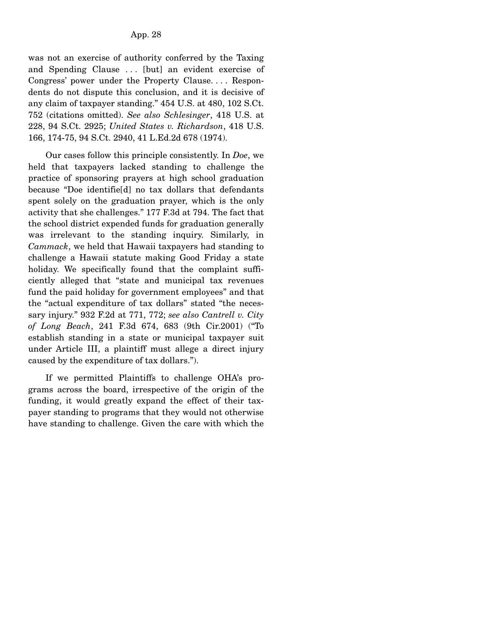was not an exercise of authority conferred by the Taxing and Spending Clause ... [but] an evident exercise of Congress' power under the Property Clause. . . . Respondents do not dispute this conclusion, and it is decisive of any claim of taxpayer standing." 454 U.S. at 480, 102 S.Ct. 752 (citations omitted). *See also Schlesinger*, 418 U.S. at 228, 94 S.Ct. 2925; *United States v. Richardson*, 418 U.S. 166, 174-75, 94 S.Ct. 2940, 41 L.Ed.2d 678 (1974).

 Our cases follow this principle consistently. In *Doe*, we held that taxpayers lacked standing to challenge the practice of sponsoring prayers at high school graduation because "Doe identifie[d] no tax dollars that defendants spent solely on the graduation prayer, which is the only activity that she challenges." 177 F.3d at 794. The fact that the school district expended funds for graduation generally was irrelevant to the standing inquiry. Similarly, in *Cammack*, we held that Hawaii taxpayers had standing to challenge a Hawaii statute making Good Friday a state holiday. We specifically found that the complaint sufficiently alleged that "state and municipal tax revenues fund the paid holiday for government employees" and that the "actual expenditure of tax dollars" stated "the necessary injury." 932 F.2d at 771, 772; *see also Cantrell v. City of Long Beach*, 241 F.3d 674, 683 (9th Cir.2001) ("To establish standing in a state or municipal taxpayer suit under Article III, a plaintiff must allege a direct injury caused by the expenditure of tax dollars.").

 If we permitted Plaintiffs to challenge OHA's programs across the board, irrespective of the origin of the funding, it would greatly expand the effect of their taxpayer standing to programs that they would not otherwise have standing to challenge. Given the care with which the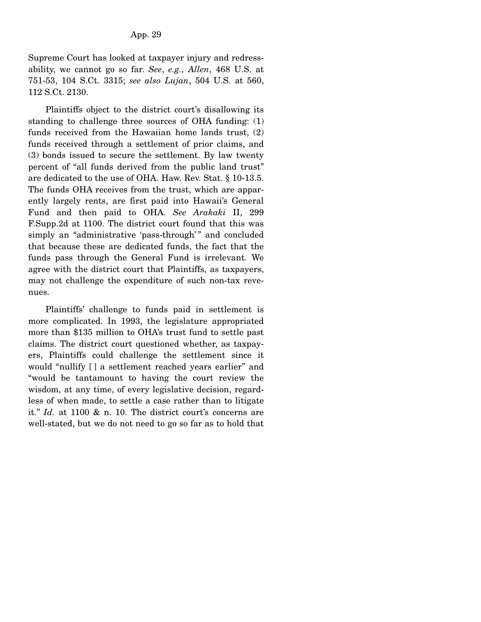Supreme Court has looked at taxpayer injury and redressability, we cannot go so far. *See*, *e.g., Allen*, 468 U.S. at 751-53, 104 S.Ct. 3315; *see also Lujan*, 504 U.S. at 560, 112 S.Ct. 2130.

 Plaintiffs object to the district court's disallowing its standing to challenge three sources of OHA funding: (1) funds received from the Hawaiian home lands trust, (2) funds received through a settlement of prior claims, and (3) bonds issued to secure the settlement. By law twenty percent of "all funds derived from the public land trust" are dedicated to the use of OHA. Haw. Rev. Stat. § 10-13.5. The funds OHA receives from the trust, which are apparently largely rents, are first paid into Hawaii's General Fund and then paid to OHA. *See Arakaki* II, 299 F.Supp.2d at 1100. The district court found that this was simply an "administrative 'pass-through'" and concluded that because these are dedicated funds, the fact that the funds pass through the General Fund is irrelevant. We agree with the district court that Plaintiffs, as taxpayers, may not challenge the expenditure of such non-tax revenues.

 Plaintiffs' challenge to funds paid in settlement is more complicated. In 1993, the legislature appropriated more than \$135 million to OHA's trust fund to settle past claims. The district court questioned whether, as taxpayers, Plaintiffs could challenge the settlement since it would "nullify [ ] a settlement reached years earlier" and "would be tantamount to having the court review the wisdom, at any time, of every legislative decision, regardless of when made, to settle a case rather than to litigate it." *Id.* at 1100 & n. 10. The district court's concerns are well-stated, but we do not need to go so far as to hold that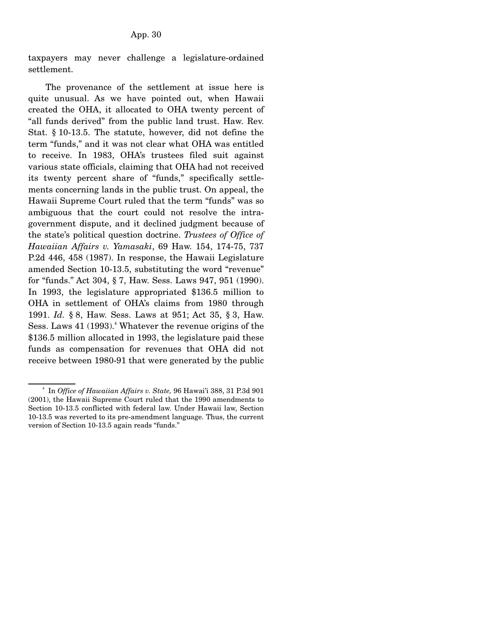taxpayers may never challenge a legislature-ordained settlement.

 The provenance of the settlement at issue here is quite unusual. As we have pointed out, when Hawaii created the OHA, it allocated to OHA twenty percent of "all funds derived" from the public land trust. Haw. Rev. Stat. § 10-13.5. The statute, however, did not define the term "funds," and it was not clear what OHA was entitled to receive. In 1983, OHA's trustees filed suit against various state officials, claiming that OHA had not received its twenty percent share of "funds," specifically settlements concerning lands in the public trust. On appeal, the Hawaii Supreme Court ruled that the term "funds" was so ambiguous that the court could not resolve the intragovernment dispute, and it declined judgment because of the state's political question doctrine. *Trustees of Office of Hawaiian Affairs v. Yamasaki*, 69 Haw. 154, 174-75, 737 P.2d 446, 458 (1987). In response, the Hawaii Legislature amended Section 10-13.5, substituting the word "revenue" for "funds." Act 304, § 7, Haw. Sess. Laws 947, 951 (1990). In 1993, the legislature appropriated \$136.5 million to OHA in settlement of OHA's claims from 1980 through 1991. *Id.* § 8, Haw. Sess. Laws at 951; Act 35, § 3, Haw. Sess. Laws  $41$  (1993).<sup>4</sup> Whatever the revenue origins of the \$136.5 million allocated in 1993, the legislature paid these funds as compensation for revenues that OHA did not receive between 1980-91 that were generated by the public

<sup>4</sup> In *Office of Hawaiian Affairs v. State,* 96 Hawai'i 388, 31 P.3d 901 (2001), the Hawaii Supreme Court ruled that the 1990 amendments to Section 10-13.5 conflicted with federal law. Under Hawaii law, Section 10-13.5 was reverted to its pre-amendment language. Thus, the current version of Section 10-13.5 again reads "funds."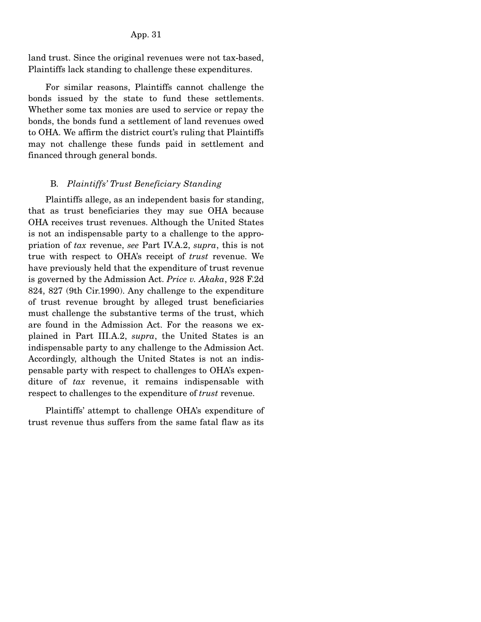land trust. Since the original revenues were not tax-based, Plaintiffs lack standing to challenge these expenditures.

 For similar reasons, Plaintiffs cannot challenge the bonds issued by the state to fund these settlements. Whether some tax monies are used to service or repay the bonds, the bonds fund a settlement of land revenues owed to OHA. We affirm the district court's ruling that Plaintiffs may not challenge these funds paid in settlement and financed through general bonds.

#### B*. Plaintiffs' Trust Beneficiary Standing*

 Plaintiffs allege, as an independent basis for standing, that as trust beneficiaries they may sue OHA because OHA receives trust revenues. Although the United States is not an indispensable party to a challenge to the appropriation of *tax* revenue, *see* Part IV.A.2, *supra*, this is not true with respect to OHA's receipt of *trust* revenue. We have previously held that the expenditure of trust revenue is governed by the Admission Act. *Price v. Akaka*, 928 F.2d 824, 827 (9th Cir.1990). Any challenge to the expenditure of trust revenue brought by alleged trust beneficiaries must challenge the substantive terms of the trust, which are found in the Admission Act. For the reasons we explained in Part III.A.2, *supra*, the United States is an indispensable party to any challenge to the Admission Act. Accordingly, although the United States is not an indispensable party with respect to challenges to OHA's expenditure of *tax* revenue, it remains indispensable with respect to challenges to the expenditure of *trust* revenue.

 Plaintiffs' attempt to challenge OHA's expenditure of trust revenue thus suffers from the same fatal flaw as its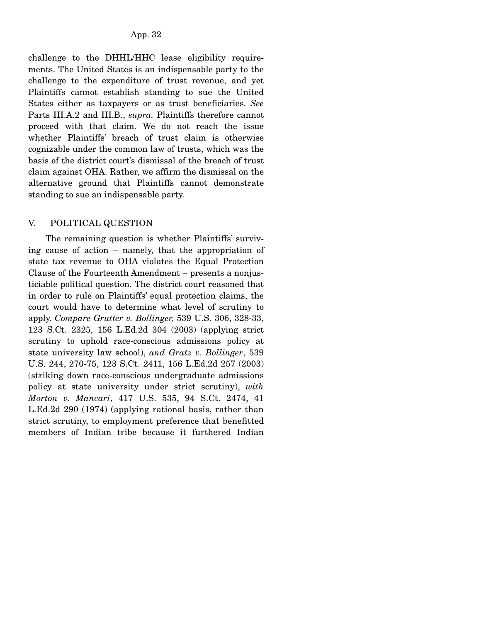challenge to the DHHL/HHC lease eligibility requirements. The United States is an indispensable party to the challenge to the expenditure of trust revenue, and yet Plaintiffs cannot establish standing to sue the United States either as taxpayers or as trust beneficiaries. *See* Parts III.A.2 and III.B., *supra.* Plaintiffs therefore cannot proceed with that claim. We do not reach the issue whether Plaintiffs' breach of trust claim is otherwise cognizable under the common law of trusts, which was the basis of the district court's dismissal of the breach of trust claim against OHA. Rather, we affirm the dismissal on the alternative ground that Plaintiffs cannot demonstrate standing to sue an indispensable party.

# V. POLITICAL QUESTION

 The remaining question is whether Plaintiffs' surviving cause of action – namely, that the appropriation of state tax revenue to OHA violates the Equal Protection Clause of the Fourteenth Amendment – presents a nonjusticiable political question. The district court reasoned that in order to rule on Plaintiffs' equal protection claims, the court would have to determine what level of scrutiny to apply. *Compare Grutter v. Bollinger,* 539 U.S. 306, 328-33, 123 S.Ct. 2325, 156 L.Ed.2d 304 (2003) (applying strict scrutiny to uphold race-conscious admissions policy at state university law school), *and Gratz v. Bollinger*, 539 U.S. 244, 270-75, 123 S.Ct. 2411, 156 L.Ed.2d 257 (2003) (striking down race-conscious undergraduate admissions policy at state university under strict scrutiny), *with Morton v. Mancari*, 417 U.S. 535, 94 S.Ct. 2474, 41 L.Ed.2d 290 (1974) (applying rational basis, rather than strict scrutiny, to employment preference that benefitted members of Indian tribe because it furthered Indian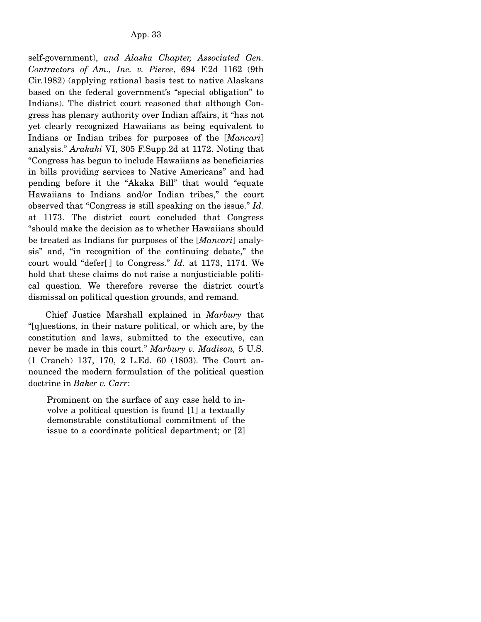self-government), *and Alaska Chapter, Associated Gen. Contractors of Am., Inc. v. Pierce*, 694 F.2d 1162 (9th Cir.1982) (applying rational basis test to native Alaskans based on the federal government's "special obligation" to Indians). The district court reasoned that although Congress has plenary authority over Indian affairs, it "has not yet clearly recognized Hawaiians as being equivalent to Indians or Indian tribes for purposes of the [*Mancari*] analysis." *Arakaki* VI, 305 F.Supp.2d at 1172. Noting that "Congress has begun to include Hawaiians as beneficiaries in bills providing services to Native Americans" and had pending before it the "Akaka Bill" that would "equate Hawaiians to Indians and/or Indian tribes," the court observed that "Congress is still speaking on the issue." *Id.* at 1173. The district court concluded that Congress "should make the decision as to whether Hawaiians should be treated as Indians for purposes of the [*Mancari*] analysis" and, "in recognition of the continuing debate," the court would "defer[ ] to Congress." *Id.* at 1173, 1174. We hold that these claims do not raise a nonjusticiable political question. We therefore reverse the district court's dismissal on political question grounds, and remand.

 Chief Justice Marshall explained in *Marbury* that "[q]uestions, in their nature political, or which are, by the constitution and laws, submitted to the executive, can never be made in this court." *Marbury v. Madison,* 5 U.S. (1 Cranch) 137, 170, 2 L.Ed. 60 (1803). The Court announced the modern formulation of the political question doctrine in *Baker v. Carr*:

Prominent on the surface of any case held to involve a political question is found [1] a textually demonstrable constitutional commitment of the issue to a coordinate political department; or [2]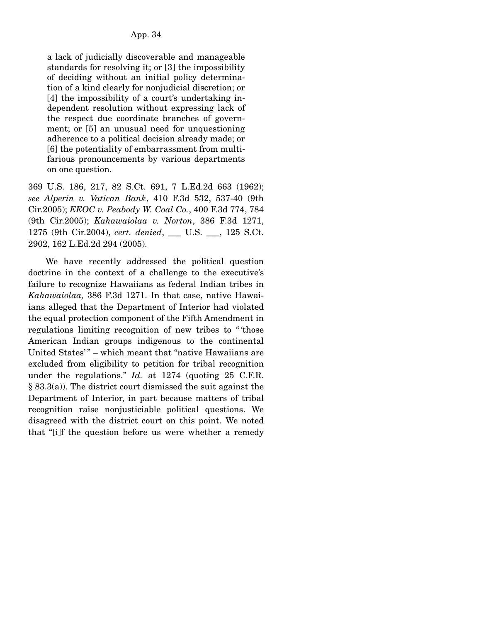a lack of judicially discoverable and manageable standards for resolving it; or [3] the impossibility of deciding without an initial policy determination of a kind clearly for nonjudicial discretion; or [4] the impossibility of a court's undertaking independent resolution without expressing lack of the respect due coordinate branches of government; or [5] an unusual need for unquestioning adherence to a political decision already made; or [6] the potentiality of embarrassment from multifarious pronouncements by various departments on one question.

369 U.S. 186, 217, 82 S.Ct. 691, 7 L.Ed.2d 663 (1962); *see Alperin v. Vatican Bank*, 410 F.3d 532, 537-40 (9th Cir.2005); *EEOC v. Peabody W. Coal Co.*, 400 F.3d 774, 784 (9th Cir.2005); *Kahawaiolaa v. Norton*, 386 F.3d 1271, 1275 (9th Cir.2004), *cert. denied*, \_\_\_ U.S. \_\_\_, 125 S.Ct. 2902, 162 L.Ed.2d 294 (2005).

 We have recently addressed the political question doctrine in the context of a challenge to the executive's failure to recognize Hawaiians as federal Indian tribes in *Kahawaiolaa,* 386 F.3d 1271. In that case, native Hawaiians alleged that the Department of Interior had violated the equal protection component of the Fifth Amendment in regulations limiting recognition of new tribes to " 'those American Indian groups indigenous to the continental United States'" - which meant that "native Hawaiians are excluded from eligibility to petition for tribal recognition under the regulations." *Id.* at 1274 (quoting 25 C.F.R. § 83.3(a)). The district court dismissed the suit against the Department of Interior, in part because matters of tribal recognition raise nonjusticiable political questions. We disagreed with the district court on this point. We noted that "[i]f the question before us were whether a remedy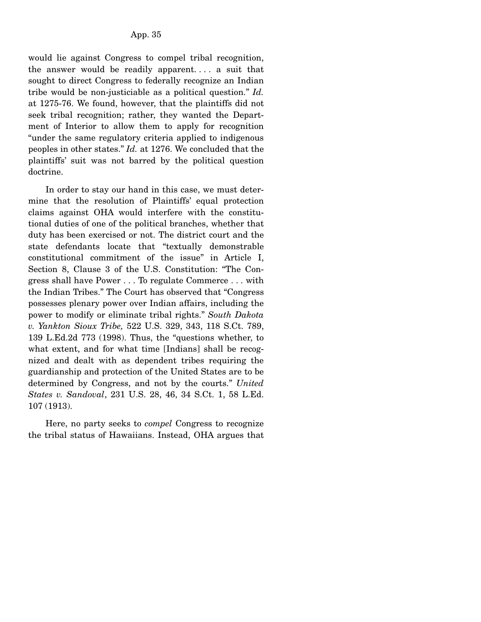would lie against Congress to compel tribal recognition, the answer would be readily apparent. . . . a suit that sought to direct Congress to federally recognize an Indian tribe would be non-justiciable as a political question." *Id.* at 1275-76. We found, however, that the plaintiffs did not seek tribal recognition; rather, they wanted the Department of Interior to allow them to apply for recognition "under the same regulatory criteria applied to indigenous peoples in other states." *Id.* at 1276. We concluded that the plaintiffs' suit was not barred by the political question doctrine.

 In order to stay our hand in this case, we must determine that the resolution of Plaintiffs' equal protection claims against OHA would interfere with the constitutional duties of one of the political branches, whether that duty has been exercised or not. The district court and the state defendants locate that "textually demonstrable constitutional commitment of the issue" in Article I, Section 8, Clause 3 of the U.S. Constitution: "The Congress shall have Power . . . To regulate Commerce . . . with the Indian Tribes." The Court has observed that "Congress possesses plenary power over Indian affairs, including the power to modify or eliminate tribal rights." *South Dakota v. Yankton Sioux Tribe,* 522 U.S. 329, 343, 118 S.Ct. 789, 139 L.Ed.2d 773 (1998). Thus, the "questions whether, to what extent, and for what time [Indians] shall be recognized and dealt with as dependent tribes requiring the guardianship and protection of the United States are to be determined by Congress, and not by the courts." *United States v. Sandoval*, 231 U.S. 28, 46, 34 S.Ct. 1, 58 L.Ed. 107 (1913).

 Here, no party seeks to *compel* Congress to recognize the tribal status of Hawaiians. Instead, OHA argues that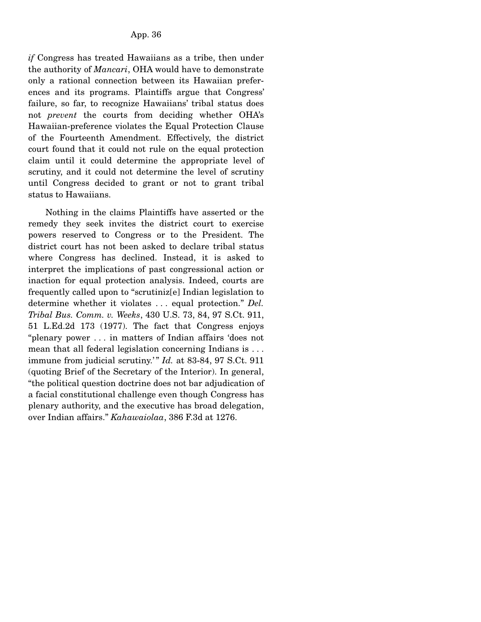*if* Congress has treated Hawaiians as a tribe, then under the authority of *Mancari*, OHA would have to demonstrate only a rational connection between its Hawaiian preferences and its programs. Plaintiffs argue that Congress' failure, so far, to recognize Hawaiians' tribal status does not *prevent* the courts from deciding whether OHA's Hawaiian-preference violates the Equal Protection Clause of the Fourteenth Amendment. Effectively, the district court found that it could not rule on the equal protection claim until it could determine the appropriate level of scrutiny, and it could not determine the level of scrutiny until Congress decided to grant or not to grant tribal status to Hawaiians.

 Nothing in the claims Plaintiffs have asserted or the remedy they seek invites the district court to exercise powers reserved to Congress or to the President. The district court has not been asked to declare tribal status where Congress has declined. Instead, it is asked to interpret the implications of past congressional action or inaction for equal protection analysis. Indeed, courts are frequently called upon to "scrutiniz[e] Indian legislation to determine whether it violates . . . equal protection." *Del. Tribal Bus. Comm. v. Weeks*, 430 U.S. 73, 84, 97 S.Ct. 911, 51 L.Ed.2d 173 (1977). The fact that Congress enjoys "plenary power . . . in matters of Indian affairs 'does not mean that all federal legislation concerning Indians is . . . immune from judicial scrutiny.'" *Id.* at 83-84, 97 S.Ct. 911 (quoting Brief of the Secretary of the Interior). In general, "the political question doctrine does not bar adjudication of a facial constitutional challenge even though Congress has plenary authority, and the executive has broad delegation, over Indian affairs." *Kahawaiolaa*, 386 F.3d at 1276.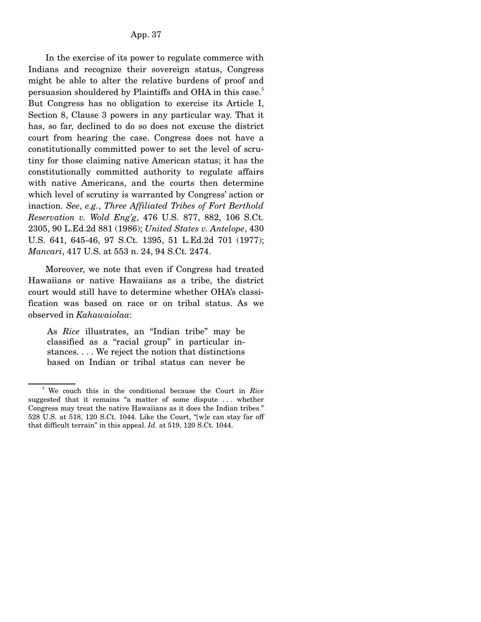In the exercise of its power to regulate commerce with Indians and recognize their sovereign status, Congress might be able to alter the relative burdens of proof and persuasion shouldered by Plaintiffs and OHA in this case.<sup>5</sup> But Congress has no obligation to exercise its Article I, Section 8, Clause 3 powers in any particular way. That it has, so far, declined to do so does not excuse the district court from hearing the case. Congress does not have a constitutionally committed power to set the level of scrutiny for those claiming native American status; it has the constitutionally committed authority to regulate affairs with native Americans, and the courts then determine which level of scrutiny is warranted by Congress' action or inaction. *See*, *e.g.*, *Three Affiliated Tribes of Fort Berthold Reservation v. Wold Eng'g*, 476 U.S. 877, 882, 106 S.Ct. 2305, 90 L.Ed.2d 881 (1986); *United States v. Antelope*, 430 U.S. 641, 645-46, 97 S.Ct. 1395, 51 L.Ed.2d 701 (1977); *Mancari*, 417 U.S. at 553 n. 24, 94 S.Ct. 2474.

 Moreover, we note that even if Congress had treated Hawaiians or native Hawaiians as a tribe, the district court would still have to determine whether OHA's classification was based on race or on tribal status. As we observed in *Kahawaiolaa*:

As *Rice* illustrates, an "Indian tribe" may be classified as a "racial group" in particular instances. . . . We reject the notion that distinctions based on Indian or tribal status can never be

<sup>5</sup> We couch this in the conditional because the Court in *Rice* suggested that it remains "a matter of some dispute . . . whether Congress may treat the native Hawaiians as it does the Indian tribes." 528 U.S. at 518, 120 S.Ct. 1044. Like the Court, "[w]e can stay far off that difficult terrain" in this appeal. *Id.* at 519, 120 S.Ct. 1044.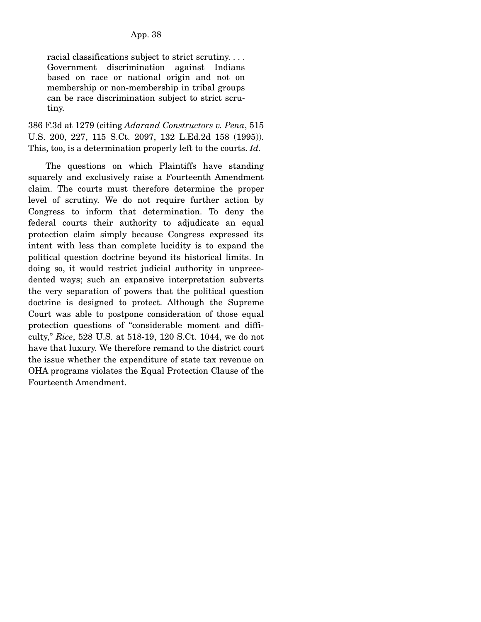racial classifications subject to strict scrutiny. . . . Government discrimination against Indians based on race or national origin and not on membership or non-membership in tribal groups can be race discrimination subject to strict scrutiny.

386 F.3d at 1279 (citing *Adarand Constructors v. Pena*, 515 U.S. 200, 227, 115 S.Ct. 2097, 132 L.Ed.2d 158 (1995)). This, too, is a determination properly left to the courts. *Id.*

 The questions on which Plaintiffs have standing squarely and exclusively raise a Fourteenth Amendment claim. The courts must therefore determine the proper level of scrutiny. We do not require further action by Congress to inform that determination. To deny the federal courts their authority to adjudicate an equal protection claim simply because Congress expressed its intent with less than complete lucidity is to expand the political question doctrine beyond its historical limits. In doing so, it would restrict judicial authority in unprecedented ways; such an expansive interpretation subverts the very separation of powers that the political question doctrine is designed to protect. Although the Supreme Court was able to postpone consideration of those equal protection questions of "considerable moment and difficulty," *Rice*, 528 U.S. at 518-19, 120 S.Ct. 1044, we do not have that luxury. We therefore remand to the district court the issue whether the expenditure of state tax revenue on OHA programs violates the Equal Protection Clause of the Fourteenth Amendment.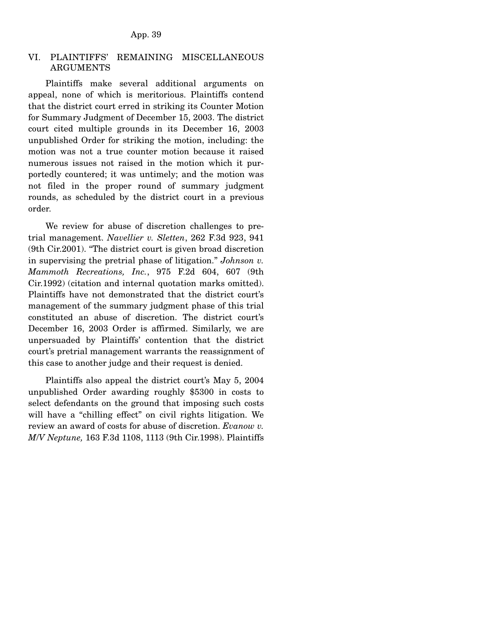### VI. PLAINTIFFS' REMAINING MISCELLANEOUS ARGUMENTS

 Plaintiffs make several additional arguments on appeal, none of which is meritorious. Plaintiffs contend that the district court erred in striking its Counter Motion for Summary Judgment of December 15, 2003. The district court cited multiple grounds in its December 16, 2003 unpublished Order for striking the motion, including: the motion was not a true counter motion because it raised numerous issues not raised in the motion which it purportedly countered; it was untimely; and the motion was not filed in the proper round of summary judgment rounds, as scheduled by the district court in a previous order.

 We review for abuse of discretion challenges to pretrial management. *Navellier v. Sletten*, 262 F.3d 923, 941 (9th Cir.2001). "The district court is given broad discretion in supervising the pretrial phase of litigation." *Johnson v. Mammoth Recreations, Inc.*, 975 F.2d 604, 607 (9th Cir.1992) (citation and internal quotation marks omitted). Plaintiffs have not demonstrated that the district court's management of the summary judgment phase of this trial constituted an abuse of discretion. The district court's December 16, 2003 Order is affirmed. Similarly, we are unpersuaded by Plaintiffs' contention that the district court's pretrial management warrants the reassignment of this case to another judge and their request is denied.

 Plaintiffs also appeal the district court's May 5, 2004 unpublished Order awarding roughly \$5300 in costs to select defendants on the ground that imposing such costs will have a "chilling effect" on civil rights litigation. We review an award of costs for abuse of discretion. *Evanow v. M*/*V Neptune,* 163 F.3d 1108, 1113 (9th Cir.1998). Plaintiffs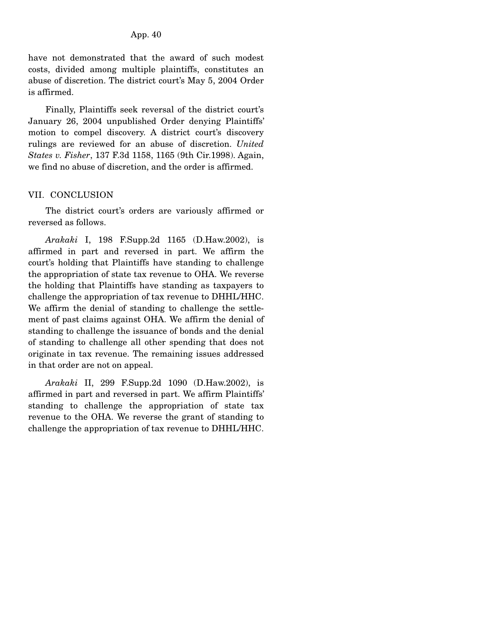have not demonstrated that the award of such modest costs, divided among multiple plaintiffs, constitutes an abuse of discretion. The district court's May 5, 2004 Order is affirmed.

 Finally, Plaintiffs seek reversal of the district court's January 26, 2004 unpublished Order denying Plaintiffs' motion to compel discovery. A district court's discovery rulings are reviewed for an abuse of discretion. *United States v. Fisher*, 137 F.3d 1158, 1165 (9th Cir.1998). Again, we find no abuse of discretion, and the order is affirmed.

### VII. CONCLUSION

 The district court's orders are variously affirmed or reversed as follows.

 *Arakaki* I, 198 F.Supp.2d 1165 (D.Haw.2002), is affirmed in part and reversed in part. We affirm the court's holding that Plaintiffs have standing to challenge the appropriation of state tax revenue to OHA. We reverse the holding that Plaintiffs have standing as taxpayers to challenge the appropriation of tax revenue to DHHL/HHC. We affirm the denial of standing to challenge the settlement of past claims against OHA. We affirm the denial of standing to challenge the issuance of bonds and the denial of standing to challenge all other spending that does not originate in tax revenue. The remaining issues addressed in that order are not on appeal.

 *Arakaki* II, 299 F.Supp.2d 1090 (D.Haw.2002), is affirmed in part and reversed in part. We affirm Plaintiffs' standing to challenge the appropriation of state tax revenue to the OHA. We reverse the grant of standing to challenge the appropriation of tax revenue to DHHL/HHC.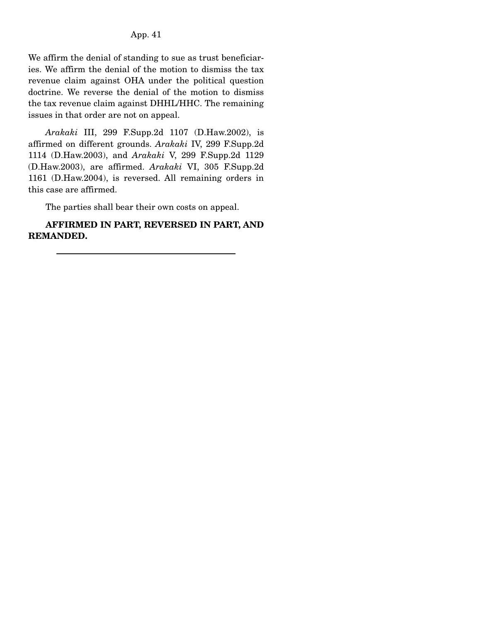We affirm the denial of standing to sue as trust beneficiaries. We affirm the denial of the motion to dismiss the tax revenue claim against OHA under the political question doctrine. We reverse the denial of the motion to dismiss the tax revenue claim against DHHL/HHC. The remaining issues in that order are not on appeal.

 *Arakaki* III, 299 F.Supp.2d 1107 (D.Haw.2002), is affirmed on different grounds. *Arakaki* IV, 299 F.Supp.2d 1114 (D.Haw.2003), and *Arakaki* V, 299 F.Supp.2d 1129 (D.Haw.2003), are affirmed. *Arakaki* VI, 305 F.Supp.2d 1161 (D.Haw.2004), is reversed. All remaining orders in this case are affirmed.

The parties shall bear their own costs on appeal.

 **AFFIRMED IN PART, REVERSED IN PART, AND REMANDED.**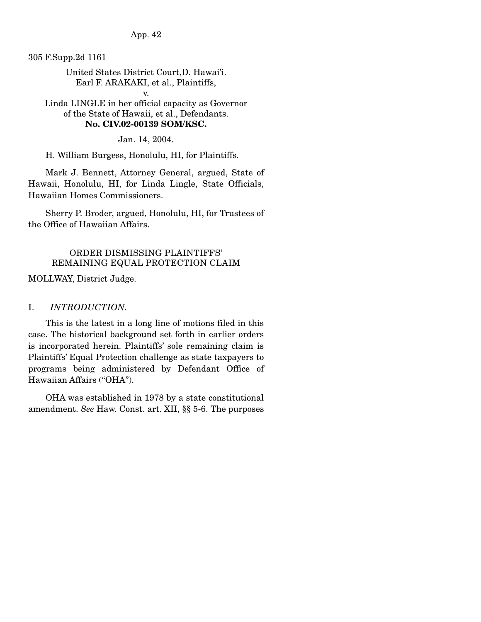App. 42

305 F.Supp.2d 1161

United States District Court,D. Hawai'i. Earl F. ARAKAKI, et al., Plaintiffs,

v. Linda LINGLE in her official capacity as Governor of the State of Hawaii, et al., Defendants. **No. CIV.02-00139 SOM/KSC.** 

Jan. 14, 2004.

H. William Burgess, Honolulu, HI, for Plaintiffs.

 Mark J. Bennett, Attorney General, argued, State of Hawaii, Honolulu, HI, for Linda Lingle, State Officials, Hawaiian Homes Commissioners.

 Sherry P. Broder, argued, Honolulu, HI, for Trustees of the Office of Hawaiian Affairs.

## ORDER DISMISSING PLAINTIFFS' REMAINING EQUAL PROTECTION CLAIM

MOLLWAY, District Judge.

## I. *INTRODUCTION.*

 This is the latest in a long line of motions filed in this case. The historical background set forth in earlier orders is incorporated herein. Plaintiffs' sole remaining claim is Plaintiffs' Equal Protection challenge as state taxpayers to programs being administered by Defendant Office of Hawaiian Affairs ("OHA").

 OHA was established in 1978 by a state constitutional amendment. *See* Haw. Const. art. XII, §§ 5-6. The purposes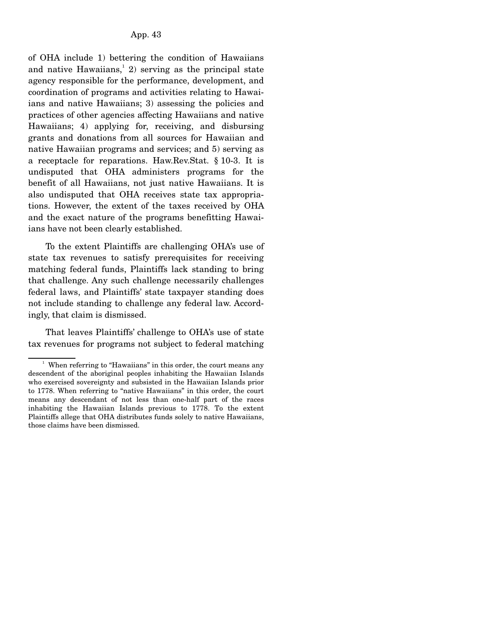of OHA include 1) bettering the condition of Hawaiians and native Hawaiians,<sup>1</sup> 2) serving as the principal state agency responsible for the performance, development, and coordination of programs and activities relating to Hawaiians and native Hawaiians; 3) assessing the policies and practices of other agencies affecting Hawaiians and native Hawaiians; 4) applying for, receiving, and disbursing grants and donations from all sources for Hawaiian and native Hawaiian programs and services; and 5) serving as a receptacle for reparations. Haw.Rev.Stat. § 10-3. It is undisputed that OHA administers programs for the benefit of all Hawaiians, not just native Hawaiians. It is also undisputed that OHA receives state tax appropriations. However, the extent of the taxes received by OHA and the exact nature of the programs benefitting Hawaiians have not been clearly established.

 To the extent Plaintiffs are challenging OHA's use of state tax revenues to satisfy prerequisites for receiving matching federal funds, Plaintiffs lack standing to bring that challenge. Any such challenge necessarily challenges federal laws, and Plaintiffs' state taxpayer standing does not include standing to challenge any federal law. Accordingly, that claim is dismissed.

 That leaves Plaintiffs' challenge to OHA's use of state tax revenues for programs not subject to federal matching

<sup>&</sup>lt;sup>1</sup> When referring to "Hawaiians" in this order, the court means any descendent of the aboriginal peoples inhabiting the Hawaiian Islands who exercised sovereignty and subsisted in the Hawaiian Islands prior to 1778. When referring to "native Hawaiians" in this order, the court means any descendant of not less than one-half part of the races inhabiting the Hawaiian Islands previous to 1778. To the extent Plaintiffs allege that OHA distributes funds solely to native Hawaiians, those claims have been dismissed.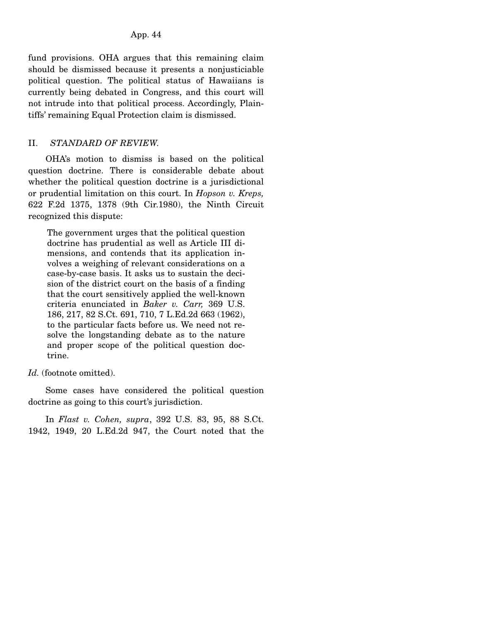fund provisions. OHA argues that this remaining claim should be dismissed because it presents a nonjusticiable political question. The political status of Hawaiians is currently being debated in Congress, and this court will not intrude into that political process. Accordingly, Plaintiffs' remaining Equal Protection claim is dismissed.

## II. *STANDARD OF REVIEW.*

 OHA's motion to dismiss is based on the political question doctrine. There is considerable debate about whether the political question doctrine is a jurisdictional or prudential limitation on this court. In *Hopson v. Kreps,* 622 F.2d 1375, 1378 (9th Cir.1980), the Ninth Circuit recognized this dispute:

The government urges that the political question doctrine has prudential as well as Article III dimensions, and contends that its application involves a weighing of relevant considerations on a case-by-case basis. It asks us to sustain the decision of the district court on the basis of a finding that the court sensitively applied the well-known criteria enunciated in *Baker v. Carr,* 369 U.S. 186, 217, 82 S.Ct. 691, 710, 7 L.Ed.2d 663 (1962), to the particular facts before us. We need not resolve the longstanding debate as to the nature and proper scope of the political question doctrine.

*Id.* (footnote omitted).

 Some cases have considered the political question doctrine as going to this court's jurisdiction.

 In *Flast v. Cohen, supra*, 392 U.S. 83, 95, 88 S.Ct. 1942, 1949, 20 L.Ed.2d 947, the Court noted that the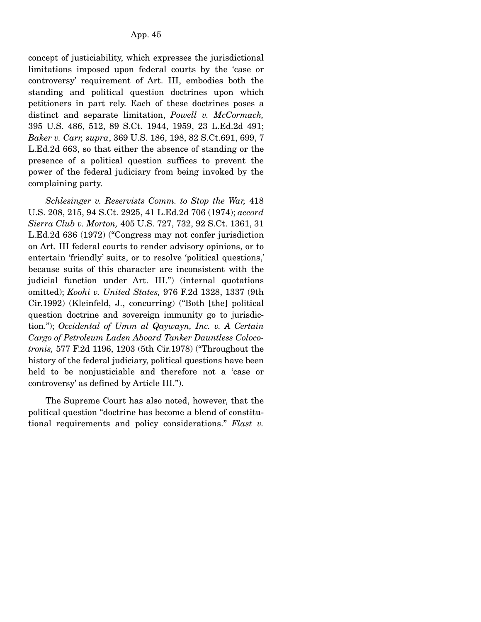concept of justiciability, which expresses the jurisdictional limitations imposed upon federal courts by the 'case or controversy' requirement of Art. III, embodies both the standing and political question doctrines upon which petitioners in part rely. Each of these doctrines poses a distinct and separate limitation, *Powell v. McCormack,* 395 U.S. 486, 512, 89 S.Ct. 1944, 1959, 23 L.Ed.2d 491; *Baker v. Carr, supra*, 369 U.S. 186, 198, 82 S.Ct.691, 699, 7 L.Ed.2d 663, so that either the absence of standing or the presence of a political question suffices to prevent the power of the federal judiciary from being invoked by the complaining party.

 *Schlesinger v. Reservists Comm. to Stop the War,* 418 U.S. 208, 215, 94 S.Ct. 2925, 41 L.Ed.2d 706 (1974); *accord Sierra Club v. Morton,* 405 U.S. 727, 732, 92 S.Ct. 1361, 31 L.Ed.2d 636 (1972) ("Congress may not confer jurisdiction on Art. III federal courts to render advisory opinions, or to entertain 'friendly' suits, or to resolve 'political questions,' because suits of this character are inconsistent with the judicial function under Art. III.") (internal quotations omitted); *Koohi v. United States,* 976 F.2d 1328, 1337 (9th Cir.1992) (Kleinfeld, J., concurring) ("Both [the] political question doctrine and sovereign immunity go to jurisdiction."); *Occidental of Umm al Qaywayn, Inc. v. A Certain Cargo of Petroleum Laden Aboard Tanker Dauntless Colocotronis,* 577 F.2d 1196, 1203 (5th Cir.1978) ("Throughout the history of the federal judiciary, political questions have been held to be nonjusticiable and therefore not a 'case or controversy' as defined by Article III.").

 The Supreme Court has also noted, however, that the political question "doctrine has become a blend of constitutional requirements and policy considerations." *Flast v.*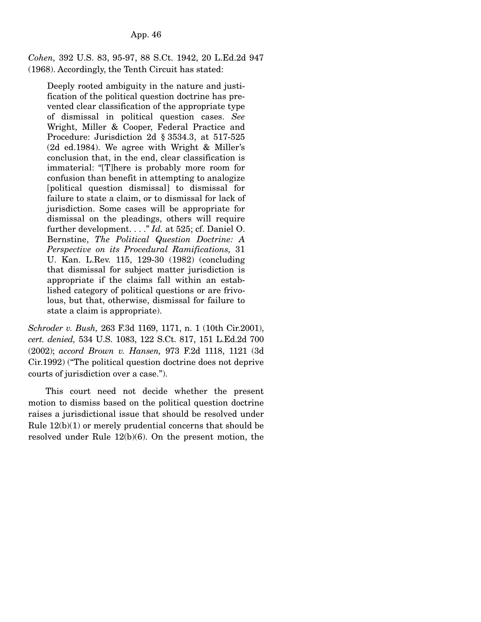*Cohen,* 392 U.S. 83, 95-97, 88 S.Ct. 1942, 20 L.Ed.2d 947 (1968). Accordingly, the Tenth Circuit has stated:

Deeply rooted ambiguity in the nature and justification of the political question doctrine has prevented clear classification of the appropriate type of dismissal in political question cases. *See* Wright, Miller & Cooper, Federal Practice and Procedure: Jurisdiction 2d § 3534.3, at 517-525 (2d ed.1984). We agree with Wright & Miller's conclusion that, in the end, clear classification is immaterial: "[T]here is probably more room for confusion than benefit in attempting to analogize [political question dismissal] to dismissal for failure to state a claim, or to dismissal for lack of jurisdiction. Some cases will be appropriate for dismissal on the pleadings, others will require further development. . . ." *Id.* at 525; cf. Daniel O. Bernstine, *The Political Question Doctrine: A Perspective on its Procedural Ramifications,* 31 U. Kan. L.Rev. 115, 129-30 (1982) (concluding that dismissal for subject matter jurisdiction is appropriate if the claims fall within an established category of political questions or are frivolous, but that, otherwise, dismissal for failure to state a claim is appropriate).

*Schroder v. Bush,* 263 F.3d 1169, 1171, n. 1 (10th Cir.2001), *cert. denied,* 534 U.S. 1083, 122 S.Ct. 817, 151 L.Ed.2d 700 (2002); *accord Brown v. Hansen,* 973 F.2d 1118, 1121 (3d Cir.1992) ("The political question doctrine does not deprive courts of jurisdiction over a case.").

 This court need not decide whether the present motion to dismiss based on the political question doctrine raises a jurisdictional issue that should be resolved under Rule  $12(b)(1)$  or merely prudential concerns that should be resolved under Rule 12(b)(6). On the present motion, the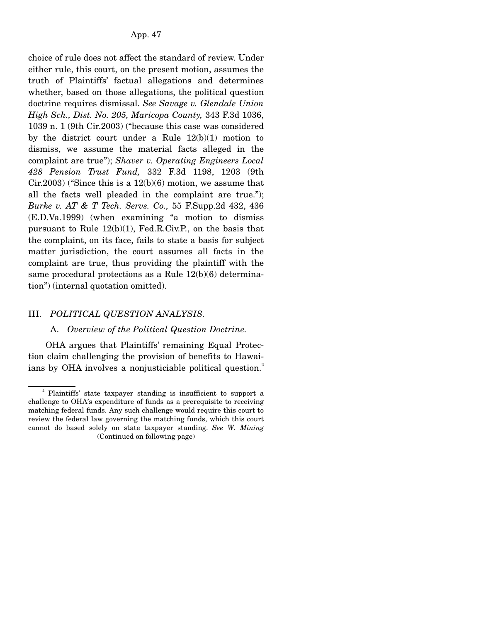choice of rule does not affect the standard of review. Under either rule, this court, on the present motion, assumes the truth of Plaintiffs' factual allegations and determines whether, based on those allegations, the political question doctrine requires dismissal. *See Savage v. Glendale Union High Sch., Dist. No. 205, Maricopa County,* 343 F.3d 1036, 1039 n. 1 (9th Cir.2003) ("because this case was considered by the district court under a Rule  $12(b)(1)$  motion to dismiss, we assume the material facts alleged in the complaint are true"); *Shaver v. Operating Engineers Local 428 Pension Trust Fund,* 332 F.3d 1198, 1203 (9th  $Cir.2003$ ) ("Since this is a  $12(b)(6)$  motion, we assume that all the facts well pleaded in the complaint are true."); *Burke v. AT & T Tech. Servs. Co.,* 55 F.Supp.2d 432, 436 (E.D.Va.1999) (when examining "a motion to dismiss pursuant to Rule 12(b)(1), Fed.R.Civ.P., on the basis that the complaint, on its face, fails to state a basis for subject matter jurisdiction, the court assumes all facts in the complaint are true, thus providing the plaintiff with the same procedural protections as a Rule 12(b)(6) determination") (internal quotation omitted).

### III. *POLITICAL QUESTION ANALYSIS.*

#### A. *Overview of the Political Question Doctrine.*

 OHA argues that Plaintiffs' remaining Equal Protection claim challenging the provision of benefits to Hawaiians by OHA involves a nonjusticiable political question.<sup>2</sup>

<sup>&</sup>lt;sup>2</sup> Plaintiffs' state taxpayer standing is insufficient to support a challenge to OHA's expenditure of funds as a prerequisite to receiving matching federal funds. Any such challenge would require this court to review the federal law governing the matching funds, which this court cannot do based solely on state taxpayer standing. *See W. Mining*  (Continued on following page)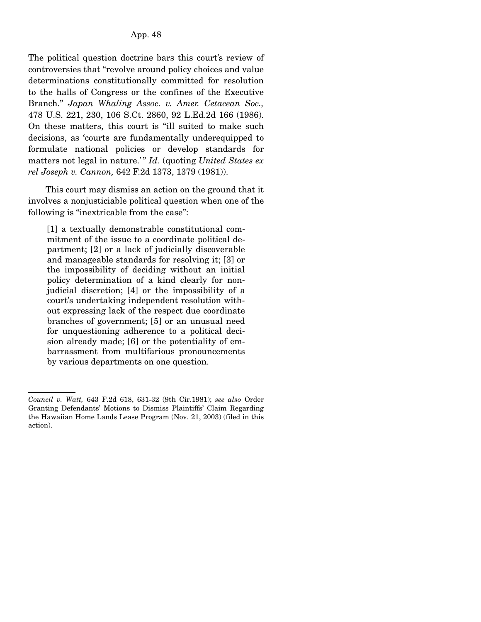The political question doctrine bars this court's review of controversies that "revolve around policy choices and value determinations constitutionally committed for resolution to the halls of Congress or the confines of the Executive Branch." *Japan Whaling Assoc. v. Amer. Cetacean Soc.,* 478 U.S. 221, 230, 106 S.Ct. 2860, 92 L.Ed.2d 166 (1986). On these matters, this court is "ill suited to make such decisions, as 'courts are fundamentally underequipped to formulate national policies or develop standards for matters not legal in nature.'" *Id.* (quoting *United States ex rel Joseph v. Cannon,* 642 F.2d 1373, 1379 (1981)).

 This court may dismiss an action on the ground that it involves a nonjusticiable political question when one of the following is "inextricable from the case":

[1] a textually demonstrable constitutional commitment of the issue to a coordinate political department; [2] or a lack of judicially discoverable and manageable standards for resolving it; [3] or the impossibility of deciding without an initial policy determination of a kind clearly for nonjudicial discretion; [4] or the impossibility of a court's undertaking independent resolution without expressing lack of the respect due coordinate branches of government; [5] or an unusual need for unquestioning adherence to a political decision already made; [6] or the potentiality of embarrassment from multifarious pronouncements by various departments on one question.

*Council v. Watt,* 643 F.2d 618, 631-32 (9th Cir.1981); *see also* Order Granting Defendants' Motions to Dismiss Plaintiffs' Claim Regarding the Hawaiian Home Lands Lease Program (Nov. 21, 2003) (filed in this action).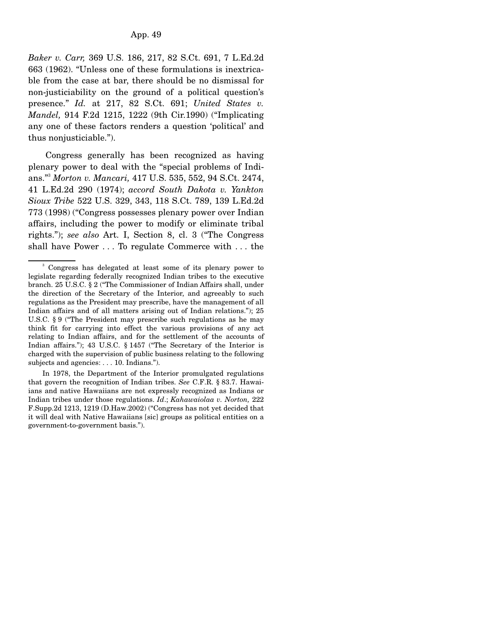*Baker v. Carr,* 369 U.S. 186, 217, 82 S.Ct. 691, 7 L.Ed.2d 663 (1962). "Unless one of these formulations is inextricable from the case at bar, there should be no dismissal for non-justiciability on the ground of a political question's presence." *Id.* at 217, 82 S.Ct. 691; *United States v. Mandel,* 914 F.2d 1215, 1222 (9th Cir.1990) ("Implicating any one of these factors renders a question 'political' and thus nonjusticiable.").

 Congress generally has been recognized as having plenary power to deal with the "special problems of Indians."3 *Morton v. Mancari,* 417 U.S. 535, 552, 94 S.Ct. 2474, 41 L.Ed.2d 290 (1974); *accord South Dakota v. Yankton Sioux Tribe* 522 U.S. 329, 343, 118 S.Ct. 789, 139 L.Ed.2d 773 (1998) ("Congress possesses plenary power over Indian affairs, including the power to modify or eliminate tribal rights."); *see also* Art. I, Section 8, cl. 3 ("The Congress shall have Power . . . To regulate Commerce with . . . the

 In 1978, the Department of the Interior promulgated regulations that govern the recognition of Indian tribes. *See* C.F.R. § 83.7. Hawaiians and native Hawaiians are not expressly recognized as Indians or Indian tribes under those regulations. *Id*.; *Kahawaiolaa v. Norton,* 222 F.Supp.2d 1213, 1219 (D.Haw.2002) ("Congress has not yet decided that it will deal with Native Hawaiians [sic] groups as political entities on a government-to-government basis.").

<sup>&</sup>lt;sup>3</sup> Congress has delegated at least some of its plenary power to legislate regarding federally recognized Indian tribes to the executive branch. 25 U.S.C. § 2 ("The Commissioner of Indian Affairs shall, under the direction of the Secretary of the Interior, and agreeably to such regulations as the President may prescribe, have the management of all Indian affairs and of all matters arising out of Indian relations."); 25 U.S.C. § 9 ("The President may prescribe such regulations as he may think fit for carrying into effect the various provisions of any act relating to Indian affairs, and for the settlement of the accounts of Indian affairs."); 43 U.S.C. § 1457 ("The Secretary of the Interior is charged with the supervision of public business relating to the following subjects and agencies: . . . 10. Indians.").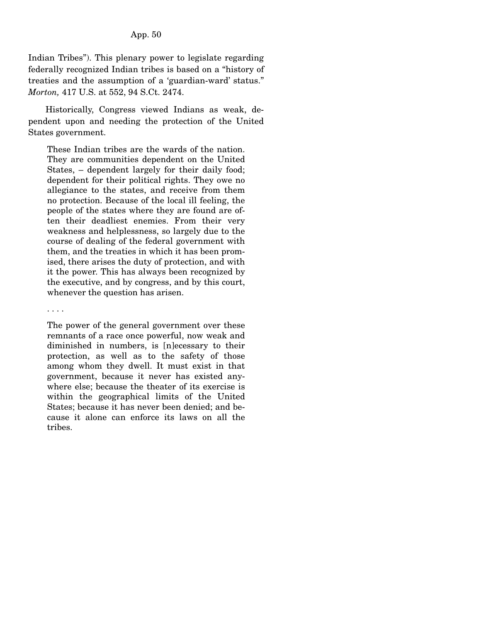Indian Tribes"). This plenary power to legislate regarding federally recognized Indian tribes is based on a "history of treaties and the assumption of a 'guardian-ward' status." *Morton,* 417 U.S. at 552, 94 S.Ct. 2474.

 Historically, Congress viewed Indians as weak, dependent upon and needing the protection of the United States government.

These Indian tribes are the wards of the nation. They are communities dependent on the United States, – dependent largely for their daily food; dependent for their political rights. They owe no allegiance to the states, and receive from them no protection. Because of the local ill feeling, the people of the states where they are found are often their deadliest enemies. From their very weakness and helplessness, so largely due to the course of dealing of the federal government with them, and the treaties in which it has been promised, there arises the duty of protection, and with it the power. This has always been recognized by the executive, and by congress, and by this court, whenever the question has arisen.

. . . .

The power of the general government over these remnants of a race once powerful, now weak and diminished in numbers, is [n]ecessary to their protection, as well as to the safety of those among whom they dwell. It must exist in that government, because it never has existed anywhere else; because the theater of its exercise is within the geographical limits of the United States; because it has never been denied; and because it alone can enforce its laws on all the tribes.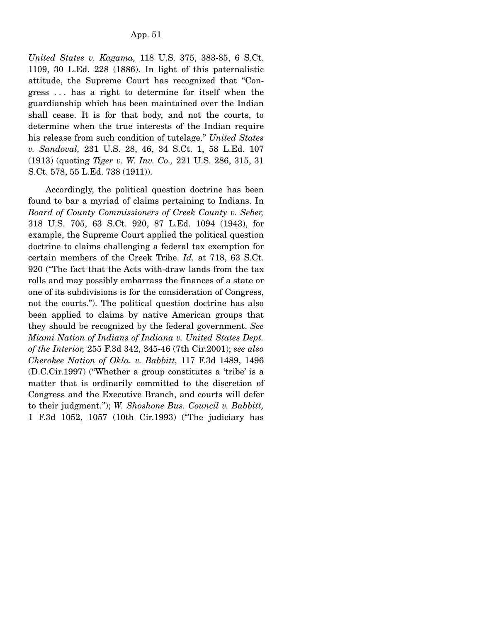*United States v. Kagama,* 118 U.S. 375, 383-85, 6 S.Ct. 1109, 30 L.Ed. 228 (1886). In light of this paternalistic attitude, the Supreme Court has recognized that "Congress . . . has a right to determine for itself when the guardianship which has been maintained over the Indian shall cease. It is for that body, and not the courts, to determine when the true interests of the Indian require his release from such condition of tutelage." *United States v. Sandoval,* 231 U.S. 28, 46, 34 S.Ct. 1, 58 L.Ed. 107 (1913) (quoting *Tiger v. W. Inv. Co.,* 221 U.S. 286, 315, 31 S.Ct. 578, 55 L.Ed. 738 (1911)).

 Accordingly, the political question doctrine has been found to bar a myriad of claims pertaining to Indians. In *Board of County Commissioners of Creek County v. Seber,* 318 U.S. 705, 63 S.Ct. 920, 87 L.Ed. 1094 (1943), for example, the Supreme Court applied the political question doctrine to claims challenging a federal tax exemption for certain members of the Creek Tribe. *Id.* at 718, 63 S.Ct. 920 ("The fact that the Acts with-draw lands from the tax rolls and may possibly embarrass the finances of a state or one of its subdivisions is for the consideration of Congress, not the courts."). The political question doctrine has also been applied to claims by native American groups that they should be recognized by the federal government. *See Miami Nation of Indians of Indiana v. United States Dept. of the Interior,* 255 F.3d 342, 345-46 (7th Cir.2001); *see also Cherokee Nation of Okla. v. Babbitt,* 117 F.3d 1489, 1496 (D.C.Cir.1997) ("Whether a group constitutes a 'tribe' is a matter that is ordinarily committed to the discretion of Congress and the Executive Branch, and courts will defer to their judgment."); *W. Shoshone Bus. Council v. Babbitt,* 1 F.3d 1052, 1057 (10th Cir.1993) ("The judiciary has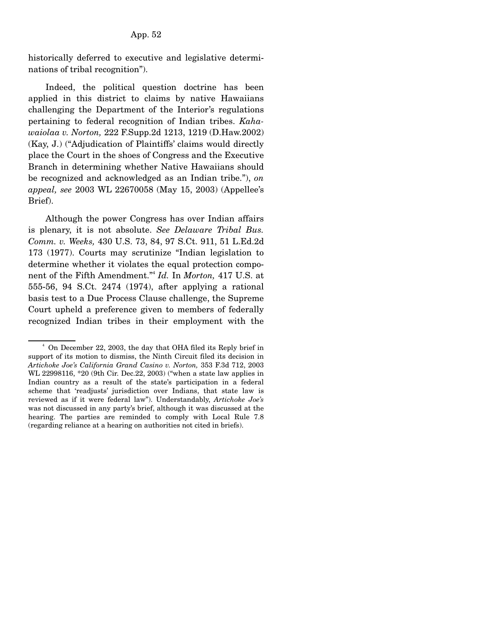historically deferred to executive and legislative determinations of tribal recognition").

 Indeed, the political question doctrine has been applied in this district to claims by native Hawaiians challenging the Department of the Interior's regulations pertaining to federal recognition of Indian tribes. *Kahawaiolaa v. Norton,* 222 F.Supp.2d 1213, 1219 (D.Haw.2002) (Kay, J.) ("Adjudication of Plaintiffs' claims would directly place the Court in the shoes of Congress and the Executive Branch in determining whether Native Hawaiians should be recognized and acknowledged as an Indian tribe."), *on appeal, see* 2003 WL 22670058 (May 15, 2003) (Appellee's Brief).

 Although the power Congress has over Indian affairs is plenary, it is not absolute. *See Delaware Tribal Bus. Comm. v. Weeks,* 430 U.S. 73, 84, 97 S.Ct. 911, 51 L.Ed.2d 173 (1977). Courts may scrutinize "Indian legislation to determine whether it violates the equal protection component of the Fifth Amendment."4 *Id.* In *Morton,* 417 U.S. at 555-56, 94 S.Ct. 2474 (1974), after applying a rational basis test to a Due Process Clause challenge, the Supreme Court upheld a preference given to members of federally recognized Indian tribes in their employment with the

<sup>&</sup>lt;sup>4</sup> On December 22, 2003, the day that OHA filed its Reply brief in support of its motion to dismiss, the Ninth Circuit filed its decision in *Artichoke Joe's California Grand Casino v. Norton,* 353 F.3d 712, 2003 WL 22998116, \*20 (9th Cir. Dec.22, 2003) ("when a state law applies in Indian country as a result of the state's participation in a federal scheme that 'readjusts' jurisdiction over Indians, that state law is reviewed as if it were federal law"). Understandably, *Artichoke Joe's* was not discussed in any party's brief, although it was discussed at the hearing. The parties are reminded to comply with Local Rule 7.8 (regarding reliance at a hearing on authorities not cited in briefs).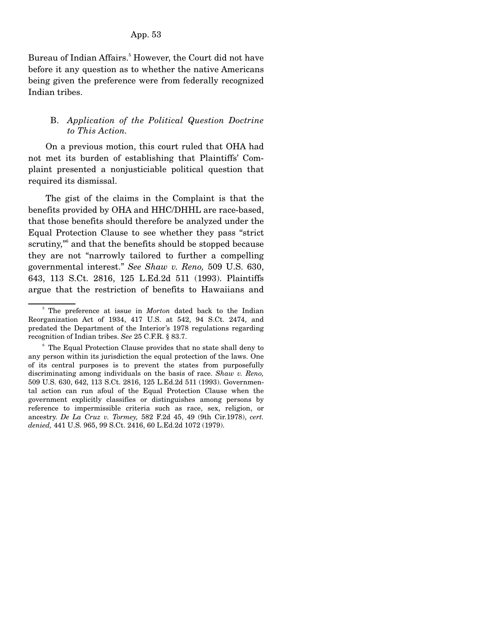Bureau of Indian Affairs.<sup>5</sup> However, the Court did not have before it any question as to whether the native Americans being given the preference were from federally recognized Indian tribes.

## B. *Application of the Political Question Doctrine to This Action.*

 On a previous motion, this court ruled that OHA had not met its burden of establishing that Plaintiffs' Complaint presented a nonjusticiable political question that required its dismissal.

 The gist of the claims in the Complaint is that the benefits provided by OHA and HHC/DHHL are race-based, that those benefits should therefore be analyzed under the Equal Protection Clause to see whether they pass "strict scrutiny,<sup>36</sup> and that the benefits should be stopped because they are not "narrowly tailored to further a compelling governmental interest." *See Shaw v. Reno,* 509 U.S. 630, 643, 113 S.Ct. 2816, 125 L.Ed.2d 511 (1993). Plaintiffs argue that the restriction of benefits to Hawaiians and

<sup>&</sup>lt;sup>5</sup> The preference at issue in *Morton* dated back to the Indian Reorganization Act of 1934, 417 U.S. at 542, 94 S.Ct. 2474, and predated the Department of the Interior's 1978 regulations regarding recognition of Indian tribes. *See* 25 C.F.R. § 83.7.

<sup>&</sup>lt;sup>6</sup> The Equal Protection Clause provides that no state shall deny to any person within its jurisdiction the equal protection of the laws. One of its central purposes is to prevent the states from purposefully discriminating among individuals on the basis of race. *Shaw v. Reno,* 509 U.S. 630, 642, 113 S.Ct. 2816, 125 L.Ed.2d 511 (1993). Governmental action can run afoul of the Equal Protection Clause when the government explicitly classifies or distinguishes among persons by reference to impermissible criteria such as race, sex, religion, or ancestry. *De La Cruz v. Tormey,* 582 F.2d 45, 49 (9th Cir.1978), *cert. denied,* 441 U.S. 965, 99 S.Ct. 2416, 60 L.Ed.2d 1072 (1979).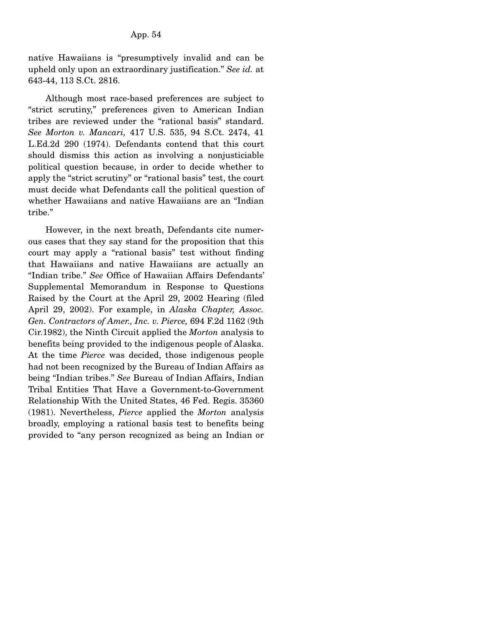native Hawaiians is "presumptively invalid and can be upheld only upon an extraordinary justification." *See id.* at 643-44, 113 S.Ct. 2816.

 Although most race-based preferences are subject to "strict scrutiny," preferences given to American Indian tribes are reviewed under the "rational basis" standard. *See Morton v. Mancari,* 417 U.S. 535, 94 S.Ct. 2474, 41 L.Ed.2d 290 (1974). Defendants contend that this court should dismiss this action as involving a nonjusticiable political question because, in order to decide whether to apply the "strict scrutiny" or "rational basis" test, the court must decide what Defendants call the political question of whether Hawaiians and native Hawaiians are an "Indian tribe."

 However, in the next breath, Defendants cite numerous cases that they say stand for the proposition that this court may apply a "rational basis" test without finding that Hawaiians and native Hawaiians are actually an "Indian tribe." *See* Office of Hawaiian Affairs Defendants' Supplemental Memorandum in Response to Questions Raised by the Court at the April 29, 2002 Hearing (filed April 29, 2002). For example, in *Alaska Chapter, Assoc. Gen. Contractors of Amer., Inc. v. Pierce,* 694 F.2d 1162 (9th Cir.1982), the Ninth Circuit applied the *Morton* analysis to benefits being provided to the indigenous people of Alaska. At the time *Pierce* was decided, those indigenous people had not been recognized by the Bureau of Indian Affairs as being "Indian tribes." *See* Bureau of Indian Affairs, Indian Tribal Entities That Have a Government-to-Government Relationship With the United States, 46 Fed. Regis. 35360 (1981). Nevertheless, *Pierce* applied the *Morton* analysis broadly, employing a rational basis test to benefits being provided to "any person recognized as being an Indian or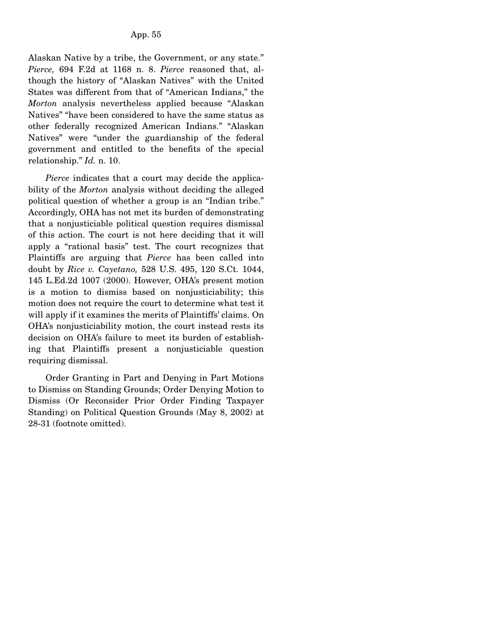Alaskan Native by a tribe, the Government, or any state." *Pierce,* 694 F.2d at 1168 n. 8. *Pierce* reasoned that, although the history of "Alaskan Natives" with the United States was different from that of "American Indians," the *Morton* analysis nevertheless applied because "Alaskan Natives" "have been considered to have the same status as other federally recognized American Indians." "Alaskan Natives" were "under the guardianship of the federal government and entitled to the benefits of the special relationship." *Id.* n. 10.

*Pierce* indicates that a court may decide the applicability of the *Morton* analysis without deciding the alleged political question of whether a group is an "Indian tribe." Accordingly, OHA has not met its burden of demonstrating that a nonjusticiable political question requires dismissal of this action. The court is not here deciding that it will apply a "rational basis" test. The court recognizes that Plaintiffs are arguing that *Pierce* has been called into doubt by *Rice v. Cayetano,* 528 U.S. 495, 120 S.Ct. 1044, 145 L.Ed.2d 1007 (2000). However, OHA's present motion is a motion to dismiss based on nonjusticiability; this motion does not require the court to determine what test it will apply if it examines the merits of Plaintiffs' claims. On OHA's nonjusticiability motion, the court instead rests its decision on OHA's failure to meet its burden of establishing that Plaintiffs present a nonjusticiable question requiring dismissal.

 Order Granting in Part and Denying in Part Motions to Dismiss on Standing Grounds; Order Denying Motion to Dismiss (Or Reconsider Prior Order Finding Taxpayer Standing) on Political Question Grounds (May 8, 2002) at 28-31 (footnote omitted).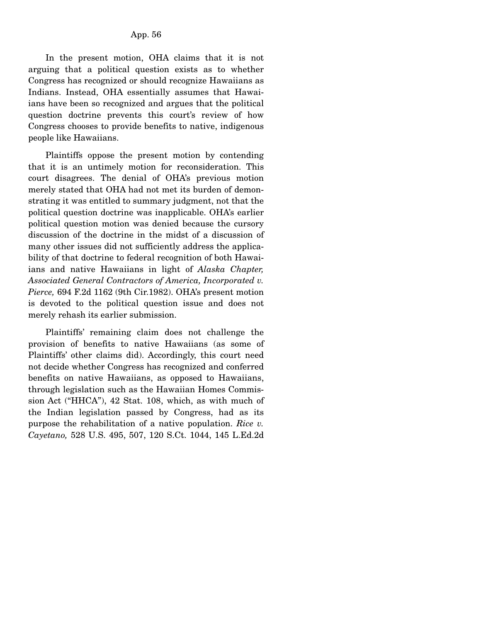In the present motion, OHA claims that it is not arguing that a political question exists as to whether Congress has recognized or should recognize Hawaiians as Indians. Instead, OHA essentially assumes that Hawaiians have been so recognized and argues that the political question doctrine prevents this court's review of how Congress chooses to provide benefits to native, indigenous people like Hawaiians.

 Plaintiffs oppose the present motion by contending that it is an untimely motion for reconsideration. This court disagrees. The denial of OHA's previous motion merely stated that OHA had not met its burden of demonstrating it was entitled to summary judgment, not that the political question doctrine was inapplicable. OHA's earlier political question motion was denied because the cursory discussion of the doctrine in the midst of a discussion of many other issues did not sufficiently address the applicability of that doctrine to federal recognition of both Hawaiians and native Hawaiians in light of *Alaska Chapter, Associated General Contractors of America, Incorporated v. Pierce,* 694 F.2d 1162 (9th Cir.1982). OHA's present motion is devoted to the political question issue and does not merely rehash its earlier submission.

 Plaintiffs' remaining claim does not challenge the provision of benefits to native Hawaiians (as some of Plaintiffs' other claims did). Accordingly, this court need not decide whether Congress has recognized and conferred benefits on native Hawaiians, as opposed to Hawaiians, through legislation such as the Hawaiian Homes Commission Act ("HHCA"), 42 Stat. 108, which, as with much of the Indian legislation passed by Congress, had as its purpose the rehabilitation of a native population. *Rice v. Cayetano,* 528 U.S. 495, 507, 120 S.Ct. 1044, 145 L.Ed.2d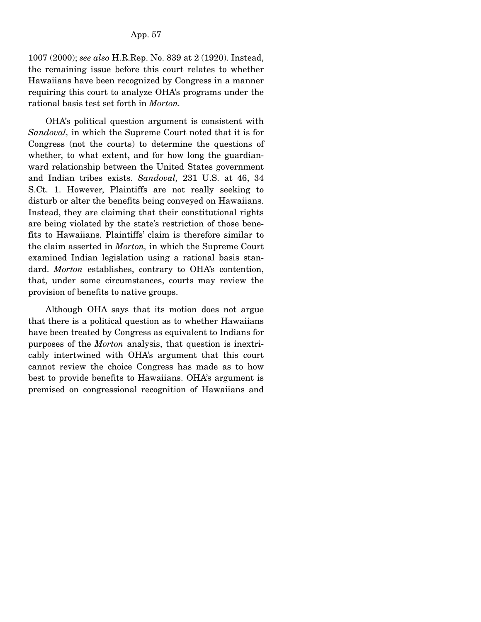1007 (2000); *see also* H.R.Rep. No. 839 at 2 (1920). Instead, the remaining issue before this court relates to whether Hawaiians have been recognized by Congress in a manner requiring this court to analyze OHA's programs under the rational basis test set forth in *Morton.*

 OHA's political question argument is consistent with *Sandoval,* in which the Supreme Court noted that it is for Congress (not the courts) to determine the questions of whether, to what extent, and for how long the guardianward relationship between the United States government and Indian tribes exists. *Sandoval,* 231 U.S. at 46, 34 S.Ct. 1. However, Plaintiffs are not really seeking to disturb or alter the benefits being conveyed on Hawaiians. Instead, they are claiming that their constitutional rights are being violated by the state's restriction of those benefits to Hawaiians. Plaintiffs' claim is therefore similar to the claim asserted in *Morton,* in which the Supreme Court examined Indian legislation using a rational basis standard. *Morton* establishes, contrary to OHA's contention, that, under some circumstances, courts may review the provision of benefits to native groups.

 Although OHA says that its motion does not argue that there is a political question as to whether Hawaiians have been treated by Congress as equivalent to Indians for purposes of the *Morton* analysis, that question is inextricably intertwined with OHA's argument that this court cannot review the choice Congress has made as to how best to provide benefits to Hawaiians. OHA's argument is premised on congressional recognition of Hawaiians and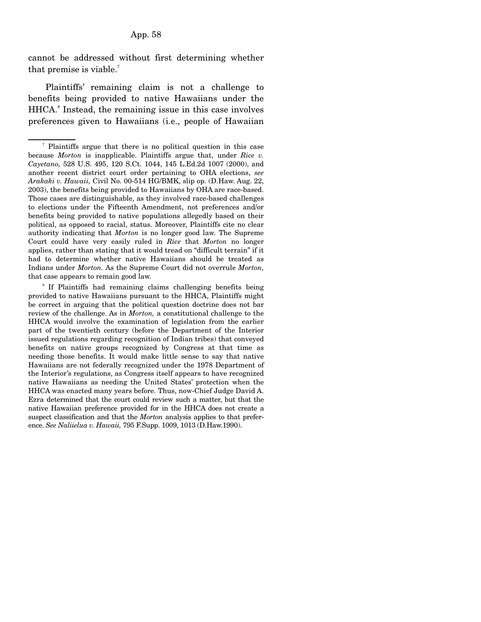#### App. 58

cannot be addressed without first determining whether that premise is viable.<sup>7</sup>

 Plaintiffs' remaining claim is not a challenge to benefits being provided to native Hawaiians under the HHCA.<sup>8</sup> Instead, the remaining issue in this case involves preferences given to Hawaiians (i.e., people of Hawaiian

<sup>7</sup> Plaintiffs argue that there is no political question in this case because *Morton* is inapplicable. Plaintiffs argue that, under *Rice v. Cayetano,* 528 U.S. 495, 120 S.Ct. 1044, 145 L.Ed.2d 1007 (2000), and another recent district court order pertaining to OHA elections, *see Arakaki v. Hawaii,* Civil No. 00-514 HG/BMK, slip op. (D.Haw. Aug. 22, 2003), the benefits being provided to Hawaiians by OHA are race-based. Those cases are distinguishable, as they involved race-based challenges to elections under the Fifteenth Amendment, not preferences and/or benefits being provided to native populations allegedly based on their political, as opposed to racial, status. Moreover, Plaintiffs cite no clear authority indicating that *Morton* is no longer good law. The Supreme Court could have very easily ruled in *Rice* that *Morton* no longer applies, rather than stating that it would tread on "difficult terrain" if it had to determine whether native Hawaiians should be treated as Indians under *Morton.* As the Supreme Court did not overrule *Morton,* that case appears to remain good law.

<sup>&</sup>lt;sup>8</sup> If Plaintiffs had remaining claims challenging benefits being provided to native Hawaiians pursuant to the HHCA, Plaintiffs might be correct in arguing that the political question doctrine does not bar review of the challenge. As in *Morton,* a constitutional challenge to the HHCA would involve the examination of legislation from the earlier part of the twentieth century (before the Department of the Interior issued regulations regarding recognition of Indian tribes) that conveyed benefits on native groups recognized by Congress at that time as needing those benefits. It would make little sense to say that native Hawaiians are not federally recognized under the 1978 Department of the Interior's regulations, as Congress itself appears to have recognized native Hawaiians as needing the United States' protection when the HHCA was enacted many years before. Thus, now-Chief Judge David A. Ezra determined that the court could review such a matter, but that the native Hawaiian preference provided for in the HHCA does not create a suspect classification and that the *Morton* analysis applies to that preference. *See Naliielua v. Hawaii,* 795 F.Supp. 1009, 1013 (D.Haw.1990).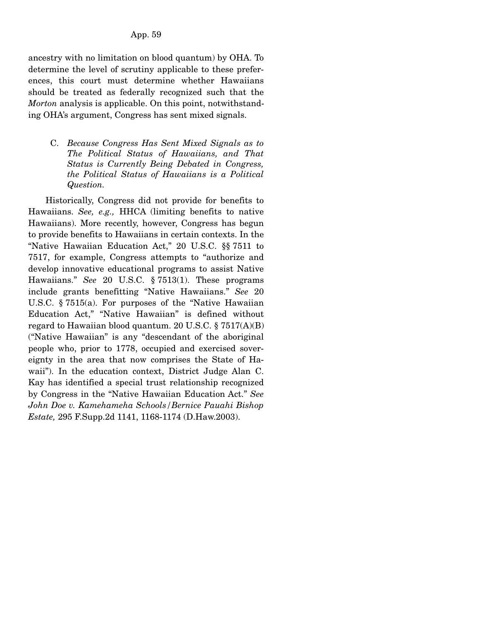### App. 59

ancestry with no limitation on blood quantum) by OHA. To determine the level of scrutiny applicable to these preferences, this court must determine whether Hawaiians should be treated as federally recognized such that the *Morton* analysis is applicable. On this point, notwithstanding OHA's argument, Congress has sent mixed signals.

C. *Because Congress Has Sent Mixed Signals as to The Political Status of Hawaiians, and That Status is Currently Being Debated in Congress, the Political Status of Hawaiians is a Political Question.* 

 Historically, Congress did not provide for benefits to Hawaiians. *See, e.g.,* HHCA (limiting benefits to native Hawaiians). More recently, however, Congress has begun to provide benefits to Hawaiians in certain contexts. In the "Native Hawaiian Education Act," 20 U.S.C. §§ 7511 to 7517, for example, Congress attempts to "authorize and develop innovative educational programs to assist Native Hawaiians." *See* 20 U.S.C. § 7513(1). These programs include grants benefitting "Native Hawaiians." *See* 20 U.S.C. § 7515(a). For purposes of the "Native Hawaiian Education Act," "Native Hawaiian" is defined without regard to Hawaiian blood quantum. 20 U.S.C.  $\S 7517(A)(B)$ ("Native Hawaiian" is any "descendant of the aboriginal people who, prior to 1778, occupied and exercised sovereignty in the area that now comprises the State of Hawaii"). In the education context, District Judge Alan C. Kay has identified a special trust relationship recognized by Congress in the "Native Hawaiian Education Act." *See John Doe v. Kamehameha Schools/Bernice Pauahi Bishop Estate,* 295 F.Supp.2d 1141, 1168-1174 (D.Haw.2003).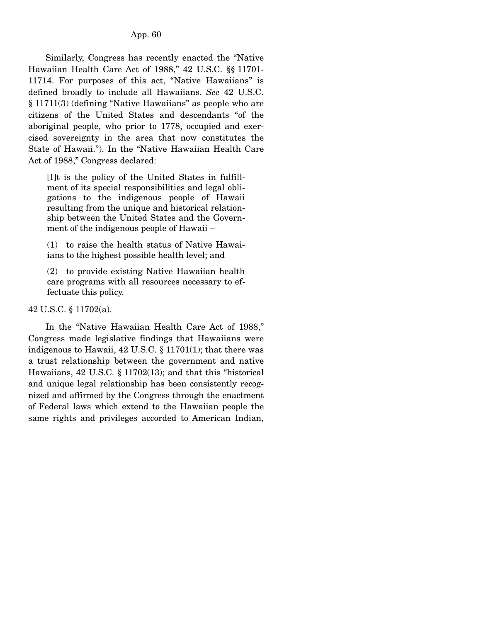Similarly, Congress has recently enacted the "Native Hawaiian Health Care Act of 1988," 42 U.S.C. §§ 11701- 11714. For purposes of this act, "Native Hawaiians" is defined broadly to include all Hawaiians. *See* 42 U.S.C. § 11711(3) (defining "Native Hawaiians" as people who are citizens of the United States and descendants "of the aboriginal people, who prior to 1778, occupied and exercised sovereignty in the area that now constitutes the State of Hawaii."). In the "Native Hawaiian Health Care Act of 1988," Congress declared:

[I]t is the policy of the United States in fulfillment of its special responsibilities and legal obligations to the indigenous people of Hawaii resulting from the unique and historical relationship between the United States and the Government of the indigenous people of Hawaii –

(1) to raise the health status of Native Hawaiians to the highest possible health level; and

(2) to provide existing Native Hawaiian health care programs with all resources necessary to effectuate this policy.

### 42 U.S.C. § 11702(a).

 In the "Native Hawaiian Health Care Act of 1988," Congress made legislative findings that Hawaiians were indigenous to Hawaii, 42 U.S.C. § 11701(1); that there was a trust relationship between the government and native Hawaiians, 42 U.S.C. § 11702(13); and that this "historical and unique legal relationship has been consistently recognized and affirmed by the Congress through the enactment of Federal laws which extend to the Hawaiian people the same rights and privileges accorded to American Indian,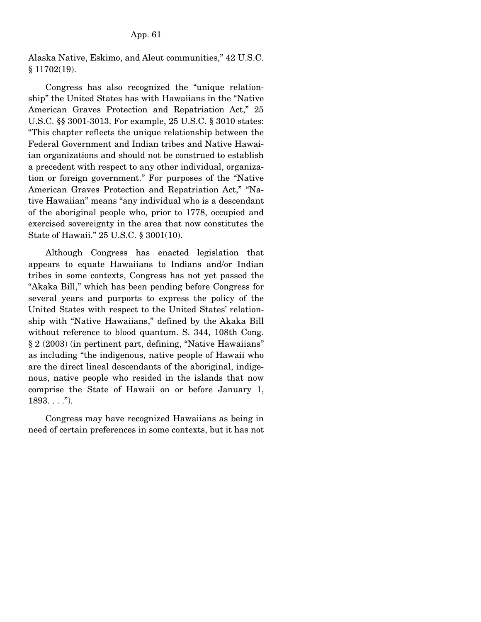Alaska Native, Eskimo, and Aleut communities," 42 U.S.C. § 11702(19).

 Congress has also recognized the "unique relationship" the United States has with Hawaiians in the "Native American Graves Protection and Repatriation Act," 25 U.S.C. §§ 3001-3013. For example, 25 U.S.C. § 3010 states: "This chapter reflects the unique relationship between the Federal Government and Indian tribes and Native Hawaiian organizations and should not be construed to establish a precedent with respect to any other individual, organization or foreign government." For purposes of the "Native American Graves Protection and Repatriation Act," "Native Hawaiian" means "any individual who is a descendant of the aboriginal people who, prior to 1778, occupied and exercised sovereignty in the area that now constitutes the State of Hawaii." 25 U.S.C. § 3001(10).

 Although Congress has enacted legislation that appears to equate Hawaiians to Indians and/or Indian tribes in some contexts, Congress has not yet passed the "Akaka Bill," which has been pending before Congress for several years and purports to express the policy of the United States with respect to the United States' relationship with "Native Hawaiians," defined by the Akaka Bill without reference to blood quantum. S. 344, 108th Cong. § 2 (2003) (in pertinent part, defining, "Native Hawaiians" as including "the indigenous, native people of Hawaii who are the direct lineal descendants of the aboriginal, indigenous, native people who resided in the islands that now comprise the State of Hawaii on or before January 1,  $1893...$ ").

 Congress may have recognized Hawaiians as being in need of certain preferences in some contexts, but it has not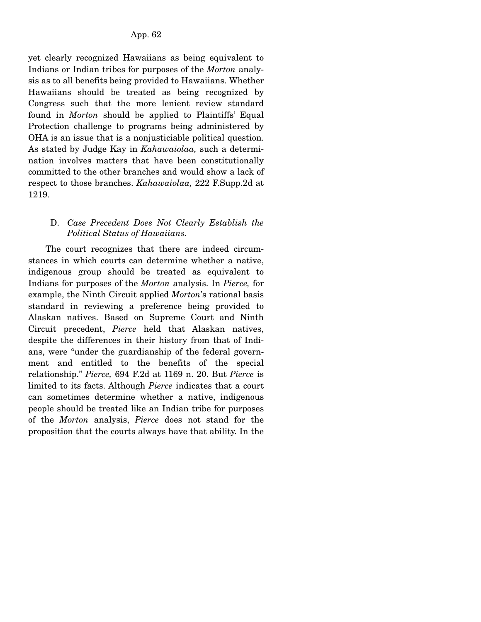yet clearly recognized Hawaiians as being equivalent to Indians or Indian tribes for purposes of the *Morton* analysis as to all benefits being provided to Hawaiians. Whether Hawaiians should be treated as being recognized by Congress such that the more lenient review standard found in *Morton* should be applied to Plaintiffs' Equal Protection challenge to programs being administered by OHA is an issue that is a nonjusticiable political question. As stated by Judge Kay in *Kahawaiolaa,* such a determination involves matters that have been constitutionally committed to the other branches and would show a lack of respect to those branches. *Kahawaiolaa,* 222 F.Supp.2d at 1219.

## D. *Case Precedent Does Not Clearly Establish the Political Status of Hawaiians.*

 The court recognizes that there are indeed circumstances in which courts can determine whether a native, indigenous group should be treated as equivalent to Indians for purposes of the *Morton* analysis. In *Pierce,* for example, the Ninth Circuit applied *Morton*'s rational basis standard in reviewing a preference being provided to Alaskan natives. Based on Supreme Court and Ninth Circuit precedent, *Pierce* held that Alaskan natives, despite the differences in their history from that of Indians, were "under the guardianship of the federal government and entitled to the benefits of the special relationship." *Pierce,* 694 F.2d at 1169 n. 20. But *Pierce* is limited to its facts. Although *Pierce* indicates that a court can sometimes determine whether a native, indigenous people should be treated like an Indian tribe for purposes of the *Morton* analysis, *Pierce* does not stand for the proposition that the courts always have that ability. In the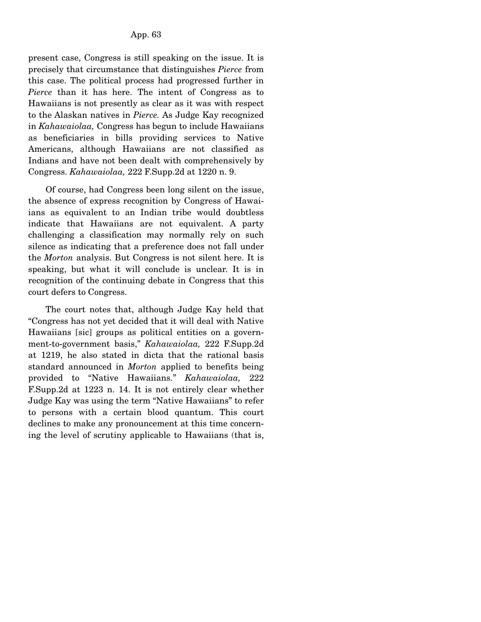present case, Congress is still speaking on the issue. It is precisely that circumstance that distinguishes *Pierce* from this case. The political process had progressed further in *Pierce* than it has here. The intent of Congress as to Hawaiians is not presently as clear as it was with respect to the Alaskan natives in *Pierce.* As Judge Kay recognized in *Kahawaiolaa,* Congress has begun to include Hawaiians as beneficiaries in bills providing services to Native Americans, although Hawaiians are not classified as Indians and have not been dealt with comprehensively by Congress. *Kahawaiolaa,* 222 F.Supp.2d at 1220 n. 9.

 Of course, had Congress been long silent on the issue, the absence of express recognition by Congress of Hawaiians as equivalent to an Indian tribe would doubtless indicate that Hawaiians are not equivalent. A party challenging a classification may normally rely on such silence as indicating that a preference does not fall under the *Morton* analysis. But Congress is not silent here. It is speaking, but what it will conclude is unclear. It is in recognition of the continuing debate in Congress that this court defers to Congress.

 The court notes that, although Judge Kay held that "Congress has not yet decided that it will deal with Native Hawaiians [sic] groups as political entities on a government-to-government basis," *Kahawaiolaa,* 222 F.Supp.2d at 1219, he also stated in dicta that the rational basis standard announced in *Morton* applied to benefits being provided to "Native Hawaiians." *Kahawaiolaa,* 222 F.Supp.2d at 1223 n. 14. It is not entirely clear whether Judge Kay was using the term "Native Hawaiians" to refer to persons with a certain blood quantum. This court declines to make any pronouncement at this time concerning the level of scrutiny applicable to Hawaiians (that is,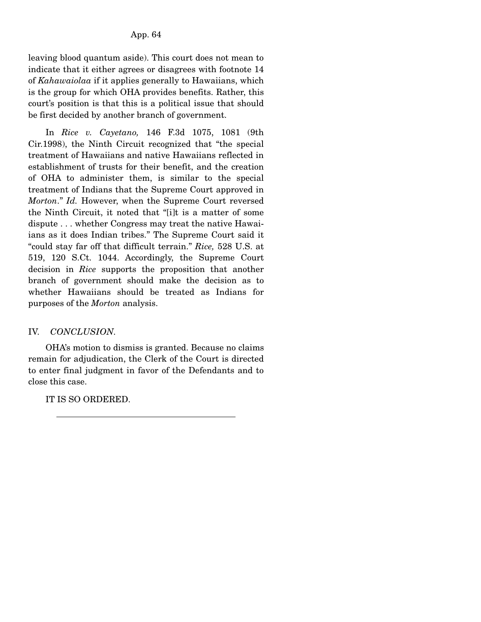leaving blood quantum aside). This court does not mean to indicate that it either agrees or disagrees with footnote 14 of *Kahawaiolaa* if it applies generally to Hawaiians, which is the group for which OHA provides benefits. Rather, this court's position is that this is a political issue that should be first decided by another branch of government.

 In *Rice v. Cayetano,* 146 F.3d 1075, 1081 (9th Cir.1998), the Ninth Circuit recognized that "the special treatment of Hawaiians and native Hawaiians reflected in establishment of trusts for their benefit, and the creation of OHA to administer them, is similar to the special treatment of Indians that the Supreme Court approved in *Morton*." *Id.* However, when the Supreme Court reversed the Ninth Circuit, it noted that "[i]t is a matter of some dispute . . . whether Congress may treat the native Hawaiians as it does Indian tribes." The Supreme Court said it "could stay far off that difficult terrain." *Rice,* 528 U.S. at 519, 120 S.Ct. 1044. Accordingly, the Supreme Court decision in *Rice* supports the proposition that another branch of government should make the decision as to whether Hawaiians should be treated as Indians for purposes of the *Morton* analysis.

# IV. *CONCLUSION.*

 OHA's motion to dismiss is granted. Because no claims remain for adjudication, the Clerk of the Court is directed to enter final judgment in favor of the Defendants and to close this case.

IT IS SO ORDERED.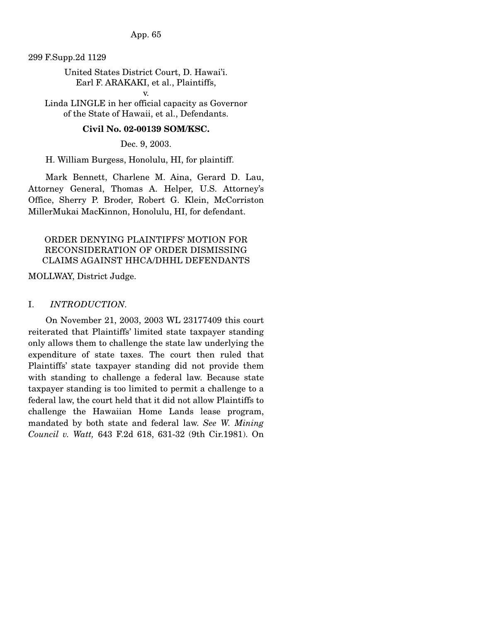App. 65

299 F.Supp.2d 1129

United States District Court, D. Hawai'i. Earl F. ARAKAKI, et al., Plaintiffs,

v. Linda LINGLE in her official capacity as Governor of the State of Hawaii, et al., Defendants.

### **Civil No. 02-00139 SOM/KSC.**

Dec. 9, 2003.

H. William Burgess, Honolulu, HI, for plaintiff.

 Mark Bennett, Charlene M. Aina, Gerard D. Lau, Attorney General, Thomas A. Helper, U.S. Attorney's Office, Sherry P. Broder, Robert G. Klein, McCorriston MillerMukai MacKinnon, Honolulu, HI, for defendant.

## ORDER DENYING PLAINTIFFS' MOTION FOR RECONSIDERATION OF ORDER DISMISSING CLAIMS AGAINST HHCA/DHHL DEFENDANTS

MOLLWAY, District Judge.

### I. *INTRODUCTION.*

On November 21, 2003, 2003 WL 23177409 this court reiterated that Plaintiffs' limited state taxpayer standing only allows them to challenge the state law underlying the expenditure of state taxes. The court then ruled that Plaintiffs' state taxpayer standing did not provide them with standing to challenge a federal law. Because state taxpayer standing is too limited to permit a challenge to a federal law, the court held that it did not allow Plaintiffs to challenge the Hawaiian Home Lands lease program, mandated by both state and federal law. *See W. Mining Council v. Watt,* 643 F.2d 618, 631-32 (9th Cir.1981). On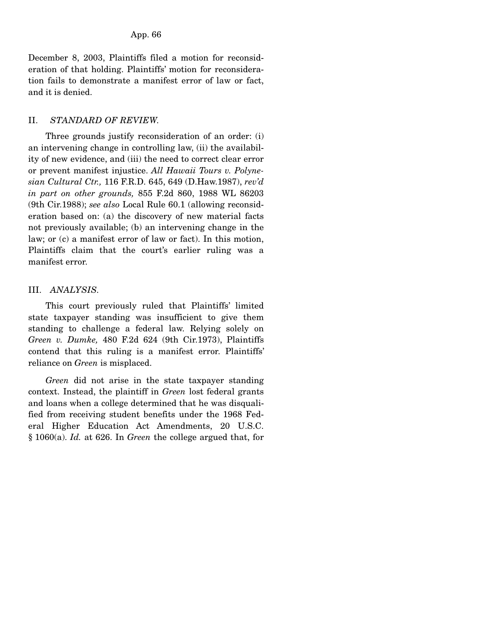December 8, 2003, Plaintiffs filed a motion for reconsideration of that holding. Plaintiffs' motion for reconsideration fails to demonstrate a manifest error of law or fact, and it is denied.

## II. *STANDARD OF REVIEW.*

 Three grounds justify reconsideration of an order: (i) an intervening change in controlling law, (ii) the availability of new evidence, and (iii) the need to correct clear error or prevent manifest injustice. *All Hawaii Tours v. Polynesian Cultural Ctr.,* 116 F.R.D. 645, 649 (D.Haw.1987), *rev'd in part on other grounds,* 855 F.2d 860, 1988 WL 86203 (9th Cir.1988); *see also* Local Rule 60.1 (allowing reconsideration based on: (a) the discovery of new material facts not previously available; (b) an intervening change in the law; or (c) a manifest error of law or fact). In this motion, Plaintiffs claim that the court's earlier ruling was a manifest error.

# III. *ANALYSIS.*

 This court previously ruled that Plaintiffs' limited state taxpayer standing was insufficient to give them standing to challenge a federal law. Relying solely on *Green v. Dumke,* 480 F.2d 624 (9th Cir.1973), Plaintiffs contend that this ruling is a manifest error. Plaintiffs' reliance on *Green* is misplaced.

 *Green* did not arise in the state taxpayer standing context. Instead, the plaintiff in *Green* lost federal grants and loans when a college determined that he was disqualified from receiving student benefits under the 1968 Federal Higher Education Act Amendments, 20 U.S.C. § 1060(a). *Id.* at 626. In *Green* the college argued that, for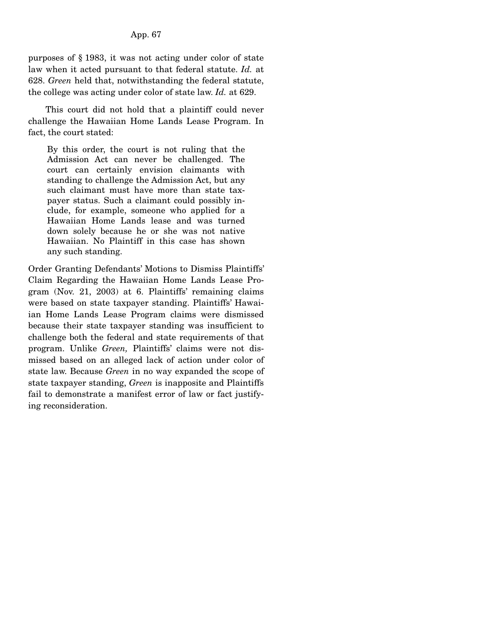purposes of § 1983, it was not acting under color of state law when it acted pursuant to that federal statute. *Id.* at 628. *Green* held that, notwithstanding the federal statute, the college was acting under color of state law. *Id.* at 629.

 This court did not hold that a plaintiff could never challenge the Hawaiian Home Lands Lease Program. In fact, the court stated:

By this order, the court is not ruling that the Admission Act can never be challenged. The court can certainly envision claimants with standing to challenge the Admission Act, but any such claimant must have more than state taxpayer status. Such a claimant could possibly include, for example, someone who applied for a Hawaiian Home Lands lease and was turned down solely because he or she was not native Hawaiian. No Plaintiff in this case has shown any such standing.

Order Granting Defendants' Motions to Dismiss Plaintiffs' Claim Regarding the Hawaiian Home Lands Lease Program (Nov. 21, 2003) at 6. Plaintiffs' remaining claims were based on state taxpayer standing. Plaintiffs' Hawaiian Home Lands Lease Program claims were dismissed because their state taxpayer standing was insufficient to challenge both the federal and state requirements of that program. Unlike *Green,* Plaintiffs' claims were not dismissed based on an alleged lack of action under color of state law. Because *Green* in no way expanded the scope of state taxpayer standing, *Green* is inapposite and Plaintiffs fail to demonstrate a manifest error of law or fact justifying reconsideration.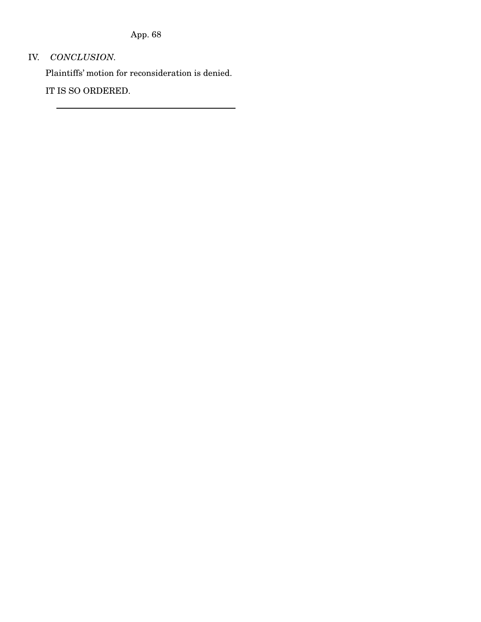App. 68

# IV. *CONCLUSION.*

Plaintiffs' motion for reconsideration is denied.

IT IS SO ORDERED.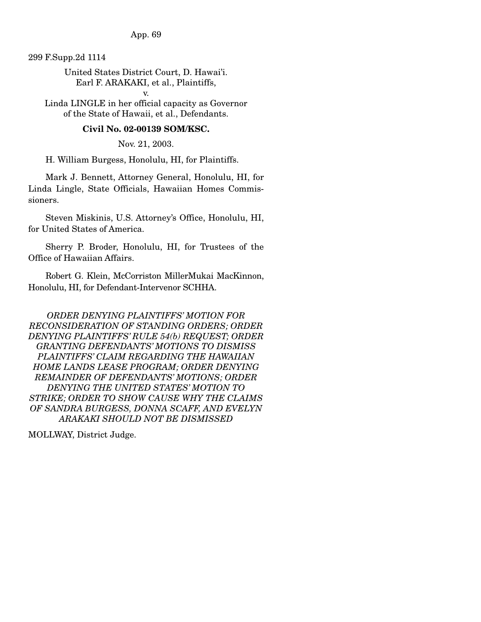App. 69

299 F.Supp.2d 1114

United States District Court, D. Hawai'i. Earl F. ARAKAKI, et al., Plaintiffs,

v. Linda LINGLE in her official capacity as Governor of the State of Hawaii, et al., Defendants.

### **Civil No. 02-00139 SOM/KSC.**

Nov. 21, 2003.

H. William Burgess, Honolulu, HI, for Plaintiffs.

 Mark J. Bennett, Attorney General, Honolulu, HI, for Linda Lingle, State Officials, Hawaiian Homes Commissioners.

 Steven Miskinis, U.S. Attorney's Office, Honolulu, HI, for United States of America.

 Sherry P. Broder, Honolulu, HI, for Trustees of the Office of Hawaiian Affairs.

 Robert G. Klein, McCorriston MillerMukai MacKinnon, Honolulu, HI, for Defendant-Intervenor SCHHA.

*ORDER DENYING PLAINTIFFS' MOTION FOR RECONSIDERATION OF STANDING ORDERS; ORDER DENYING PLAINTIFFS' RULE 54(b) REQUEST; ORDER GRANTING DEFENDANTS' MOTIONS TO DISMISS PLAINTIFFS' CLAIM REGARDING THE HAWAIIAN HOME LANDS LEASE PROGRAM; ORDER DENYING REMAINDER OF DEFENDANTS' MOTIONS; ORDER DENYING THE UNITED STATES' MOTION TO STRIKE; ORDER TO SHOW CAUSE WHY THE CLAIMS OF SANDRA BURGESS, DONNA SCAFF, AND EVELYN ARAKAKI SHOULD NOT BE DISMISSED* 

MOLLWAY, District Judge.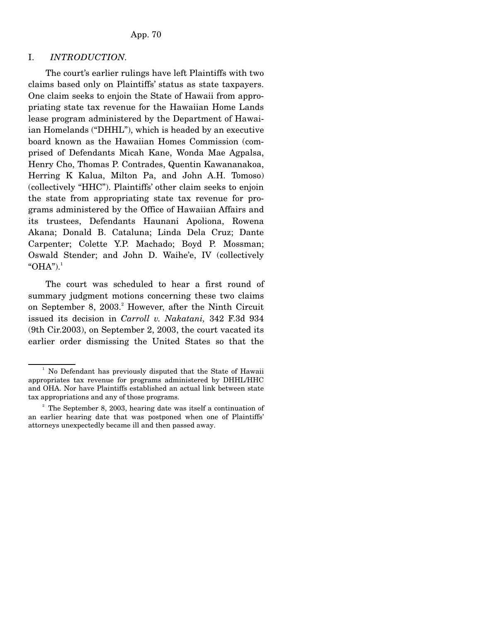#### I. *INTRODUCTION.*

 The court's earlier rulings have left Plaintiffs with two claims based only on Plaintiffs' status as state taxpayers. One claim seeks to enjoin the State of Hawaii from appropriating state tax revenue for the Hawaiian Home Lands lease program administered by the Department of Hawaiian Homelands ("DHHL"), which is headed by an executive board known as the Hawaiian Homes Commission (comprised of Defendants Micah Kane, Wonda Mae Agpalsa, Henry Cho, Thomas P. Contrades, Quentin Kawananakoa, Herring K Kalua, Milton Pa, and John A.H. Tomoso) (collectively "HHC"). Plaintiffs' other claim seeks to enjoin the state from appropriating state tax revenue for programs administered by the Office of Hawaiian Affairs and its trustees, Defendants Haunani Apoliona, Rowena Akana; Donald B. Cataluna; Linda Dela Cruz; Dante Carpenter; Colette Y.P. Machado; Boyd P. Mossman; Oswald Stender; and John D. Waihe'e, IV (collectively " $OHA$ ").<sup>1</sup>

 The court was scheduled to hear a first round of summary judgment motions concerning these two claims on September 8, 2003.<sup>2</sup> However, after the Ninth Circuit issued its decision in *Carroll v. Nakatani,* 342 F.3d 934 (9th Cir.2003), on September 2, 2003, the court vacated its earlier order dismissing the United States so that the

 $\frac{1}{2}$  No Defendant has previously disputed that the State of Hawaii appropriates tax revenue for programs administered by DHHL/HHC and OHA. Nor have Plaintiffs established an actual link between state tax appropriations and any of those programs.

<sup>&</sup>lt;sup>2</sup> The September 8, 2003, hearing date was itself a continuation of an earlier hearing date that was postponed when one of Plaintiffs' attorneys unexpectedly became ill and then passed away.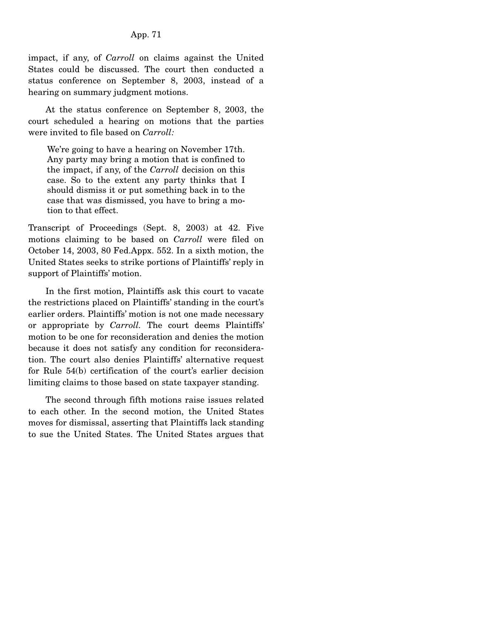### App. 71

impact, if any, of *Carroll* on claims against the United States could be discussed. The court then conducted a status conference on September 8, 2003, instead of a hearing on summary judgment motions.

 At the status conference on September 8, 2003, the court scheduled a hearing on motions that the parties were invited to file based on *Carroll:*

We're going to have a hearing on November 17th. Any party may bring a motion that is confined to the impact, if any, of the *Carroll* decision on this case. So to the extent any party thinks that I should dismiss it or put something back in to the case that was dismissed, you have to bring a motion to that effect.

Transcript of Proceedings (Sept. 8, 2003) at 42. Five motions claiming to be based on *Carroll* were filed on October 14, 2003, 80 Fed.Appx. 552. In a sixth motion, the United States seeks to strike portions of Plaintiffs' reply in support of Plaintiffs' motion.

 In the first motion, Plaintiffs ask this court to vacate the restrictions placed on Plaintiffs' standing in the court's earlier orders. Plaintiffs' motion is not one made necessary or appropriate by *Carroll.* The court deems Plaintiffs' motion to be one for reconsideration and denies the motion because it does not satisfy any condition for reconsideration. The court also denies Plaintiffs' alternative request for Rule 54(b) certification of the court's earlier decision limiting claims to those based on state taxpayer standing.

 The second through fifth motions raise issues related to each other. In the second motion, the United States moves for dismissal, asserting that Plaintiffs lack standing to sue the United States. The United States argues that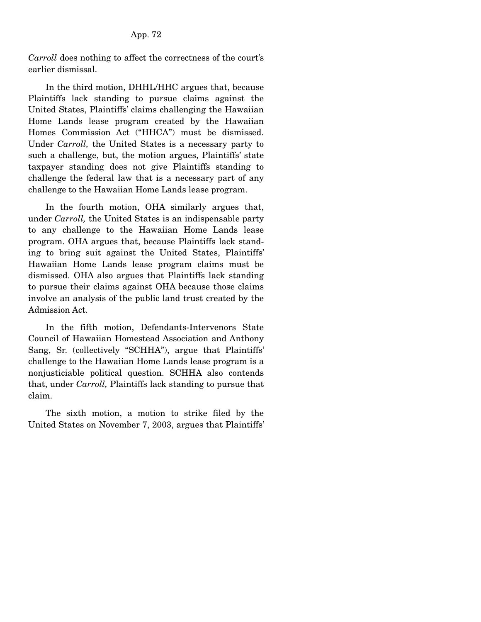*Carroll* does nothing to affect the correctness of the court's earlier dismissal.

 In the third motion, DHHL/HHC argues that, because Plaintiffs lack standing to pursue claims against the United States, Plaintiffs' claims challenging the Hawaiian Home Lands lease program created by the Hawaiian Homes Commission Act ("HHCA") must be dismissed. Under *Carroll,* the United States is a necessary party to such a challenge, but, the motion argues, Plaintiffs' state taxpayer standing does not give Plaintiffs standing to challenge the federal law that is a necessary part of any challenge to the Hawaiian Home Lands lease program.

 In the fourth motion, OHA similarly argues that, under *Carroll,* the United States is an indispensable party to any challenge to the Hawaiian Home Lands lease program. OHA argues that, because Plaintiffs lack standing to bring suit against the United States, Plaintiffs' Hawaiian Home Lands lease program claims must be dismissed. OHA also argues that Plaintiffs lack standing to pursue their claims against OHA because those claims involve an analysis of the public land trust created by the Admission Act.

 In the fifth motion, Defendants-Intervenors State Council of Hawaiian Homestead Association and Anthony Sang, Sr. (collectively "SCHHA"), argue that Plaintiffs' challenge to the Hawaiian Home Lands lease program is a nonjusticiable political question. SCHHA also contends that, under *Carroll,* Plaintiffs lack standing to pursue that claim.

 The sixth motion, a motion to strike filed by the United States on November 7, 2003, argues that Plaintiffs'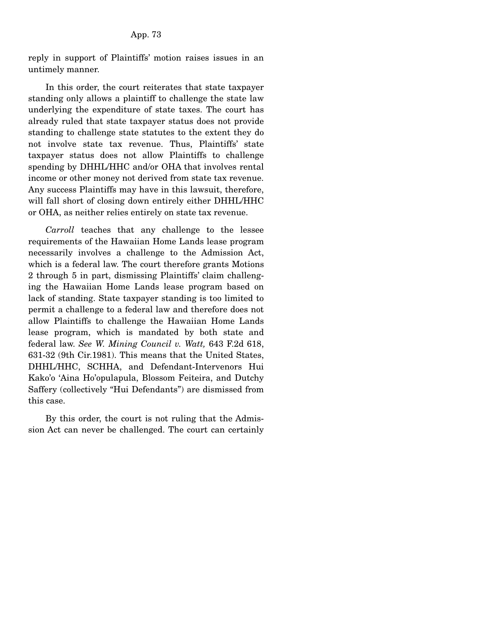reply in support of Plaintiffs' motion raises issues in an untimely manner.

 In this order, the court reiterates that state taxpayer standing only allows a plaintiff to challenge the state law underlying the expenditure of state taxes. The court has already ruled that state taxpayer status does not provide standing to challenge state statutes to the extent they do not involve state tax revenue. Thus, Plaintiffs' state taxpayer status does not allow Plaintiffs to challenge spending by DHHL/HHC and/or OHA that involves rental income or other money not derived from state tax revenue. Any success Plaintiffs may have in this lawsuit, therefore, will fall short of closing down entirely either DHHL/HHC or OHA, as neither relies entirely on state tax revenue.

 *Carroll* teaches that any challenge to the lessee requirements of the Hawaiian Home Lands lease program necessarily involves a challenge to the Admission Act, which is a federal law. The court therefore grants Motions 2 through 5 in part, dismissing Plaintiffs' claim challenging the Hawaiian Home Lands lease program based on lack of standing. State taxpayer standing is too limited to permit a challenge to a federal law and therefore does not allow Plaintiffs to challenge the Hawaiian Home Lands lease program, which is mandated by both state and federal law. *See W. Mining Council v. Watt,* 643 F.2d 618, 631-32 (9th Cir.1981). This means that the United States, DHHL/HHC, SCHHA, and Defendant-Intervenors Hui Kako'o 'Aina Ho'opulapula, Blossom Feiteira, and Dutchy Saffery (collectively "Hui Defendants") are dismissed from this case.

 By this order, the court is not ruling that the Admission Act can never be challenged. The court can certainly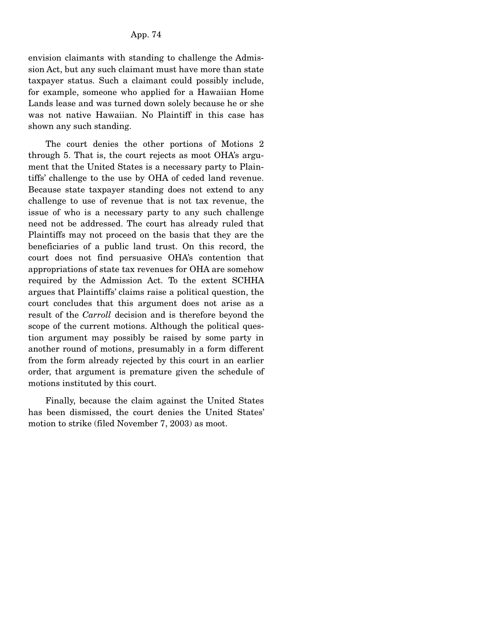envision claimants with standing to challenge the Admission Act, but any such claimant must have more than state taxpayer status. Such a claimant could possibly include, for example, someone who applied for a Hawaiian Home Lands lease and was turned down solely because he or she was not native Hawaiian. No Plaintiff in this case has shown any such standing.

 The court denies the other portions of Motions 2 through 5. That is, the court rejects as moot OHA's argument that the United States is a necessary party to Plaintiffs' challenge to the use by OHA of ceded land revenue. Because state taxpayer standing does not extend to any challenge to use of revenue that is not tax revenue, the issue of who is a necessary party to any such challenge need not be addressed. The court has already ruled that Plaintiffs may not proceed on the basis that they are the beneficiaries of a public land trust. On this record, the court does not find persuasive OHA's contention that appropriations of state tax revenues for OHA are somehow required by the Admission Act. To the extent SCHHA argues that Plaintiffs' claims raise a political question, the court concludes that this argument does not arise as a result of the *Carroll* decision and is therefore beyond the scope of the current motions. Although the political question argument may possibly be raised by some party in another round of motions, presumably in a form different from the form already rejected by this court in an earlier order, that argument is premature given the schedule of motions instituted by this court.

 Finally, because the claim against the United States has been dismissed, the court denies the United States' motion to strike (filed November 7, 2003) as moot.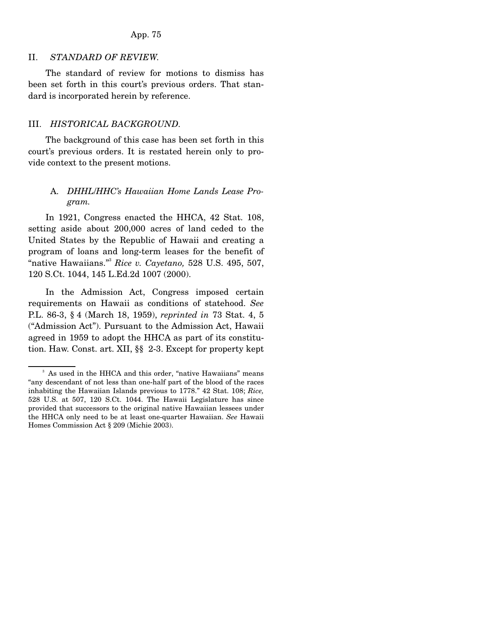### II. *STANDARD OF REVIEW.*

 The standard of review for motions to dismiss has been set forth in this court's previous orders. That standard is incorporated herein by reference.

#### III. *HISTORICAL BACKGROUND.*

 The background of this case has been set forth in this court's previous orders. It is restated herein only to provide context to the present motions.

## A. *DHHL*/*HHC's Hawaiian Home Lands Lease Program.*

 In 1921, Congress enacted the HHCA, 42 Stat. 108, setting aside about 200,000 acres of land ceded to the United States by the Republic of Hawaii and creating a program of loans and long-term leases for the benefit of "native Hawaiians."3 *Rice v. Cayetano,* 528 U.S. 495, 507, 120 S.Ct. 1044, 145 L.Ed.2d 1007 (2000).

 In the Admission Act, Congress imposed certain requirements on Hawaii as conditions of statehood. *See* P.L. 86-3, § 4 (March 18, 1959), *reprinted in* 73 Stat. 4, 5 ("Admission Act"). Pursuant to the Admission Act, Hawaii agreed in 1959 to adopt the HHCA as part of its constitution. Haw. Const. art. XII, §§ 2-3. Except for property kept

<sup>3</sup> As used in the HHCA and this order, "native Hawaiians" means "any descendant of not less than one-half part of the blood of the races inhabiting the Hawaiian Islands previous to 1778." 42 Stat. 108; *Rice,* 528 U.S. at 507, 120 S.Ct. 1044. The Hawaii Legislature has since provided that successors to the original native Hawaiian lessees under the HHCA only need to be at least one-quarter Hawaiian. *See* Hawaii Homes Commission Act § 209 (Michie 2003).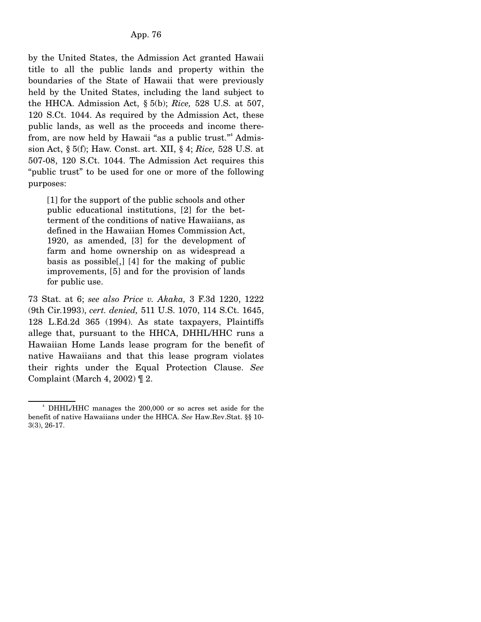by the United States, the Admission Act granted Hawaii title to all the public lands and property within the boundaries of the State of Hawaii that were previously held by the United States, including the land subject to the HHCA. Admission Act, § 5(b); *Rice,* 528 U.S. at 507, 120 S.Ct. 1044. As required by the Admission Act, these public lands, as well as the proceeds and income therefrom, are now held by Hawaii "as a public trust."<sup>4</sup> Admission Act, § 5(f); Haw. Const. art. XII, § 4; *Rice,* 528 U.S. at 507-08, 120 S.Ct. 1044. The Admission Act requires this "public trust" to be used for one or more of the following purposes:

[1] for the support of the public schools and other public educational institutions, [2] for the betterment of the conditions of native Hawaiians, as defined in the Hawaiian Homes Commission Act, 1920, as amended, [3] for the development of farm and home ownership on as widespread a basis as possible[,] [4] for the making of public improvements, [5] and for the provision of lands for public use.

73 Stat. at 6; *see also Price v. Akaka,* 3 F.3d 1220, 1222 (9th Cir.1993), *cert. denied,* 511 U.S. 1070, 114 S.Ct. 1645, 128 L.Ed.2d 365 (1994). As state taxpayers, Plaintiffs allege that, pursuant to the HHCA, DHHL/HHC runs a Hawaiian Home Lands lease program for the benefit of native Hawaiians and that this lease program violates their rights under the Equal Protection Clause. *See* Complaint (March 4, 2002)  $\P$  2.

<sup>4</sup> DHHL/HHC manages the 200,000 or so acres set aside for the benefit of native Hawaiians under the HHCA. *See* Haw.Rev.Stat. §§ 10- 3(3), 26-17.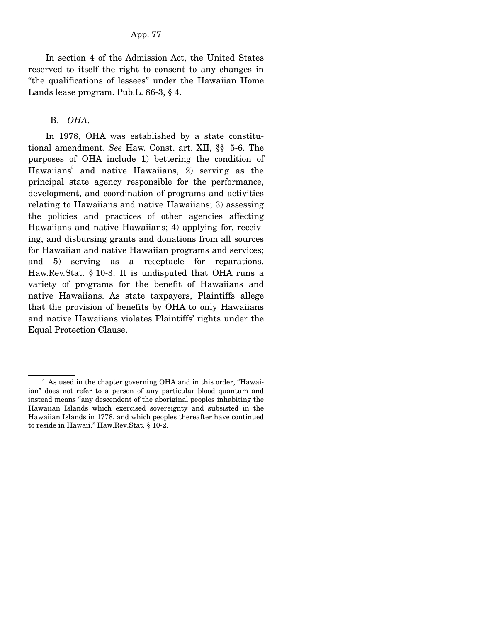In section 4 of the Admission Act, the United States reserved to itself the right to consent to any changes in "the qualifications of lessees" under the Hawaiian Home Lands lease program. Pub.L. 86-3, § 4.

## B. *OHA.*

 In 1978, OHA was established by a state constitutional amendment. *See* Haw. Const. art. XII, §§ 5-6. The purposes of OHA include 1) bettering the condition of Hawaiians<sup>5</sup> and native Hawaiians, 2) serving as the principal state agency responsible for the performance, development, and coordination of programs and activities relating to Hawaiians and native Hawaiians; 3) assessing the policies and practices of other agencies affecting Hawaiians and native Hawaiians; 4) applying for, receiving, and disbursing grants and donations from all sources for Hawaiian and native Hawaiian programs and services; and 5) serving as a receptacle for reparations. Haw.Rev.Stat. § 10-3. It is undisputed that OHA runs a variety of programs for the benefit of Hawaiians and native Hawaiians. As state taxpayers, Plaintiffs allege that the provision of benefits by OHA to only Hawaiians and native Hawaiians violates Plaintiffs' rights under the Equal Protection Clause.

<sup>&</sup>lt;sup>5</sup> As used in the chapter governing OHA and in this order, "Hawaiian" does not refer to a person of any particular blood quantum and instead means "any descendent of the aboriginal peoples inhabiting the Hawaiian Islands which exercised sovereignty and subsisted in the Hawaiian Islands in 1778, and which peoples thereafter have continued to reside in Hawaii." Haw.Rev.Stat. § 10-2.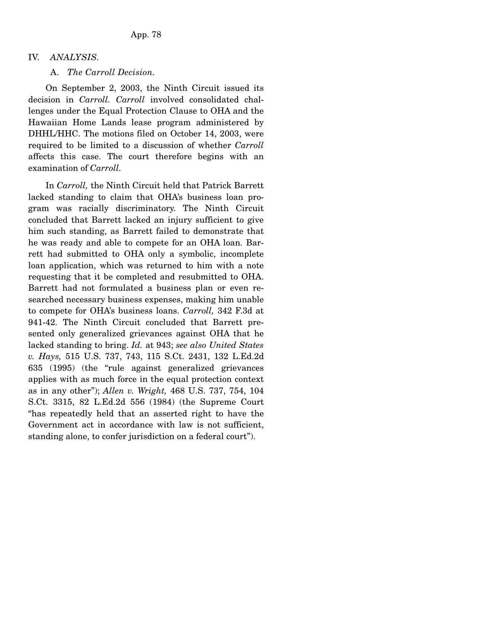## IV. *ANALYSIS.*

#### A. *The Carroll Decision.*

 On September 2, 2003, the Ninth Circuit issued its decision in *Carroll. Carroll* involved consolidated challenges under the Equal Protection Clause to OHA and the Hawaiian Home Lands lease program administered by DHHL/HHC. The motions filed on October 14, 2003, were required to be limited to a discussion of whether *Carroll* affects this case. The court therefore begins with an examination of *Carroll.*

 In *Carroll,* the Ninth Circuit held that Patrick Barrett lacked standing to claim that OHA's business loan program was racially discriminatory. The Ninth Circuit concluded that Barrett lacked an injury sufficient to give him such standing, as Barrett failed to demonstrate that he was ready and able to compete for an OHA loan. Barrett had submitted to OHA only a symbolic, incomplete loan application, which was returned to him with a note requesting that it be completed and resubmitted to OHA. Barrett had not formulated a business plan or even researched necessary business expenses, making him unable to compete for OHA's business loans. *Carroll,* 342 F.3d at 941-42. The Ninth Circuit concluded that Barrett presented only generalized grievances against OHA that he lacked standing to bring. *Id.* at 943; *see also United States v. Hays,* 515 U.S. 737, 743, 115 S.Ct. 2431, 132 L.Ed.2d 635 (1995) (the "rule against generalized grievances applies with as much force in the equal protection context as in any other"); *Allen v. Wright,* 468 U.S. 737, 754, 104 S.Ct. 3315, 82 L.Ed.2d 556 (1984) (the Supreme Court "has repeatedly held that an asserted right to have the Government act in accordance with law is not sufficient, standing alone, to confer jurisdiction on a federal court").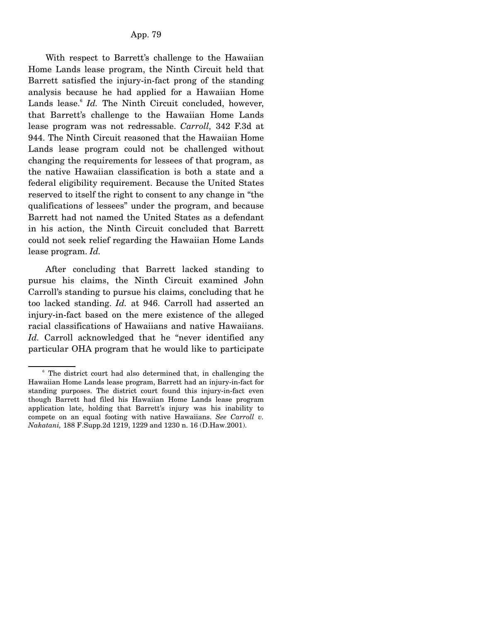With respect to Barrett's challenge to the Hawaiian Home Lands lease program, the Ninth Circuit held that Barrett satisfied the injury-in-fact prong of the standing analysis because he had applied for a Hawaiian Home Lands lease.<sup>6</sup> Id. The Ninth Circuit concluded, however, that Barrett's challenge to the Hawaiian Home Lands lease program was not redressable. *Carroll,* 342 F.3d at 944. The Ninth Circuit reasoned that the Hawaiian Home Lands lease program could not be challenged without changing the requirements for lessees of that program, as the native Hawaiian classification is both a state and a federal eligibility requirement. Because the United States reserved to itself the right to consent to any change in "the qualifications of lessees" under the program, and because Barrett had not named the United States as a defendant in his action, the Ninth Circuit concluded that Barrett could not seek relief regarding the Hawaiian Home Lands lease program. *Id.*

 After concluding that Barrett lacked standing to pursue his claims, the Ninth Circuit examined John Carroll's standing to pursue his claims, concluding that he too lacked standing. *Id.* at 946. Carroll had asserted an injury-in-fact based on the mere existence of the alleged racial classifications of Hawaiians and native Hawaiians. *Id.* Carroll acknowledged that he "never identified any particular OHA program that he would like to participate

<sup>&</sup>lt;sup>6</sup> The district court had also determined that, in challenging the Hawaiian Home Lands lease program, Barrett had an injury-in-fact for standing purposes. The district court found this injury-in-fact even though Barrett had filed his Hawaiian Home Lands lease program application late, holding that Barrett's injury was his inability to compete on an equal footing with native Hawaiians. *See Carroll v. Nakatani,* 188 F.Supp.2d 1219, 1229 and 1230 n. 16 (D.Haw.2001).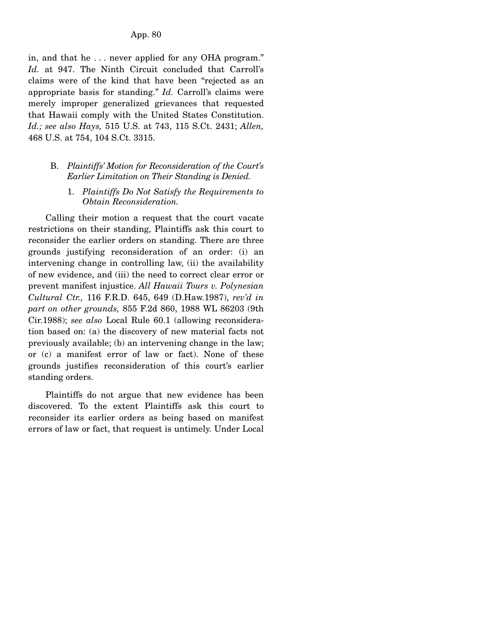in, and that he . . . never applied for any OHA program." *Id.* at 947. The Ninth Circuit concluded that Carroll's claims were of the kind that have been "rejected as an appropriate basis for standing." *Id.* Carroll's claims were merely improper generalized grievances that requested that Hawaii comply with the United States Constitution. *Id.; see also Hays,* 515 U.S. at 743, 115 S.Ct. 2431; *Allen,* 468 U.S. at 754, 104 S.Ct. 3315.

- B. *Plaintiffs' Motion for Reconsideration of the Court's Earlier Limitation on Their Standing is Denied.* 
	- 1. *Plaintiffs Do Not Satisfy the Requirements to Obtain Reconsideration.*

 Calling their motion a request that the court vacate restrictions on their standing, Plaintiffs ask this court to reconsider the earlier orders on standing. There are three grounds justifying reconsideration of an order: (i) an intervening change in controlling law, (ii) the availability of new evidence, and (iii) the need to correct clear error or prevent manifest injustice. *All Hawaii Tours v. Polynesian Cultural Ctr.,* 116 F.R.D. 645, 649 (D.Haw.1987), *rev'd in part on other grounds,* 855 F.2d 860, 1988 WL 86203 (9th Cir.1988); *see also* Local Rule 60.1 (allowing reconsideration based on: (a) the discovery of new material facts not previously available; (b) an intervening change in the law; or (c) a manifest error of law or fact). None of these grounds justifies reconsideration of this court's earlier standing orders.

 Plaintiffs do not argue that new evidence has been discovered. To the extent Plaintiffs ask this court to reconsider its earlier orders as being based on manifest errors of law or fact, that request is untimely. Under Local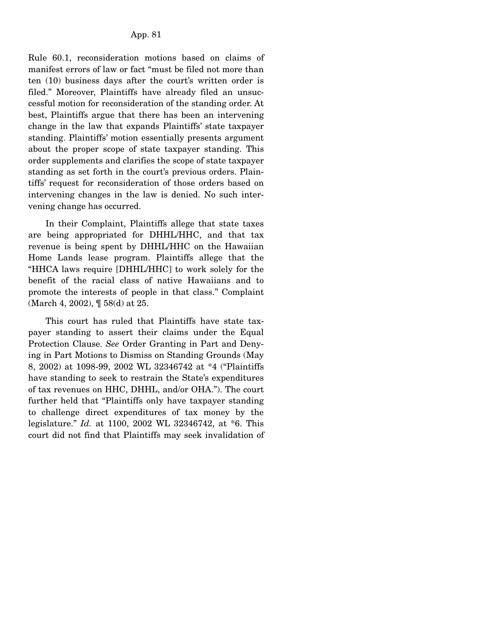Rule 60.1, reconsideration motions based on claims of manifest errors of law or fact "must be filed not more than ten (10) business days after the court's written order is filed." Moreover, Plaintiffs have already filed an unsuccessful motion for reconsideration of the standing order. At best, Plaintiffs argue that there has been an intervening change in the law that expands Plaintiffs' state taxpayer standing. Plaintiffs' motion essentially presents argument about the proper scope of state taxpayer standing. This order supplements and clarifies the scope of state taxpayer standing as set forth in the court's previous orders. Plaintiffs' request for reconsideration of those orders based on intervening changes in the law is denied. No such intervening change has occurred.

 In their Complaint, Plaintiffs allege that state taxes are being appropriated for DHHL/HHC, and that tax revenue is being spent by DHHL/HHC on the Hawaiian Home Lands lease program. Plaintiffs allege that the "HHCA laws require [DHHL/HHC] to work solely for the benefit of the racial class of native Hawaiians and to promote the interests of people in that class." Complaint (March 4, 2002), ¶ 58(d) at 25.

 This court has ruled that Plaintiffs have state taxpayer standing to assert their claims under the Equal Protection Clause. *See* Order Granting in Part and Denying in Part Motions to Dismiss on Standing Grounds (May 8, 2002) at 1098-99, 2002 WL 32346742 at \*4 ("Plaintiffs have standing to seek to restrain the State's expenditures of tax revenues on HHC, DHHL, and/or OHA."). The court further held that "Plaintiffs only have taxpayer standing to challenge direct expenditures of tax money by the legislature." *Id.* at 1100, 2002 WL 32346742, at \*6. This court did not find that Plaintiffs may seek invalidation of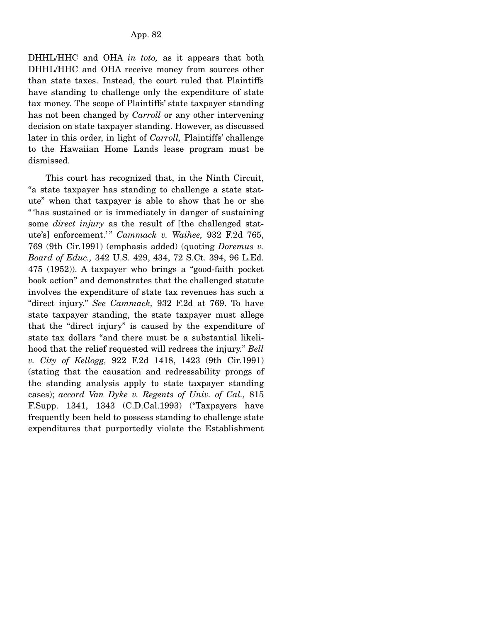DHHL/HHC and OHA *in toto,* as it appears that both DHHL/HHC and OHA receive money from sources other than state taxes. Instead, the court ruled that Plaintiffs have standing to challenge only the expenditure of state tax money. The scope of Plaintiffs' state taxpayer standing has not been changed by *Carroll* or any other intervening decision on state taxpayer standing. However, as discussed later in this order, in light of *Carroll,* Plaintiffs' challenge to the Hawaiian Home Lands lease program must be dismissed.

 This court has recognized that, in the Ninth Circuit, "a state taxpayer has standing to challenge a state statute" when that taxpayer is able to show that he or she " 'has sustained or is immediately in danger of sustaining some *direct injury* as the result of [the challenged statute's] enforcement.'" Cammack v. Waihee, 932 F.2d 765, 769 (9th Cir.1991) (emphasis added) (quoting *Doremus v. Board of Educ.,* 342 U.S. 429, 434, 72 S.Ct. 394, 96 L.Ed. 475 (1952)). A taxpayer who brings a "good-faith pocket book action" and demonstrates that the challenged statute involves the expenditure of state tax revenues has such a "direct injury." *See Cammack,* 932 F.2d at 769. To have state taxpayer standing, the state taxpayer must allege that the "direct injury" is caused by the expenditure of state tax dollars "and there must be a substantial likelihood that the relief requested will redress the injury." *Bell v. City of Kellogg,* 922 F.2d 1418, 1423 (9th Cir.1991) (stating that the causation and redressability prongs of the standing analysis apply to state taxpayer standing cases); *accord Van Dyke v. Regents of Univ. of Cal.,* 815 F.Supp. 1341, 1343 (C.D.Cal.1993) ("Taxpayers have frequently been held to possess standing to challenge state expenditures that purportedly violate the Establishment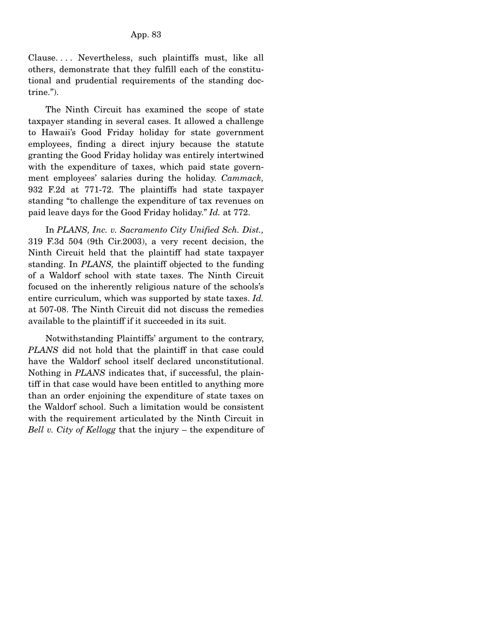Clause. . . . Nevertheless, such plaintiffs must, like all others, demonstrate that they fulfill each of the constitutional and prudential requirements of the standing doctrine.").

 The Ninth Circuit has examined the scope of state taxpayer standing in several cases. It allowed a challenge to Hawaii's Good Friday holiday for state government employees, finding a direct injury because the statute granting the Good Friday holiday was entirely intertwined with the expenditure of taxes, which paid state government employees' salaries during the holiday. *Cammack,* 932 F.2d at 771-72. The plaintiffs had state taxpayer standing "to challenge the expenditure of tax revenues on paid leave days for the Good Friday holiday." *Id.* at 772.

 In *PLANS, Inc. v. Sacramento City Unified Sch. Dist.,* 319 F.3d 504 (9th Cir.2003), a very recent decision, the Ninth Circuit held that the plaintiff had state taxpayer standing. In *PLANS,* the plaintiff objected to the funding of a Waldorf school with state taxes. The Ninth Circuit focused on the inherently religious nature of the schools's entire curriculum, which was supported by state taxes. *Id.* at 507-08. The Ninth Circuit did not discuss the remedies available to the plaintiff if it succeeded in its suit.

 Notwithstanding Plaintiffs' argument to the contrary, *PLANS* did not hold that the plaintiff in that case could have the Waldorf school itself declared unconstitutional. Nothing in *PLANS* indicates that, if successful, the plaintiff in that case would have been entitled to anything more than an order enjoining the expenditure of state taxes on the Waldorf school. Such a limitation would be consistent with the requirement articulated by the Ninth Circuit in *Bell v. City of Kellogg* that the injury – the expenditure of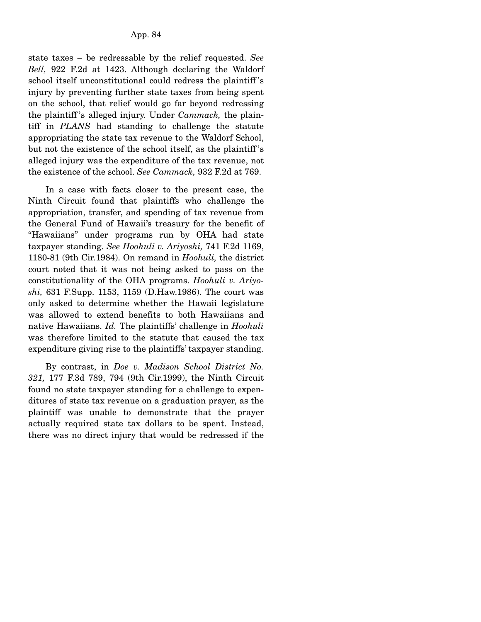state taxes – be redressable by the relief requested. *See Bell,* 922 F.2d at 1423. Although declaring the Waldorf school itself unconstitutional could redress the plaintiff 's injury by preventing further state taxes from being spent on the school, that relief would go far beyond redressing the plaintiff 's alleged injury. Under *Cammack,* the plaintiff in *PLANS* had standing to challenge the statute appropriating the state tax revenue to the Waldorf School, but not the existence of the school itself, as the plaintiff 's alleged injury was the expenditure of the tax revenue, not the existence of the school. *See Cammack,* 932 F.2d at 769.

 In a case with facts closer to the present case, the Ninth Circuit found that plaintiffs who challenge the appropriation, transfer, and spending of tax revenue from the General Fund of Hawaii's treasury for the benefit of "Hawaiians" under programs run by OHA had state taxpayer standing. *See Hoohuli v. Ariyoshi,* 741 F.2d 1169, 1180-81 (9th Cir.1984). On remand in *Hoohuli,* the district court noted that it was not being asked to pass on the constitutionality of the OHA programs. *Hoohuli v. Ariyoshi,* 631 F.Supp. 1153, 1159 (D.Haw.1986). The court was only asked to determine whether the Hawaii legislature was allowed to extend benefits to both Hawaiians and native Hawaiians. *Id.* The plaintiffs' challenge in *Hoohuli* was therefore limited to the statute that caused the tax expenditure giving rise to the plaintiffs' taxpayer standing.

 By contrast, in *Doe v. Madison School District No. 321,* 177 F.3d 789, 794 (9th Cir.1999), the Ninth Circuit found no state taxpayer standing for a challenge to expenditures of state tax revenue on a graduation prayer, as the plaintiff was unable to demonstrate that the prayer actually required state tax dollars to be spent. Instead, there was no direct injury that would be redressed if the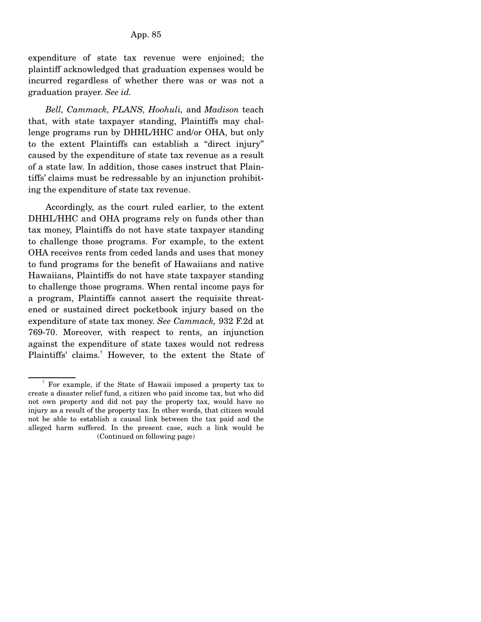expenditure of state tax revenue were enjoined; the plaintiff acknowledged that graduation expenses would be incurred regardless of whether there was or was not a graduation prayer. *See id.*

 *Bell, Cammack, PLANS, Hoohuli,* and *Madison* teach that, with state taxpayer standing, Plaintiffs may challenge programs run by DHHL/HHC and/or OHA, but only to the extent Plaintiffs can establish a "direct injury" caused by the expenditure of state tax revenue as a result of a state law. In addition, those cases instruct that Plaintiffs' claims must be redressable by an injunction prohibiting the expenditure of state tax revenue.

 Accordingly, as the court ruled earlier, to the extent DHHL/HHC and OHA programs rely on funds other than tax money, Plaintiffs do not have state taxpayer standing to challenge those programs. For example, to the extent OHA receives rents from ceded lands and uses that money to fund programs for the benefit of Hawaiians and native Hawaiians, Plaintiffs do not have state taxpayer standing to challenge those programs. When rental income pays for a program, Plaintiffs cannot assert the requisite threatened or sustained direct pocketbook injury based on the expenditure of state tax money. *See Cammack,* 932 F.2d at 769-70. Moreover, with respect to rents, an injunction against the expenditure of state taxes would not redress Plaintiffs' claims.<sup>7</sup> However, to the extent the State of

<sup>7</sup> For example, if the State of Hawaii imposed a property tax to create a disaster relief fund, a citizen who paid income tax, but who did not own property and did not pay the property tax, would have no injury as a result of the property tax. In other words, that citizen would not be able to establish a causal link between the tax paid and the alleged harm suffered. In the present case, such a link would be (Continued on following page)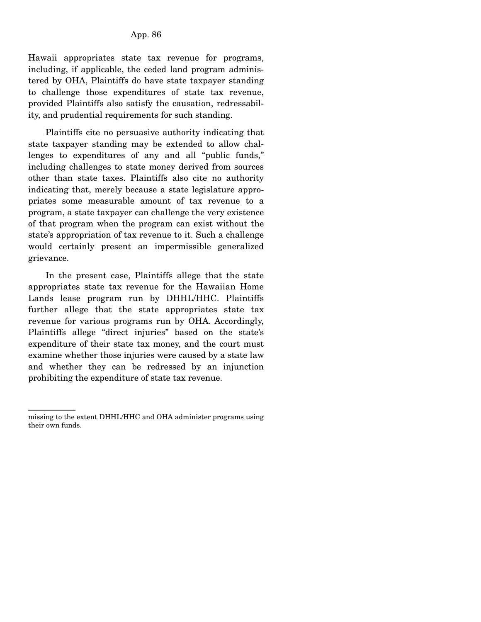Hawaii appropriates state tax revenue for programs, including, if applicable, the ceded land program administered by OHA, Plaintiffs do have state taxpayer standing to challenge those expenditures of state tax revenue, provided Plaintiffs also satisfy the causation, redressability, and prudential requirements for such standing.

 Plaintiffs cite no persuasive authority indicating that state taxpayer standing may be extended to allow challenges to expenditures of any and all "public funds," including challenges to state money derived from sources other than state taxes. Plaintiffs also cite no authority indicating that, merely because a state legislature appropriates some measurable amount of tax revenue to a program, a state taxpayer can challenge the very existence of that program when the program can exist without the state's appropriation of tax revenue to it. Such a challenge would certainly present an impermissible generalized grievance.

 In the present case, Plaintiffs allege that the state appropriates state tax revenue for the Hawaiian Home Lands lease program run by DHHL/HHC. Plaintiffs further allege that the state appropriates state tax revenue for various programs run by OHA. Accordingly, Plaintiffs allege "direct injuries" based on the state's expenditure of their state tax money, and the court must examine whether those injuries were caused by a state law and whether they can be redressed by an injunction prohibiting the expenditure of state tax revenue.

missing to the extent DHHL/HHC and OHA administer programs using their own funds.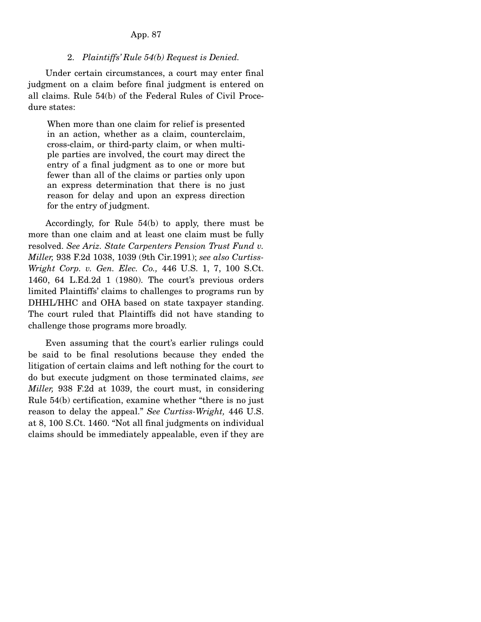### 2. *Plaintiffs' Rule 54(b) Request is Denied.*

 Under certain circumstances, a court may enter final judgment on a claim before final judgment is entered on all claims. Rule 54(b) of the Federal Rules of Civil Procedure states:

When more than one claim for relief is presented in an action, whether as a claim, counterclaim, cross-claim, or third-party claim, or when multiple parties are involved, the court may direct the entry of a final judgment as to one or more but fewer than all of the claims or parties only upon an express determination that there is no just reason for delay and upon an express direction for the entry of judgment.

 Accordingly, for Rule 54(b) to apply, there must be more than one claim and at least one claim must be fully resolved. *See Ariz. State Carpenters Pension Trust Fund v. Miller,* 938 F.2d 1038, 1039 (9th Cir.1991); *see also Curtiss-Wright Corp. v. Gen. Elec. Co.,* 446 U.S. 1, 7, 100 S.Ct. 1460, 64 L.Ed.2d 1 (1980). The court's previous orders limited Plaintiffs' claims to challenges to programs run by DHHL/HHC and OHA based on state taxpayer standing. The court ruled that Plaintiffs did not have standing to challenge those programs more broadly.

 Even assuming that the court's earlier rulings could be said to be final resolutions because they ended the litigation of certain claims and left nothing for the court to do but execute judgment on those terminated claims, *see Miller,* 938 F.2d at 1039, the court must, in considering Rule 54(b) certification, examine whether "there is no just reason to delay the appeal." *See Curtiss-Wright,* 446 U.S. at 8, 100 S.Ct. 1460. "Not all final judgments on individual claims should be immediately appealable, even if they are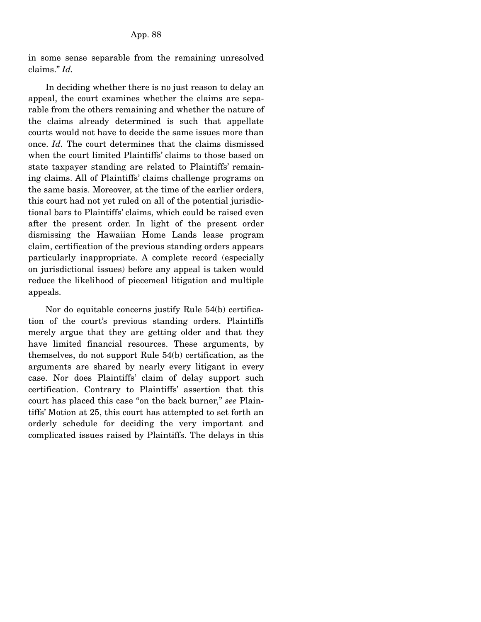in some sense separable from the remaining unresolved claims." *Id.*

 In deciding whether there is no just reason to delay an appeal, the court examines whether the claims are separable from the others remaining and whether the nature of the claims already determined is such that appellate courts would not have to decide the same issues more than once. *Id.* The court determines that the claims dismissed when the court limited Plaintiffs' claims to those based on state taxpayer standing are related to Plaintiffs' remaining claims. All of Plaintiffs' claims challenge programs on the same basis. Moreover, at the time of the earlier orders, this court had not yet ruled on all of the potential jurisdictional bars to Plaintiffs' claims, which could be raised even after the present order. In light of the present order dismissing the Hawaiian Home Lands lease program claim, certification of the previous standing orders appears particularly inappropriate. A complete record (especially on jurisdictional issues) before any appeal is taken would reduce the likelihood of piecemeal litigation and multiple appeals.

 Nor do equitable concerns justify Rule 54(b) certification of the court's previous standing orders. Plaintiffs merely argue that they are getting older and that they have limited financial resources. These arguments, by themselves, do not support Rule 54(b) certification, as the arguments are shared by nearly every litigant in every case. Nor does Plaintiffs' claim of delay support such certification. Contrary to Plaintiffs' assertion that this court has placed this case "on the back burner," *see* Plaintiffs' Motion at 25, this court has attempted to set forth an orderly schedule for deciding the very important and complicated issues raised by Plaintiffs. The delays in this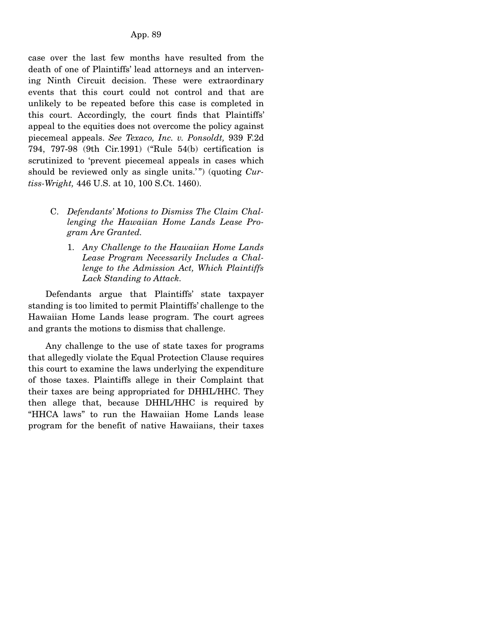case over the last few months have resulted from the death of one of Plaintiffs' lead attorneys and an intervening Ninth Circuit decision. These were extraordinary events that this court could not control and that are unlikely to be repeated before this case is completed in this court. Accordingly, the court finds that Plaintiffs' appeal to the equities does not overcome the policy against piecemeal appeals. *See Texaco, Inc. v. Ponsoldt,* 939 F.2d 794, 797-98 (9th Cir.1991) ("Rule 54(b) certification is scrutinized to 'prevent piecemeal appeals in cases which should be reviewed only as single units.'") (quoting *Curtiss-Wright,* 446 U.S. at 10, 100 S.Ct. 1460).

- C. *Defendants' Motions to Dismiss The Claim Challenging the Hawaiian Home Lands Lease Program Are Granted.* 
	- 1. *Any Challenge to the Hawaiian Home Lands Lease Program Necessarily Includes a Challenge to the Admission Act, Which Plaintiffs Lack Standing to Attack.*

 Defendants argue that Plaintiffs' state taxpayer standing is too limited to permit Plaintiffs' challenge to the Hawaiian Home Lands lease program. The court agrees and grants the motions to dismiss that challenge.

 Any challenge to the use of state taxes for programs that allegedly violate the Equal Protection Clause requires this court to examine the laws underlying the expenditure of those taxes. Plaintiffs allege in their Complaint that their taxes are being appropriated for DHHL/HHC. They then allege that, because DHHL/HHC is required by "HHCA laws" to run the Hawaiian Home Lands lease program for the benefit of native Hawaiians, their taxes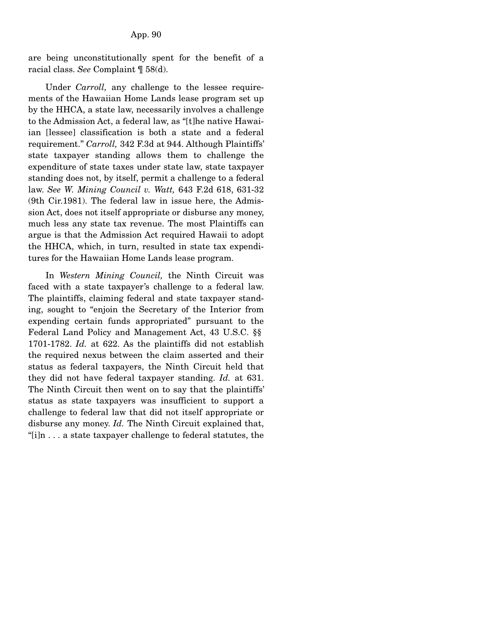are being unconstitutionally spent for the benefit of a racial class. *See* Complaint ¶ 58(d).

 Under *Carroll,* any challenge to the lessee requirements of the Hawaiian Home Lands lease program set up by the HHCA, a state law, necessarily involves a challenge to the Admission Act, a federal law, as "[t]he native Hawaiian [lessee] classification is both a state and a federal requirement." *Carroll,* 342 F.3d at 944. Although Plaintiffs' state taxpayer standing allows them to challenge the expenditure of state taxes under state law, state taxpayer standing does not, by itself, permit a challenge to a federal law. *See W. Mining Council v. Watt,* 643 F.2d 618, 631-32 (9th Cir.1981). The federal law in issue here, the Admission Act, does not itself appropriate or disburse any money, much less any state tax revenue. The most Plaintiffs can argue is that the Admission Act required Hawaii to adopt the HHCA, which, in turn, resulted in state tax expenditures for the Hawaiian Home Lands lease program.

 In *Western Mining Council,* the Ninth Circuit was faced with a state taxpayer's challenge to a federal law. The plaintiffs, claiming federal and state taxpayer standing, sought to "enjoin the Secretary of the Interior from expending certain funds appropriated" pursuant to the Federal Land Policy and Management Act, 43 U.S.C. §§ 1701-1782. *Id.* at 622. As the plaintiffs did not establish the required nexus between the claim asserted and their status as federal taxpayers, the Ninth Circuit held that they did not have federal taxpayer standing. *Id.* at 631. The Ninth Circuit then went on to say that the plaintiffs' status as state taxpayers was insufficient to support a challenge to federal law that did not itself appropriate or disburse any money. *Id.* The Ninth Circuit explained that, "[i]n . . . a state taxpayer challenge to federal statutes, the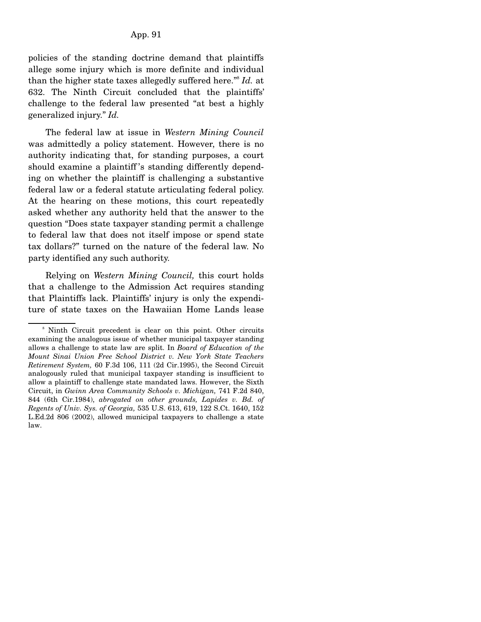policies of the standing doctrine demand that plaintiffs allege some injury which is more definite and individual than the higher state taxes allegedly suffered here."8 *Id.* at 632. The Ninth Circuit concluded that the plaintiffs' challenge to the federal law presented "at best a highly generalized injury." *Id.*

 The federal law at issue in *Western Mining Council* was admittedly a policy statement. However, there is no authority indicating that, for standing purposes, a court should examine a plaintiff 's standing differently depending on whether the plaintiff is challenging a substantive federal law or a federal statute articulating federal policy. At the hearing on these motions, this court repeatedly asked whether any authority held that the answer to the question "Does state taxpayer standing permit a challenge to federal law that does not itself impose or spend state tax dollars?" turned on the nature of the federal law. No party identified any such authority.

 Relying on *Western Mining Council,* this court holds that a challenge to the Admission Act requires standing that Plaintiffs lack. Plaintiffs' injury is only the expenditure of state taxes on the Hawaiian Home Lands lease

<sup>8</sup> Ninth Circuit precedent is clear on this point. Other circuits examining the analogous issue of whether municipal taxpayer standing allows a challenge to state law are split. In *Board of Education of the Mount Sinai Union Free School District v. New York State Teachers Retirement System,* 60 F.3d 106, 111 (2d Cir.1995), the Second Circuit analogously ruled that municipal taxpayer standing is insufficient to allow a plaintiff to challenge state mandated laws. However, the Sixth Circuit, in *Gwinn Area Community Schools v. Michigan,* 741 F.2d 840, 844 (6th Cir.1984), *abrogated on other grounds, Lapides v. Bd. of Regents of Univ. Sys. of Georgia,* 535 U.S. 613, 619, 122 S.Ct. 1640, 152 L.Ed.2d 806 (2002), allowed municipal taxpayers to challenge a state law.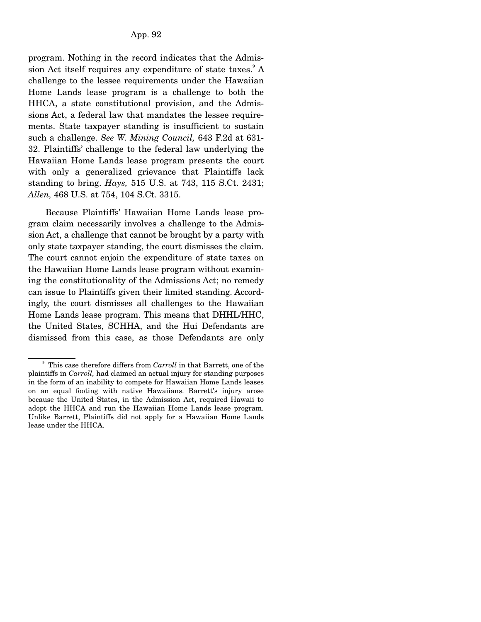program. Nothing in the record indicates that the Admission Act itself requires any expenditure of state taxes. $^{\circ}$  A challenge to the lessee requirements under the Hawaiian Home Lands lease program is a challenge to both the HHCA, a state constitutional provision, and the Admissions Act, a federal law that mandates the lessee requirements. State taxpayer standing is insufficient to sustain such a challenge. *See W. Mining Council,* 643 F.2d at 631- 32. Plaintiffs' challenge to the federal law underlying the Hawaiian Home Lands lease program presents the court with only a generalized grievance that Plaintiffs lack standing to bring. *Hays,* 515 U.S. at 743, 115 S.Ct. 2431; *Allen,* 468 U.S. at 754, 104 S.Ct. 3315.

 Because Plaintiffs' Hawaiian Home Lands lease program claim necessarily involves a challenge to the Admission Act, a challenge that cannot be brought by a party with only state taxpayer standing, the court dismisses the claim. The court cannot enjoin the expenditure of state taxes on the Hawaiian Home Lands lease program without examining the constitutionality of the Admissions Act; no remedy can issue to Plaintiffs given their limited standing. Accordingly, the court dismisses all challenges to the Hawaiian Home Lands lease program. This means that DHHL/HHC, the United States, SCHHA, and the Hui Defendants are dismissed from this case, as those Defendants are only

<sup>&</sup>lt;sup>9</sup> This case therefore differs from *Carroll* in that Barrett, one of the plaintiffs in *Carroll,* had claimed an actual injury for standing purposes in the form of an inability to compete for Hawaiian Home Lands leases on an equal footing with native Hawaiians. Barrett's injury arose because the United States, in the Admission Act, required Hawaii to adopt the HHCA and run the Hawaiian Home Lands lease program. Unlike Barrett, Plaintiffs did not apply for a Hawaiian Home Lands lease under the HHCA.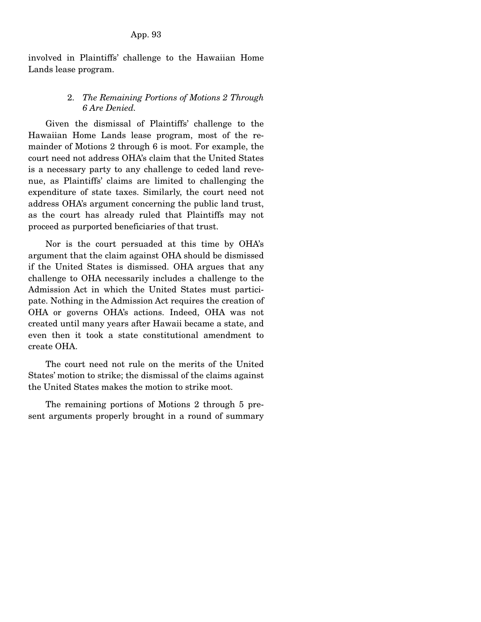involved in Plaintiffs' challenge to the Hawaiian Home Lands lease program.

## 2. *The Remaining Portions of Motions 2 Through 6 Are Denied.*

 Given the dismissal of Plaintiffs' challenge to the Hawaiian Home Lands lease program, most of the remainder of Motions 2 through 6 is moot. For example, the court need not address OHA's claim that the United States is a necessary party to any challenge to ceded land revenue, as Plaintiffs' claims are limited to challenging the expenditure of state taxes. Similarly, the court need not address OHA's argument concerning the public land trust, as the court has already ruled that Plaintiffs may not proceed as purported beneficiaries of that trust.

 Nor is the court persuaded at this time by OHA's argument that the claim against OHA should be dismissed if the United States is dismissed. OHA argues that any challenge to OHA necessarily includes a challenge to the Admission Act in which the United States must participate. Nothing in the Admission Act requires the creation of OHA or governs OHA's actions. Indeed, OHA was not created until many years after Hawaii became a state, and even then it took a state constitutional amendment to create OHA.

 The court need not rule on the merits of the United States' motion to strike; the dismissal of the claims against the United States makes the motion to strike moot.

 The remaining portions of Motions 2 through 5 present arguments properly brought in a round of summary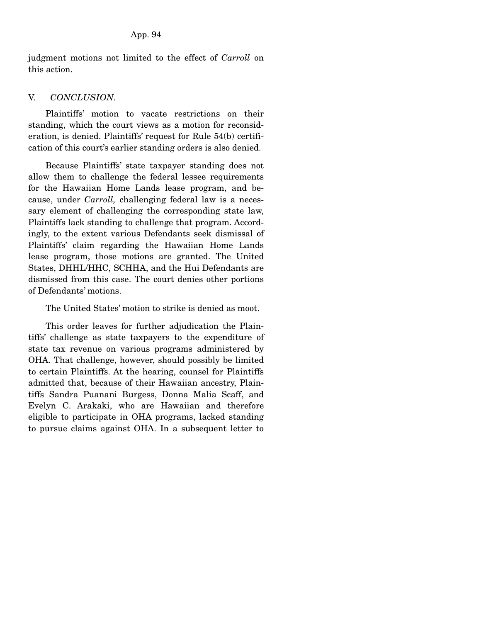judgment motions not limited to the effect of *Carroll* on this action.

## V. *CONCLUSION.*

 Plaintiffs' motion to vacate restrictions on their standing, which the court views as a motion for reconsideration, is denied. Plaintiffs' request for Rule 54(b) certification of this court's earlier standing orders is also denied.

 Because Plaintiffs' state taxpayer standing does not allow them to challenge the federal lessee requirements for the Hawaiian Home Lands lease program, and because, under *Carroll,* challenging federal law is a necessary element of challenging the corresponding state law, Plaintiffs lack standing to challenge that program. Accordingly, to the extent various Defendants seek dismissal of Plaintiffs' claim regarding the Hawaiian Home Lands lease program, those motions are granted. The United States, DHHL/HHC, SCHHA, and the Hui Defendants are dismissed from this case. The court denies other portions of Defendants' motions.

The United States' motion to strike is denied as moot.

 This order leaves for further adjudication the Plaintiffs' challenge as state taxpayers to the expenditure of state tax revenue on various programs administered by OHA. That challenge, however, should possibly be limited to certain Plaintiffs. At the hearing, counsel for Plaintiffs admitted that, because of their Hawaiian ancestry, Plaintiffs Sandra Puanani Burgess, Donna Malia Scaff, and Evelyn C. Arakaki, who are Hawaiian and therefore eligible to participate in OHA programs, lacked standing to pursue claims against OHA. In a subsequent letter to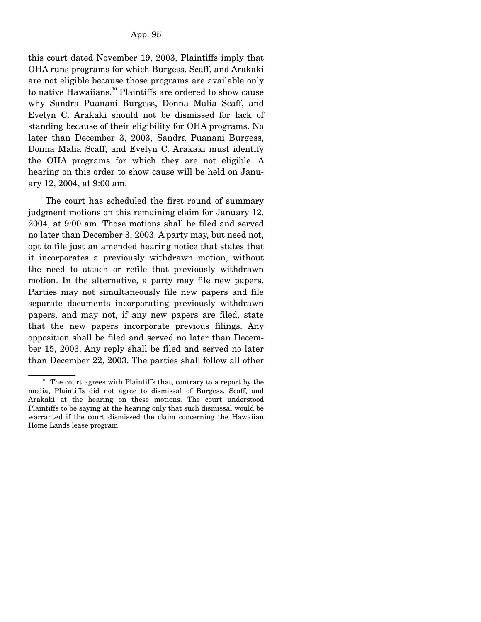this court dated November 19, 2003, Plaintiffs imply that OHA runs programs for which Burgess, Scaff, and Arakaki are not eligible because those programs are available only to native Hawaiians.<sup>10</sup> Plaintiffs are ordered to show cause why Sandra Puanani Burgess, Donna Malia Scaff, and Evelyn C. Arakaki should not be dismissed for lack of standing because of their eligibility for OHA programs. No later than December 3, 2003, Sandra Puanani Burgess, Donna Malia Scaff, and Evelyn C. Arakaki must identify the OHA programs for which they are not eligible. A hearing on this order to show cause will be held on January 12, 2004, at 9:00 am.

 The court has scheduled the first round of summary judgment motions on this remaining claim for January 12, 2004, at 9:00 am. Those motions shall be filed and served no later than December 3, 2003. A party may, but need not, opt to file just an amended hearing notice that states that it incorporates a previously withdrawn motion, without the need to attach or refile that previously withdrawn motion. In the alternative, a party may file new papers. Parties may not simultaneously file new papers and file separate documents incorporating previously withdrawn papers, and may not, if any new papers are filed, state that the new papers incorporate previous filings. Any opposition shall be filed and served no later than December 15, 2003. Any reply shall be filed and served no later than December 22, 2003. The parties shall follow all other

 $10$  The court agrees with Plaintiffs that, contrary to a report by the media, Plaintiffs did not agree to dismissal of Burgess, Scaff, and Arakaki at the hearing on these motions. The court understood Plaintiffs to be saying at the hearing only that such dismissal would be warranted if the court dismissed the claim concerning the Hawaiian Home Lands lease program.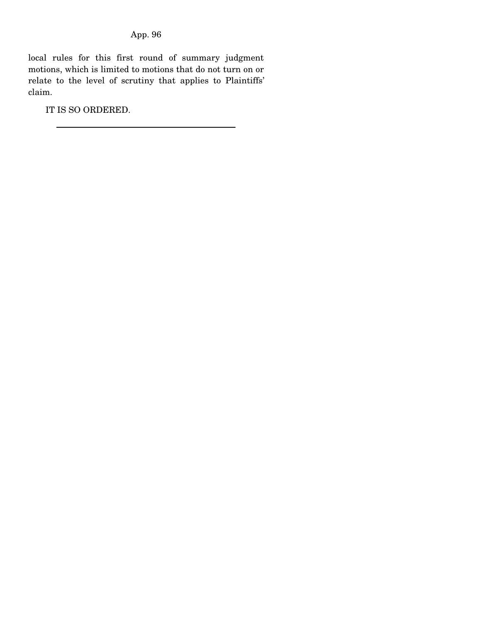local rules for this first round of summary judgment motions, which is limited to motions that do not turn on or relate to the level of scrutiny that applies to Plaintiffs' claim.

IT IS SO ORDERED.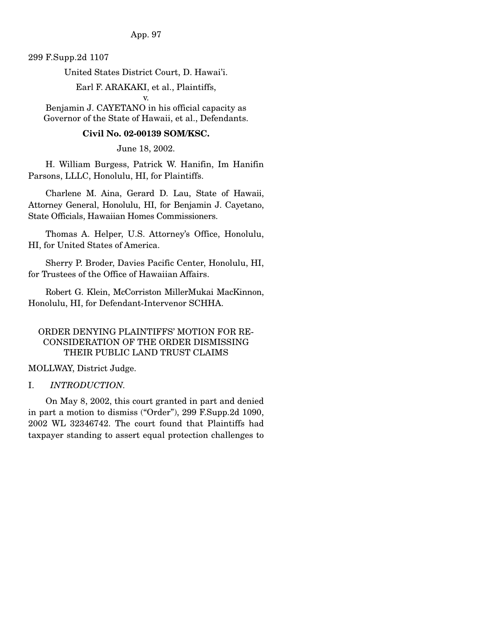299 F.Supp.2d 1107

United States District Court, D. Hawai'i.

Earl F. ARAKAKI, et al., Plaintiffs,

v.

Benjamin J. CAYETANO in his official capacity as Governor of the State of Hawaii, et al., Defendants.

## **Civil No. 02-00139 SOM/KSC.**

June 18, 2002.

 H. William Burgess, Patrick W. Hanifin, Im Hanifin Parsons, LLLC, Honolulu, HI, for Plaintiffs.

 Charlene M. Aina, Gerard D. Lau, State of Hawaii, Attorney General, Honolulu, HI, for Benjamin J. Cayetano, State Officials, Hawaiian Homes Commissioners.

 Thomas A. Helper, U.S. Attorney's Office, Honolulu, HI, for United States of America.

 Sherry P. Broder, Davies Pacific Center, Honolulu, HI, for Trustees of the Office of Hawaiian Affairs.

 Robert G. Klein, McCorriston MillerMukai MacKinnon, Honolulu, HI, for Defendant-Intervenor SCHHA.

# ORDER DENYING PLAINTIFFS' MOTION FOR RE-CONSIDERATION OF THE ORDER DISMISSING THEIR PUBLIC LAND TRUST CLAIMS

MOLLWAY, District Judge.

### I. *INTRODUCTION.*

 On May 8, 2002, this court granted in part and denied in part a motion to dismiss ("Order"), 299 F.Supp.2d 1090, 2002 WL 32346742. The court found that Plaintiffs had taxpayer standing to assert equal protection challenges to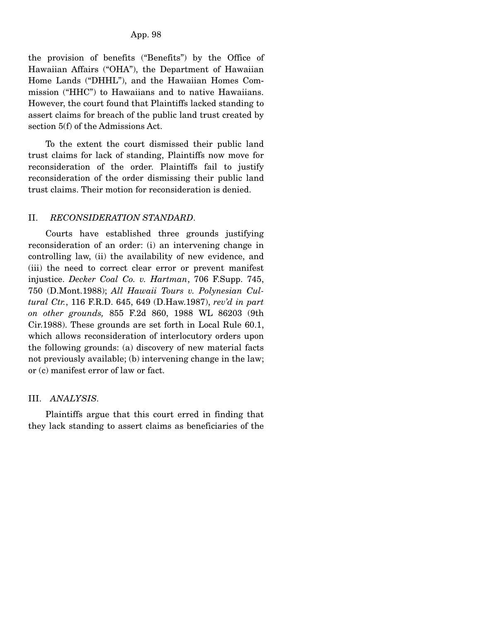the provision of benefits ("Benefits") by the Office of Hawaiian Affairs ("OHA"), the Department of Hawaiian Home Lands ("DHHL"), and the Hawaiian Homes Commission ("HHC") to Hawaiians and to native Hawaiians. However, the court found that Plaintiffs lacked standing to assert claims for breach of the public land trust created by section 5(f) of the Admissions Act.

 To the extent the court dismissed their public land trust claims for lack of standing, Plaintiffs now move for reconsideration of the order. Plaintiffs fail to justify reconsideration of the order dismissing their public land trust claims. Their motion for reconsideration is denied.

### II. *RECONSIDERATION STANDARD*.

 Courts have established three grounds justifying reconsideration of an order: (i) an intervening change in controlling law, (ii) the availability of new evidence, and (iii) the need to correct clear error or prevent manifest injustice. *Decker Coal Co. v. Hartman*, 706 F.Supp. 745, 750 (D.Mont.1988); *All Hawaii Tours v. Polynesian Cultural Ctr.*, 116 F.R.D. 645, 649 (D.Haw.1987), *rev'd in part on other grounds,* 855 F.2d 860, 1988 WL 86203 (9th Cir.1988). These grounds are set forth in Local Rule 60.1, which allows reconsideration of interlocutory orders upon the following grounds: (a) discovery of new material facts not previously available; (b) intervening change in the law; or (c) manifest error of law or fact.

## III. *ANALYSIS.*

 Plaintiffs argue that this court erred in finding that they lack standing to assert claims as beneficiaries of the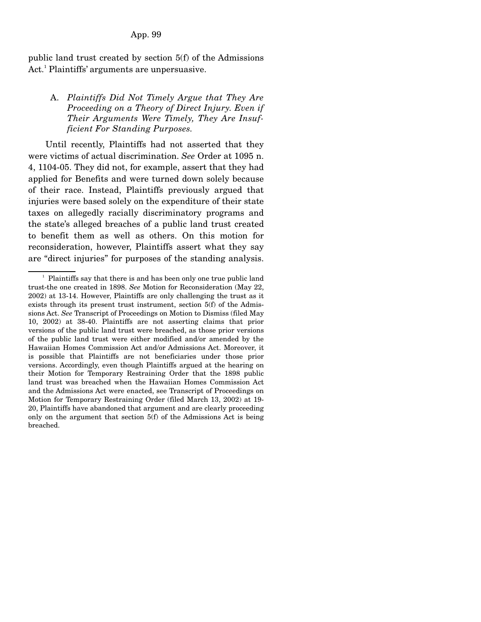public land trust created by section 5(f) of the Admissions Act.<sup>1</sup> Plaintiffs' arguments are unpersuasive.

## A. *Plaintiffs Did Not Timely Argue that They Are Proceeding on a Theory of Direct Injury. Even if Their Arguments Were Timely, They Are Insufficient For Standing Purposes.*

 Until recently, Plaintiffs had not asserted that they were victims of actual discrimination. *See* Order at 1095 n. 4, 1104-05. They did not, for example, assert that they had applied for Benefits and were turned down solely because of their race. Instead, Plaintiffs previously argued that injuries were based solely on the expenditure of their state taxes on allegedly racially discriminatory programs and the state's alleged breaches of a public land trust created to benefit them as well as others. On this motion for reconsideration, however, Plaintiffs assert what they say are "direct injuries" for purposes of the standing analysis.

 $\frac{1}{2}$  Plaintiffs say that there is and has been only one true public land trust-the one created in 1898. *See* Motion for Reconsideration (May 22, 2002) at 13-14. However, Plaintiffs are only challenging the trust as it exists through its present trust instrument, section 5(f) of the Admissions Act. *See* Transcript of Proceedings on Motion to Dismiss (filed May 10, 2002) at 38-40. Plaintiffs are not asserting claims that prior versions of the public land trust were breached, as those prior versions of the public land trust were either modified and/or amended by the Hawaiian Homes Commission Act and/or Admissions Act. Moreover, it is possible that Plaintiffs are not beneficiaries under those prior versions. Accordingly, even though Plaintiffs argued at the hearing on their Motion for Temporary Restraining Order that the 1898 public land trust was breached when the Hawaiian Homes Commission Act and the Admissions Act were enacted, see Transcript of Proceedings on Motion for Temporary Restraining Order (filed March 13, 2002) at 19- 20, Plaintiffs have abandoned that argument and are clearly proceeding only on the argument that section 5(f) of the Admissions Act is being breached.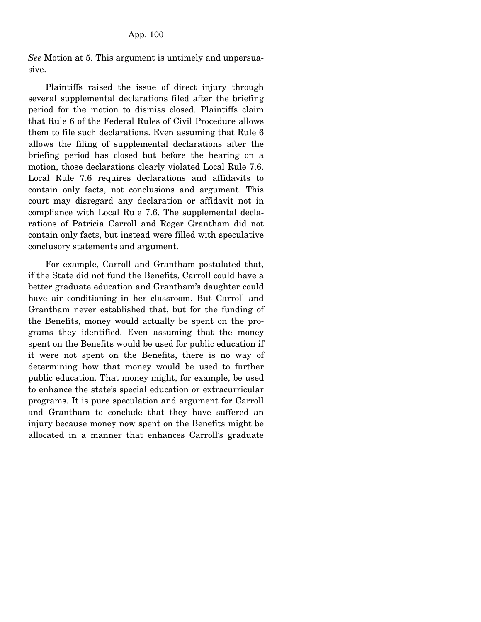*See* Motion at 5. This argument is untimely and unpersuasive.

 Plaintiffs raised the issue of direct injury through several supplemental declarations filed after the briefing period for the motion to dismiss closed. Plaintiffs claim that Rule 6 of the Federal Rules of Civil Procedure allows them to file such declarations. Even assuming that Rule 6 allows the filing of supplemental declarations after the briefing period has closed but before the hearing on a motion, those declarations clearly violated Local Rule 7.6. Local Rule 7.6 requires declarations and affidavits to contain only facts, not conclusions and argument. This court may disregard any declaration or affidavit not in compliance with Local Rule 7.6. The supplemental declarations of Patricia Carroll and Roger Grantham did not contain only facts, but instead were filled with speculative conclusory statements and argument.

 For example, Carroll and Grantham postulated that, if the State did not fund the Benefits, Carroll could have a better graduate education and Grantham's daughter could have air conditioning in her classroom. But Carroll and Grantham never established that, but for the funding of the Benefits, money would actually be spent on the programs they identified. Even assuming that the money spent on the Benefits would be used for public education if it were not spent on the Benefits, there is no way of determining how that money would be used to further public education. That money might, for example, be used to enhance the state's special education or extracurricular programs. It is pure speculation and argument for Carroll and Grantham to conclude that they have suffered an injury because money now spent on the Benefits might be allocated in a manner that enhances Carroll's graduate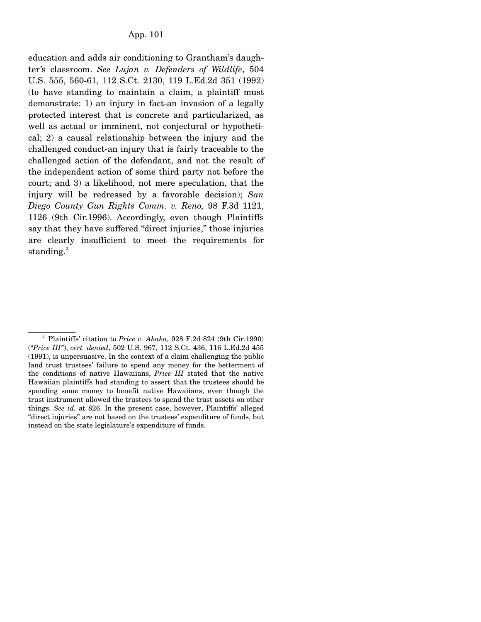education and adds air conditioning to Grantham's daughter's classroom. *See Lujan v. Defenders of Wildlife*, 504 U.S. 555, 560-61, 112 S.Ct. 2130, 119 L.Ed.2d 351 (1992) (to have standing to maintain a claim, a plaintiff must demonstrate: 1) an injury in fact-an invasion of a legally protected interest that is concrete and particularized, as well as actual or imminent, not conjectural or hypothetical; 2) a causal relationship between the injury and the challenged conduct-an injury that is fairly traceable to the challenged action of the defendant, and not the result of the independent action of some third party not before the court; and 3) a likelihood, not mere speculation, that the injury will be redressed by a favorable decision); *San Diego County Gun Rights Comm. v. Reno,* 98 F.3d 1121, 1126 (9th Cir.1996). Accordingly, even though Plaintiffs say that they have suffered "direct injuries," those injuries are clearly insufficient to meet the requirements for standing. $2$ 

<sup>&</sup>lt;sup>2</sup> Plaintiffs' citation to *Price v. Akaka*, 928 F.2d 824 (9th Cir.1990) ("*Price III"*), *cert. denied*, 502 U.S. 967, 112 S.Ct. 436, 116 L.Ed.2d 455 (1991), is unpersuasive. In the context of a claim challenging the public land trust trustees' failure to spend any money for the betterment of the conditions of native Hawaiians, *Price III* stated that the native Hawaiian plaintiffs had standing to assert that the trustees should be spending some money to benefit native Hawaiians, even though the trust instrument allowed the trustees to spend the trust assets on other things. *See id.* at 826. In the present case, however, Plaintiffs' alleged "direct injuries" are not based on the trustees' expenditure of funds, but instead on the state legislature's expenditure of funds.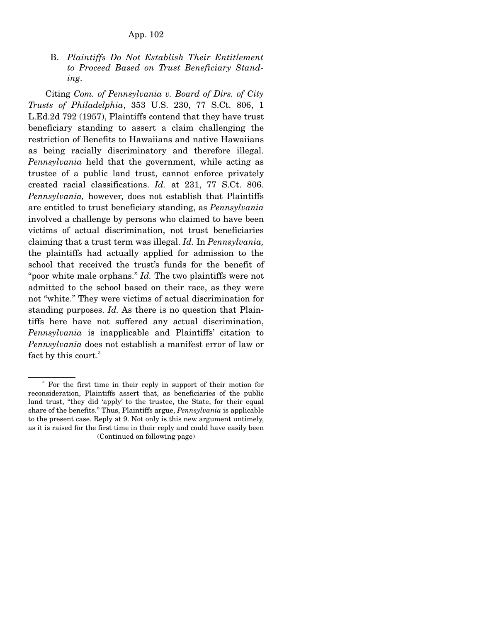B. *Plaintiffs Do Not Establish Their Entitlement to Proceed Based on Trust Beneficiary Standing.* 

 Citing *Com. of Pennsylvania v. Board of Dirs. of City Trusts of Philadelphia*, 353 U.S. 230, 77 S.Ct. 806, 1 L.Ed.2d 792 (1957), Plaintiffs contend that they have trust beneficiary standing to assert a claim challenging the restriction of Benefits to Hawaiians and native Hawaiians as being racially discriminatory and therefore illegal. *Pennsylvania* held that the government, while acting as trustee of a public land trust, cannot enforce privately created racial classifications. *Id.* at 231, 77 S.Ct. 806. *Pennsylvania,* however, does not establish that Plaintiffs are entitled to trust beneficiary standing, as *Pennsylvania* involved a challenge by persons who claimed to have been victims of actual discrimination, not trust beneficiaries claiming that a trust term was illegal. *Id.* In *Pennsylvania,* the plaintiffs had actually applied for admission to the school that received the trust's funds for the benefit of "poor white male orphans." *Id.* The two plaintiffs were not admitted to the school based on their race, as they were not "white." They were victims of actual discrimination for standing purposes. *Id.* As there is no question that Plaintiffs here have not suffered any actual discrimination, *Pennsylvania* is inapplicable and Plaintiffs' citation to *Pennsylvania* does not establish a manifest error of law or fact by this court.<sup>3</sup>

<sup>&</sup>lt;sup>3</sup> For the first time in their reply in support of their motion for reconsideration, Plaintiffs assert that, as beneficiaries of the public land trust, "they did 'apply' to the trustee, the State, for their equal share of the benefits." Thus, Plaintiffs argue, *Pennsylvania* is applicable to the present case. Reply at 9. Not only is this new argument untimely, as it is raised for the first time in their reply and could have easily been (Continued on following page)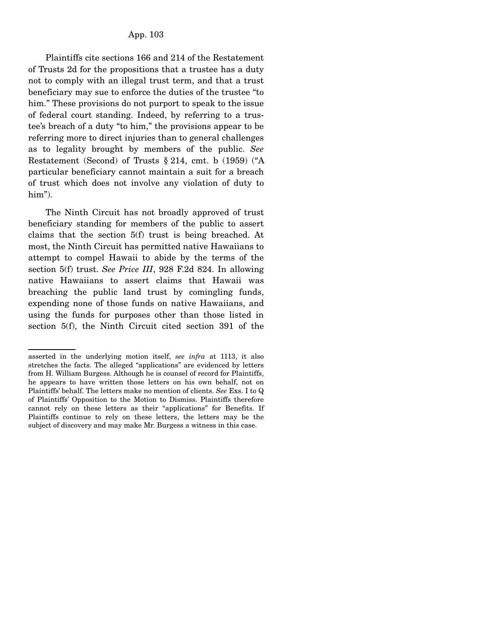Plaintiffs cite sections 166 and 214 of the Restatement of Trusts 2d for the propositions that a trustee has a duty not to comply with an illegal trust term, and that a trust beneficiary may sue to enforce the duties of the trustee "to him." These provisions do not purport to speak to the issue of federal court standing. Indeed, by referring to a trustee's breach of a duty "to him," the provisions appear to be referring more to direct injuries than to general challenges as to legality brought by members of the public. *See* Restatement (Second) of Trusts § 214, cmt. b (1959) ("A particular beneficiary cannot maintain a suit for a breach of trust which does not involve any violation of duty to him").

 The Ninth Circuit has not broadly approved of trust beneficiary standing for members of the public to assert claims that the section 5(f) trust is being breached. At most, the Ninth Circuit has permitted native Hawaiians to attempt to compel Hawaii to abide by the terms of the section 5(f) trust. *See Price III*, 928 F.2d 824. In allowing native Hawaiians to assert claims that Hawaii was breaching the public land trust by comingling funds, expending none of those funds on native Hawaiians, and using the funds for purposes other than those listed in section 5(f), the Ninth Circuit cited section 391 of the

asserted in the underlying motion itself, *see infra* at 1113, it also stretches the facts. The alleged "applications" are evidenced by letters from H. William Burgess. Although he is counsel of record for Plaintiffs, he appears to have written those letters on his own behalf, not on Plaintiffs' behalf. The letters make no mention of clients. *See* Exs. I to Q of Plaintiffs' Opposition to the Motion to Dismiss. Plaintiffs therefore cannot rely on these letters as their "applications" for Benefits. If Plaintiffs continue to rely on these letters, the letters may be the subject of discovery and may make Mr. Burgess a witness in this case.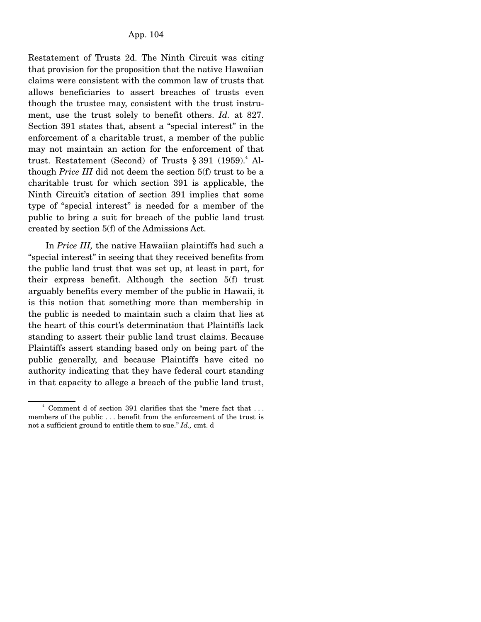Restatement of Trusts 2d. The Ninth Circuit was citing that provision for the proposition that the native Hawaiian claims were consistent with the common law of trusts that allows beneficiaries to assert breaches of trusts even though the trustee may, consistent with the trust instrument, use the trust solely to benefit others. *Id.* at 827. Section 391 states that, absent a "special interest" in the enforcement of a charitable trust, a member of the public may not maintain an action for the enforcement of that trust. Restatement (Second) of Trusts  $\S 391$  (1959).<sup>4</sup> Although *Price III* did not deem the section 5(f) trust to be a charitable trust for which section 391 is applicable, the Ninth Circuit's citation of section 391 implies that some type of "special interest" is needed for a member of the public to bring a suit for breach of the public land trust created by section 5(f) of the Admissions Act.

 In *Price III,* the native Hawaiian plaintiffs had such a "special interest" in seeing that they received benefits from the public land trust that was set up, at least in part, for their express benefit. Although the section 5(f) trust arguably benefits every member of the public in Hawaii, it is this notion that something more than membership in the public is needed to maintain such a claim that lies at the heart of this court's determination that Plaintiffs lack standing to assert their public land trust claims. Because Plaintiffs assert standing based only on being part of the public generally, and because Plaintiffs have cited no authority indicating that they have federal court standing in that capacity to allege a breach of the public land trust,

 $\sim$   $\frac{4}{3}$ Comment d of section 391 clarifies that the "mere fact that ... members of the public . . . benefit from the enforcement of the trust is not a sufficient ground to entitle them to sue." *Id.,* cmt. d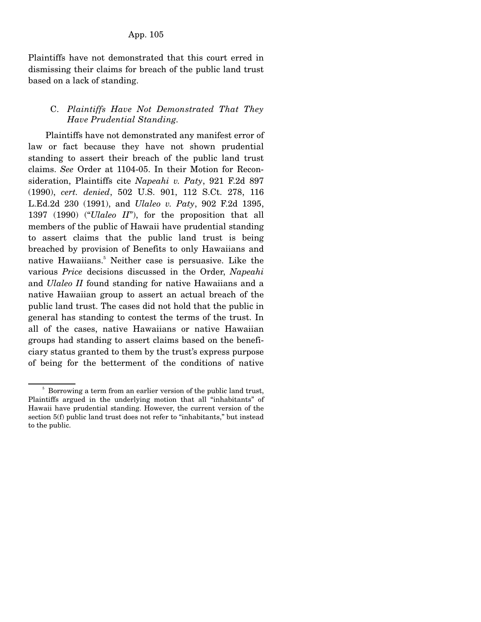Plaintiffs have not demonstrated that this court erred in dismissing their claims for breach of the public land trust based on a lack of standing.

## C. *Plaintiffs Have Not Demonstrated That They Have Prudential Standing.*

 Plaintiffs have not demonstrated any manifest error of law or fact because they have not shown prudential standing to assert their breach of the public land trust claims. *See* Order at 1104-05. In their Motion for Reconsideration, Plaintiffs cite *Napeahi v. Paty*, 921 F.2d 897 (1990), *cert. denied*, 502 U.S. 901, 112 S.Ct. 278, 116 L.Ed.2d 230 (1991), and *Ulaleo v. Paty*, 902 F.2d 1395, 1397 (1990) ("*Ulaleo II*"), for the proposition that all members of the public of Hawaii have prudential standing to assert claims that the public land trust is being breached by provision of Benefits to only Hawaiians and native Hawaiians.<sup>5</sup> Neither case is persuasive. Like the various *Price* decisions discussed in the Order, *Napeahi* and *Ulaleo II* found standing for native Hawaiians and a native Hawaiian group to assert an actual breach of the public land trust. The cases did not hold that the public in general has standing to contest the terms of the trust. In all of the cases, native Hawaiians or native Hawaiian groups had standing to assert claims based on the beneficiary status granted to them by the trust's express purpose of being for the betterment of the conditions of native

<sup>5</sup> Borrowing a term from an earlier version of the public land trust, Plaintiffs argued in the underlying motion that all "inhabitants" of Hawaii have prudential standing. However, the current version of the section 5(f) public land trust does not refer to "inhabitants," but instead to the public.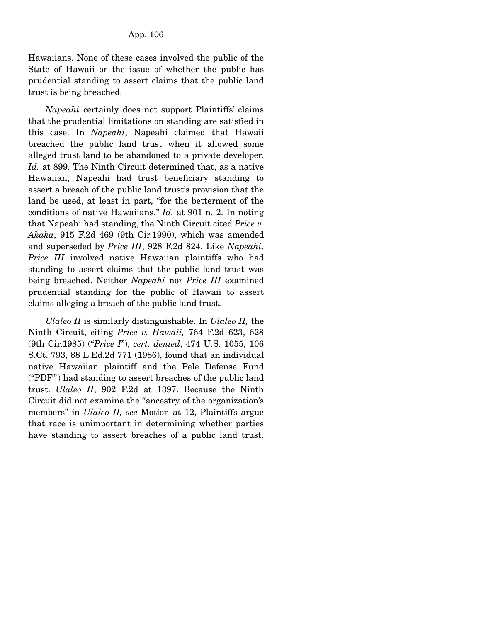Hawaiians. None of these cases involved the public of the State of Hawaii or the issue of whether the public has prudential standing to assert claims that the public land trust is being breached.

 *Napeahi* certainly does not support Plaintiffs' claims that the prudential limitations on standing are satisfied in this case. In *Napeahi*, Napeahi claimed that Hawaii breached the public land trust when it allowed some alleged trust land to be abandoned to a private developer. *Id.* at 899. The Ninth Circuit determined that, as a native Hawaiian, Napeahi had trust beneficiary standing to assert a breach of the public land trust's provision that the land be used, at least in part, "for the betterment of the conditions of native Hawaiians." *Id.* at 901 n. 2. In noting that Napeahi had standing, the Ninth Circuit cited *Price v. Akaka*, 915 F.2d 469 (9th Cir.1990), which was amended and superseded by *Price III*, 928 F.2d 824. Like *Napeahi*, *Price III* involved native Hawaiian plaintiffs who had standing to assert claims that the public land trust was being breached. Neither *Napeahi* nor *Price III* examined prudential standing for the public of Hawaii to assert claims alleging a breach of the public land trust.

 *Ulaleo II* is similarly distinguishable. In *Ulaleo II,* the Ninth Circuit, citing *Price v. Hawaii,* 764 F.2d 623, 628 (9th Cir.1985) ("*Price I*"), *cert. denied*, 474 U.S. 1055, 106 S.Ct. 793, 88 L.Ed.2d 771 (1986), found that an individual native Hawaiian plaintiff and the Pele Defense Fund ("PDF") had standing to assert breaches of the public land trust. *Ulaleo II*, 902 F.2d at 1397. Because the Ninth Circuit did not examine the "ancestry of the organization's members" in *Ulaleo II, see* Motion at 12, Plaintiffs argue that race is unimportant in determining whether parties have standing to assert breaches of a public land trust.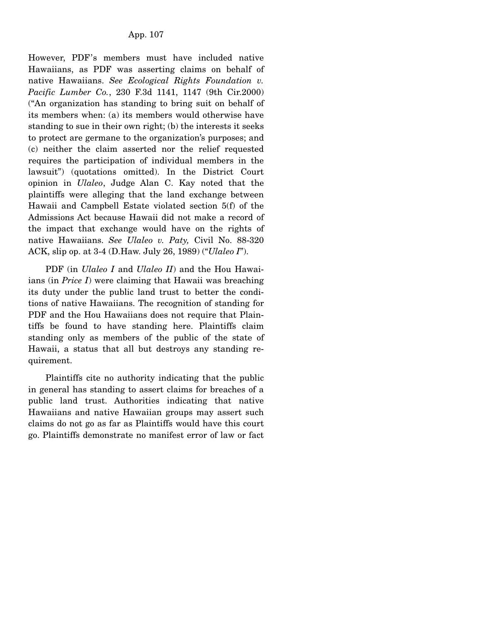However, PDF's members must have included native Hawaiians, as PDF was asserting claims on behalf of native Hawaiians. *See Ecological Rights Foundation v. Pacific Lumber Co.*, 230 F.3d 1141, 1147 (9th Cir.2000) ("An organization has standing to bring suit on behalf of its members when: (a) its members would otherwise have standing to sue in their own right; (b) the interests it seeks to protect are germane to the organization's purposes; and (c) neither the claim asserted nor the relief requested requires the participation of individual members in the lawsuit") (quotations omitted). In the District Court opinion in *Ulaleo*, Judge Alan C. Kay noted that the plaintiffs were alleging that the land exchange between Hawaii and Campbell Estate violated section 5(f) of the Admissions Act because Hawaii did not make a record of the impact that exchange would have on the rights of native Hawaiians. *See Ulaleo v. Paty,* Civil No. 88-320 ACK, slip op. at 3-4 (D.Haw. July 26, 1989) ("*Ulaleo I*").

PDF (in *Ulaleo I* and *Ulaleo II*) and the Hou Hawaiians (in *Price I*) were claiming that Hawaii was breaching its duty under the public land trust to better the conditions of native Hawaiians. The recognition of standing for PDF and the Hou Hawaiians does not require that Plaintiffs be found to have standing here. Plaintiffs claim standing only as members of the public of the state of Hawaii, a status that all but destroys any standing requirement.

Plaintiffs cite no authority indicating that the public in general has standing to assert claims for breaches of a public land trust. Authorities indicating that native Hawaiians and native Hawaiian groups may assert such claims do not go as far as Plaintiffs would have this court go. Plaintiffs demonstrate no manifest error of law or fact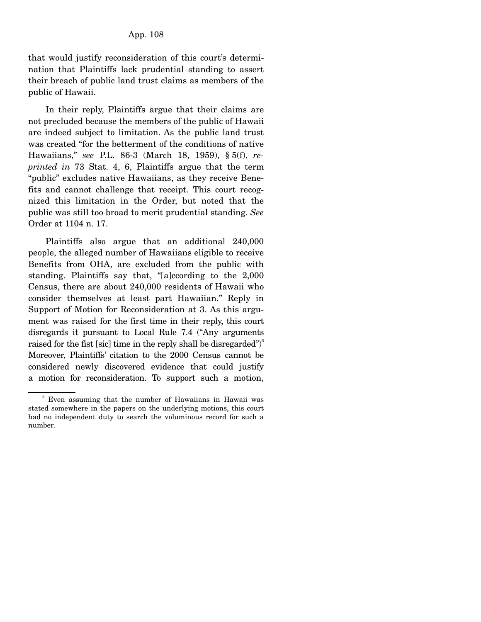that would justify reconsideration of this court's determination that Plaintiffs lack prudential standing to assert their breach of public land trust claims as members of the public of Hawaii.

In their reply, Plaintiffs argue that their claims are not precluded because the members of the public of Hawaii are indeed subject to limitation. As the public land trust was created "for the betterment of the conditions of native Hawaiians," *see* P.L. 86-3 (March 18, 1959), § 5(f), *reprinted in* 73 Stat. 4, 6, Plaintiffs argue that the term "public" excludes native Hawaiians, as they receive Benefits and cannot challenge that receipt. This court recognized this limitation in the Order, but noted that the public was still too broad to merit prudential standing. *See* Order at 1104 n. 17.

Plaintiffs also argue that an additional 240,000 people, the alleged number of Hawaiians eligible to receive Benefits from OHA, are excluded from the public with standing. Plaintiffs say that, "[a]ccording to the 2,000 Census, there are about 240,000 residents of Hawaii who consider themselves at least part Hawaiian." Reply in Support of Motion for Reconsideration at 3. As this argument was raised for the first time in their reply, this court disregards it pursuant to Local Rule 7.4 ("Any arguments raised for the fist [sic] time in the reply shall be disregarded") $\degree$ Moreover, Plaintiffs' citation to the 2000 Census cannot be considered newly discovered evidence that could justify a motion for reconsideration. To support such a motion,

<sup>6</sup> Even assuming that the number of Hawaiians in Hawaii was stated somewhere in the papers on the underlying motions, this court had no independent duty to search the voluminous record for such a number.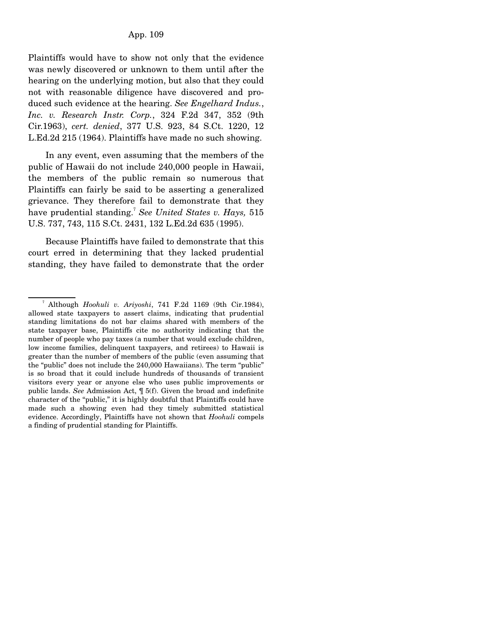Plaintiffs would have to show not only that the evidence was newly discovered or unknown to them until after the hearing on the underlying motion, but also that they could not with reasonable diligence have discovered and produced such evidence at the hearing. *See Engelhard Indus.*, *Inc. v. Research Instr. Corp.*, 324 F.2d 347, 352 (9th Cir.1963), *cert. denied*, 377 U.S. 923, 84 S.Ct. 1220, 12 L.Ed.2d 215 (1964). Plaintiffs have made no such showing.

 In any event, even assuming that the members of the public of Hawaii do not include 240,000 people in Hawaii, the members of the public remain so numerous that Plaintiffs can fairly be said to be asserting a generalized grievance. They therefore fail to demonstrate that they have prudential standing.<sup>7</sup> *See United States v. Hays,* 515 U.S. 737, 743, 115 S.Ct. 2431, 132 L.Ed.2d 635 (1995).

 Because Plaintiffs have failed to demonstrate that this court erred in determining that they lacked prudential standing, they have failed to demonstrate that the order

<sup>7</sup> Although *Hoohuli v. Ariyoshi*, 741 F.2d 1169 (9th Cir.1984), allowed state taxpayers to assert claims, indicating that prudential standing limitations do not bar claims shared with members of the state taxpayer base, Plaintiffs cite no authority indicating that the number of people who pay taxes (a number that would exclude children, low income families, delinquent taxpayers, and retirees) to Hawaii is greater than the number of members of the public (even assuming that the "public" does not include the 240,000 Hawaiians). The term "public" is so broad that it could include hundreds of thousands of transient visitors every year or anyone else who uses public improvements or public lands. *See* Admission Act, ¶ 5(f). Given the broad and indefinite character of the "public," it is highly doubtful that Plaintiffs could have made such a showing even had they timely submitted statistical evidence. Accordingly, Plaintiffs have not shown that *Hoohuli* compels a finding of prudential standing for Plaintiffs.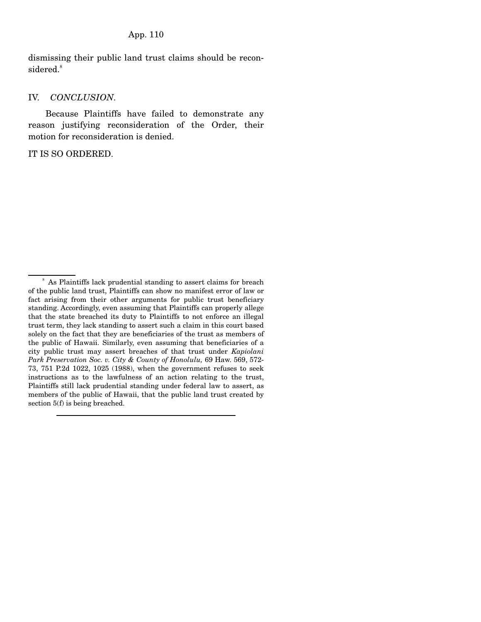dismissing their public land trust claims should be reconsidered.<sup>8</sup>

#### IV. *CONCLUSION.*

 Because Plaintiffs have failed to demonstrate any reason justifying reconsideration of the Order, their motion for reconsideration is denied.

IT IS SO ORDERED.

<sup>8</sup> As Plaintiffs lack prudential standing to assert claims for breach of the public land trust, Plaintiffs can show no manifest error of law or fact arising from their other arguments for public trust beneficiary standing. Accordingly, even assuming that Plaintiffs can properly allege that the state breached its duty to Plaintiffs to not enforce an illegal trust term, they lack standing to assert such a claim in this court based solely on the fact that they are beneficiaries of the trust as members of the public of Hawaii. Similarly, even assuming that beneficiaries of a city public trust may assert breaches of that trust under *Kapiolani Park Preservation Soc. v. City & County of Honolulu,* 69 Haw. 569, 572- 73, 751 P.2d 1022, 1025 (1988), when the government refuses to seek instructions as to the lawfulness of an action relating to the trust, Plaintiffs still lack prudential standing under federal law to assert, as members of the public of Hawaii, that the public land trust created by section 5(f) is being breached.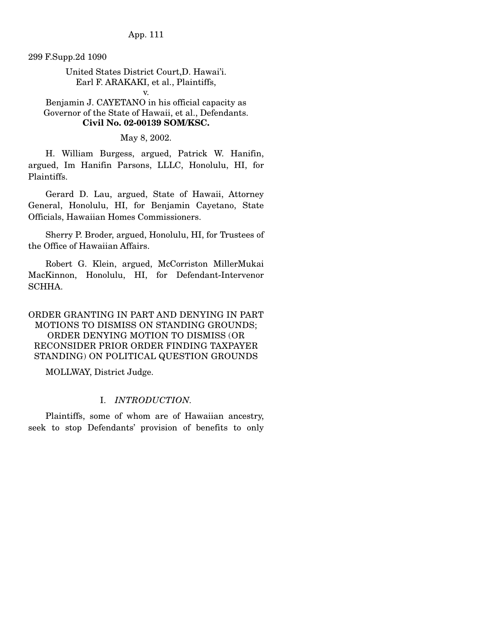App. 111

299 F.Supp.2d 1090

## United States District Court,D. Hawai'i. Earl F. ARAKAKI, et al., Plaintiffs,

v.

Benjamin J. CAYETANO in his official capacity as Governor of the State of Hawaii, et al., Defendants. **Civil No. 02-00139 SOM/KSC.**

May 8, 2002.

 H. William Burgess, argued, Patrick W. Hanifin, argued, Im Hanifin Parsons, LLLC, Honolulu, HI, for Plaintiffs.

 Gerard D. Lau, argued, State of Hawaii, Attorney General, Honolulu, HI, for Benjamin Cayetano, State Officials, Hawaiian Homes Commissioners.

 Sherry P. Broder, argued, Honolulu, HI, for Trustees of the Office of Hawaiian Affairs.

 Robert G. Klein, argued, McCorriston MillerMukai MacKinnon, Honolulu, HI, for Defendant-Intervenor SCHHA.

# ORDER GRANTING IN PART AND DENYING IN PART MOTIONS TO DISMISS ON STANDING GROUNDS; ORDER DENYING MOTION TO DISMISS (OR RECONSIDER PRIOR ORDER FINDING TAXPAYER STANDING) ON POLITICAL QUESTION GROUNDS

MOLLWAY, District Judge.

## I. *INTRODUCTION.*

Plaintiffs, some of whom are of Hawaiian ancestry, seek to stop Defendants' provision of benefits to only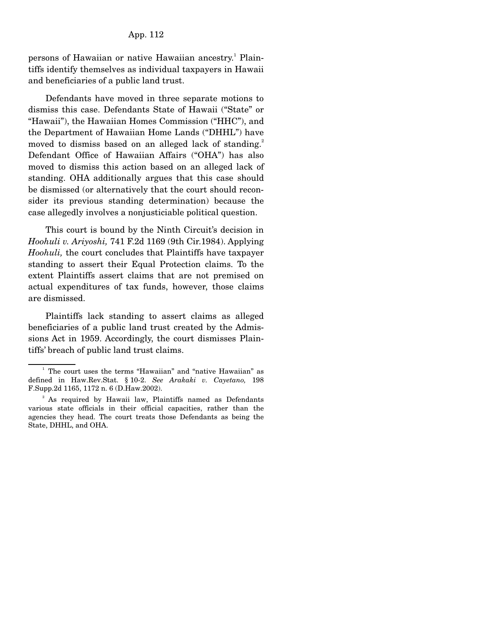### App. 112

persons of Hawaiian or native Hawaiian ancestry.<sup>1</sup> Plaintiffs identify themselves as individual taxpayers in Hawaii and beneficiaries of a public land trust.

 Defendants have moved in three separate motions to dismiss this case. Defendants State of Hawaii ("State" or "Hawaii"), the Hawaiian Homes Commission ("HHC"), and the Department of Hawaiian Home Lands ("DHHL") have moved to dismiss based on an alleged lack of standing.<sup>2</sup> Defendant Office of Hawaiian Affairs ("OHA") has also moved to dismiss this action based on an alleged lack of standing. OHA additionally argues that this case should be dismissed (or alternatively that the court should reconsider its previous standing determination) because the case allegedly involves a nonjusticiable political question.

 This court is bound by the Ninth Circuit's decision in *Hoohuli v. Ariyoshi,* 741 F.2d 1169 (9th Cir.1984). Applying *Hoohuli,* the court concludes that Plaintiffs have taxpayer standing to assert their Equal Protection claims. To the extent Plaintiffs assert claims that are not premised on actual expenditures of tax funds, however, those claims are dismissed.

 Plaintiffs lack standing to assert claims as alleged beneficiaries of a public land trust created by the Admissions Act in 1959. Accordingly, the court dismisses Plaintiffs' breach of public land trust claims.

<sup>&</sup>lt;sup>1</sup> The court uses the terms "Hawaiian" and "native Hawaiian" as defined in Haw.Rev.Stat. § 10-2. *See Arakaki v. Cayetano,* 198 F.Supp.2d 1165, 1172 n. 6 (D.Haw.2002).

<sup>&</sup>lt;sup>2</sup> As required by Hawaii law, Plaintiffs named as Defendants various state officials in their official capacities, rather than the agencies they head. The court treats those Defendants as being the State, DHHL, and OHA.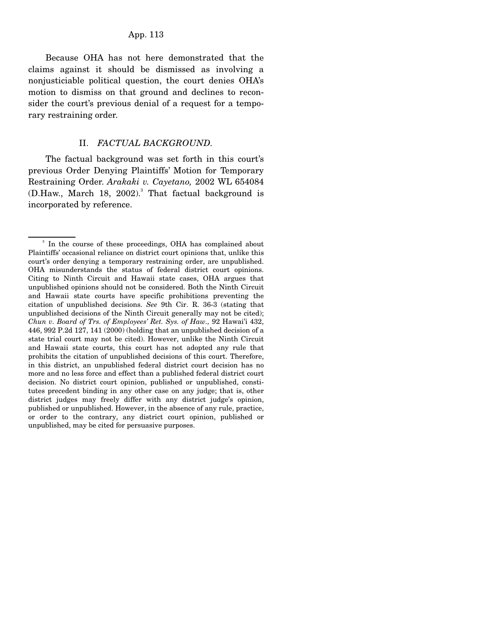Because OHA has not here demonstrated that the claims against it should be dismissed as involving a nonjusticiable political question, the court denies OHA's motion to dismiss on that ground and declines to reconsider the court's previous denial of a request for a temporary restraining order.

### II. *FACTUAL BACKGROUND.*

 The factual background was set forth in this court's previous Order Denying Plaintiffs' Motion for Temporary Restraining Order. *Arakaki v. Cayetano,* 2002 WL 654084 (D.Haw., March 18, 2002).<sup>3</sup> That factual background is incorporated by reference.

<sup>&</sup>lt;sup>3</sup> In the course of these proceedings, OHA has complained about Plaintiffs' occasional reliance on district court opinions that, unlike this court's order denying a temporary restraining order, are unpublished. OHA misunderstands the status of federal district court opinions. Citing to Ninth Circuit and Hawaii state cases, OHA argues that unpublished opinions should not be considered. Both the Ninth Circuit and Hawaii state courts have specific prohibitions preventing the citation of unpublished decisions. *See* 9th Cir. R. 36-3 (stating that unpublished decisions of the Ninth Circuit generally may not be cited); *Chun v. Board of Trs. of Employees' Ret. Sys. of Haw.,* 92 Hawai'i 432, 446, 992 P.2d 127, 141 (2000) (holding that an unpublished decision of a state trial court may not be cited). However, unlike the Ninth Circuit and Hawaii state courts, this court has not adopted any rule that prohibits the citation of unpublished decisions of this court. Therefore, in this district, an unpublished federal district court decision has no more and no less force and effect than a published federal district court decision. No district court opinion, published or unpublished, constitutes precedent binding in any other case on any judge; that is, other district judges may freely differ with any district judge's opinion, published or unpublished. However, in the absence of any rule, practice, or order to the contrary, any district court opinion, published or unpublished, may be cited for persuasive purposes.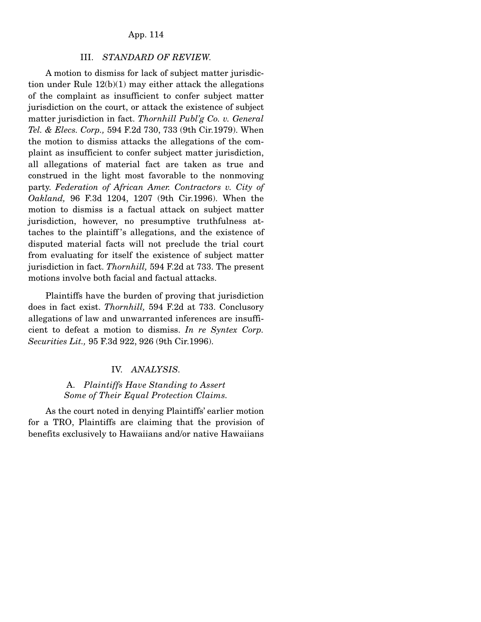### App. 114

#### III. *STANDARD OF REVIEW.*

 A motion to dismiss for lack of subject matter jurisdiction under Rule 12(b)(1) may either attack the allegations of the complaint as insufficient to confer subject matter jurisdiction on the court, or attack the existence of subject matter jurisdiction in fact. *Thornhill Publ'g Co. v. General Tel. & Elecs. Corp.,* 594 F.2d 730, 733 (9th Cir.1979). When the motion to dismiss attacks the allegations of the complaint as insufficient to confer subject matter jurisdiction, all allegations of material fact are taken as true and construed in the light most favorable to the nonmoving party. *Federation of African Amer. Contractors v. City of Oakland,* 96 F.3d 1204, 1207 (9th Cir.1996). When the motion to dismiss is a factual attack on subject matter jurisdiction, however, no presumptive truthfulness attaches to the plaintiff 's allegations, and the existence of disputed material facts will not preclude the trial court from evaluating for itself the existence of subject matter jurisdiction in fact. *Thornhill,* 594 F.2d at 733. The present motions involve both facial and factual attacks.

 Plaintiffs have the burden of proving that jurisdiction does in fact exist. *Thornhill,* 594 F.2d at 733. Conclusory allegations of law and unwarranted inferences are insufficient to defeat a motion to dismiss. *In re Syntex Corp. Securities Lit.,* 95 F.3d 922, 926 (9th Cir.1996).

#### IV. *ANALYSIS.*

## A. *Plaintiffs Have Standing to Assert Some of Their Equal Protection Claims.*

 As the court noted in denying Plaintiffs' earlier motion for a TRO, Plaintiffs are claiming that the provision of benefits exclusively to Hawaiians and/or native Hawaiians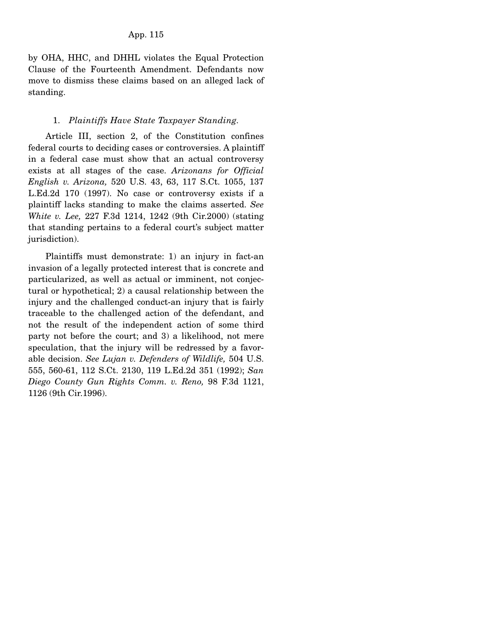by OHA, HHC, and DHHL violates the Equal Protection Clause of the Fourteenth Amendment. Defendants now move to dismiss these claims based on an alleged lack of standing.

## 1. *Plaintiffs Have State Taxpayer Standing.*

 Article III, section 2, of the Constitution confines federal courts to deciding cases or controversies. A plaintiff in a federal case must show that an actual controversy exists at all stages of the case. *Arizonans for Official English v. Arizona,* 520 U.S. 43, 63, 117 S.Ct. 1055, 137 L.Ed.2d 170 (1997). No case or controversy exists if a plaintiff lacks standing to make the claims asserted. *See White v. Lee,* 227 F.3d 1214, 1242 (9th Cir.2000) (stating that standing pertains to a federal court's subject matter jurisdiction).

 Plaintiffs must demonstrate: 1) an injury in fact-an invasion of a legally protected interest that is concrete and particularized, as well as actual or imminent, not conjectural or hypothetical; 2) a causal relationship between the injury and the challenged conduct-an injury that is fairly traceable to the challenged action of the defendant, and not the result of the independent action of some third party not before the court; and 3) a likelihood, not mere speculation, that the injury will be redressed by a favorable decision. *See Lujan v. Defenders of Wildlife,* 504 U.S. 555, 560-61, 112 S.Ct. 2130, 119 L.Ed.2d 351 (1992); *San Diego County Gun Rights Comm. v. Reno,* 98 F.3d 1121, 1126 (9th Cir.1996).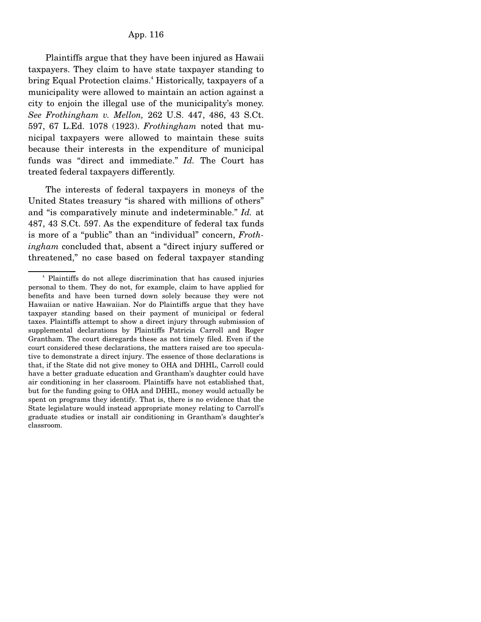Plaintiffs argue that they have been injured as Hawaii taxpayers. They claim to have state taxpayer standing to bring Equal Protection claims.<sup>4</sup> Historically, taxpayers of a municipality were allowed to maintain an action against a city to enjoin the illegal use of the municipality's money. *See Frothingham v. Mellon,* 262 U.S. 447, 486, 43 S.Ct. 597, 67 L.Ed. 1078 (1923). *Frothingham* noted that municipal taxpayers were allowed to maintain these suits because their interests in the expenditure of municipal funds was "direct and immediate." *Id.* The Court has treated federal taxpayers differently.

 The interests of federal taxpayers in moneys of the United States treasury "is shared with millions of others" and "is comparatively minute and indeterminable." *Id.* at 487, 43 S.Ct. 597. As the expenditure of federal tax funds is more of a "public" than an "individual" concern, *Frothingham* concluded that, absent a "direct injury suffered or threatened," no case based on federal taxpayer standing

<sup>4</sup> Plaintiffs do not allege discrimination that has caused injuries personal to them. They do not, for example, claim to have applied for benefits and have been turned down solely because they were not Hawaiian or native Hawaiian. Nor do Plaintiffs argue that they have taxpayer standing based on their payment of municipal or federal taxes. Plaintiffs attempt to show a direct injury through submission of supplemental declarations by Plaintiffs Patricia Carroll and Roger Grantham. The court disregards these as not timely filed. Even if the court considered these declarations, the matters raised are too speculative to demonstrate a direct injury. The essence of those declarations is that, if the State did not give money to OHA and DHHL, Carroll could have a better graduate education and Grantham's daughter could have air conditioning in her classroom. Plaintiffs have not established that, but for the funding going to OHA and DHHL, money would actually be spent on programs they identify. That is, there is no evidence that the State legislature would instead appropriate money relating to Carroll's graduate studies or install air conditioning in Grantham's daughter's classroom.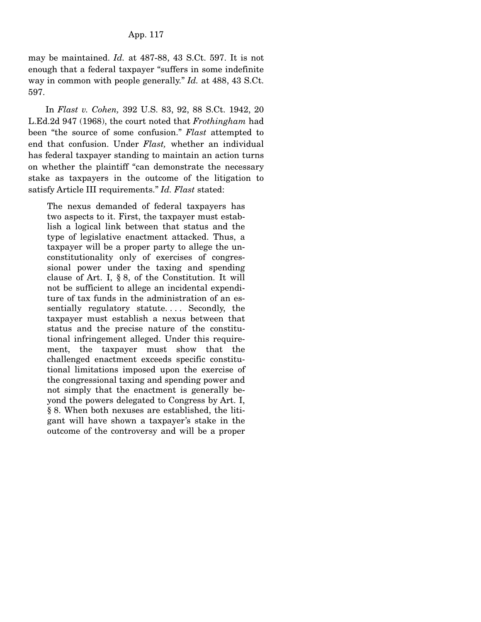may be maintained. *Id.* at 487-88, 43 S.Ct. 597. It is not enough that a federal taxpayer "suffers in some indefinite way in common with people generally." *Id.* at 488, 43 S.Ct. 597.

 In *Flast v. Cohen,* 392 U.S. 83, 92, 88 S.Ct. 1942, 20 L.Ed.2d 947 (1968), the court noted that *Frothingham* had been "the source of some confusion." *Flast* attempted to end that confusion. Under *Flast,* whether an individual has federal taxpayer standing to maintain an action turns on whether the plaintiff "can demonstrate the necessary stake as taxpayers in the outcome of the litigation to satisfy Article III requirements." *Id. Flast* stated:

The nexus demanded of federal taxpayers has two aspects to it. First, the taxpayer must establish a logical link between that status and the type of legislative enactment attacked. Thus, a taxpayer will be a proper party to allege the unconstitutionality only of exercises of congressional power under the taxing and spending clause of Art. I, § 8, of the Constitution. It will not be sufficient to allege an incidental expenditure of tax funds in the administration of an essentially regulatory statute.... Secondly, the taxpayer must establish a nexus between that status and the precise nature of the constitutional infringement alleged. Under this requirement, the taxpayer must show that the challenged enactment exceeds specific constitutional limitations imposed upon the exercise of the congressional taxing and spending power and not simply that the enactment is generally beyond the powers delegated to Congress by Art. I, § 8. When both nexuses are established, the litigant will have shown a taxpayer's stake in the outcome of the controversy and will be a proper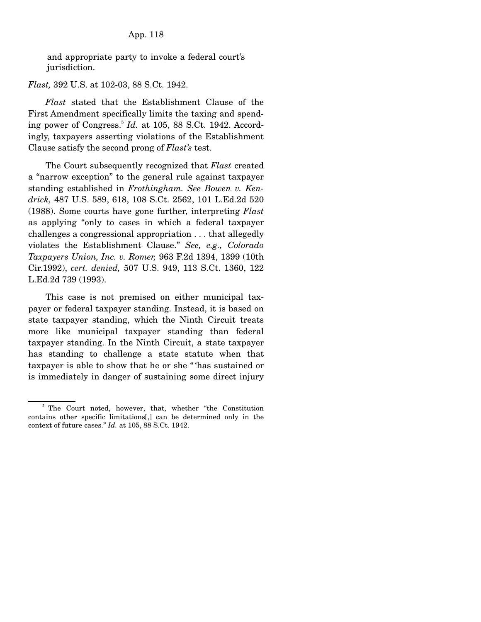and appropriate party to invoke a federal court's jurisdiction.

*Flast,* 392 U.S. at 102-03, 88 S.Ct. 1942.

 *Flast* stated that the Establishment Clause of the First Amendment specifically limits the taxing and spending power of Congress.<sup>5</sup> *Id.* at 105, 88 S.Ct. 1942. Accordingly, taxpayers asserting violations of the Establishment Clause satisfy the second prong of *Flast's* test.

 The Court subsequently recognized that *Flast* created a "narrow exception" to the general rule against taxpayer standing established in *Frothingham. See Bowen v. Kendrick,* 487 U.S. 589, 618, 108 S.Ct. 2562, 101 L.Ed.2d 520 (1988). Some courts have gone further, interpreting *Flast* as applying "only to cases in which a federal taxpayer challenges a congressional appropriation . . . that allegedly violates the Establishment Clause." *See, e.g., Colorado Taxpayers Union, Inc. v. Romer,* 963 F.2d 1394, 1399 (10th Cir.1992), *cert. denied,* 507 U.S. 949, 113 S.Ct. 1360, 122 L.Ed.2d 739 (1993).

 This case is not premised on either municipal taxpayer or federal taxpayer standing. Instead, it is based on state taxpayer standing, which the Ninth Circuit treats more like municipal taxpayer standing than federal taxpayer standing. In the Ninth Circuit, a state taxpayer has standing to challenge a state statute when that taxpayer is able to show that he or she " 'has sustained or is immediately in danger of sustaining some direct injury

<sup>&</sup>lt;sup>5</sup> The Court noted, however, that, whether "the Constitution" contains other specific limitations[,] can be determined only in the context of future cases." *Id.* at 105, 88 S.Ct. 1942.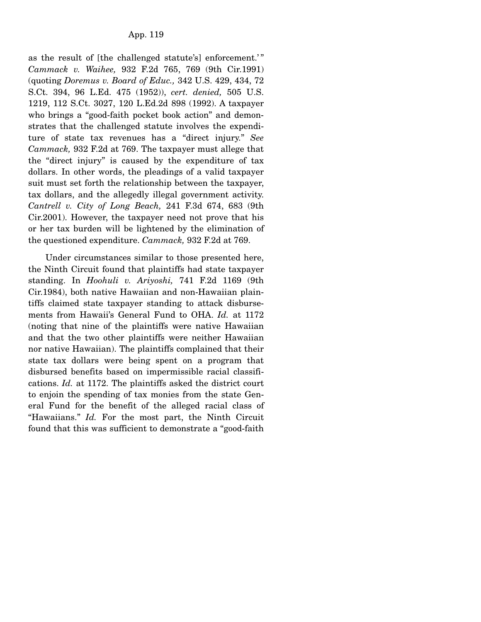as the result of [the challenged statute's] enforcement.'" *Cammack v. Waihee,* 932 F.2d 765, 769 (9th Cir.1991) (quoting *Doremus v. Board of Educ.,* 342 U.S. 429, 434, 72 S.Ct. 394, 96 L.Ed. 475 (1952)), *cert. denied,* 505 U.S. 1219, 112 S.Ct. 3027, 120 L.Ed.2d 898 (1992). A taxpayer who brings a "good-faith pocket book action" and demonstrates that the challenged statute involves the expenditure of state tax revenues has a "direct injury." *See Cammack,* 932 F.2d at 769. The taxpayer must allege that the "direct injury" is caused by the expenditure of tax dollars. In other words, the pleadings of a valid taxpayer suit must set forth the relationship between the taxpayer, tax dollars, and the allegedly illegal government activity. *Cantrell v. City of Long Beach,* 241 F.3d 674, 683 (9th Cir.2001). However, the taxpayer need not prove that his or her tax burden will be lightened by the elimination of the questioned expenditure. *Cammack,* 932 F.2d at 769.

 Under circumstances similar to those presented here, the Ninth Circuit found that plaintiffs had state taxpayer standing. In *Hoohuli v. Ariyoshi,* 741 F.2d 1169 (9th Cir.1984), both native Hawaiian and non-Hawaiian plaintiffs claimed state taxpayer standing to attack disbursements from Hawaii's General Fund to OHA. *Id.* at 1172 (noting that nine of the plaintiffs were native Hawaiian and that the two other plaintiffs were neither Hawaiian nor native Hawaiian). The plaintiffs complained that their state tax dollars were being spent on a program that disbursed benefits based on impermissible racial classifications. *Id.* at 1172. The plaintiffs asked the district court to enjoin the spending of tax monies from the state General Fund for the benefit of the alleged racial class of "Hawaiians." *Id.* For the most part, the Ninth Circuit found that this was sufficient to demonstrate a "good-faith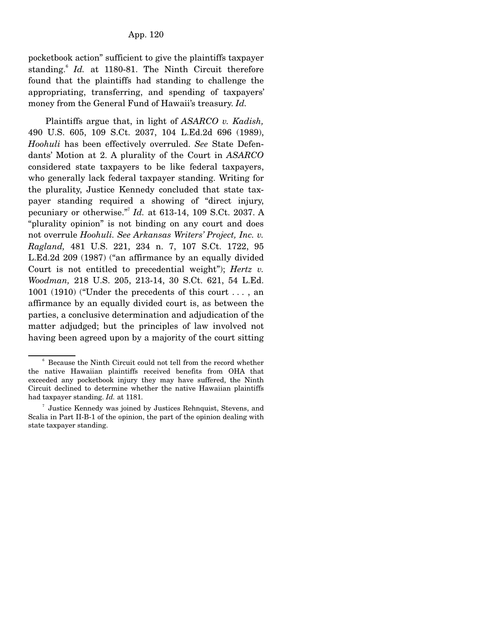pocketbook action" sufficient to give the plaintiffs taxpayer standing.<sup>6</sup> Id. at 1180-81. The Ninth Circuit therefore found that the plaintiffs had standing to challenge the appropriating, transferring, and spending of taxpayers' money from the General Fund of Hawaii's treasury. *Id.*

 Plaintiffs argue that, in light of *ASARCO v. Kadish,* 490 U.S. 605, 109 S.Ct. 2037, 104 L.Ed.2d 696 (1989), *Hoohuli* has been effectively overruled. *See* State Defendants' Motion at 2. A plurality of the Court in *ASARCO* considered state taxpayers to be like federal taxpayers, who generally lack federal taxpayer standing. Writing for the plurality, Justice Kennedy concluded that state taxpayer standing required a showing of "direct injury, pecuniary or otherwise."7 *Id.* at 613-14, 109 S.Ct. 2037. A "plurality opinion" is not binding on any court and does not overrule *Hoohuli. See Arkansas Writers' Project, Inc. v. Ragland,* 481 U.S. 221, 234 n. 7, 107 S.Ct. 1722, 95 L.Ed.2d 209 (1987) ("an affirmance by an equally divided Court is not entitled to precedential weight"); *Hertz v. Woodman,* 218 U.S. 205, 213-14, 30 S.Ct. 621, 54 L.Ed. 1001 (1910) ("Under the precedents of this court . . . , an affirmance by an equally divided court is, as between the parties, a conclusive determination and adjudication of the matter adjudged; but the principles of law involved not having been agreed upon by a majority of the court sitting

<sup>&</sup>lt;sup>6</sup> Because the Ninth Circuit could not tell from the record whether the native Hawaiian plaintiffs received benefits from OHA that exceeded any pocketbook injury they may have suffered, the Ninth Circuit declined to determine whether the native Hawaiian plaintiffs had taxpayer standing. *Id.* at 1181.

<sup>7</sup> Justice Kennedy was joined by Justices Rehnquist, Stevens, and Scalia in Part II-B-1 of the opinion, the part of the opinion dealing with state taxpayer standing.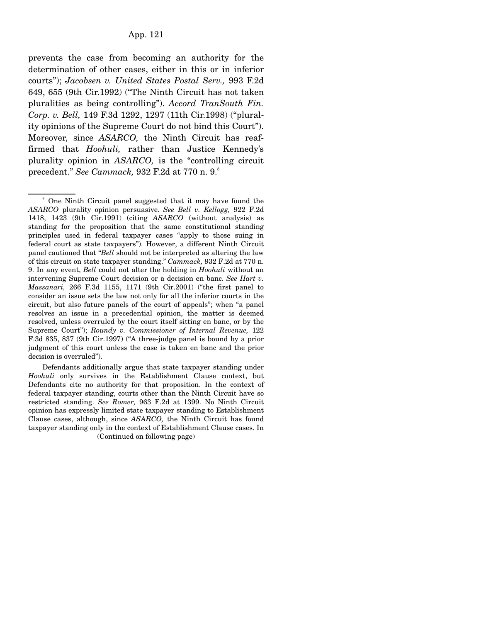prevents the case from becoming an authority for the determination of other cases, either in this or in inferior courts"); *Jacobsen v. United States Postal Serv.,* 993 F.2d 649, 655 (9th Cir.1992) ("The Ninth Circuit has not taken pluralities as being controlling"). *Accord TranSouth Fin. Corp. v. Bell,* 149 F.3d 1292, 1297 (11th Cir.1998) ("plurality opinions of the Supreme Court do not bind this Court"). Moreover, since *ASARCO,* the Ninth Circuit has reaffirmed that *Hoohuli,* rather than Justice Kennedy's plurality opinion in *ASARCO,* is the "controlling circuit precedent." *See Cammack,* 932 F.2d at 770 n. 9.<sup>8</sup>

 Defendants additionally argue that state taxpayer standing under *Hoohuli* only survives in the Establishment Clause context, but Defendants cite no authority for that proposition. In the context of federal taxpayer standing, courts other than the Ninth Circuit have so restricted standing. *See Romer,* 963 F.2d at 1399. No Ninth Circuit opinion has expressly limited state taxpayer standing to Establishment Clause cases, although, since *ASARCO,* the Ninth Circuit has found taxpayer standing only in the context of Establishment Clause cases. In (Continued on following page)

<sup>&</sup>lt;sup>8</sup> One Ninth Circuit panel suggested that it may have found the *ASARCO* plurality opinion persuasive. *See Bell v. Kellogg,* 922 F.2d 1418, 1423 (9th Cir.1991) (citing *ASARCO* (without analysis) as standing for the proposition that the same constitutional standing principles used in federal taxpayer cases "apply to those suing in federal court as state taxpayers"). However, a different Ninth Circuit panel cautioned that "*Bell* should not be interpreted as altering the law of this circuit on state taxpayer standing." *Cammack,* 932 F.2d at 770 n. 9. In any event, *Bell* could not alter the holding in *Hoohuli* without an intervening Supreme Court decision or a decision en banc. *See Hart v. Massanari,* 266 F.3d 1155, 1171 (9th Cir.2001) ("the first panel to consider an issue sets the law not only for all the inferior courts in the circuit, but also future panels of the court of appeals"; when "a panel resolves an issue in a precedential opinion, the matter is deemed resolved, unless overruled by the court itself sitting en banc, or by the Supreme Court"); *Roundy v. Commissioner of Internal Revenue,* 122 F.3d 835, 837 (9th Cir.1997) ("A three-judge panel is bound by a prior judgment of this court unless the case is taken en banc and the prior decision is overruled").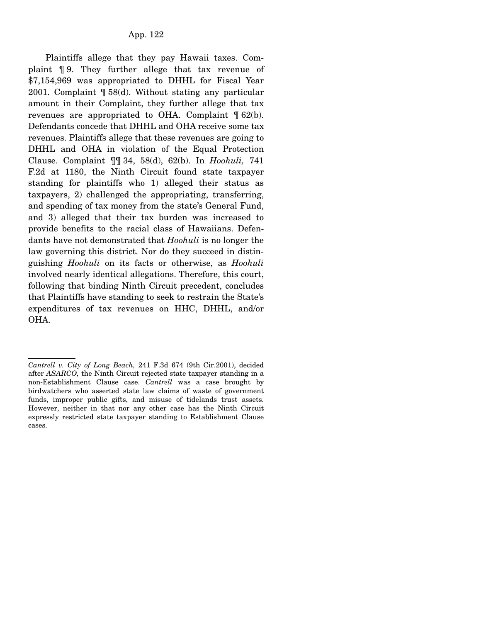Plaintiffs allege that they pay Hawaii taxes. Complaint ¶ 9. They further allege that tax revenue of \$7,154,969 was appropriated to DHHL for Fiscal Year 2001. Complaint ¶ 58(d). Without stating any particular amount in their Complaint, they further allege that tax revenues are appropriated to OHA. Complaint  $\mathcal{F}$  62(b). Defendants concede that DHHL and OHA receive some tax revenues. Plaintiffs allege that these revenues are going to DHHL and OHA in violation of the Equal Protection Clause. Complaint ¶¶ 34, 58(d), 62(b). In *Hoohuli,* 741 F.2d at 1180, the Ninth Circuit found state taxpayer standing for plaintiffs who 1) alleged their status as taxpayers, 2) challenged the appropriating, transferring, and spending of tax money from the state's General Fund, and 3) alleged that their tax burden was increased to provide benefits to the racial class of Hawaiians. Defendants have not demonstrated that *Hoohuli* is no longer the law governing this district. Nor do they succeed in distinguishing *Hoohuli* on its facts or otherwise, as *Hoohuli* involved nearly identical allegations. Therefore, this court, following that binding Ninth Circuit precedent, concludes that Plaintiffs have standing to seek to restrain the State's expenditures of tax revenues on HHC, DHHL, and/or OHA.

*Cantrell v. City of Long Beach,* 241 F.3d 674 (9th Cir.2001), decided after *ASARCO,* the Ninth Circuit rejected state taxpayer standing in a non-Establishment Clause case. *Cantrell* was a case brought by birdwatchers who asserted state law claims of waste of government funds, improper public gifts, and misuse of tidelands trust assets. However, neither in that nor any other case has the Ninth Circuit expressly restricted state taxpayer standing to Establishment Clause cases.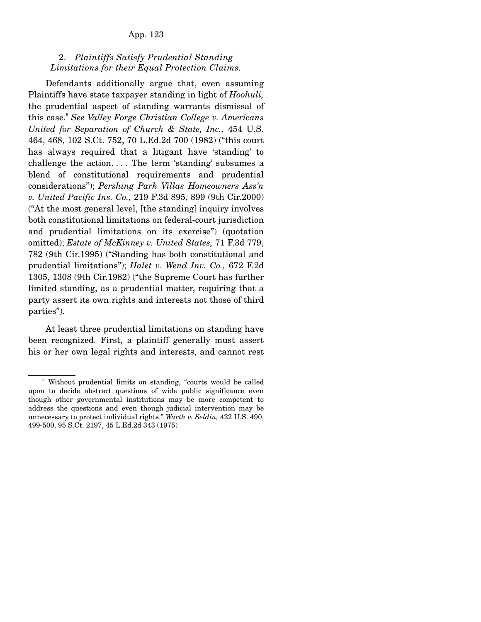# 2. *Plaintiffs Satisfy Prudential Standing Limitations for their Equal Protection Claims.*

 Defendants additionally argue that, even assuming Plaintiffs have state taxpayer standing in light of *Hoohuli,* the prudential aspect of standing warrants dismissal of this case.9 *See Valley Forge Christian College v. Americans United for Separation of Church & State, Inc.,* 454 U.S. 464, 468, 102 S.Ct. 752, 70 L.Ed.2d 700 (1982) ("this court has always required that a litigant have 'standing' to challenge the action. . . . The term 'standing' subsumes a blend of constitutional requirements and prudential considerations"); *Pershing Park Villas Homeowners Ass'n v. United Pacific Ins. Co.,* 219 F.3d 895, 899 (9th Cir.2000) ("At the most general level, [the standing] inquiry involves both constitutional limitations on federal-court jurisdiction and prudential limitations on its exercise") (quotation omitted); *Estate of McKinney v. United States,* 71 F.3d 779, 782 (9th Cir.1995) ("Standing has both constitutional and prudential limitations"); *Halet v. Wend Inv. Co.,* 672 F.2d 1305, 1308 (9th Cir.1982) ("the Supreme Court has further limited standing, as a prudential matter, requiring that a party assert its own rights and interests not those of third parties").

 At least three prudential limitations on standing have been recognized. First, a plaintiff generally must assert his or her own legal rights and interests, and cannot rest

<sup>9</sup> Without prudential limits on standing, "courts would be called upon to decide abstract questions of wide public significance even though other governmental institutions may be more competent to address the questions and even though judicial intervention may be unnecessary to protect individual rights." *Warth v. Seldin,* 422 U.S. 490, 499-500, 95 S.Ct. 2197, 45 L.Ed.2d 343 (1975)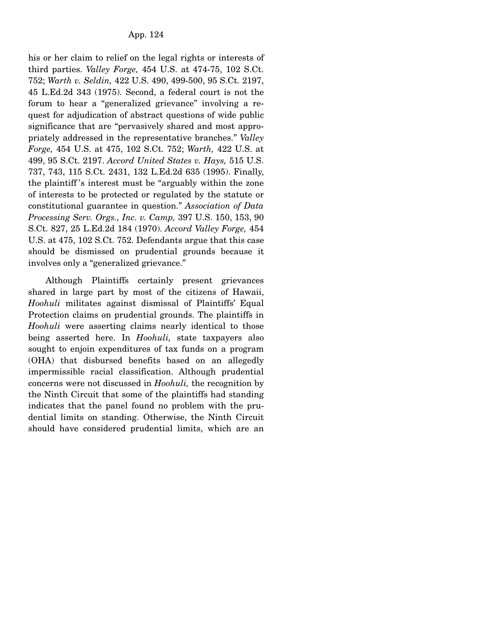his or her claim to relief on the legal rights or interests of third parties. *Valley Forge,* 454 U.S. at 474-75, 102 S.Ct. 752; *Warth v. Seldin,* 422 U.S. 490, 499-500, 95 S.Ct. 2197, 45 L.Ed.2d 343 (1975). Second, a federal court is not the forum to hear a "generalized grievance" involving a request for adjudication of abstract questions of wide public significance that are "pervasively shared and most appropriately addressed in the representative branches." *Valley Forge,* 454 U.S. at 475, 102 S.Ct. 752; *Warth,* 422 U.S. at 499, 95 S.Ct. 2197. *Accord United States v. Hays,* 515 U.S. 737, 743, 115 S.Ct. 2431, 132 L.Ed.2d 635 (1995). Finally, the plaintiff 's interest must be "arguably within the zone of interests to be protected or regulated by the statute or constitutional guarantee in question." *Association of Data Processing Serv. Orgs., Inc. v. Camp,* 397 U.S. 150, 153, 90 S.Ct. 827, 25 L.Ed.2d 184 (1970). *Accord Valley Forge,* 454 U.S. at 475, 102 S.Ct. 752. Defendants argue that this case should be dismissed on prudential grounds because it involves only a "generalized grievance."

 Although Plaintiffs certainly present grievances shared in large part by most of the citizens of Hawaii, *Hoohuli* militates against dismissal of Plaintiffs' Equal Protection claims on prudential grounds. The plaintiffs in *Hoohuli* were asserting claims nearly identical to those being asserted here. In *Hoohuli,* state taxpayers also sought to enjoin expenditures of tax funds on a program (OHA) that disbursed benefits based on an allegedly impermissible racial classification. Although prudential concerns were not discussed in *Hoohuli,* the recognition by the Ninth Circuit that some of the plaintiffs had standing indicates that the panel found no problem with the prudential limits on standing. Otherwise, the Ninth Circuit should have considered prudential limits, which are an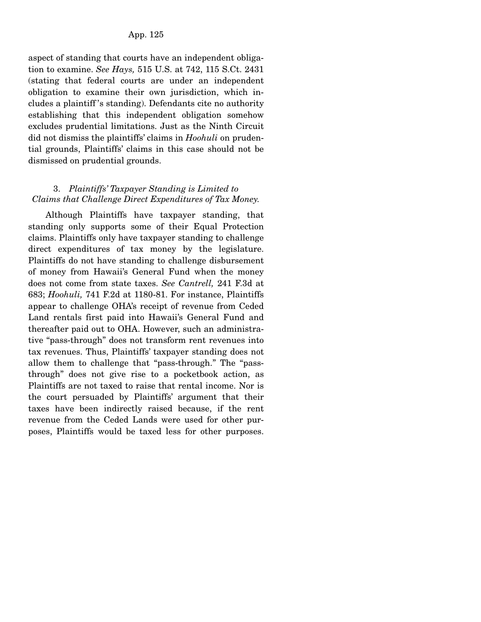aspect of standing that courts have an independent obligation to examine. *See Hays,* 515 U.S. at 742, 115 S.Ct. 2431 (stating that federal courts are under an independent obligation to examine their own jurisdiction, which includes a plaintiff 's standing). Defendants cite no authority establishing that this independent obligation somehow excludes prudential limitations. Just as the Ninth Circuit did not dismiss the plaintiffs' claims in *Hoohuli* on prudential grounds, Plaintiffs' claims in this case should not be dismissed on prudential grounds.

## 3. *Plaintiffs' Taxpayer Standing is Limited to Claims that Challenge Direct Expenditures of Tax Money.*

 Although Plaintiffs have taxpayer standing, that standing only supports some of their Equal Protection claims. Plaintiffs only have taxpayer standing to challenge direct expenditures of tax money by the legislature. Plaintiffs do not have standing to challenge disbursement of money from Hawaii's General Fund when the money does not come from state taxes. *See Cantrell,* 241 F.3d at 683; *Hoohuli,* 741 F.2d at 1180-81. For instance, Plaintiffs appear to challenge OHA's receipt of revenue from Ceded Land rentals first paid into Hawaii's General Fund and thereafter paid out to OHA. However, such an administrative "pass-through" does not transform rent revenues into tax revenues. Thus, Plaintiffs' taxpayer standing does not allow them to challenge that "pass-through." The "passthrough" does not give rise to a pocketbook action, as Plaintiffs are not taxed to raise that rental income. Nor is the court persuaded by Plaintiffs' argument that their taxes have been indirectly raised because, if the rent revenue from the Ceded Lands were used for other purposes, Plaintiffs would be taxed less for other purposes.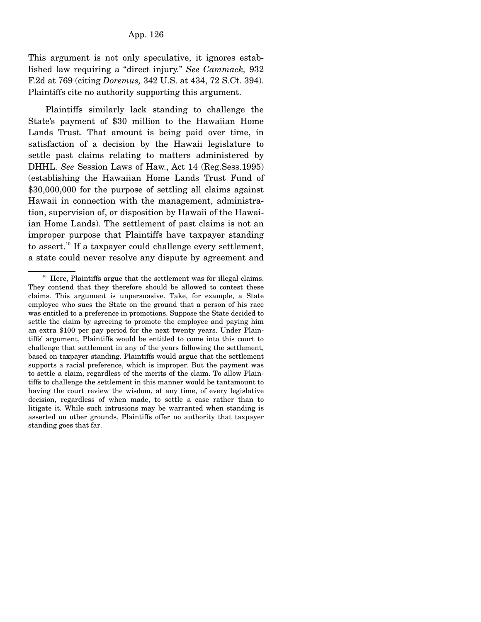This argument is not only speculative, it ignores established law requiring a "direct injury." *See Cammack,* 932 F.2d at 769 (citing *Doremus,* 342 U.S. at 434, 72 S.Ct. 394). Plaintiffs cite no authority supporting this argument.

 Plaintiffs similarly lack standing to challenge the State's payment of \$30 million to the Hawaiian Home Lands Trust. That amount is being paid over time, in satisfaction of a decision by the Hawaii legislature to settle past claims relating to matters administered by DHHL. *See* Session Laws of Haw., Act 14 (Reg.Sess.1995) (establishing the Hawaiian Home Lands Trust Fund of \$30,000,000 for the purpose of settling all claims against Hawaii in connection with the management, administration, supervision of, or disposition by Hawaii of the Hawaiian Home Lands). The settlement of past claims is not an improper purpose that Plaintiffs have taxpayer standing to assert.<sup>10</sup> If a taxpayer could challenge every settlement, a state could never resolve any dispute by agreement and

 $10<sup>10</sup>$  Here, Plaintiffs argue that the settlement was for illegal claims. They contend that they therefore should be allowed to contest these claims. This argument is unpersuasive. Take, for example, a State employee who sues the State on the ground that a person of his race was entitled to a preference in promotions. Suppose the State decided to settle the claim by agreeing to promote the employee and paying him an extra \$100 per pay period for the next twenty years. Under Plaintiffs' argument, Plaintiffs would be entitled to come into this court to challenge that settlement in any of the years following the settlement, based on taxpayer standing. Plaintiffs would argue that the settlement supports a racial preference, which is improper. But the payment was to settle a claim, regardless of the merits of the claim. To allow Plaintiffs to challenge the settlement in this manner would be tantamount to having the court review the wisdom, at any time, of every legislative decision, regardless of when made, to settle a case rather than to litigate it. While such intrusions may be warranted when standing is asserted on other grounds, Plaintiffs offer no authority that taxpayer standing goes that far.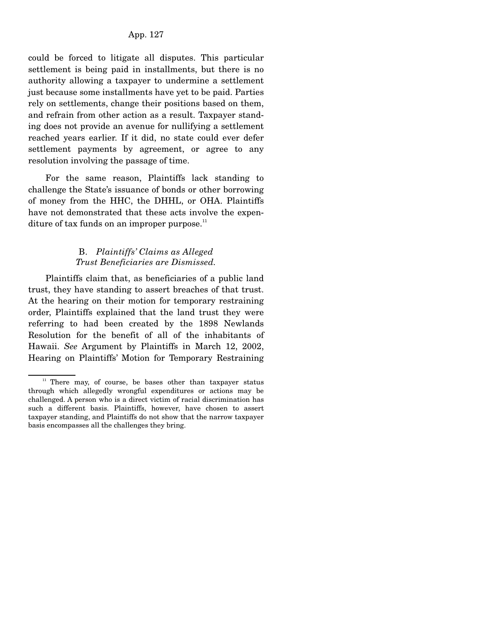could be forced to litigate all disputes. This particular settlement is being paid in installments, but there is no authority allowing a taxpayer to undermine a settlement just because some installments have yet to be paid. Parties rely on settlements, change their positions based on them, and refrain from other action as a result. Taxpayer standing does not provide an avenue for nullifying a settlement reached years earlier. If it did, no state could ever defer settlement payments by agreement, or agree to any resolution involving the passage of time.

 For the same reason, Plaintiffs lack standing to challenge the State's issuance of bonds or other borrowing of money from the HHC, the DHHL, or OHA. Plaintiffs have not demonstrated that these acts involve the expenditure of tax funds on an improper purpose. $11$ 

# B. *Plaintiffs' Claims as Alleged Trust Beneficiaries are Dismissed.*

 Plaintiffs claim that, as beneficiaries of a public land trust, they have standing to assert breaches of that trust. At the hearing on their motion for temporary restraining order, Plaintiffs explained that the land trust they were referring to had been created by the 1898 Newlands Resolution for the benefit of all of the inhabitants of Hawaii. *See* Argument by Plaintiffs in March 12, 2002, Hearing on Plaintiffs' Motion for Temporary Restraining

 $11$  There may, of course, be bases other than taxpayer status through which allegedly wrongful expenditures or actions may be challenged. A person who is a direct victim of racial discrimination has such a different basis. Plaintiffs, however, have chosen to assert taxpayer standing, and Plaintiffs do not show that the narrow taxpayer basis encompasses all the challenges they bring.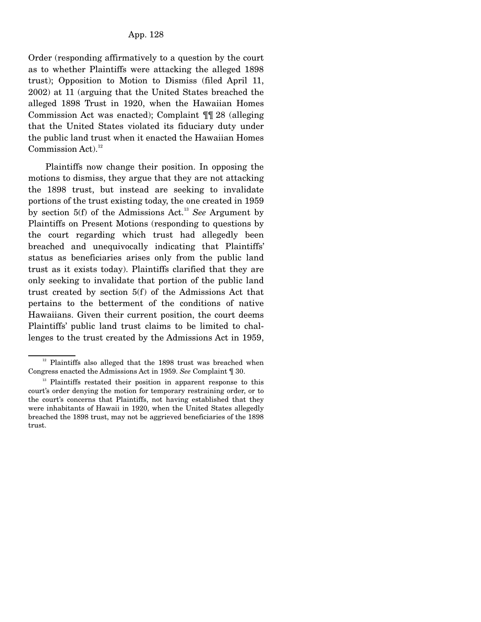Order (responding affirmatively to a question by the court as to whether Plaintiffs were attacking the alleged 1898 trust); Opposition to Motion to Dismiss (filed April 11, 2002) at 11 (arguing that the United States breached the alleged 1898 Trust in 1920, when the Hawaiian Homes Commission Act was enacted); Complaint ¶¶ 28 (alleging that the United States violated its fiduciary duty under the public land trust when it enacted the Hawaiian Homes Commission Act). $12$ 

 Plaintiffs now change their position. In opposing the motions to dismiss, they argue that they are not attacking the 1898 trust, but instead are seeking to invalidate portions of the trust existing today, the one created in 1959 by section 5(f) of the Admissions Act.<sup>13</sup> *See* Argument by Plaintiffs on Present Motions (responding to questions by the court regarding which trust had allegedly been breached and unequivocally indicating that Plaintiffs' status as beneficiaries arises only from the public land trust as it exists today). Plaintiffs clarified that they are only seeking to invalidate that portion of the public land trust created by section 5(f) of the Admissions Act that pertains to the betterment of the conditions of native Hawaiians. Given their current position, the court deems Plaintiffs' public land trust claims to be limited to challenges to the trust created by the Admissions Act in 1959,

<sup>&</sup>lt;sup>12</sup> Plaintiffs also alleged that the 1898 trust was breached when Congress enacted the Admissions Act in 1959. *See* Complaint ¶ 30.

<sup>&</sup>lt;sup>13</sup> Plaintiffs restated their position in apparent response to this court's order denying the motion for temporary restraining order, or to the court's concerns that Plaintiffs, not having established that they were inhabitants of Hawaii in 1920, when the United States allegedly breached the 1898 trust, may not be aggrieved beneficiaries of the 1898 trust.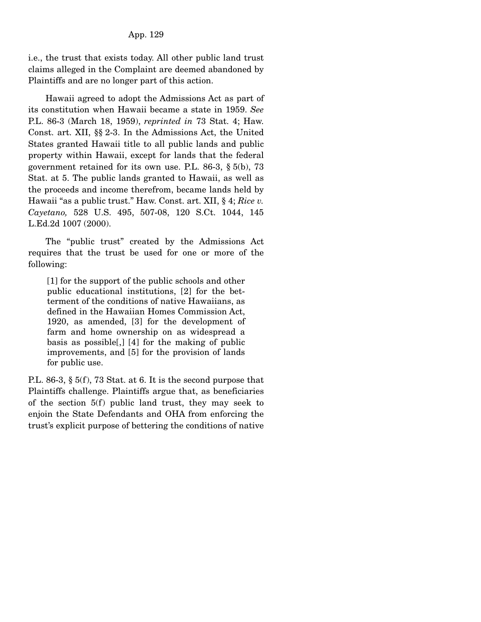## App. 129

i.e., the trust that exists today. All other public land trust claims alleged in the Complaint are deemed abandoned by Plaintiffs and are no longer part of this action.

 Hawaii agreed to adopt the Admissions Act as part of its constitution when Hawaii became a state in 1959. *See* P.L. 86-3 (March 18, 1959), *reprinted in* 73 Stat. 4; Haw. Const. art. XII, §§ 2-3. In the Admissions Act, the United States granted Hawaii title to all public lands and public property within Hawaii, except for lands that the federal government retained for its own use. P.L. 86-3, § 5(b), 73 Stat. at 5. The public lands granted to Hawaii, as well as the proceeds and income therefrom, became lands held by Hawaii "as a public trust." Haw. Const. art. XII, § 4; *Rice v. Cayetano,* 528 U.S. 495, 507-08, 120 S.Ct. 1044, 145 L.Ed.2d 1007 (2000).

 The "public trust" created by the Admissions Act requires that the trust be used for one or more of the following:

[1] for the support of the public schools and other public educational institutions, [2] for the betterment of the conditions of native Hawaiians, as defined in the Hawaiian Homes Commission Act, 1920, as amended, [3] for the development of farm and home ownership on as widespread a basis as possible[,] [4] for the making of public improvements, and [5] for the provision of lands for public use.

P.L. 86-3, § 5(f), 73 Stat. at 6. It is the second purpose that Plaintiffs challenge. Plaintiffs argue that, as beneficiaries of the section 5(f) public land trust, they may seek to enjoin the State Defendants and OHA from enforcing the trust's explicit purpose of bettering the conditions of native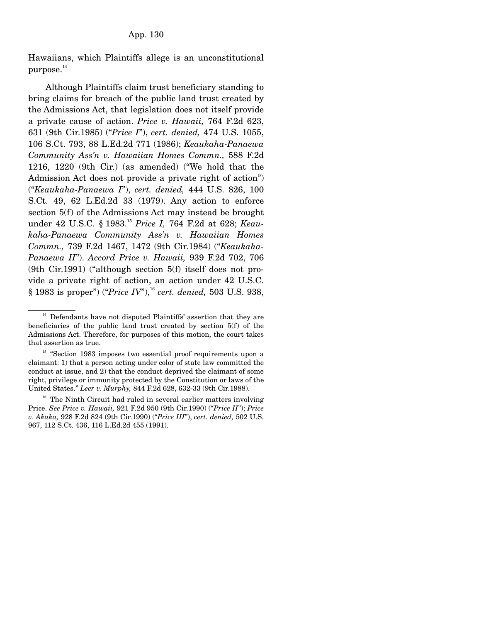Hawaiians, which Plaintiffs allege is an unconstitutional purpose.<sup>14</sup>

 Although Plaintiffs claim trust beneficiary standing to bring claims for breach of the public land trust created by the Admissions Act, that legislation does not itself provide a private cause of action. *Price v. Hawaii,* 764 F.2d 623, 631 (9th Cir.1985) ("*Price I*"), *cert. denied,* 474 U.S. 1055, 106 S.Ct. 793, 88 L.Ed.2d 771 (1986); *Keaukaha-Panaewa Community Ass'n v. Hawaiian Homes Commn.,* 588 F.2d 1216, 1220 (9th Cir.) (as amended) ("We hold that the Admission Act does not provide a private right of action") ("*Keaukaha-Panaewa I*"), *cert. denied,* 444 U.S. 826, 100 S.Ct. 49, 62 L.Ed.2d 33 (1979). Any action to enforce section 5(f) of the Admissions Act may instead be brought under 42 U.S.C. § 1983.15 *Price I,* 764 F.2d at 628; *Keaukaha-Panaewa Community Ass'n v. Hawaiian Homes Commn.,* 739 F.2d 1467, 1472 (9th Cir.1984) ("*Keaukaha-Panaewa II*"). *Accord Price v. Hawaii,* 939 F.2d 702, 706 (9th Cir.1991) ("although section 5(f) itself does not provide a private right of action, an action under 42 U.S.C. § 1983 is proper") ("Price IV"),<sup>16</sup> cert. denied, 503 U.S. 938,

<sup>&</sup>lt;sup>14</sup> Defendants have not disputed Plaintiffs' assertion that they are beneficiaries of the public land trust created by section 5(f) of the Admissions Act. Therefore, for purposes of this motion, the court takes that assertion as true.

<sup>&</sup>lt;sup>15</sup> "Section 1983 imposes two essential proof requirements upon a claimant: 1) that a person acting under color of state law committed the conduct at issue, and 2) that the conduct deprived the claimant of some right, privilege or immunity protected by the Constitution or laws of the United States." *Leer v. Murphy,* 844 F.2d 628, 632-33 (9th Cir.1988).

 $16$  The Ninth Circuit had ruled in several earlier matters involving Price. *See Price v. Hawaii,* 921 F.2d 950 (9th Cir.1990) ("*Price II*"); *Price v. Akaka,* 928 F.2d 824 (9th Cir.1990) ("*Price III*"), *cert. denied,* 502 U.S. 967, 112 S.Ct. 436, 116 L.Ed.2d 455 (1991).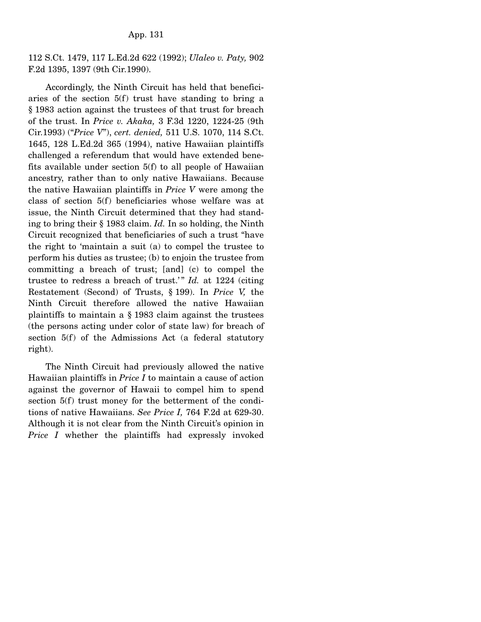112 S.Ct. 1479, 117 L.Ed.2d 622 (1992); *Ulaleo v. Paty,* 902 F.2d 1395, 1397 (9th Cir.1990).

 Accordingly, the Ninth Circuit has held that beneficiaries of the section 5(f) trust have standing to bring a § 1983 action against the trustees of that trust for breach of the trust. In *Price v. Akaka,* 3 F.3d 1220, 1224-25 (9th Cir.1993) ("*Price V*"), *cert. denied,* 511 U.S. 1070, 114 S.Ct. 1645, 128 L.Ed.2d 365 (1994), native Hawaiian plaintiffs challenged a referendum that would have extended benefits available under section 5(f) to all people of Hawaiian ancestry, rather than to only native Hawaiians. Because the native Hawaiian plaintiffs in *Price V* were among the class of section 5(f) beneficiaries whose welfare was at issue, the Ninth Circuit determined that they had standing to bring their § 1983 claim. *Id.* In so holding, the Ninth Circuit recognized that beneficiaries of such a trust "have the right to 'maintain a suit (a) to compel the trustee to perform his duties as trustee; (b) to enjoin the trustee from committing a breach of trust; [and] (c) to compel the trustee to redress a breach of trust." *Id.* at 1224 (citing Restatement (Second) of Trusts, § 199). In *Price V,* the Ninth Circuit therefore allowed the native Hawaiian plaintiffs to maintain a § 1983 claim against the trustees (the persons acting under color of state law) for breach of section 5(f) of the Admissions Act (a federal statutory right).

 The Ninth Circuit had previously allowed the native Hawaiian plaintiffs in *Price I* to maintain a cause of action against the governor of Hawaii to compel him to spend section 5(f) trust money for the betterment of the conditions of native Hawaiians. *See Price I,* 764 F.2d at 629-30. Although it is not clear from the Ninth Circuit's opinion in *Price I* whether the plaintiffs had expressly invoked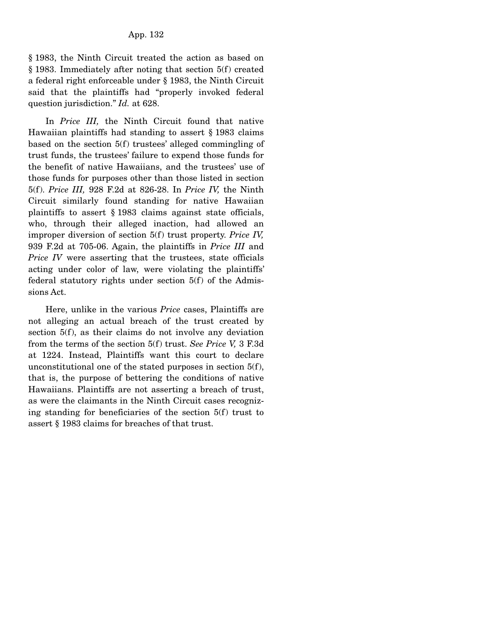§ 1983, the Ninth Circuit treated the action as based on § 1983. Immediately after noting that section 5(f) created a federal right enforceable under § 1983, the Ninth Circuit said that the plaintiffs had "properly invoked federal question jurisdiction." *Id.* at 628.

 In *Price III,* the Ninth Circuit found that native Hawaiian plaintiffs had standing to assert § 1983 claims based on the section 5(f) trustees' alleged commingling of trust funds, the trustees' failure to expend those funds for the benefit of native Hawaiians, and the trustees' use of those funds for purposes other than those listed in section 5(f). *Price III,* 928 F.2d at 826-28. In *Price IV,* the Ninth Circuit similarly found standing for native Hawaiian plaintiffs to assert § 1983 claims against state officials, who, through their alleged inaction, had allowed an improper diversion of section 5(f) trust property. *Price IV,* 939 F.2d at 705-06. Again, the plaintiffs in *Price III* and *Price IV* were asserting that the trustees, state officials acting under color of law, were violating the plaintiffs' federal statutory rights under section 5(f) of the Admissions Act.

 Here, unlike in the various *Price* cases, Plaintiffs are not alleging an actual breach of the trust created by section 5(f), as their claims do not involve any deviation from the terms of the section 5(f) trust. *See Price V,* 3 F.3d at 1224. Instead, Plaintiffs want this court to declare unconstitutional one of the stated purposes in section 5(f), that is, the purpose of bettering the conditions of native Hawaiians. Plaintiffs are not asserting a breach of trust, as were the claimants in the Ninth Circuit cases recognizing standing for beneficiaries of the section 5(f) trust to assert § 1983 claims for breaches of that trust.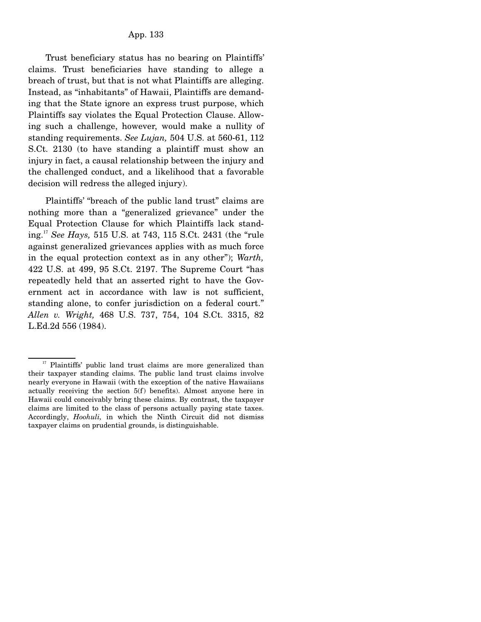Trust beneficiary status has no bearing on Plaintiffs' claims. Trust beneficiaries have standing to allege a breach of trust, but that is not what Plaintiffs are alleging. Instead, as "inhabitants" of Hawaii, Plaintiffs are demanding that the State ignore an express trust purpose, which Plaintiffs say violates the Equal Protection Clause. Allowing such a challenge, however, would make a nullity of standing requirements. *See Lujan,* 504 U.S. at 560-61, 112 S.Ct. 2130 (to have standing a plaintiff must show an injury in fact, a causal relationship between the injury and the challenged conduct, and a likelihood that a favorable decision will redress the alleged injury).

 Plaintiffs' "breach of the public land trust" claims are nothing more than a "generalized grievance" under the Equal Protection Clause for which Plaintiffs lack standing.<sup>17</sup> *See Hays,* 515 U.S. at 743, 115 S.Ct. 2431 (the "rule against generalized grievances applies with as much force in the equal protection context as in any other"); *Warth,* 422 U.S. at 499, 95 S.Ct. 2197. The Supreme Court "has repeatedly held that an asserted right to have the Government act in accordance with law is not sufficient, standing alone, to confer jurisdiction on a federal court." *Allen v. Wright,* 468 U.S. 737, 754, 104 S.Ct. 3315, 82 L.Ed.2d 556 (1984).

<sup>&</sup>lt;sup>17</sup> Plaintiffs' public land trust claims are more generalized than their taxpayer standing claims. The public land trust claims involve nearly everyone in Hawaii (with the exception of the native Hawaiians actually receiving the section 5(f) benefits). Almost anyone here in Hawaii could conceivably bring these claims. By contrast, the taxpayer claims are limited to the class of persons actually paying state taxes. Accordingly, *Hoohuli,* in which the Ninth Circuit did not dismiss taxpayer claims on prudential grounds, is distinguishable.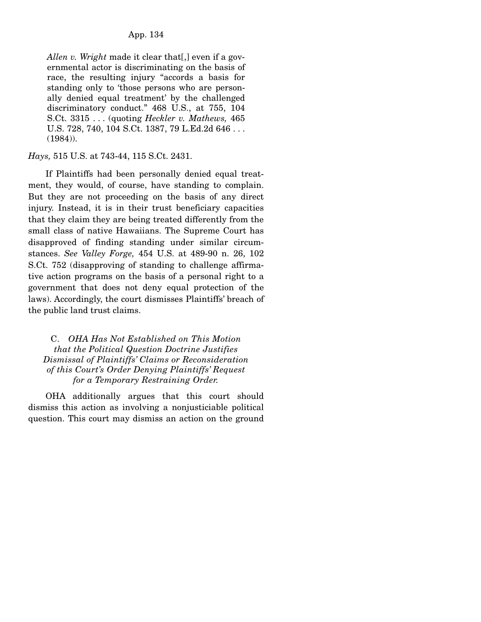*Allen v. Wright* made it clear that[,] even if a governmental actor is discriminating on the basis of race, the resulting injury "accords a basis for standing only to 'those persons who are personally denied equal treatment' by the challenged discriminatory conduct." 468 U.S., at 755, 104 S.Ct. 3315 . . . (quoting *Heckler v. Mathews,* 465 U.S. 728, 740, 104 S.Ct. 1387, 79 L.Ed.2d 646 . . . (1984)).

*Hays,* 515 U.S. at 743-44, 115 S.Ct. 2431.

 If Plaintiffs had been personally denied equal treatment, they would, of course, have standing to complain. But they are not proceeding on the basis of any direct injury. Instead, it is in their trust beneficiary capacities that they claim they are being treated differently from the small class of native Hawaiians. The Supreme Court has disapproved of finding standing under similar circumstances. *See Valley Forge,* 454 U.S. at 489-90 n. 26, 102 S.Ct. 752 (disapproving of standing to challenge affirmative action programs on the basis of a personal right to a government that does not deny equal protection of the laws). Accordingly, the court dismisses Plaintiffs' breach of the public land trust claims.

# C. *OHA Has Not Established on This Motion that the Political Question Doctrine Justifies Dismissal of Plaintiffs' Claims or Reconsideration of this Court's Order Denying Plaintiffs' Request for a Temporary Restraining Order.*

 OHA additionally argues that this court should dismiss this action as involving a nonjusticiable political question. This court may dismiss an action on the ground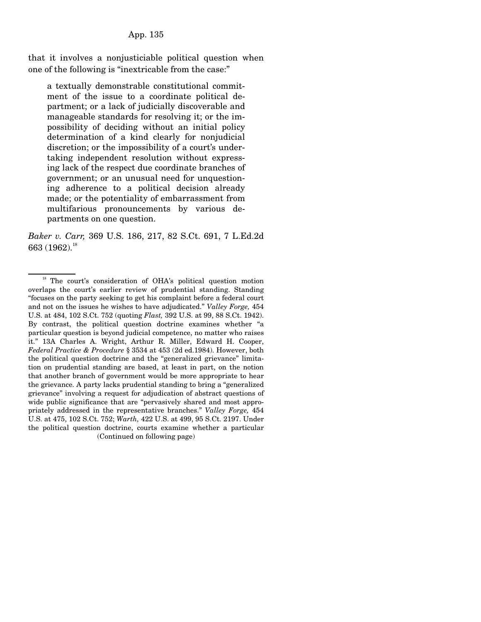that it involves a nonjusticiable political question when one of the following is "inextricable from the case:"

a textually demonstrable constitutional commitment of the issue to a coordinate political department; or a lack of judicially discoverable and manageable standards for resolving it; or the impossibility of deciding without an initial policy determination of a kind clearly for nonjudicial discretion; or the impossibility of a court's undertaking independent resolution without expressing lack of the respect due coordinate branches of government; or an unusual need for unquestioning adherence to a political decision already made; or the potentiality of embarrassment from multifarious pronouncements by various departments on one question.

*Baker v. Carr,* 369 U.S. 186, 217, 82 S.Ct. 691, 7 L.Ed.2d 663 (1962).<sup>18</sup>

<sup>&</sup>lt;sup>18</sup> The court's consideration of OHA's political question motion overlaps the court's earlier review of prudential standing. Standing "focuses on the party seeking to get his complaint before a federal court and not on the issues he wishes to have adjudicated." *Valley Forge,* 454 U.S. at 484, 102 S.Ct. 752 (quoting *Flast,* 392 U.S. at 99, 88 S.Ct. 1942). By contrast, the political question doctrine examines whether "a particular question is beyond judicial competence, no matter who raises it." 13A Charles A. Wright, Arthur R. Miller, Edward H. Cooper, *Federal Practice & Procedure* § 3534 at 453 (2d ed.1984). However, both the political question doctrine and the "generalized grievance" limitation on prudential standing are based, at least in part, on the notion that another branch of government would be more appropriate to hear the grievance. A party lacks prudential standing to bring a "generalized grievance" involving a request for adjudication of abstract questions of wide public significance that are "pervasively shared and most appropriately addressed in the representative branches." *Valley Forge,* 454 U.S. at 475, 102 S.Ct. 752; *Warth,* 422 U.S. at 499, 95 S.Ct. 2197. Under the political question doctrine, courts examine whether a particular (Continued on following page)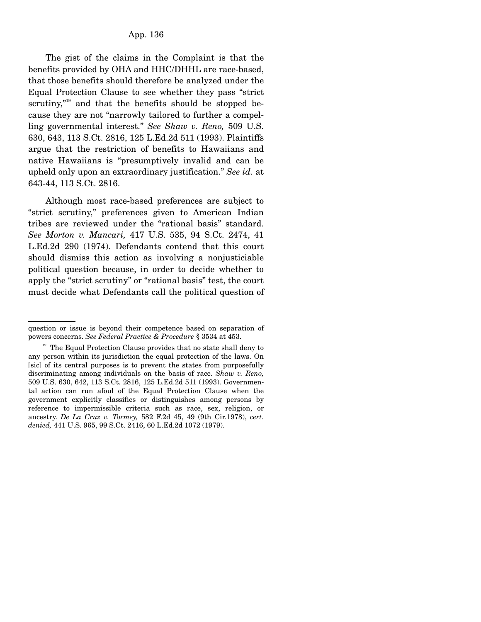The gist of the claims in the Complaint is that the benefits provided by OHA and HHC/DHHL are race-based, that those benefits should therefore be analyzed under the Equal Protection Clause to see whether they pass "strict scrutiny, $n^{19}$  and that the benefits should be stopped because they are not "narrowly tailored to further a compelling governmental interest." *See Shaw v. Reno,* 509 U.S. 630, 643, 113 S.Ct. 2816, 125 L.Ed.2d 511 (1993). Plaintiffs argue that the restriction of benefits to Hawaiians and native Hawaiians is "presumptively invalid and can be upheld only upon an extraordinary justification." *See id.* at 643-44, 113 S.Ct. 2816.

 Although most race-based preferences are subject to "strict scrutiny," preferences given to American Indian tribes are reviewed under the "rational basis" standard. *See Morton v. Mancari,* 417 U.S. 535, 94 S.Ct. 2474, 41 L.Ed.2d 290 (1974). Defendants contend that this court should dismiss this action as involving a nonjusticiable political question because, in order to decide whether to apply the "strict scrutiny" or "rational basis" test, the court must decide what Defendants call the political question of

question or issue is beyond their competence based on separation of powers concerns. *See Federal Practice & Procedure* § 3534 at 453.

 $19$  The Equal Protection Clause provides that no state shall deny to any person within its jurisdiction the equal protection of the laws. On [sic] of its central purposes is to prevent the states from purposefully discriminating among individuals on the basis of race. *Shaw v. Reno,* 509 U.S. 630, 642, 113 S.Ct. 2816, 125 L.Ed.2d 511 (1993). Governmental action can run afoul of the Equal Protection Clause when the government explicitly classifies or distinguishes among persons by reference to impermissible criteria such as race, sex, religion, or ancestry. *De La Cruz v. Tormey,* 582 F.2d 45, 49 (9th Cir.1978), *cert. denied,* 441 U.S. 965, 99 S.Ct. 2416, 60 L.Ed.2d 1072 (1979).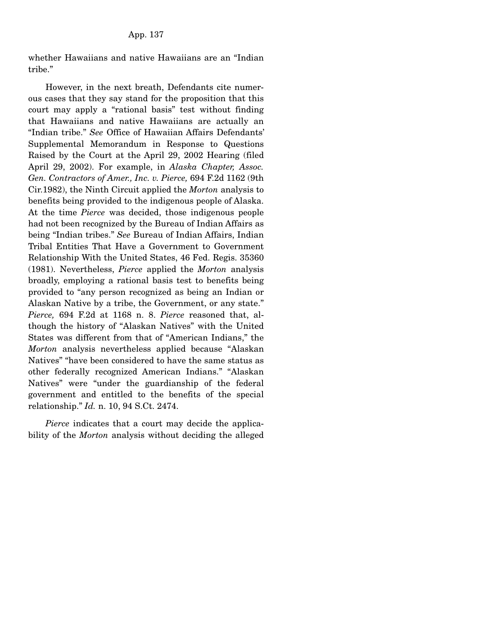whether Hawaiians and native Hawaiians are an "Indian tribe."

 However, in the next breath, Defendants cite numerous cases that they say stand for the proposition that this court may apply a "rational basis" test without finding that Hawaiians and native Hawaiians are actually an "Indian tribe." *See* Office of Hawaiian Affairs Defendants' Supplemental Memorandum in Response to Questions Raised by the Court at the April 29, 2002 Hearing (filed April 29, 2002). For example, in *Alaska Chapter, Assoc. Gen. Contractors of Amer., Inc. v. Pierce,* 694 F.2d 1162 (9th Cir.1982), the Ninth Circuit applied the *Morton* analysis to benefits being provided to the indigenous people of Alaska. At the time *Pierce* was decided, those indigenous people had not been recognized by the Bureau of Indian Affairs as being "Indian tribes." *See* Bureau of Indian Affairs, Indian Tribal Entities That Have a Government to Government Relationship With the United States, 46 Fed. Regis. 35360 (1981). Nevertheless, *Pierce* applied the *Morton* analysis broadly, employing a rational basis test to benefits being provided to "any person recognized as being an Indian or Alaskan Native by a tribe, the Government, or any state." *Pierce,* 694 F.2d at 1168 n. 8. *Pierce* reasoned that, although the history of "Alaskan Natives" with the United States was different from that of "American Indians," the *Morton* analysis nevertheless applied because "Alaskan Natives" "have been considered to have the same status as other federally recognized American Indians." "Alaskan Natives" were "under the guardianship of the federal government and entitled to the benefits of the special relationship." *Id.* n. 10, 94 S.Ct. 2474.

 *Pierce* indicates that a court may decide the applicability of the *Morton* analysis without deciding the alleged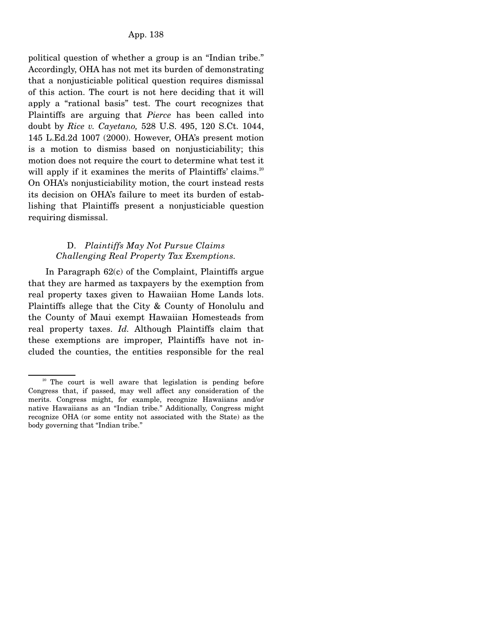political question of whether a group is an "Indian tribe." Accordingly, OHA has not met its burden of demonstrating that a nonjusticiable political question requires dismissal of this action. The court is not here deciding that it will apply a "rational basis" test. The court recognizes that Plaintiffs are arguing that *Pierce* has been called into doubt by *Rice v. Cayetano,* 528 U.S. 495, 120 S.Ct. 1044, 145 L.Ed.2d 1007 (2000). However, OHA's present motion is a motion to dismiss based on nonjusticiability; this motion does not require the court to determine what test it will apply if it examines the merits of Plaintiffs' claims.<sup>20</sup> On OHA's nonjusticiability motion, the court instead rests its decision on OHA's failure to meet its burden of establishing that Plaintiffs present a nonjusticiable question requiring dismissal.

# D. *Plaintiffs May Not Pursue Claims Challenging Real Property Tax Exemptions.*

 In Paragraph 62(c) of the Complaint, Plaintiffs argue that they are harmed as taxpayers by the exemption from real property taxes given to Hawaiian Home Lands lots. Plaintiffs allege that the City & County of Honolulu and the County of Maui exempt Hawaiian Homesteads from real property taxes. *Id.* Although Plaintiffs claim that these exemptions are improper, Plaintiffs have not included the counties, the entities responsible for the real

<sup>&</sup>lt;sup>20</sup> The court is well aware that legislation is pending before Congress that, if passed, may well affect any consideration of the merits. Congress might, for example, recognize Hawaiians and/or native Hawaiians as an "Indian tribe." Additionally, Congress might recognize OHA (or some entity not associated with the State) as the body governing that "Indian tribe."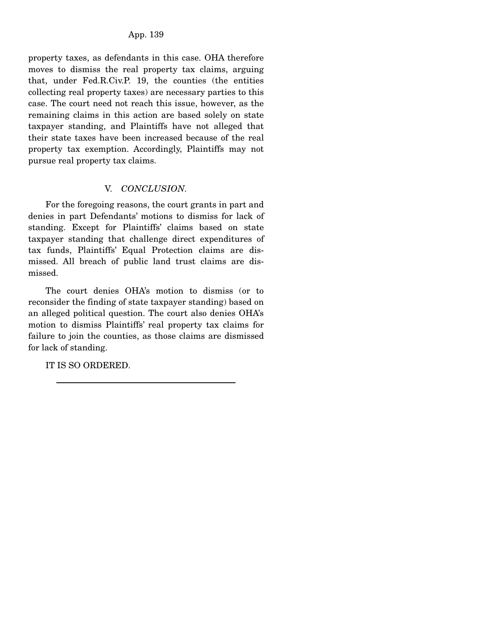property taxes, as defendants in this case. OHA therefore moves to dismiss the real property tax claims, arguing that, under Fed.R.Civ.P. 19, the counties (the entities collecting real property taxes) are necessary parties to this case. The court need not reach this issue, however, as the remaining claims in this action are based solely on state taxpayer standing, and Plaintiffs have not alleged that their state taxes have been increased because of the real property tax exemption. Accordingly, Plaintiffs may not pursue real property tax claims.

# V. *CONCLUSION.*

 For the foregoing reasons, the court grants in part and denies in part Defendants' motions to dismiss for lack of standing. Except for Plaintiffs' claims based on state taxpayer standing that challenge direct expenditures of tax funds, Plaintiffs' Equal Protection claims are dismissed. All breach of public land trust claims are dismissed.

 The court denies OHA's motion to dismiss (or to reconsider the finding of state taxpayer standing) based on an alleged political question. The court also denies OHA's motion to dismiss Plaintiffs' real property tax claims for failure to join the counties, as those claims are dismissed for lack of standing.

IT IS SO ORDERED.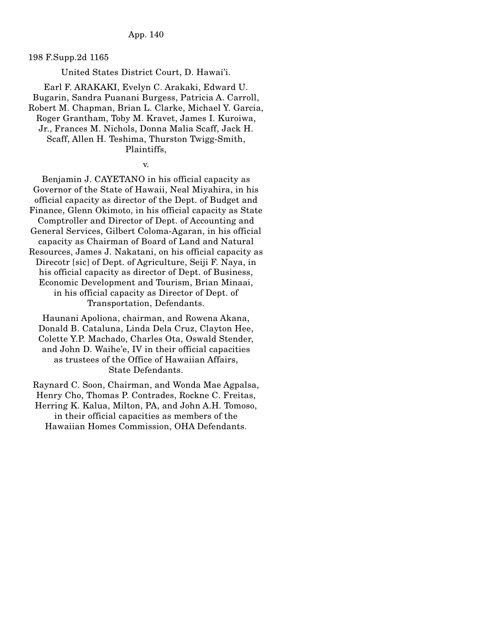198 F.Supp.2d 1165

United States District Court, D. Hawai'i.

Earl F. ARAKAKI, Evelyn C. Arakaki, Edward U. Bugarin, Sandra Puanani Burgess, Patricia A. Carroll, Robert M. Chapman, Brian L. Clarke, Michael Y. Garcia, Roger Grantham, Toby M. Kravet, James I. Kuroiwa, Jr., Frances M. Nichols, Donna Malia Scaff, Jack H. Scaff, Allen H. Teshima, Thurston Twigg-Smith, Plaintiffs,

v.

Benjamin J. CAYETANO in his official capacity as Governor of the State of Hawaii, Neal Miyahira, in his official capacity as director of the Dept. of Budget and Finance, Glenn Okimoto, in his official capacity as State Comptroller and Director of Dept. of Accounting and General Services, Gilbert Coloma-Agaran, in his official capacity as Chairman of Board of Land and Natural Resources, James J. Nakatani, on his official capacity as Direcotr [sic] of Dept. of Agriculture, Seiji F. Naya, in his official capacity as director of Dept. of Business, Economic Development and Tourism, Brian Minaai, in his official capacity as Director of Dept. of Transportation, Defendants.

Haunani Apoliona, chairman, and Rowena Akana, Donald B. Cataluna, Linda Dela Cruz, Clayton Hee, Colette Y.P. Machado, Charles Ota, Oswald Stender, and John D. Waihe'e, IV in their official capacities as trustees of the Office of Hawaiian Affairs, State Defendants.

Raynard C. Soon, Chairman, and Wonda Mae Agpalsa, Henry Cho, Thomas P. Contrades, Rockne C. Freitas, Herring K. Kalua, Milton, PA, and John A.H. Tomoso, in their official capacities as members of the Hawaiian Homes Commission, OHA Defendants.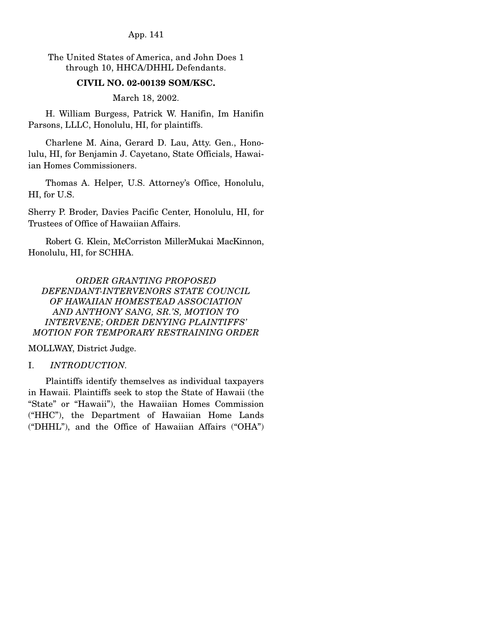App. 141

The United States of America, and John Does 1 through 10, HHCA/DHHL Defendants.

### **CIVIL NO. 02-00139 SOM/KSC.**

March 18, 2002.

 H. William Burgess, Patrick W. Hanifin, Im Hanifin Parsons, LLLC, Honolulu, HI, for plaintiffs.

 Charlene M. Aina, Gerard D. Lau, Atty. Gen., Honolulu, HI, for Benjamin J. Cayetano, State Officials, Hawaiian Homes Commissioners.

 Thomas A. Helper, U.S. Attorney's Office, Honolulu, HI, for U.S.

Sherry P. Broder, Davies Pacific Center, Honolulu, HI, for Trustees of Office of Hawaiian Affairs.

 Robert G. Klein, McCorriston MillerMukai MacKinnon, Honolulu, HI, for SCHHA.

*ORDER GRANTING PROPOSED DEFENDANT-INTERVENORS STATE COUNCIL OF HAWAIIAN HOMESTEAD ASSOCIATION AND ANTHONY SANG, SR.'S, MOTION TO INTERVENE; ORDER DENYING PLAINTIFFS' MOTION FOR TEMPORARY RESTRAINING ORDER* 

MOLLWAY, District Judge.

## I. *INTRODUCTION.*

 Plaintiffs identify themselves as individual taxpayers in Hawaii. Plaintiffs seek to stop the State of Hawaii (the "State" or "Hawaii"), the Hawaiian Homes Commission ("HHC"), the Department of Hawaiian Home Lands ("DHHL"), and the Office of Hawaiian Affairs ("OHA")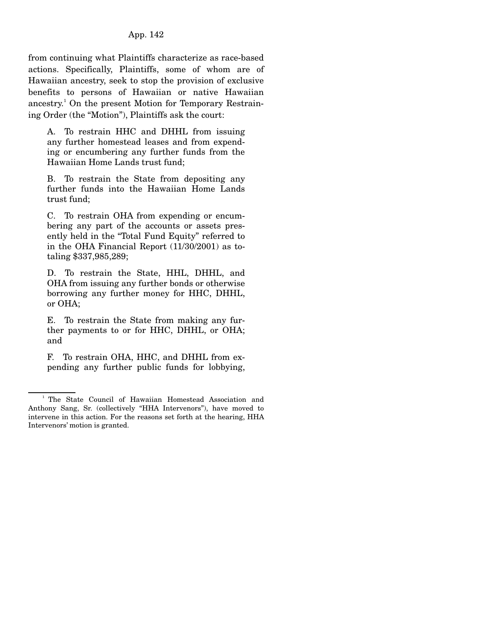from continuing what Plaintiffs characterize as race-based actions. Specifically, Plaintiffs, some of whom are of Hawaiian ancestry, seek to stop the provision of exclusive benefits to persons of Hawaiian or native Hawaiian ancestry.<sup>1</sup> On the present Motion for Temporary Restraining Order (the "Motion"), Plaintiffs ask the court:

A. To restrain HHC and DHHL from issuing any further homestead leases and from expending or encumbering any further funds from the Hawaiian Home Lands trust fund;

B. To restrain the State from depositing any further funds into the Hawaiian Home Lands trust fund;

C. To restrain OHA from expending or encumbering any part of the accounts or assets presently held in the "Total Fund Equity" referred to in the OHA Financial Report (11/30/2001) as totaling \$337,985,289;

D. To restrain the State, HHL, DHHL, and OHA from issuing any further bonds or otherwise borrowing any further money for HHC, DHHL, or OHA;

E. To restrain the State from making any further payments to or for HHC, DHHL, or OHA; and

F. To restrain OHA, HHC, and DHHL from expending any further public funds for lobbying,

<sup>&</sup>lt;sup>1</sup> The State Council of Hawaiian Homestead Association and Anthony Sang, Sr. (collectively "HHA Intervenors"), have moved to intervene in this action. For the reasons set forth at the hearing, HHA Intervenors' motion is granted.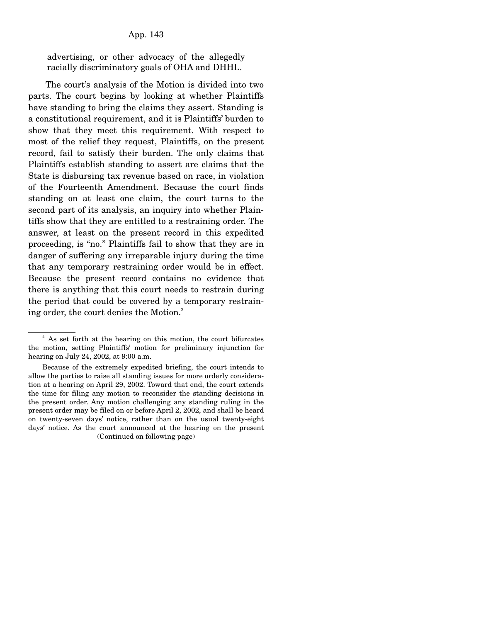advertising, or other advocacy of the allegedly racially discriminatory goals of OHA and DHHL.

 The court's analysis of the Motion is divided into two parts. The court begins by looking at whether Plaintiffs have standing to bring the claims they assert. Standing is a constitutional requirement, and it is Plaintiffs' burden to show that they meet this requirement. With respect to most of the relief they request, Plaintiffs, on the present record, fail to satisfy their burden. The only claims that Plaintiffs establish standing to assert are claims that the State is disbursing tax revenue based on race, in violation of the Fourteenth Amendment. Because the court finds standing on at least one claim, the court turns to the second part of its analysis, an inquiry into whether Plaintiffs show that they are entitled to a restraining order. The answer, at least on the present record in this expedited proceeding, is "no." Plaintiffs fail to show that they are in danger of suffering any irreparable injury during the time that any temporary restraining order would be in effect. Because the present record contains no evidence that there is anything that this court needs to restrain during the period that could be covered by a temporary restraining order, the court denies the Motion.<sup>2</sup>

<sup>&</sup>lt;sup>2</sup> As set forth at the hearing on this motion, the court bifurcates the motion, setting Plaintiffs' motion for preliminary injunction for hearing on July 24, 2002, at 9:00 a.m.

Because of the extremely expedited briefing, the court intends to allow the parties to raise all standing issues for more orderly consideration at a hearing on April 29, 2002. Toward that end, the court extends the time for filing any motion to reconsider the standing decisions in the present order. Any motion challenging any standing ruling in the present order may be filed on or before April 2, 2002, and shall be heard on twenty-seven days' notice, rather than on the usual twenty-eight days' notice. As the court announced at the hearing on the present (Continued on following page)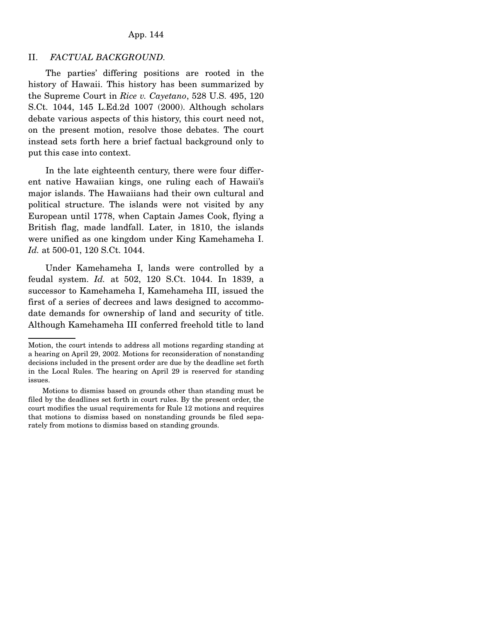### App. 144

### II. *FACTUAL BACKGROUND.*

 The parties' differing positions are rooted in the history of Hawaii. This history has been summarized by the Supreme Court in *Rice v. Cayetano*, 528 U.S. 495, 120 S.Ct. 1044, 145 L.Ed.2d 1007 (2000). Although scholars debate various aspects of this history, this court need not, on the present motion, resolve those debates. The court instead sets forth here a brief factual background only to put this case into context.

 In the late eighteenth century, there were four different native Hawaiian kings, one ruling each of Hawaii's major islands. The Hawaiians had their own cultural and political structure. The islands were not visited by any European until 1778, when Captain James Cook, flying a British flag, made landfall. Later, in 1810, the islands were unified as one kingdom under King Kamehameha I. *Id.* at 500-01, 120 S.Ct. 1044.

 Under Kamehameha I, lands were controlled by a feudal system. *Id.* at 502, 120 S.Ct. 1044. In 1839, a successor to Kamehameha I, Kamehameha III, issued the first of a series of decrees and laws designed to accommodate demands for ownership of land and security of title. Although Kamehameha III conferred freehold title to land

Motion, the court intends to address all motions regarding standing at a hearing on April 29, 2002. Motions for reconsideration of nonstanding decisions included in the present order are due by the deadline set forth in the Local Rules. The hearing on April 29 is reserved for standing issues.

Motions to dismiss based on grounds other than standing must be filed by the deadlines set forth in court rules. By the present order, the court modifies the usual requirements for Rule 12 motions and requires that motions to dismiss based on nonstanding grounds be filed separately from motions to dismiss based on standing grounds.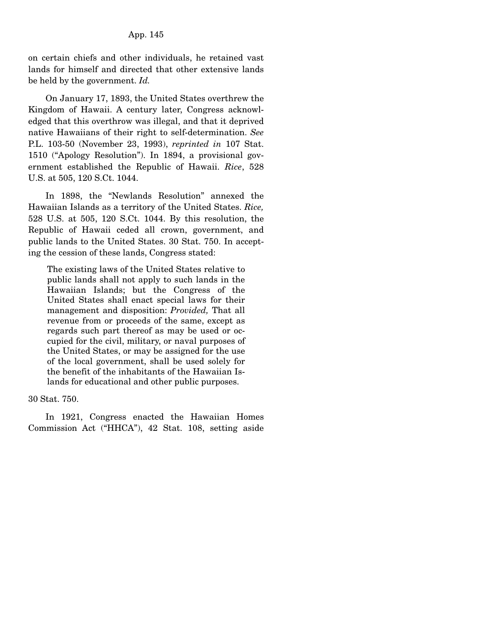on certain chiefs and other individuals, he retained vast lands for himself and directed that other extensive lands be held by the government. *Id.*

 On January 17, 1893, the United States overthrew the Kingdom of Hawaii. A century later, Congress acknowledged that this overthrow was illegal, and that it deprived native Hawaiians of their right to self-determination. *See* P.L. 103-50 (November 23, 1993), *reprinted in* 107 Stat. 1510 ("Apology Resolution"). In 1894, a provisional government established the Republic of Hawaii. *Rice*, 528 U.S. at 505, 120 S.Ct. 1044.

 In 1898, the "Newlands Resolution" annexed the Hawaiian Islands as a territory of the United States. *Rice,* 528 U.S. at 505, 120 S.Ct. 1044. By this resolution, the Republic of Hawaii ceded all crown, government, and public lands to the United States. 30 Stat. 750. In accepting the cession of these lands, Congress stated:

The existing laws of the United States relative to public lands shall not apply to such lands in the Hawaiian Islands; but the Congress of the United States shall enact special laws for their management and disposition: *Provided,* That all revenue from or proceeds of the same, except as regards such part thereof as may be used or occupied for the civil, military, or naval purposes of the United States, or may be assigned for the use of the local government, shall be used solely for the benefit of the inhabitants of the Hawaiian Islands for educational and other public purposes.

30 Stat. 750.

 In 1921, Congress enacted the Hawaiian Homes Commission Act ("HHCA"), 42 Stat. 108, setting aside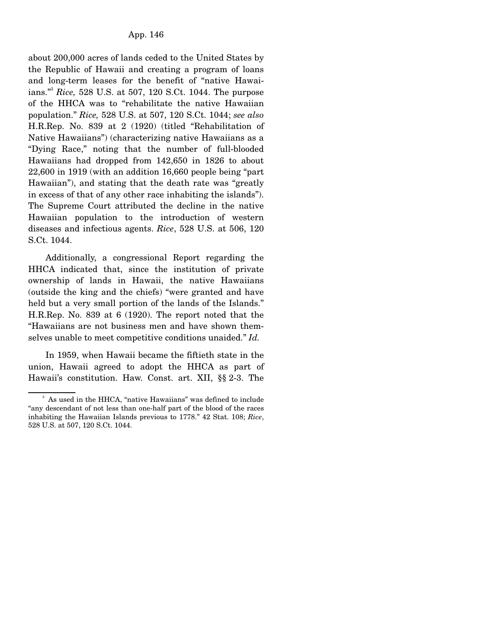about 200,000 acres of lands ceded to the United States by the Republic of Hawaii and creating a program of loans and long-term leases for the benefit of "native Hawaiians."3 *Rice,* 528 U.S. at 507, 120 S.Ct. 1044. The purpose of the HHCA was to "rehabilitate the native Hawaiian population." *Rice,* 528 U.S. at 507, 120 S.Ct. 1044; *see also* H.R.Rep. No. 839 at 2 (1920) (titled "Rehabilitation of Native Hawaiians") (characterizing native Hawaiians as a "Dying Race," noting that the number of full-blooded Hawaiians had dropped from 142,650 in 1826 to about 22,600 in 1919 (with an addition 16,660 people being "part Hawaiian"), and stating that the death rate was "greatly in excess of that of any other race inhabiting the islands"). The Supreme Court attributed the decline in the native Hawaiian population to the introduction of western diseases and infectious agents. *Rice*, 528 U.S. at 506, 120 S.Ct. 1044.

 Additionally, a congressional Report regarding the HHCA indicated that, since the institution of private ownership of lands in Hawaii, the native Hawaiians (outside the king and the chiefs) "were granted and have held but a very small portion of the lands of the Islands." H.R.Rep. No. 839 at 6 (1920). The report noted that the "Hawaiians are not business men and have shown themselves unable to meet competitive conditions unaided." *Id.*

 In 1959, when Hawaii became the fiftieth state in the union, Hawaii agreed to adopt the HHCA as part of Hawaii's constitution. Haw. Const. art. XII, §§ 2-3. The

<sup>&</sup>lt;sup>3</sup> As used in the HHCA, "native Hawaiians" was defined to include "any descendant of not less than one-half part of the blood of the races inhabiting the Hawaiian Islands previous to 1778." 42 Stat. 108; *Rice*, 528 U.S. at 507, 120 S.Ct. 1044.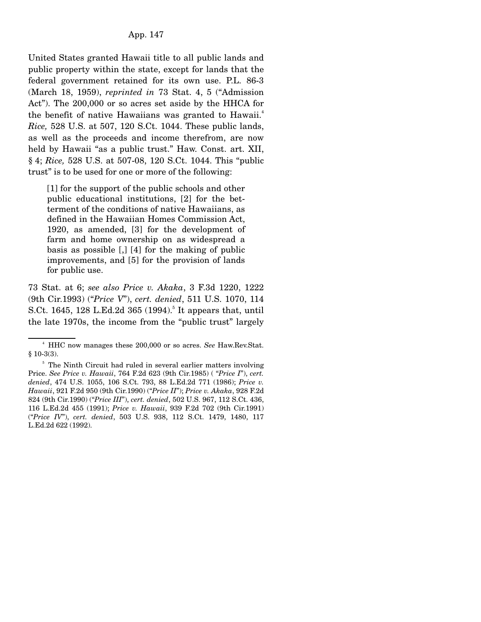United States granted Hawaii title to all public lands and public property within the state, except for lands that the federal government retained for its own use. P.L. 86-3 (March 18, 1959), *reprinted in* 73 Stat. 4, 5 ("Admission Act"). The 200,000 or so acres set aside by the HHCA for the benefit of native Hawaiians was granted to Hawaii.<sup>4</sup> *Rice,* 528 U.S. at 507, 120 S.Ct. 1044. These public lands, as well as the proceeds and income therefrom, are now held by Hawaii "as a public trust." Haw. Const. art. XII, § 4; *Rice,* 528 U.S. at 507-08, 120 S.Ct. 1044. This "public trust" is to be used for one or more of the following:

[1] for the support of the public schools and other public educational institutions, [2] for the betterment of the conditions of native Hawaiians, as defined in the Hawaiian Homes Commission Act, 1920, as amended, [3] for the development of farm and home ownership on as widespread a basis as possible [,] [4] for the making of public improvements, and [5] for the provision of lands for public use.

73 Stat. at 6; *see also Price v. Akaka*, 3 F.3d 1220, 1222 (9th Cir.1993) ("*Price V*"), *cert. denied*, 511 U.S. 1070, 114 S.Ct. 1645, 128 L.Ed.2d 365 (1994).<sup>5</sup> It appears that, until the late 1970s, the income from the "public trust" largely

 $\sim$   $\frac{4}{3}$  HHC now manages these 200,000 or so acres. *See* Haw.Rev.Stat. § 10-3(3).

<sup>&</sup>lt;sup>5</sup> The Ninth Circuit had ruled in several earlier matters involving Price. *See Price v. Hawaii*, 764 F.2d 623 (9th Cir.1985) ( "*Price I*"), *cert. denied*, 474 U.S. 1055, 106 S.Ct. 793, 88 L.Ed.2d 771 (1986); *Price v. Hawaii*, 921 F.2d 950 (9th Cir.1990) ("*Price II*"); *Price v. Akaka*, 928 F.2d 824 (9th Cir.1990) ("*Price III*"), *cert. denied*, 502 U.S. 967, 112 S.Ct. 436, 116 L.Ed.2d 455 (1991); *Price v. Hawaii*, 939 F.2d 702 (9th Cir.1991) ("*Price IV*"), *cert. denied*, 503 U.S. 938, 112 S.Ct. 1479, 1480, 117 L.Ed.2d 622 (1992).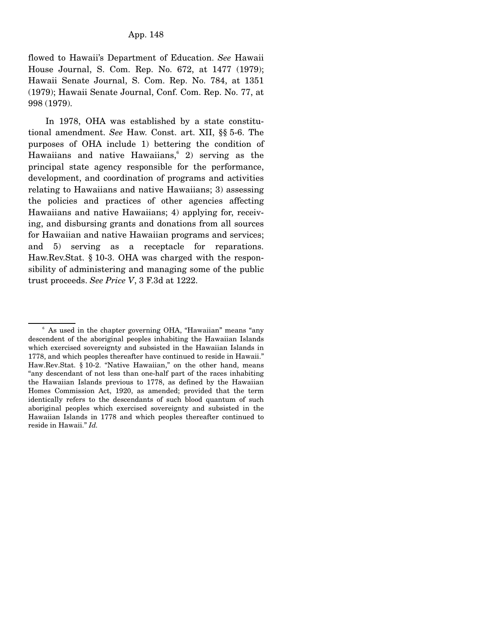flowed to Hawaii's Department of Education. *See* Hawaii House Journal, S. Com. Rep. No. 672, at 1477 (1979); Hawaii Senate Journal, S. Com. Rep. No. 784, at 1351 (1979); Hawaii Senate Journal, Conf. Com. Rep. No. 77, at 998 (1979).

 In 1978, OHA was established by a state constitutional amendment. *See* Haw. Const. art. XII, §§ 5-6. The purposes of OHA include 1) bettering the condition of Hawaiians and native Hawaiians,  $\degree$  2) serving as the principal state agency responsible for the performance, development, and coordination of programs and activities relating to Hawaiians and native Hawaiians; 3) assessing the policies and practices of other agencies affecting Hawaiians and native Hawaiians; 4) applying for, receiving, and disbursing grants and donations from all sources for Hawaiian and native Hawaiian programs and services; and 5) serving as a receptacle for reparations. Haw.Rev.Stat. § 10-3. OHA was charged with the responsibility of administering and managing some of the public trust proceeds. *See Price V*, 3 F.3d at 1222.

<sup>6</sup> As used in the chapter governing OHA, "Hawaiian" means "any descendent of the aboriginal peoples inhabiting the Hawaiian Islands which exercised sovereignty and subsisted in the Hawaiian Islands in 1778, and which peoples thereafter have continued to reside in Hawaii." Haw.Rev.Stat. § 10-2. "Native Hawaiian," on the other hand, means "any descendant of not less than one-half part of the races inhabiting the Hawaiian Islands previous to 1778, as defined by the Hawaiian Homes Commission Act, 1920, as amended; provided that the term identically refers to the descendants of such blood quantum of such aboriginal peoples which exercised sovereignty and subsisted in the Hawaiian Islands in 1778 and which peoples thereafter continued to reside in Hawaii." *Id.*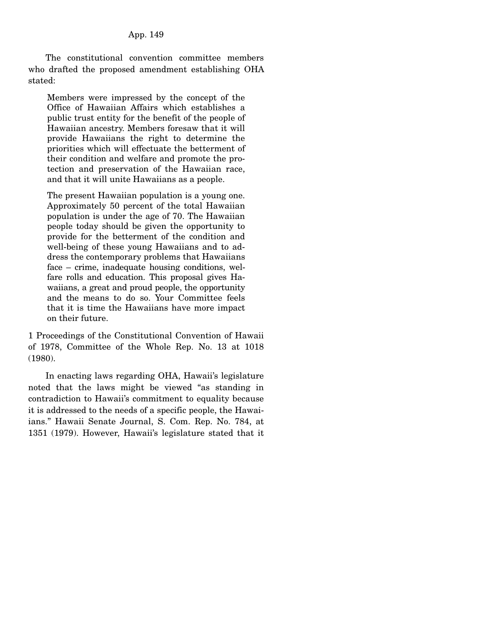The constitutional convention committee members who drafted the proposed amendment establishing OHA stated:

Members were impressed by the concept of the Office of Hawaiian Affairs which establishes a public trust entity for the benefit of the people of Hawaiian ancestry. Members foresaw that it will provide Hawaiians the right to determine the priorities which will effectuate the betterment of their condition and welfare and promote the protection and preservation of the Hawaiian race, and that it will unite Hawaiians as a people.

The present Hawaiian population is a young one. Approximately 50 percent of the total Hawaiian population is under the age of 70. The Hawaiian people today should be given the opportunity to provide for the betterment of the condition and well-being of these young Hawaiians and to address the contemporary problems that Hawaiians face – crime, inadequate housing conditions, welfare rolls and education. This proposal gives Hawaiians, a great and proud people, the opportunity and the means to do so. Your Committee feels that it is time the Hawaiians have more impact on their future.

1 Proceedings of the Constitutional Convention of Hawaii of 1978, Committee of the Whole Rep. No. 13 at 1018 (1980).

 In enacting laws regarding OHA, Hawaii's legislature noted that the laws might be viewed "as standing in contradiction to Hawaii's commitment to equality because it is addressed to the needs of a specific people, the Hawaiians." Hawaii Senate Journal, S. Com. Rep. No. 784, at 1351 (1979). However, Hawaii's legislature stated that it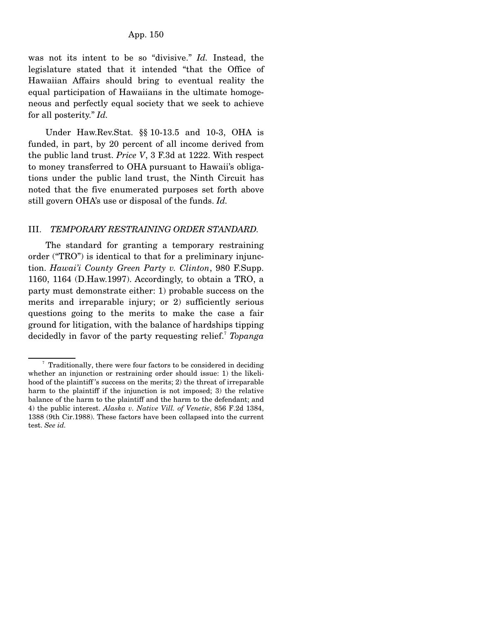was not its intent to be so "divisive." *Id.* Instead, the legislature stated that it intended "that the Office of Hawaiian Affairs should bring to eventual reality the equal participation of Hawaiians in the ultimate homogeneous and perfectly equal society that we seek to achieve for all posterity." *Id.*

 Under Haw.Rev.Stat. §§ 10-13.5 and 10-3, OHA is funded, in part, by 20 percent of all income derived from the public land trust. *Price V*, 3 F.3d at 1222. With respect to money transferred to OHA pursuant to Hawaii's obligations under the public land trust, the Ninth Circuit has noted that the five enumerated purposes set forth above still govern OHA's use or disposal of the funds. *Id.*

#### III. *TEMPORARY RESTRAINING ORDER STANDARD.*

 The standard for granting a temporary restraining order ("TRO") is identical to that for a preliminary injunction. *Hawai'i County Green Party v. Clinton*, 980 F.Supp. 1160, 1164 (D.Haw.1997). Accordingly, to obtain a TRO, a party must demonstrate either: 1) probable success on the merits and irreparable injury; or 2) sufficiently serious questions going to the merits to make the case a fair ground for litigation, with the balance of hardships tipping decidedly in favor of the party requesting relief.<sup>7</sup> *Topanga* 

<sup>&</sup>lt;sup>7</sup> Traditionally, there were four factors to be considered in deciding whether an injunction or restraining order should issue: 1) the likelihood of the plaintiff 's success on the merits; 2) the threat of irreparable harm to the plaintiff if the injunction is not imposed; 3) the relative balance of the harm to the plaintiff and the harm to the defendant; and 4) the public interest. *Alaska v. Native Vill. of Venetie*, 856 F.2d 1384, 1388 (9th Cir.1988). These factors have been collapsed into the current test. *See id.*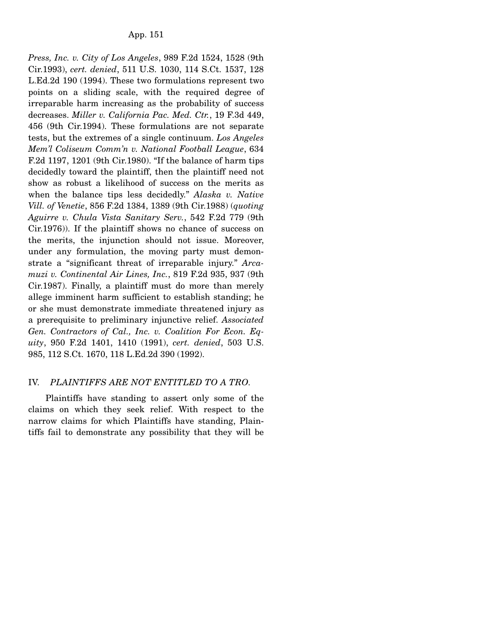*Press, Inc. v. City of Los Angeles*, 989 F.2d 1524, 1528 (9th Cir.1993), *cert. denied*, 511 U.S. 1030, 114 S.Ct. 1537, 128 L.Ed.2d 190 (1994). These two formulations represent two points on a sliding scale, with the required degree of irreparable harm increasing as the probability of success decreases. *Miller v. California Pac. Med. Ctr.*, 19 F.3d 449, 456 (9th Cir.1994). These formulations are not separate tests, but the extremes of a single continuum. *Los Angeles Mem'l Coliseum Comm'n v. National Football League*, 634 F.2d 1197, 1201 (9th Cir.1980). "If the balance of harm tips decidedly toward the plaintiff, then the plaintiff need not show as robust a likelihood of success on the merits as when the balance tips less decidedly." *Alaska v. Native Vill. of Venetie*, 856 F.2d 1384, 1389 (9th Cir.1988) (*quoting Aguirre v. Chula Vista Sanitary Serv.*, 542 F.2d 779 (9th Cir.1976)). If the plaintiff shows no chance of success on the merits, the injunction should not issue. Moreover, under any formulation, the moving party must demonstrate a "significant threat of irreparable injury." *Arcamuzi v. Continental Air Lines, Inc.*, 819 F.2d 935, 937 (9th Cir.1987). Finally, a plaintiff must do more than merely allege imminent harm sufficient to establish standing; he or she must demonstrate immediate threatened injury as a prerequisite to preliminary injunctive relief. *Associated Gen. Contractors of Cal., Inc. v. Coalition For Econ. Equity*, 950 F.2d 1401, 1410 (1991), *cert. denied*, 503 U.S. 985, 112 S.Ct. 1670, 118 L.Ed.2d 390 (1992).

# IV. *PLAINTIFFS ARE NOT ENTITLED TO A TRO.*

 Plaintiffs have standing to assert only some of the claims on which they seek relief. With respect to the narrow claims for which Plaintiffs have standing, Plaintiffs fail to demonstrate any possibility that they will be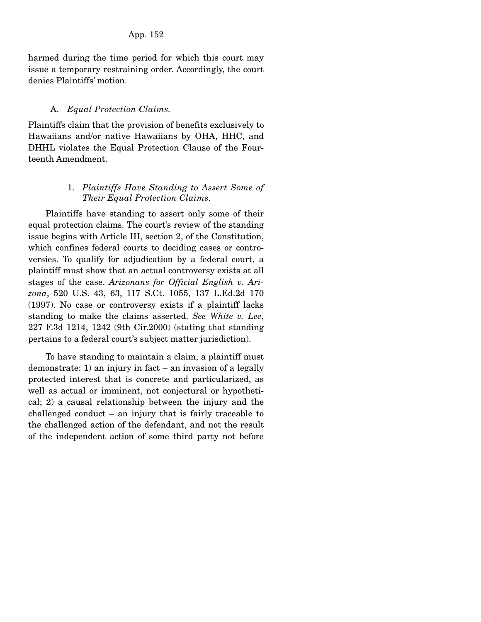harmed during the time period for which this court may issue a temporary restraining order. Accordingly, the court denies Plaintiffs' motion.

#### A. *Equal Protection Claims.*

Plaintiffs claim that the provision of benefits exclusively to Hawaiians and/or native Hawaiians by OHA, HHC, and DHHL violates the Equal Protection Clause of the Fourteenth Amendment.

# 1. *Plaintiffs Have Standing to Assert Some of Their Equal Protection Claims.*

 Plaintiffs have standing to assert only some of their equal protection claims. The court's review of the standing issue begins with Article III, section 2, of the Constitution, which confines federal courts to deciding cases or controversies. To qualify for adjudication by a federal court, a plaintiff must show that an actual controversy exists at all stages of the case. *Arizonans for Official English v. Arizona*, 520 U.S. 43, 63, 117 S.Ct. 1055, 137 L.Ed.2d 170 (1997). No case or controversy exists if a plaintiff lacks standing to make the claims asserted. *See White v. Lee*, 227 F.3d 1214, 1242 (9th Cir.2000) (stating that standing pertains to a federal court's subject matter jurisdiction).

 To have standing to maintain a claim, a plaintiff must demonstrate: 1) an injury in fact – an invasion of a legally protected interest that is concrete and particularized, as well as actual or imminent, not conjectural or hypothetical; 2) a causal relationship between the injury and the challenged conduct – an injury that is fairly traceable to the challenged action of the defendant, and not the result of the independent action of some third party not before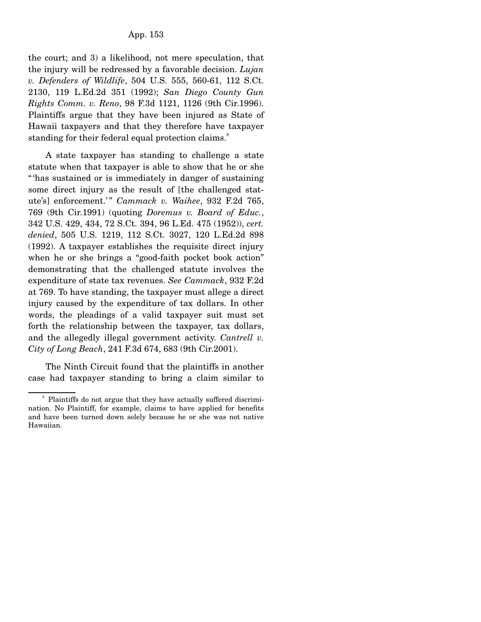the court; and 3) a likelihood, not mere speculation, that the injury will be redressed by a favorable decision. *Lujan v. Defenders of Wildlife*, 504 U.S. 555, 560-61, 112 S.Ct. 2130, 119 L.Ed.2d 351 (1992); *San Diego County Gun Rights Comm. v. Reno*, 98 F.3d 1121, 1126 (9th Cir.1996). Plaintiffs argue that they have been injured as State of Hawaii taxpayers and that they therefore have taxpayer standing for their federal equal protection claims.<sup>8</sup>

 A state taxpayer has standing to challenge a state statute when that taxpayer is able to show that he or she " has sustained or is immediately in danger of sustaining some direct injury as the result of [the challenged statute's] enforcement.'" *Cammack v. Waihee*, 932 F.2d 765, 769 (9th Cir.1991) (quoting *Doremus v. Board of Educ.*, 342 U.S. 429, 434, 72 S.Ct. 394, 96 L.Ed. 475 (1952)), *cert. denied*, 505 U.S. 1219, 112 S.Ct. 3027, 120 L.Ed.2d 898 (1992). A taxpayer establishes the requisite direct injury when he or she brings a "good-faith pocket book action" demonstrating that the challenged statute involves the expenditure of state tax revenues. *See Cammack*, 932 F.2d at 769. To have standing, the taxpayer must allege a direct injury caused by the expenditure of tax dollars. In other words, the pleadings of a valid taxpayer suit must set forth the relationship between the taxpayer, tax dollars, and the allegedly illegal government activity. *Cantrell v. City of Long Beach*, 241 F.3d 674, 683 (9th Cir.2001).

 The Ninth Circuit found that the plaintiffs in another case had taxpayer standing to bring a claim similar to

<sup>8</sup> Plaintiffs do not argue that they have actually suffered discrimination. No Plaintiff, for example, claims to have applied for benefits and have been turned down solely because he or she was not native Hawaiian.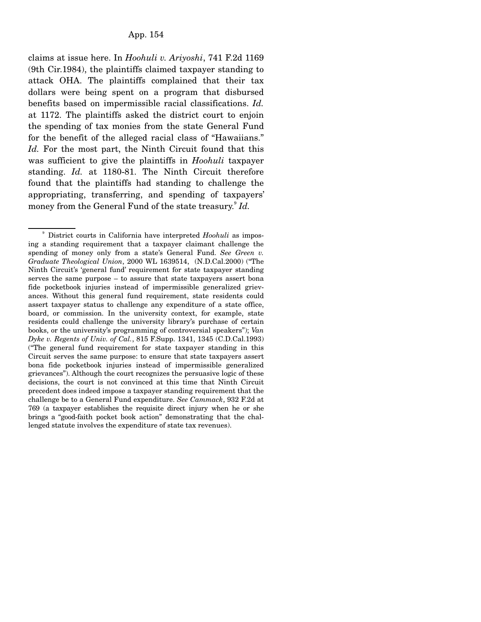claims at issue here. In *Hoohuli v. Ariyoshi*, 741 F.2d 1169 (9th Cir.1984), the plaintiffs claimed taxpayer standing to attack OHA. The plaintiffs complained that their tax dollars were being spent on a program that disbursed benefits based on impermissible racial classifications. *Id.* at 1172. The plaintiffs asked the district court to enjoin the spending of tax monies from the state General Fund for the benefit of the alleged racial class of "Hawaiians." *Id.* For the most part, the Ninth Circuit found that this was sufficient to give the plaintiffs in *Hoohuli* taxpayer standing. *Id.* at 1180-81. The Ninth Circuit therefore found that the plaintiffs had standing to challenge the appropriating, transferring, and spending of taxpayers' money from the General Fund of the state treasury.9 *Id.*

<sup>&</sup>lt;sup>9</sup> District courts in California have interpreted *Hoohuli* as imposing a standing requirement that a taxpayer claimant challenge the spending of money only from a state's General Fund. *See Green v. Graduate Theological Union*, 2000 WL 1639514, (N.D.Cal.2000) ("The Ninth Circuit's 'general fund' requirement for state taxpayer standing serves the same purpose – to assure that state taxpayers assert bona fide pocketbook injuries instead of impermissible generalized grievances. Without this general fund requirement, state residents could assert taxpayer status to challenge any expenditure of a state office, board, or commission. In the university context, for example, state residents could challenge the university library's purchase of certain books, or the university's programming of controversial speakers"); *Van Dyke v. Regents of Univ. of Cal.*, 815 F.Supp. 1341, 1345 (C.D.Cal.1993) ("The general fund requirement for state taxpayer standing in this Circuit serves the same purpose: to ensure that state taxpayers assert bona fide pocketbook injuries instead of impermissible generalized grievances"). Although the court recognizes the persuasive logic of these decisions, the court is not convinced at this time that Ninth Circuit precedent does indeed impose a taxpayer standing requirement that the challenge be to a General Fund expenditure. *See Cammack*, 932 F.2d at 769 (a taxpayer establishes the requisite direct injury when he or she brings a "good-faith pocket book action" demonstrating that the challenged statute involves the expenditure of state tax revenues).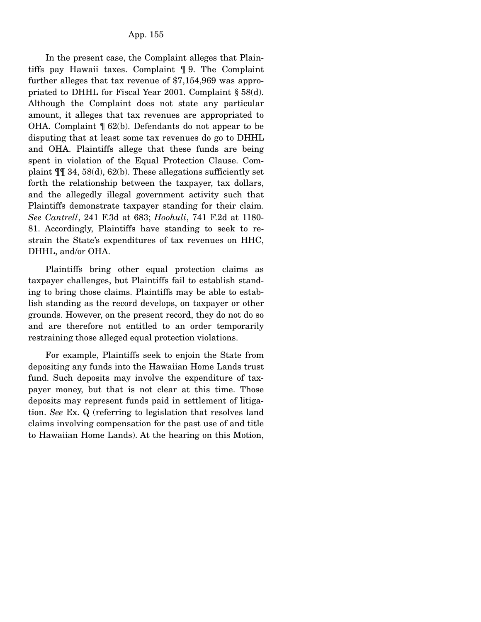In the present case, the Complaint alleges that Plaintiffs pay Hawaii taxes. Complaint ¶ 9. The Complaint further alleges that tax revenue of \$7,154,969 was appropriated to DHHL for Fiscal Year 2001. Complaint § 58(d). Although the Complaint does not state any particular amount, it alleges that tax revenues are appropriated to OHA. Complaint ¶ 62(b). Defendants do not appear to be disputing that at least some tax revenues do go to DHHL and OHA. Plaintiffs allege that these funds are being spent in violation of the Equal Protection Clause. Complaint  $\P$ [ $\otimes$  34, 58(d), 62(b). These allegations sufficiently set forth the relationship between the taxpayer, tax dollars, and the allegedly illegal government activity such that Plaintiffs demonstrate taxpayer standing for their claim. *See Cantrell*, 241 F.3d at 683; *Hoohuli*, 741 F.2d at 1180- 81. Accordingly, Plaintiffs have standing to seek to restrain the State's expenditures of tax revenues on HHC, DHHL, and/or OHA.

 Plaintiffs bring other equal protection claims as taxpayer challenges, but Plaintiffs fail to establish standing to bring those claims. Plaintiffs may be able to establish standing as the record develops, on taxpayer or other grounds. However, on the present record, they do not do so and are therefore not entitled to an order temporarily restraining those alleged equal protection violations.

 For example, Plaintiffs seek to enjoin the State from depositing any funds into the Hawaiian Home Lands trust fund. Such deposits may involve the expenditure of taxpayer money, but that is not clear at this time. Those deposits may represent funds paid in settlement of litigation. *See* Ex. Q (referring to legislation that resolves land claims involving compensation for the past use of and title to Hawaiian Home Lands). At the hearing on this Motion,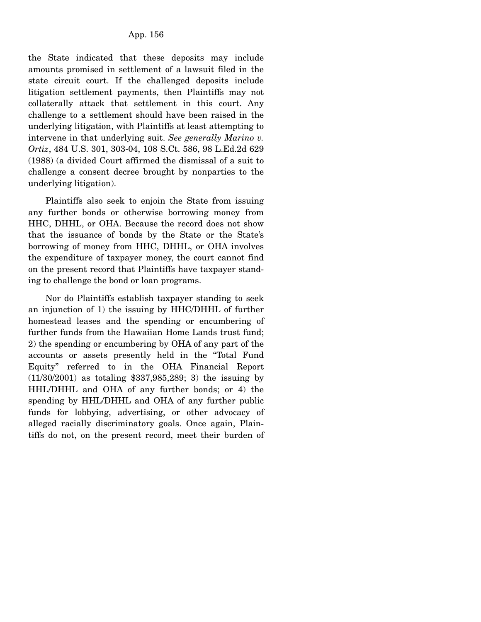the State indicated that these deposits may include amounts promised in settlement of a lawsuit filed in the state circuit court. If the challenged deposits include litigation settlement payments, then Plaintiffs may not collaterally attack that settlement in this court. Any challenge to a settlement should have been raised in the underlying litigation, with Plaintiffs at least attempting to intervene in that underlying suit. *See generally Marino v. Ortiz*, 484 U.S. 301, 303-04, 108 S.Ct. 586, 98 L.Ed.2d 629 (1988) (a divided Court affirmed the dismissal of a suit to challenge a consent decree brought by nonparties to the underlying litigation).

 Plaintiffs also seek to enjoin the State from issuing any further bonds or otherwise borrowing money from HHC, DHHL, or OHA. Because the record does not show that the issuance of bonds by the State or the State's borrowing of money from HHC, DHHL, or OHA involves the expenditure of taxpayer money, the court cannot find on the present record that Plaintiffs have taxpayer standing to challenge the bond or loan programs.

 Nor do Plaintiffs establish taxpayer standing to seek an injunction of 1) the issuing by HHC/DHHL of further homestead leases and the spending or encumbering of further funds from the Hawaiian Home Lands trust fund; 2) the spending or encumbering by OHA of any part of the accounts or assets presently held in the "Total Fund Equity" referred to in the OHA Financial Report (11/30/2001) as totaling \$337,985,289; 3) the issuing by HHL/DHHL and OHA of any further bonds; or 4) the spending by HHL/DHHL and OHA of any further public funds for lobbying, advertising, or other advocacy of alleged racially discriminatory goals. Once again, Plaintiffs do not, on the present record, meet their burden of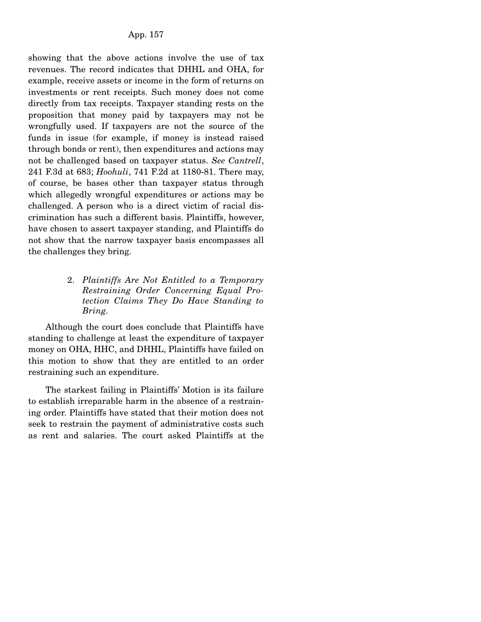showing that the above actions involve the use of tax revenues. The record indicates that DHHL and OHA, for example, receive assets or income in the form of returns on investments or rent receipts. Such money does not come directly from tax receipts. Taxpayer standing rests on the proposition that money paid by taxpayers may not be wrongfully used. If taxpayers are not the source of the funds in issue (for example, if money is instead raised through bonds or rent), then expenditures and actions may not be challenged based on taxpayer status. *See Cantrell*, 241 F.3d at 683; *Hoohuli*, 741 F.2d at 1180-81. There may, of course, be bases other than taxpayer status through which allegedly wrongful expenditures or actions may be challenged. A person who is a direct victim of racial discrimination has such a different basis. Plaintiffs, however, have chosen to assert taxpayer standing, and Plaintiffs do not show that the narrow taxpayer basis encompasses all the challenges they bring.

# 2. *Plaintiffs Are Not Entitled to a Temporary Restraining Order Concerning Equal Protection Claims They Do Have Standing to Bring.*

 Although the court does conclude that Plaintiffs have standing to challenge at least the expenditure of taxpayer money on OHA, HHC, and DHHL, Plaintiffs have failed on this motion to show that they are entitled to an order restraining such an expenditure.

 The starkest failing in Plaintiffs' Motion is its failure to establish irreparable harm in the absence of a restraining order. Plaintiffs have stated that their motion does not seek to restrain the payment of administrative costs such as rent and salaries. The court asked Plaintiffs at the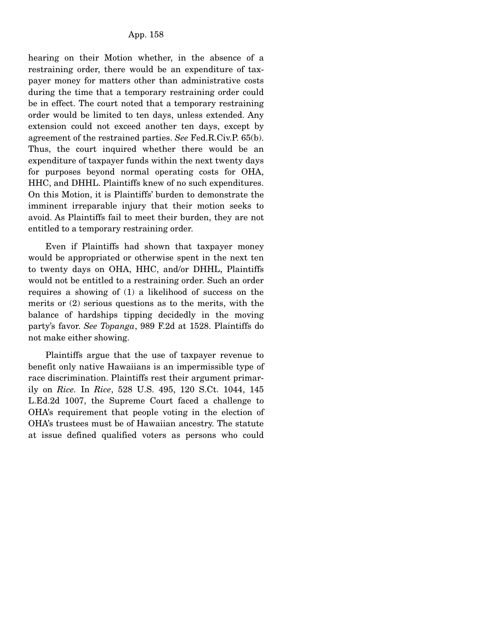hearing on their Motion whether, in the absence of a restraining order, there would be an expenditure of taxpayer money for matters other than administrative costs during the time that a temporary restraining order could be in effect. The court noted that a temporary restraining order would be limited to ten days, unless extended. Any extension could not exceed another ten days, except by agreement of the restrained parties. *See* Fed.R.Civ.P. 65(b). Thus, the court inquired whether there would be an expenditure of taxpayer funds within the next twenty days for purposes beyond normal operating costs for OHA, HHC, and DHHL. Plaintiffs knew of no such expenditures. On this Motion, it is Plaintiffs' burden to demonstrate the imminent irreparable injury that their motion seeks to avoid. As Plaintiffs fail to meet their burden, they are not entitled to a temporary restraining order.

 Even if Plaintiffs had shown that taxpayer money would be appropriated or otherwise spent in the next ten to twenty days on OHA, HHC, and/or DHHL, Plaintiffs would not be entitled to a restraining order. Such an order requires a showing of (1) a likelihood of success on the merits or (2) serious questions as to the merits, with the balance of hardships tipping decidedly in the moving party's favor. *See Topanga*, 989 F.2d at 1528. Plaintiffs do not make either showing.

 Plaintiffs argue that the use of taxpayer revenue to benefit only native Hawaiians is an impermissible type of race discrimination. Plaintiffs rest their argument primarily on *Rice.* In *Rice*, 528 U.S. 495, 120 S.Ct. 1044, 145 L.Ed.2d 1007, the Supreme Court faced a challenge to OHA's requirement that people voting in the election of OHA's trustees must be of Hawaiian ancestry. The statute at issue defined qualified voters as persons who could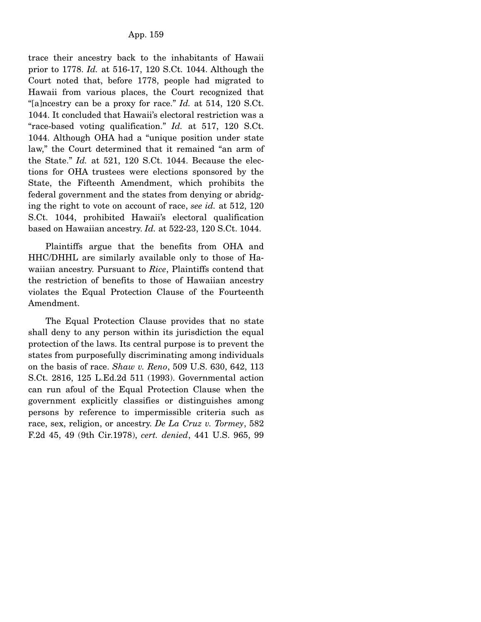trace their ancestry back to the inhabitants of Hawaii prior to 1778. *Id.* at 516-17, 120 S.Ct. 1044. Although the Court noted that, before 1778, people had migrated to Hawaii from various places, the Court recognized that "[a]ncestry can be a proxy for race." *Id.* at 514, 120 S.Ct. 1044. It concluded that Hawaii's electoral restriction was a "race-based voting qualification." *Id.* at 517, 120 S.Ct. 1044. Although OHA had a "unique position under state law," the Court determined that it remained "an arm of the State." *Id.* at 521, 120 S.Ct. 1044. Because the elections for OHA trustees were elections sponsored by the State, the Fifteenth Amendment, which prohibits the federal government and the states from denying or abridging the right to vote on account of race, *see id.* at 512, 120 S.Ct. 1044, prohibited Hawaii's electoral qualification based on Hawaiian ancestry. *Id.* at 522-23, 120 S.Ct. 1044.

 Plaintiffs argue that the benefits from OHA and HHC/DHHL are similarly available only to those of Hawaiian ancestry. Pursuant to *Rice*, Plaintiffs contend that the restriction of benefits to those of Hawaiian ancestry violates the Equal Protection Clause of the Fourteenth Amendment.

 The Equal Protection Clause provides that no state shall deny to any person within its jurisdiction the equal protection of the laws. Its central purpose is to prevent the states from purposefully discriminating among individuals on the basis of race. *Shaw v. Reno*, 509 U.S. 630, 642, 113 S.Ct. 2816, 125 L.Ed.2d 511 (1993). Governmental action can run afoul of the Equal Protection Clause when the government explicitly classifies or distinguishes among persons by reference to impermissible criteria such as race, sex, religion, or ancestry. *De La Cruz v. Tormey*, 582 F.2d 45, 49 (9th Cir.1978), *cert. denied*, 441 U.S. 965, 99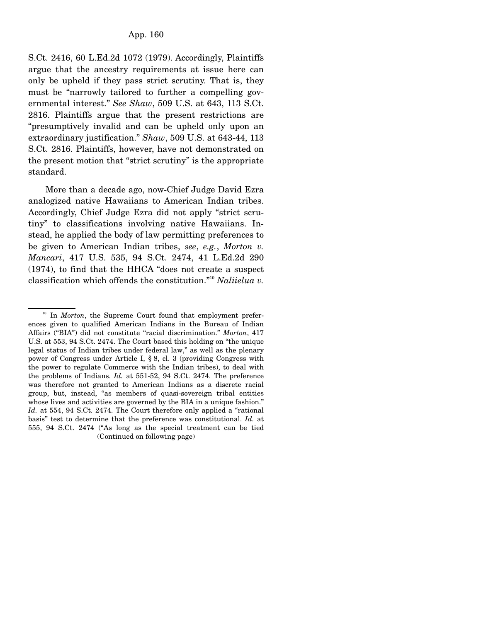S.Ct. 2416, 60 L.Ed.2d 1072 (1979). Accordingly, Plaintiffs argue that the ancestry requirements at issue here can only be upheld if they pass strict scrutiny. That is, they must be "narrowly tailored to further a compelling governmental interest." *See Shaw*, 509 U.S. at 643, 113 S.Ct. 2816. Plaintiffs argue that the present restrictions are "presumptively invalid and can be upheld only upon an extraordinary justification." *Shaw*, 509 U.S. at 643-44, 113 S.Ct. 2816. Plaintiffs, however, have not demonstrated on the present motion that "strict scrutiny" is the appropriate standard.

 More than a decade ago, now-Chief Judge David Ezra analogized native Hawaiians to American Indian tribes. Accordingly, Chief Judge Ezra did not apply "strict scrutiny" to classifications involving native Hawaiians. Instead, he applied the body of law permitting preferences to be given to American Indian tribes, *see*, *e.g.*, *Morton v. Mancari*, 417 U.S. 535, 94 S.Ct. 2474, 41 L.Ed.2d 290 (1974), to find that the HHCA "does not create a suspect classification which offends the constitution."<sup>10</sup> *Naliielua v.* 

<sup>&</sup>lt;sup>10</sup> In *Morton*, the Supreme Court found that employment preferences given to qualified American Indians in the Bureau of Indian Affairs ("BIA") did not constitute "racial discrimination." *Morton*, 417 U.S. at 553, 94 S.Ct. 2474. The Court based this holding on "the unique legal status of Indian tribes under federal law," as well as the plenary power of Congress under Article I, § 8, cl. 3 (providing Congress with the power to regulate Commerce with the Indian tribes), to deal with the problems of Indians. *Id.* at 551-52, 94 S.Ct. 2474. The preference was therefore not granted to American Indians as a discrete racial group, but, instead, "as members of quasi-sovereign tribal entities whose lives and activities are governed by the BIA in a unique fashion." *Id.* at 554, 94 S.Ct. 2474. The Court therefore only applied a "rational basis" test to determine that the preference was constitutional. *Id.* at 555, 94 S.Ct. 2474 ("As long as the special treatment can be tied (Continued on following page)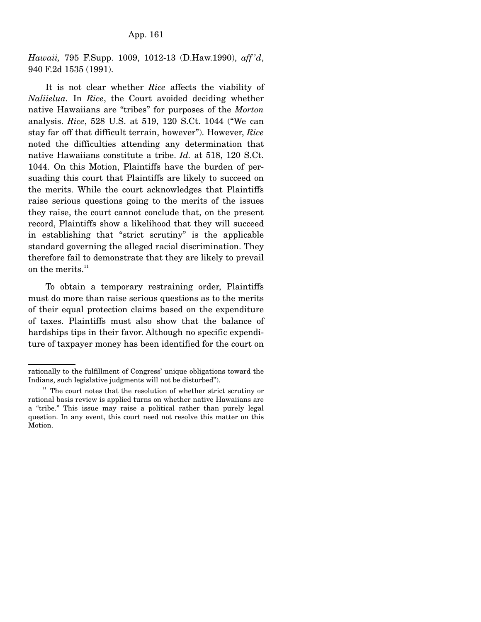*Hawaii,* 795 F.Supp. 1009, 1012-13 (D.Haw.1990), *aff 'd*, 940 F.2d 1535 (1991).

 It is not clear whether *Rice* affects the viability of *Naliielua.* In *Rice*, the Court avoided deciding whether native Hawaiians are "tribes" for purposes of the *Morton* analysis. *Rice*, 528 U.S. at 519, 120 S.Ct. 1044 ("We can stay far off that difficult terrain, however"). However, *Rice* noted the difficulties attending any determination that native Hawaiians constitute a tribe. *Id.* at 518, 120 S.Ct. 1044. On this Motion, Plaintiffs have the burden of persuading this court that Plaintiffs are likely to succeed on the merits. While the court acknowledges that Plaintiffs raise serious questions going to the merits of the issues they raise, the court cannot conclude that, on the present record, Plaintiffs show a likelihood that they will succeed in establishing that "strict scrutiny" is the applicable standard governing the alleged racial discrimination. They therefore fail to demonstrate that they are likely to prevail on the merits.<sup>11</sup>

 To obtain a temporary restraining order, Plaintiffs must do more than raise serious questions as to the merits of their equal protection claims based on the expenditure of taxes. Plaintiffs must also show that the balance of hardships tips in their favor. Although no specific expenditure of taxpayer money has been identified for the court on

rationally to the fulfillment of Congress' unique obligations toward the Indians, such legislative judgments will not be disturbed").

 $11$  The court notes that the resolution of whether strict scrutiny or rational basis review is applied turns on whether native Hawaiians are a "tribe." This issue may raise a political rather than purely legal question. In any event, this court need not resolve this matter on this Motion.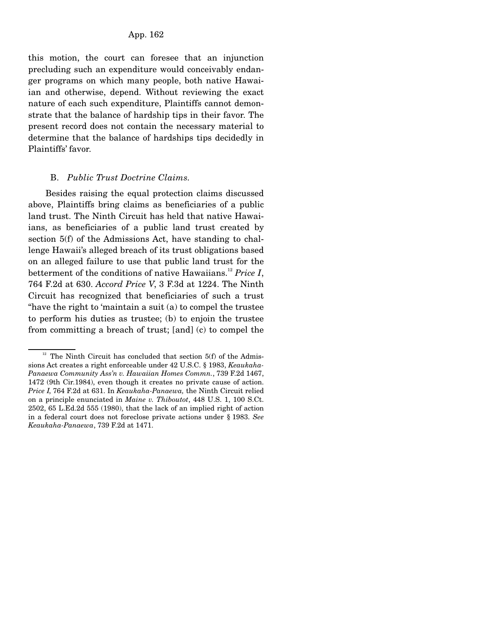this motion, the court can foresee that an injunction precluding such an expenditure would conceivably endanger programs on which many people, both native Hawaiian and otherwise, depend. Without reviewing the exact nature of each such expenditure, Plaintiffs cannot demonstrate that the balance of hardship tips in their favor. The present record does not contain the necessary material to determine that the balance of hardships tips decidedly in Plaintiffs' favor.

#### B. *Public Trust Doctrine Claims.*

 Besides raising the equal protection claims discussed above, Plaintiffs bring claims as beneficiaries of a public land trust. The Ninth Circuit has held that native Hawaiians, as beneficiaries of a public land trust created by section 5(f) of the Admissions Act, have standing to challenge Hawaii's alleged breach of its trust obligations based on an alleged failure to use that public land trust for the betterment of the conditions of native Hawaiians.<sup>12</sup> Price I, 764 F.2d at 630. *Accord Price V*, 3 F.3d at 1224. The Ninth Circuit has recognized that beneficiaries of such a trust "have the right to 'maintain a suit (a) to compel the trustee to perform his duties as trustee; (b) to enjoin the trustee from committing a breach of trust; [and] (c) to compel the

 $12$  The Ninth Circuit has concluded that section 5(f) of the Admissions Act creates a right enforceable under 42 U.S.C. § 1983, *Keaukaha-Panaewa Community Ass'n v. Hawaiian Homes Commn.*, 739 F.2d 1467, 1472 (9th Cir.1984), even though it creates no private cause of action. *Price I*, 764 F.2d at 631. In *Keaukaha-Panaewa,* the Ninth Circuit relied on a principle enunciated in *Maine v. Thiboutot*, 448 U.S. 1, 100 S.Ct. 2502, 65 L.Ed.2d 555 (1980), that the lack of an implied right of action in a federal court does not foreclose private actions under § 1983. *See Keaukaha-Panaewa*, 739 F.2d at 1471.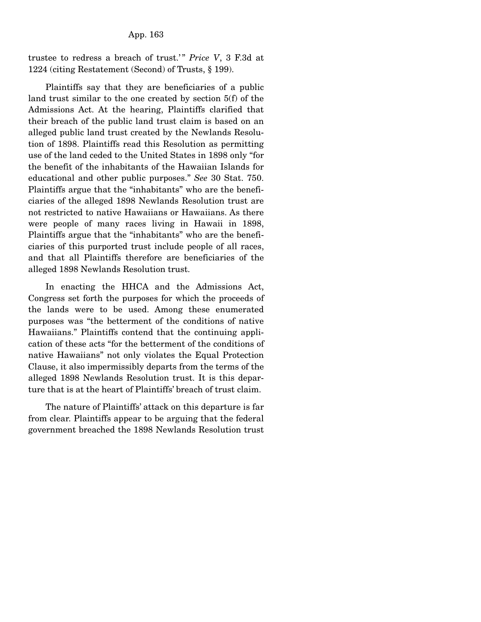trustee to redress a breach of trust.'" Price V, 3 F.3d at 1224 (citing Restatement (Second) of Trusts, § 199).

 Plaintiffs say that they are beneficiaries of a public land trust similar to the one created by section 5(f) of the Admissions Act. At the hearing, Plaintiffs clarified that their breach of the public land trust claim is based on an alleged public land trust created by the Newlands Resolution of 1898. Plaintiffs read this Resolution as permitting use of the land ceded to the United States in 1898 only "for the benefit of the inhabitants of the Hawaiian Islands for educational and other public purposes." *See* 30 Stat. 750. Plaintiffs argue that the "inhabitants" who are the beneficiaries of the alleged 1898 Newlands Resolution trust are not restricted to native Hawaiians or Hawaiians. As there were people of many races living in Hawaii in 1898, Plaintiffs argue that the "inhabitants" who are the beneficiaries of this purported trust include people of all races, and that all Plaintiffs therefore are beneficiaries of the alleged 1898 Newlands Resolution trust.

 In enacting the HHCA and the Admissions Act, Congress set forth the purposes for which the proceeds of the lands were to be used. Among these enumerated purposes was "the betterment of the conditions of native Hawaiians." Plaintiffs contend that the continuing application of these acts "for the betterment of the conditions of native Hawaiians" not only violates the Equal Protection Clause, it also impermissibly departs from the terms of the alleged 1898 Newlands Resolution trust. It is this departure that is at the heart of Plaintiffs' breach of trust claim.

 The nature of Plaintiffs' attack on this departure is far from clear. Plaintiffs appear to be arguing that the federal government breached the 1898 Newlands Resolution trust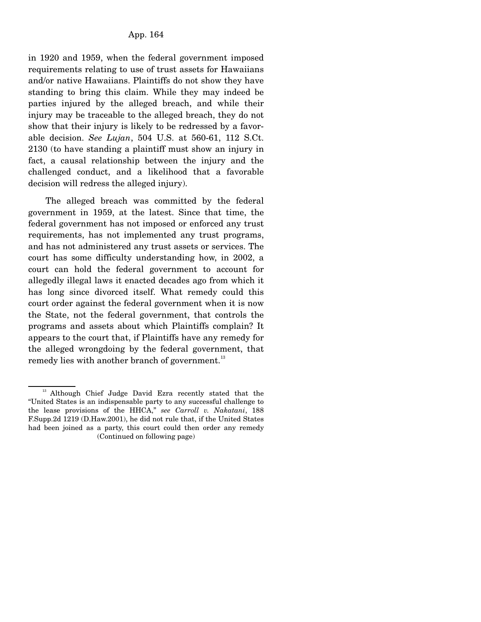in 1920 and 1959, when the federal government imposed requirements relating to use of trust assets for Hawaiians and/or native Hawaiians. Plaintiffs do not show they have standing to bring this claim. While they may indeed be parties injured by the alleged breach, and while their injury may be traceable to the alleged breach, they do not show that their injury is likely to be redressed by a favorable decision. *See Lujan*, 504 U.S. at 560-61, 112 S.Ct. 2130 (to have standing a plaintiff must show an injury in fact, a causal relationship between the injury and the challenged conduct, and a likelihood that a favorable decision will redress the alleged injury).

 The alleged breach was committed by the federal government in 1959, at the latest. Since that time, the federal government has not imposed or enforced any trust requirements, has not implemented any trust programs, and has not administered any trust assets or services. The court has some difficulty understanding how, in 2002, a court can hold the federal government to account for allegedly illegal laws it enacted decades ago from which it has long since divorced itself. What remedy could this court order against the federal government when it is now the State, not the federal government, that controls the programs and assets about which Plaintiffs complain? It appears to the court that, if Plaintiffs have any remedy for the alleged wrongdoing by the federal government, that remedy lies with another branch of government.<sup>13</sup>

<sup>&</sup>lt;sup>13</sup> Although Chief Judge David Ezra recently stated that the "United States is an indispensable party to any successful challenge to the lease provisions of the HHCA," *see Carroll v. Nakatani*, 188 F.Supp.2d 1219 (D.Haw.2001), he did not rule that, if the United States had been joined as a party, this court could then order any remedy (Continued on following page)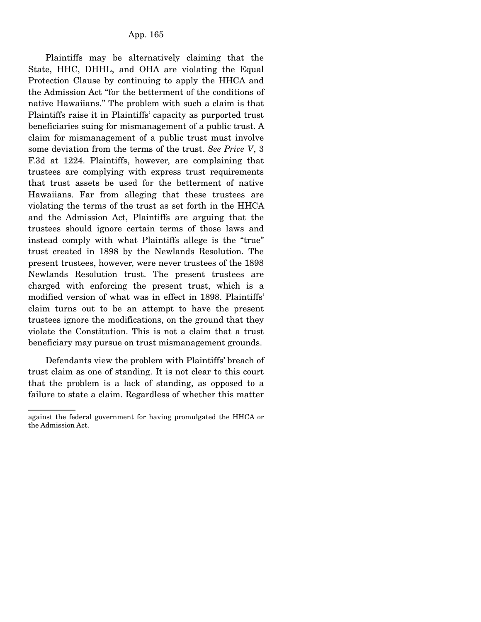Plaintiffs may be alternatively claiming that the State, HHC, DHHL, and OHA are violating the Equal Protection Clause by continuing to apply the HHCA and the Admission Act "for the betterment of the conditions of native Hawaiians." The problem with such a claim is that Plaintiffs raise it in Plaintiffs' capacity as purported trust beneficiaries suing for mismanagement of a public trust. A claim for mismanagement of a public trust must involve some deviation from the terms of the trust. *See Price V*, 3 F.3d at 1224. Plaintiffs, however, are complaining that trustees are complying with express trust requirements that trust assets be used for the betterment of native Hawaiians. Far from alleging that these trustees are violating the terms of the trust as set forth in the HHCA and the Admission Act, Plaintiffs are arguing that the trustees should ignore certain terms of those laws and instead comply with what Plaintiffs allege is the "true" trust created in 1898 by the Newlands Resolution. The present trustees, however, were never trustees of the 1898 Newlands Resolution trust. The present trustees are charged with enforcing the present trust, which is a modified version of what was in effect in 1898. Plaintiffs' claim turns out to be an attempt to have the present trustees ignore the modifications, on the ground that they violate the Constitution. This is not a claim that a trust beneficiary may pursue on trust mismanagement grounds.

 Defendants view the problem with Plaintiffs' breach of trust claim as one of standing. It is not clear to this court that the problem is a lack of standing, as opposed to a failure to state a claim. Regardless of whether this matter

against the federal government for having promulgated the HHCA or the Admission Act.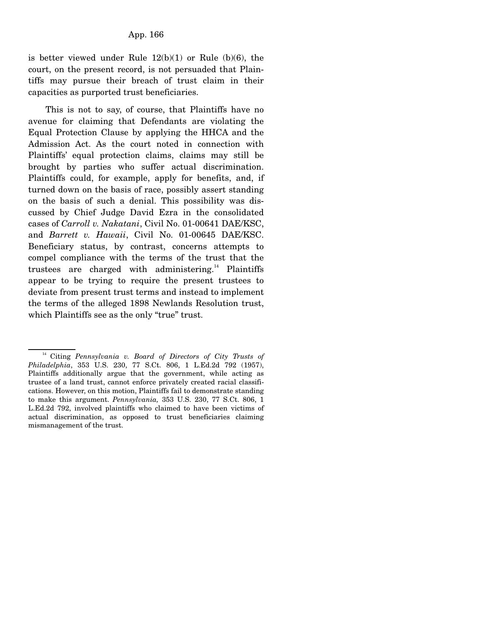is better viewed under Rule  $12(b)(1)$  or Rule  $(b)(6)$ , the court, on the present record, is not persuaded that Plaintiffs may pursue their breach of trust claim in their capacities as purported trust beneficiaries.

 This is not to say, of course, that Plaintiffs have no avenue for claiming that Defendants are violating the Equal Protection Clause by applying the HHCA and the Admission Act. As the court noted in connection with Plaintiffs' equal protection claims, claims may still be brought by parties who suffer actual discrimination. Plaintiffs could, for example, apply for benefits, and, if turned down on the basis of race, possibly assert standing on the basis of such a denial. This possibility was discussed by Chief Judge David Ezra in the consolidated cases of *Carroll v. Nakatani*, Civil No. 01-00641 DAE/KSC, and *Barrett v. Hawaii*, Civil No. 01-00645 DAE/KSC. Beneficiary status, by contrast, concerns attempts to compel compliance with the terms of the trust that the trustees are charged with administering.<sup>14</sup> Plaintiffs appear to be trying to require the present trustees to deviate from present trust terms and instead to implement the terms of the alleged 1898 Newlands Resolution trust, which Plaintiffs see as the only "true" trust.

14 Citing *Pennsylvania v. Board of Directors of City Trusts of Philadelphia*, 353 U.S. 230, 77 S.Ct. 806, 1 L.Ed.2d 792 (1957), Plaintiffs additionally argue that the government, while acting as trustee of a land trust, cannot enforce privately created racial classifications. However, on this motion, Plaintiffs fail to demonstrate standing to make this argument. *Pennsylvania,* 353 U.S. 230, 77 S.Ct. 806, 1 L.Ed.2d 792, involved plaintiffs who claimed to have been victims of actual discrimination, as opposed to trust beneficiaries claiming mismanagement of the trust.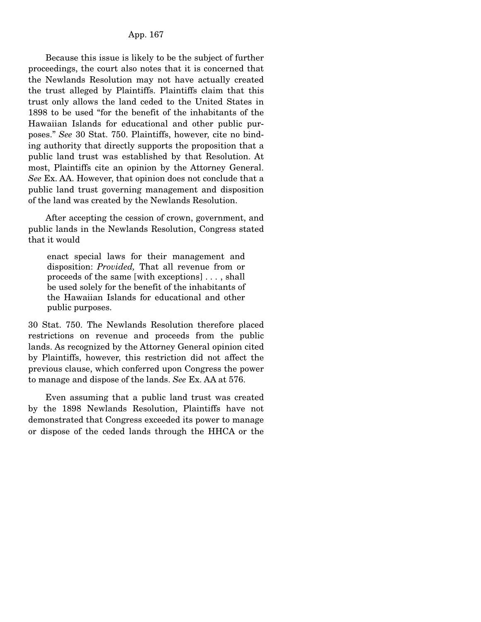Because this issue is likely to be the subject of further proceedings, the court also notes that it is concerned that the Newlands Resolution may not have actually created the trust alleged by Plaintiffs. Plaintiffs claim that this trust only allows the land ceded to the United States in 1898 to be used "for the benefit of the inhabitants of the Hawaiian Islands for educational and other public purposes." *See* 30 Stat. 750. Plaintiffs, however, cite no binding authority that directly supports the proposition that a public land trust was established by that Resolution. At most, Plaintiffs cite an opinion by the Attorney General. *See* Ex. AA. However, that opinion does not conclude that a public land trust governing management and disposition of the land was created by the Newlands Resolution.

 After accepting the cession of crown, government, and public lands in the Newlands Resolution, Congress stated that it would

enact special laws for their management and disposition: *Provided,* That all revenue from or proceeds of the same [with exceptions] . . . , shall be used solely for the benefit of the inhabitants of the Hawaiian Islands for educational and other public purposes.

30 Stat. 750. The Newlands Resolution therefore placed restrictions on revenue and proceeds from the public lands. As recognized by the Attorney General opinion cited by Plaintiffs, however, this restriction did not affect the previous clause, which conferred upon Congress the power to manage and dispose of the lands. *See* Ex. AA at 576.

 Even assuming that a public land trust was created by the 1898 Newlands Resolution, Plaintiffs have not demonstrated that Congress exceeded its power to manage or dispose of the ceded lands through the HHCA or the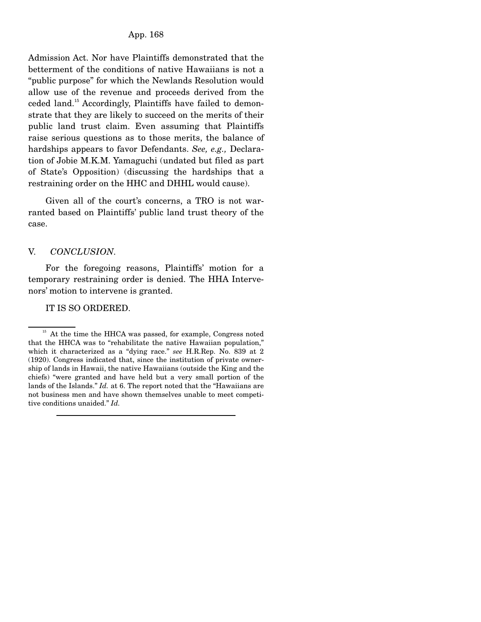Admission Act. Nor have Plaintiffs demonstrated that the betterment of the conditions of native Hawaiians is not a "public purpose" for which the Newlands Resolution would allow use of the revenue and proceeds derived from the ceded land.15 Accordingly, Plaintiffs have failed to demonstrate that they are likely to succeed on the merits of their public land trust claim. Even assuming that Plaintiffs raise serious questions as to those merits, the balance of hardships appears to favor Defendants. *See, e.g.,* Declaration of Jobie M.K.M. Yamaguchi (undated but filed as part of State's Opposition) (discussing the hardships that a restraining order on the HHC and DHHL would cause).

 Given all of the court's concerns, a TRO is not warranted based on Plaintiffs' public land trust theory of the case.

#### V. *CONCLUSION.*

 For the foregoing reasons, Plaintiffs' motion for a temporary restraining order is denied. The HHA Intervenors' motion to intervene is granted.

IT IS SO ORDERED.

<sup>&</sup>lt;sup>15</sup> At the time the HHCA was passed, for example, Congress noted that the HHCA was to "rehabilitate the native Hawaiian population," which it characterized as a "dying race." *see* H.R.Rep. No. 839 at 2 (1920). Congress indicated that, since the institution of private ownership of lands in Hawaii, the native Hawaiians (outside the King and the chiefs) "were granted and have held but a very small portion of the lands of the Islands." *Id.* at 6. The report noted that the "Hawaiians are not business men and have shown themselves unable to meet competitive conditions unaided." *Id.*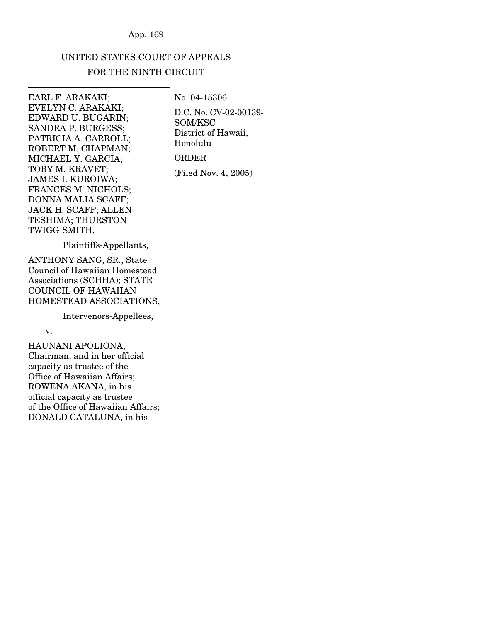# UNITED STATES COURT OF APPEALS

# FOR THE NINTH CIRCUIT

EARL F. ARAKAKI; EVELYN C. ARAKAKI; EDWARD U. BUGARIN; SANDRA P. BURGESS; PATRICIA A. CARROLL; ROBERT M. CHAPMAN; MICHAEL Y. GARCIA; TOBY M. KRAVET; JAMES I. KUROIWA; FRANCES M. NICHOLS; DONNA MALIA SCAFF; JACK H. SCAFF; ALLEN TESHIMA; THURSTON TWIGG-SMITH,

Plaintiffs-Appellants,

ANTHONY SANG, SR., State Council of Hawaiian Homestead Associations (SCHHA); STATE COUNCIL OF HAWAIIAN HOMESTEAD ASSOCIATIONS,

Intervenors-Appellees,

v.

HAUNANI APOLIONA, Chairman, and in her official capacity as trustee of the Office of Hawaiian Affairs; ROWENA AKANA, in his official capacity as trustee of the Office of Hawaiian Affairs; DONALD CATALUNA, in his

D.C. No. CV-02-00139- SOM/KSC District of Hawaii, Honolulu ORDER (Filed Nov. 4, 2005)

No. 04-15306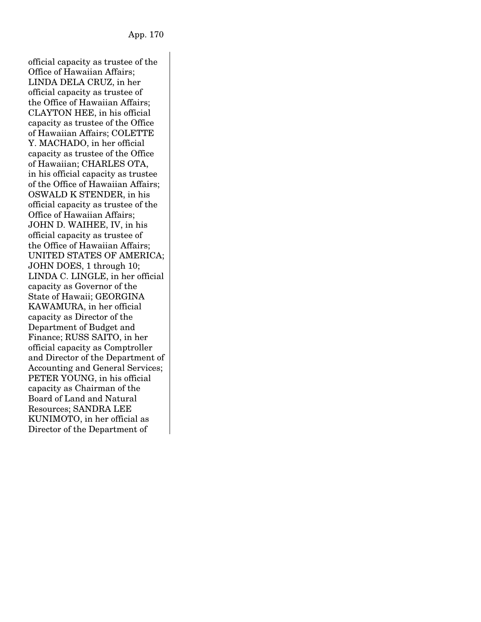official capacity as trustee of the Office of Hawaiian Affairs; LINDA DELA CRUZ, in her official capacity as trustee of the Office of Hawaiian Affairs; CLAYTON HEE, in his official capacity as trustee of the Office of Hawaiian Affairs; COLETTE Y. MACHADO, in her official capacity as trustee of the Office of Hawaiian; CHARLES OTA, in his official capacity as trustee of the Office of Hawaiian Affairs; OSWALD K STENDER, in his official capacity as trustee of the Office of Hawaiian Affairs; JOHN D. WAIHEE, IV, in his official capacity as trustee of the Office of Hawaiian Affairs; UNITED STATES OF AMERICA; JOHN DOES, 1 through 10; LINDA C. LINGLE, in her official capacity as Governor of the State of Hawaii; GEORGINA KAWAMURA, in her official capacity as Director of the Department of Budget and Finance; RUSS SAITO, in her official capacity as Comptroller and Director of the Department of Accounting and General Services; PETER YOUNG, in his official capacity as Chairman of the Board of Land and Natural Resources; SANDRA LEE KUNIMOTO, in her official as Director of the Department of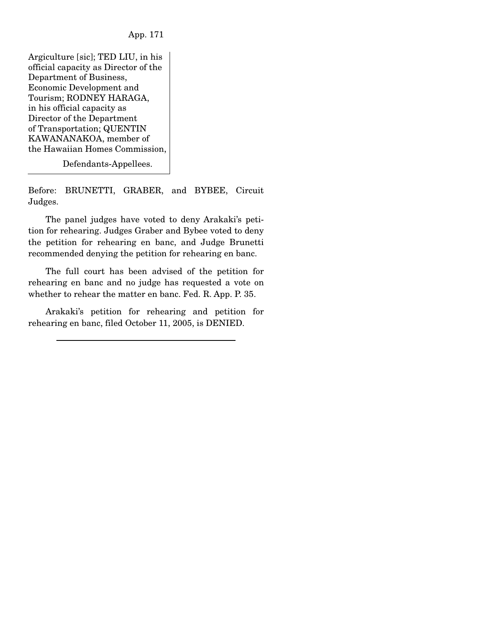Argiculture [sic]; TED LIU, in his official capacity as Director of the Department of Business, Economic Development and Tourism; RODNEY HARAGA, in his official capacity as Director of the Department of Transportation; QUENTIN KAWANANAKOA, member of the Hawaiian Homes Commission,

Defendants-Appellees.

Before: BRUNETTI, GRABER, and BYBEE, Circuit Judges.

 The panel judges have voted to deny Arakaki's petition for rehearing. Judges Graber and Bybee voted to deny the petition for rehearing en banc, and Judge Brunetti recommended denying the petition for rehearing en banc.

 The full court has been advised of the petition for rehearing en banc and no judge has requested a vote on whether to rehear the matter en banc. Fed. R. App. P. 35.

 Arakaki's petition for rehearing and petition for rehearing en banc, filed October 11, 2005, is DENIED.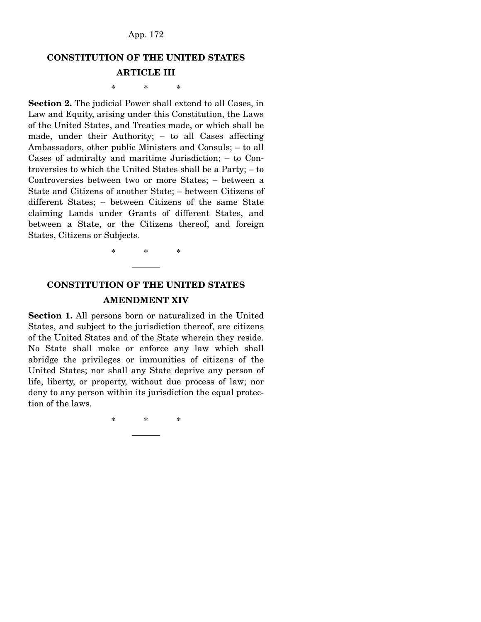# **CONSTITUTION OF THE UNITED STATES**

## **ARTICLE III**

\* \* \*

**Section 2.** The judicial Power shall extend to all Cases, in Law and Equity, arising under this Constitution, the Laws of the United States, and Treaties made, or which shall be made, under their Authority; – to all Cases affecting Ambassadors, other public Ministers and Consuls; – to all Cases of admiralty and maritime Jurisdiction; – to Controversies to which the United States shall be a Party; – to Controversies between two or more States; – between a State and Citizens of another State; – between Citizens of different States; – between Citizens of the same State claiming Lands under Grants of different States, and between a State, or the Citizens thereof, and foreign States, Citizens or Subjects.

\* \* \*

# **CONSTITUTION OF THE UNITED STATES AMENDMENT XIV**

**Section 1.** All persons born or naturalized in the United States, and subject to the jurisdiction thereof, are citizens of the United States and of the State wherein they reside. No State shall make or enforce any law which shall abridge the privileges or immunities of citizens of the United States; nor shall any State deprive any person of life, liberty, or property, without due process of law; nor deny to any person within its jurisdiction the equal protection of the laws.

\* \* \*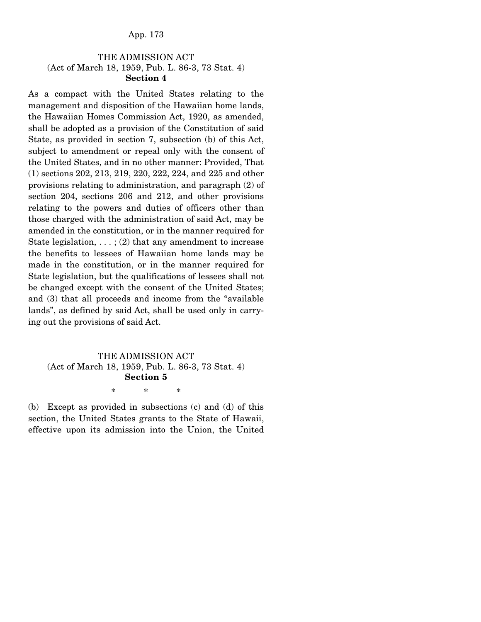# THE ADMISSION ACT (Act of March 18, 1959, Pub. L. 86-3, 73 Stat. 4) **Section 4**

As a compact with the United States relating to the management and disposition of the Hawaiian home lands, the Hawaiian Homes Commission Act, 1920, as amended, shall be adopted as a provision of the Constitution of said State, as provided in section 7, subsection (b) of this Act, subject to amendment or repeal only with the consent of the United States, and in no other manner: Provided, That (1) sections 202, 213, 219, 220, 222, 224, and 225 and other provisions relating to administration, and paragraph (2) of section 204, sections 206 and 212, and other provisions relating to the powers and duties of officers other than those charged with the administration of said Act, may be amended in the constitution, or in the manner required for State legislation,  $\dots$ ; (2) that any amendment to increase the benefits to lessees of Hawaiian home lands may be made in the constitution, or in the manner required for State legislation, but the qualifications of lessees shall not be changed except with the consent of the United States; and (3) that all proceeds and income from the "available lands", as defined by said Act, shall be used only in carrying out the provisions of said Act.

# THE ADMISSION ACT (Act of March 18, 1959, Pub. L. 86-3, 73 Stat. 4) **Section 5**

\* \* \*

(b) Except as provided in subsections (c) and (d) of this section, the United States grants to the State of Hawaii, effective upon its admission into the Union, the United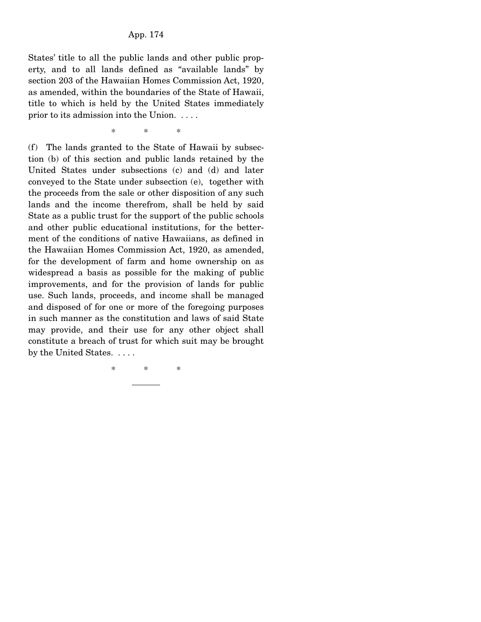States' title to all the public lands and other public property, and to all lands defined as "available lands" by section 203 of the Hawaiian Homes Commission Act, 1920, as amended, within the boundaries of the State of Hawaii, title to which is held by the United States immediately prior to its admission into the Union. . . . .

\* \* \*

(f) The lands granted to the State of Hawaii by subsection (b) of this section and public lands retained by the United States under subsections (c) and (d) and later conveyed to the State under subsection (e), together with the proceeds from the sale or other disposition of any such lands and the income therefrom, shall be held by said State as a public trust for the support of the public schools and other public educational institutions, for the betterment of the conditions of native Hawaiians, as defined in the Hawaiian Homes Commission Act, 1920, as amended, for the development of farm and home ownership on as widespread a basis as possible for the making of public improvements, and for the provision of lands for public use. Such lands, proceeds, and income shall be managed and disposed of for one or more of the foregoing purposes in such manner as the constitution and laws of said State may provide, and their use for any other object shall constitute a breach of trust for which suit may be brought by the United States. . . . .

\* \* \*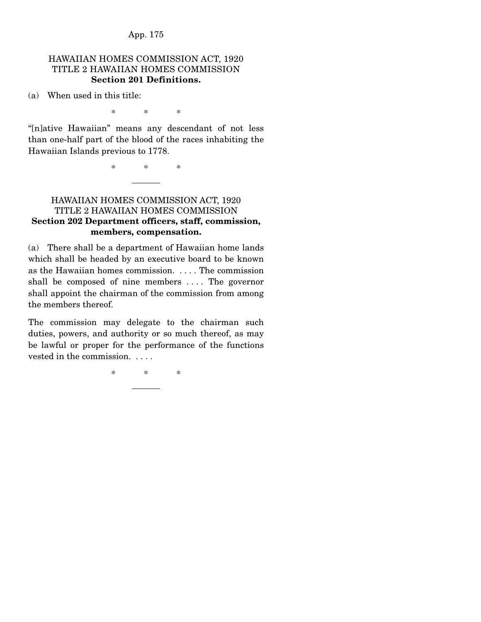#### HAWAIIAN HOMES COMMISSION ACT, 1920 TITLE 2 HAWAIIAN HOMES COMMISSION **Section 201 Definitions.**

(a) When used in this title:

\* \* \*

"[n]ative Hawaiian" means any descendant of not less than one-half part of the blood of the races inhabiting the Hawaiian Islands previous to 1778.

\* \* \*

# HAWAIIAN HOMES COMMISSION ACT, 1920 TITLE 2 HAWAIIAN HOMES COMMISSION **Section 202 Department officers, staff, commission, members, compensation.**

(a) There shall be a department of Hawaiian home lands which shall be headed by an executive board to be known as the Hawaiian homes commission. . . . . The commission shall be composed of nine members . . . . The governor shall appoint the chairman of the commission from among the members thereof.

The commission may delegate to the chairman such duties, powers, and authority or so much thereof, as may be lawful or proper for the performance of the functions vested in the commission. . . . .

\* \* \*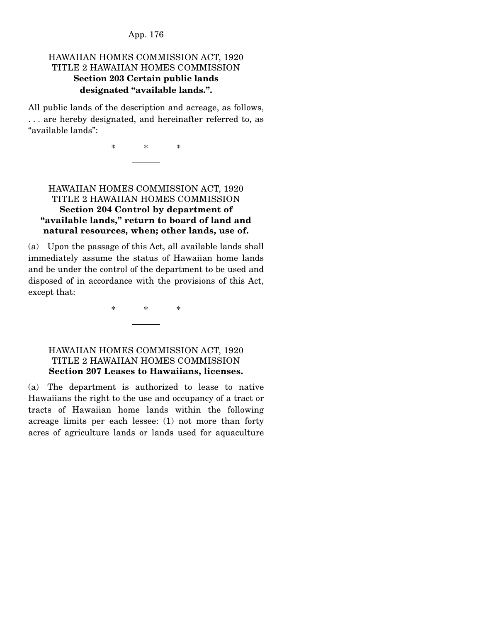# HAWAIIAN HOMES COMMISSION ACT, 1920 TITLE 2 HAWAIIAN HOMES COMMISSION **Section 203 Certain public lands designated "available lands.".**

All public lands of the description and acreage, as follows, . . . are hereby designated, and hereinafter referred to, as "available lands":

\* \* \*

# HAWAIIAN HOMES COMMISSION ACT, 1920 TITLE 2 HAWAIIAN HOMES COMMISSION **Section 204 Control by department of "available lands," return to board of land and natural resources, when; other lands, use of.**

(a) Upon the passage of this Act, all available lands shall immediately assume the status of Hawaiian home lands and be under the control of the department to be used and disposed of in accordance with the provisions of this Act, except that:

\* \* \*

#### HAWAIIAN HOMES COMMISSION ACT, 1920 TITLE 2 HAWAIIAN HOMES COMMISSION **Section 207 Leases to Hawaiians, licenses.**

(a) The department is authorized to lease to native Hawaiians the right to the use and occupancy of a tract or tracts of Hawaiian home lands within the following acreage limits per each lessee: (1) not more than forty acres of agriculture lands or lands used for aquaculture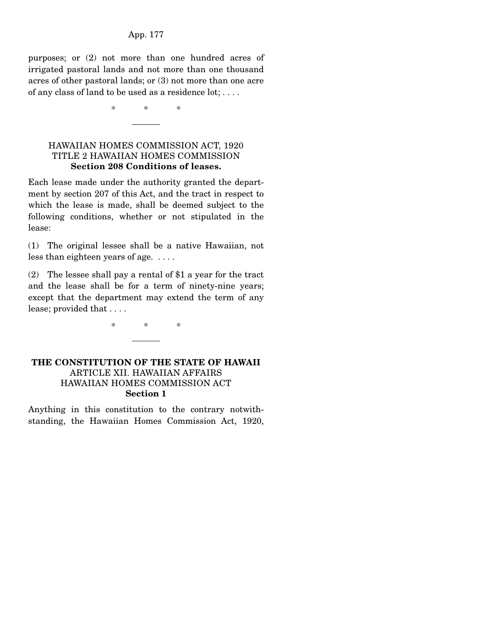purposes; or (2) not more than one hundred acres of irrigated pastoral lands and not more than one thousand acres of other pastoral lands; or (3) not more than one acre of any class of land to be used as a residence lot; . . . .

\* \* \*

## HAWAIIAN HOMES COMMISSION ACT, 1920 TITLE 2 HAWAIIAN HOMES COMMISSION **Section 208 Conditions of leases.**

Each lease made under the authority granted the department by section 207 of this Act, and the tract in respect to which the lease is made, shall be deemed subject to the following conditions, whether or not stipulated in the lease:

(1) The original lessee shall be a native Hawaiian, not less than eighteen years of age. . . . .

(2) The lessee shall pay a rental of \$1 a year for the tract and the lease shall be for a term of ninety-nine years; except that the department may extend the term of any lease; provided that . . . .

\* \* \*

# **THE CONSTITUTION OF THE STATE OF HAWAII** ARTICLE XII. HAWAIIAN AFFAIRS HAWAIIAN HOMES COMMISSION ACT **Section 1**

Anything in this constitution to the contrary notwithstanding, the Hawaiian Homes Commission Act, 1920,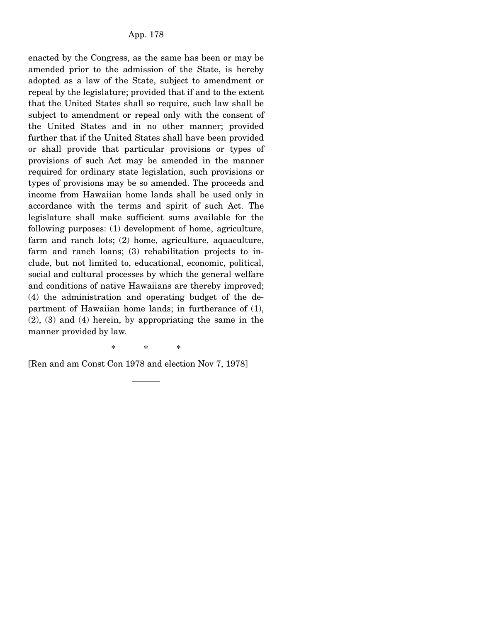enacted by the Congress, as the same has been or may be amended prior to the admission of the State, is hereby adopted as a law of the State, subject to amendment or repeal by the legislature; provided that if and to the extent that the United States shall so require, such law shall be subject to amendment or repeal only with the consent of the United States and in no other manner; provided further that if the United States shall have been provided or shall provide that particular provisions or types of provisions of such Act may be amended in the manner required for ordinary state legislation, such provisions or types of provisions may be so amended. The proceeds and income from Hawaiian home lands shall be used only in accordance with the terms and spirit of such Act. The legislature shall make sufficient sums available for the following purposes: (1) development of home, agriculture, farm and ranch lots; (2) home, agriculture, aquaculture, farm and ranch loans; (3) rehabilitation projects to include, but not limited to, educational, economic, political, social and cultural processes by which the general welfare and conditions of native Hawaiians are thereby improved; (4) the administration and operating budget of the department of Hawaiian home lands; in furtherance of (1), (2), (3) and (4) herein, by appropriating the same in the manner provided by law.

\* \* \*

[Ren and am Const Con 1978 and election Nov 7, 1978]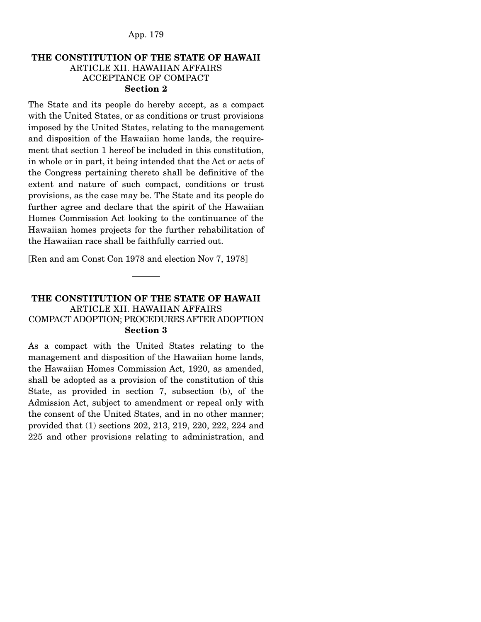## **THE CONSTITUTION OF THE STATE OF HAWAII** ARTICLE XII. HAWAIIAN AFFAIRS ACCEPTANCE OF COMPACT **Section 2**

The State and its people do hereby accept, as a compact with the United States, or as conditions or trust provisions imposed by the United States, relating to the management and disposition of the Hawaiian home lands, the requirement that section 1 hereof be included in this constitution, in whole or in part, it being intended that the Act or acts of the Congress pertaining thereto shall be definitive of the extent and nature of such compact, conditions or trust provisions, as the case may be. The State and its people do further agree and declare that the spirit of the Hawaiian Homes Commission Act looking to the continuance of the Hawaiian homes projects for the further rehabilitation of the Hawaiian race shall be faithfully carried out.

[Ren and am Const Con 1978 and election Nov 7, 1978]

# **THE CONSTITUTION OF THE STATE OF HAWAII** ARTICLE XII. HAWAIIAN AFFAIRS COMPACT ADOPTION; PROCEDURES AFTER ADOPTION **Section 3**

As a compact with the United States relating to the management and disposition of the Hawaiian home lands, the Hawaiian Homes Commission Act, 1920, as amended, shall be adopted as a provision of the constitution of this State, as provided in section 7, subsection (b), of the Admission Act, subject to amendment or repeal only with the consent of the United States, and in no other manner; provided that (1) sections 202, 213, 219, 220, 222, 224 and 225 and other provisions relating to administration, and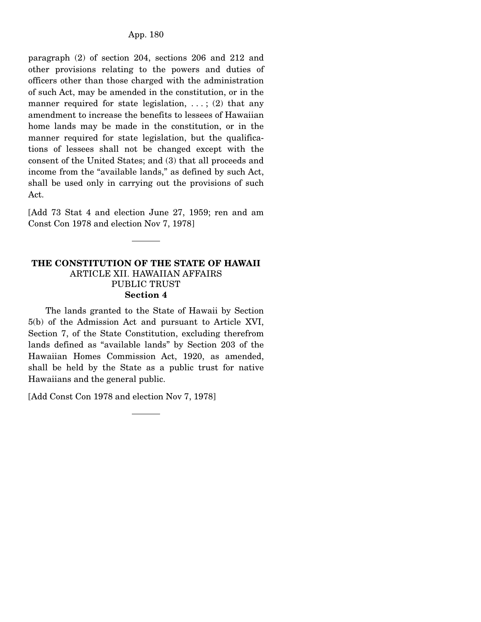paragraph (2) of section 204, sections 206 and 212 and other provisions relating to the powers and duties of officers other than those charged with the administration of such Act, may be amended in the constitution, or in the manner required for state legislation, ...; (2) that any amendment to increase the benefits to lessees of Hawaiian home lands may be made in the constitution, or in the manner required for state legislation, but the qualifications of lessees shall not be changed except with the consent of the United States; and (3) that all proceeds and income from the "available lands," as defined by such Act, shall be used only in carrying out the provisions of such Act.

[Add 73 Stat 4 and election June 27, 1959; ren and am Const Con 1978 and election Nov 7, 1978]

#### **THE CONSTITUTION OF THE STATE OF HAWAII**  ARTICLE XII. HAWAIIAN AFFAIRS PUBLIC TRUST **Section 4**

 The lands granted to the State of Hawaii by Section 5(b) of the Admission Act and pursuant to Article XVI, Section 7, of the State Constitution, excluding therefrom lands defined as "available lands" by Section 203 of the Hawaiian Homes Commission Act, 1920, as amended, shall be held by the State as a public trust for native Hawaiians and the general public.

[Add Const Con 1978 and election Nov 7, 1978]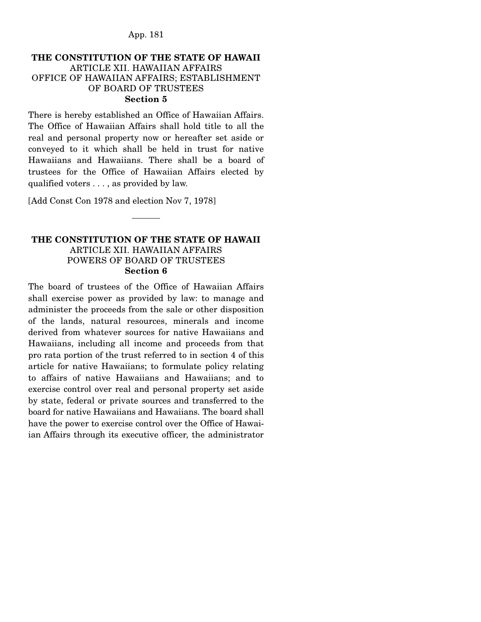### **THE CONSTITUTION OF THE STATE OF HAWAII** ARTICLE XII. HAWAIIAN AFFAIRS OFFICE OF HAWAIIAN AFFAIRS; ESTABLISHMENT OF BOARD OF TRUSTEES **Section 5**

There is hereby established an Office of Hawaiian Affairs. The Office of Hawaiian Affairs shall hold title to all the real and personal property now or hereafter set aside or conveyed to it which shall be held in trust for native Hawaiians and Hawaiians. There shall be a board of trustees for the Office of Hawaiian Affairs elected by qualified voters . . . , as provided by law.

[Add Const Con 1978 and election Nov 7, 1978]

#### **THE CONSTITUTION OF THE STATE OF HAWAII**  ARTICLE XII. HAWAIIAN AFFAIRS POWERS OF BOARD OF TRUSTEES **Section 6**

The board of trustees of the Office of Hawaiian Affairs shall exercise power as provided by law: to manage and administer the proceeds from the sale or other disposition of the lands, natural resources, minerals and income derived from whatever sources for native Hawaiians and Hawaiians, including all income and proceeds from that pro rata portion of the trust referred to in section 4 of this article for native Hawaiians; to formulate policy relating to affairs of native Hawaiians and Hawaiians; and to exercise control over real and personal property set aside by state, federal or private sources and transferred to the board for native Hawaiians and Hawaiians. The board shall have the power to exercise control over the Office of Hawaiian Affairs through its executive officer, the administrator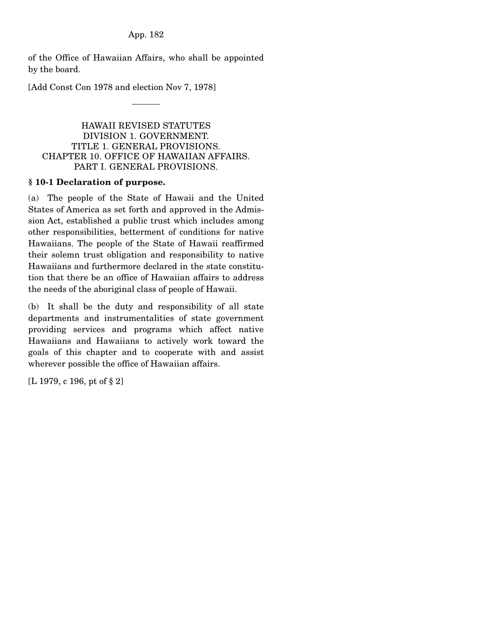of the Office of Hawaiian Affairs, who shall be appointed by the board.

[Add Const Con 1978 and election Nov 7, 1978]

### HAWAII REVISED STATUTES DIVISION 1. GOVERNMENT. TITLE 1. GENERAL PROVISIONS. CHAPTER 10. OFFICE OF HAWAIIAN AFFAIRS. PART I. GENERAL PROVISIONS.

### **§ 10-1 Declaration of purpose.**

(a) The people of the State of Hawaii and the United States of America as set forth and approved in the Admission Act, established a public trust which includes among other responsibilities, betterment of conditions for native Hawaiians. The people of the State of Hawaii reaffirmed their solemn trust obligation and responsibility to native Hawaiians and furthermore declared in the state constitution that there be an office of Hawaiian affairs to address the needs of the aboriginal class of people of Hawaii.

(b) It shall be the duty and responsibility of all state departments and instrumentalities of state government providing services and programs which affect native Hawaiians and Hawaiians to actively work toward the goals of this chapter and to cooperate with and assist wherever possible the office of Hawaiian affairs.

[L 1979, c 196, pt of § 2]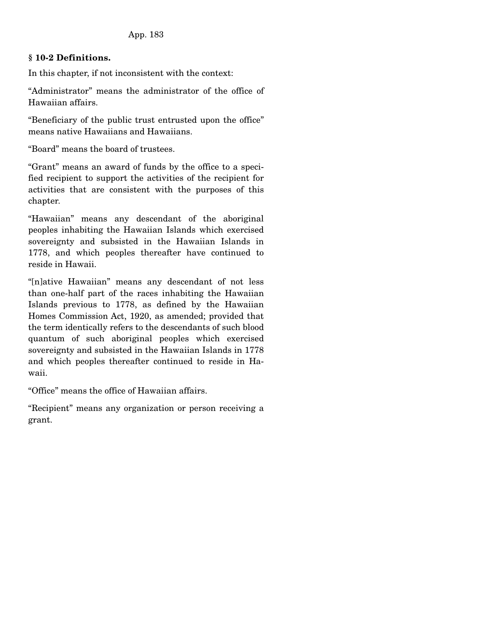## **§ 10-2 Definitions.**

In this chapter, if not inconsistent with the context:

"Administrator" means the administrator of the office of Hawaiian affairs.

"Beneficiary of the public trust entrusted upon the office" means native Hawaiians and Hawaiians.

"Board" means the board of trustees.

"Grant" means an award of funds by the office to a specified recipient to support the activities of the recipient for activities that are consistent with the purposes of this chapter.

"Hawaiian" means any descendant of the aboriginal peoples inhabiting the Hawaiian Islands which exercised sovereignty and subsisted in the Hawaiian Islands in 1778, and which peoples thereafter have continued to reside in Hawaii.

"[n]ative Hawaiian" means any descendant of not less than one-half part of the races inhabiting the Hawaiian Islands previous to 1778, as defined by the Hawaiian Homes Commission Act, 1920, as amended; provided that the term identically refers to the descendants of such blood quantum of such aboriginal peoples which exercised sovereignty and subsisted in the Hawaiian Islands in 1778 and which peoples thereafter continued to reside in Hawaii.

"Office" means the office of Hawaiian affairs.

"Recipient" means any organization or person receiving a grant.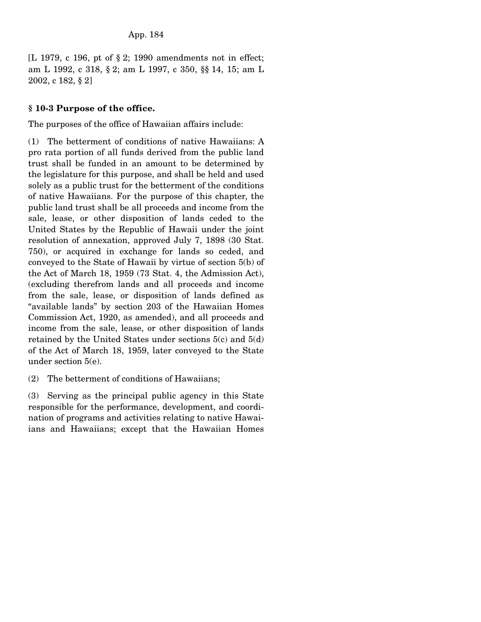[L 1979, c 196, pt of § 2; 1990 amendments not in effect; am L 1992, c 318, § 2; am L 1997, c 350, §§ 14, 15; am L 2002, c 182, § 2]

## **§ 10-3 Purpose of the office.**

The purposes of the office of Hawaiian affairs include:

(1) The betterment of conditions of native Hawaiians: A pro rata portion of all funds derived from the public land trust shall be funded in an amount to be determined by the legislature for this purpose, and shall be held and used solely as a public trust for the betterment of the conditions of native Hawaiians. For the purpose of this chapter, the public land trust shall be all proceeds and income from the sale, lease, or other disposition of lands ceded to the United States by the Republic of Hawaii under the joint resolution of annexation, approved July 7, 1898 (30 Stat. 750), or acquired in exchange for lands so ceded, and conveyed to the State of Hawaii by virtue of section 5(b) of the Act of March 18, 1959 (73 Stat. 4, the Admission Act), (excluding therefrom lands and all proceeds and income from the sale, lease, or disposition of lands defined as "available lands" by section 203 of the Hawaiian Homes Commission Act, 1920, as amended), and all proceeds and income from the sale, lease, or other disposition of lands retained by the United States under sections 5(c) and 5(d) of the Act of March 18, 1959, later conveyed to the State under section 5(e).

(2) The betterment of conditions of Hawaiians;

(3) Serving as the principal public agency in this State responsible for the performance, development, and coordination of programs and activities relating to native Hawaiians and Hawaiians; except that the Hawaiian Homes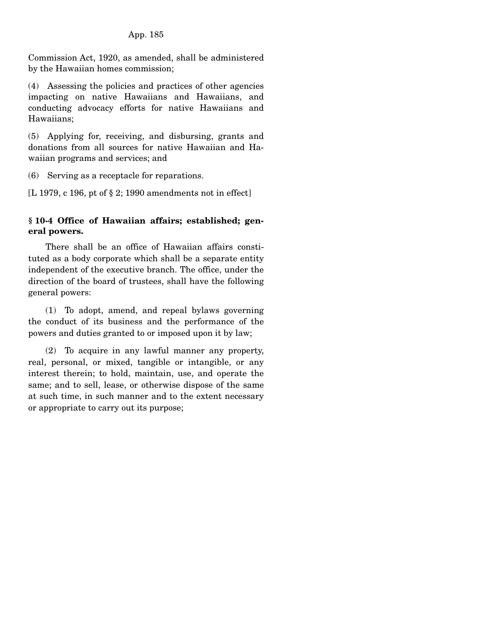Commission Act, 1920, as amended, shall be administered by the Hawaiian homes commission;

(4) Assessing the policies and practices of other agencies impacting on native Hawaiians and Hawaiians, and conducting advocacy efforts for native Hawaiians and Hawaiians;

(5) Applying for, receiving, and disbursing, grants and donations from all sources for native Hawaiian and Hawaiian programs and services; and

(6) Serving as a receptacle for reparations.

[L 1979, c 196, pt of § 2; 1990 amendments not in effect]

## **§ 10-4 Office of Hawaiian affairs; established; general powers.**

 There shall be an office of Hawaiian affairs constituted as a body corporate which shall be a separate entity independent of the executive branch. The office, under the direction of the board of trustees, shall have the following general powers:

 (1) To adopt, amend, and repeal bylaws governing the conduct of its business and the performance of the powers and duties granted to or imposed upon it by law;

 (2) To acquire in any lawful manner any property, real, personal, or mixed, tangible or intangible, or any interest therein; to hold, maintain, use, and operate the same; and to sell, lease, or otherwise dispose of the same at such time, in such manner and to the extent necessary or appropriate to carry out its purpose;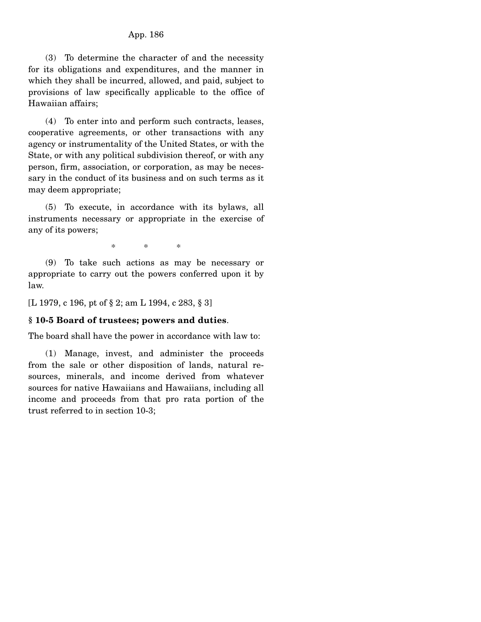(3) To determine the character of and the necessity for its obligations and expenditures, and the manner in which they shall be incurred, allowed, and paid, subject to provisions of law specifically applicable to the office of Hawaiian affairs;

 (4) To enter into and perform such contracts, leases, cooperative agreements, or other transactions with any agency or instrumentality of the United States, or with the State, or with any political subdivision thereof, or with any person, firm, association, or corporation, as may be necessary in the conduct of its business and on such terms as it may deem appropriate;

 (5) To execute, in accordance with its bylaws, all instruments necessary or appropriate in the exercise of any of its powers;

\* \* \*

 (9) To take such actions as may be necessary or appropriate to carry out the powers conferred upon it by law.

[L 1979, c 196, pt of § 2; am L 1994, c 283, § 3]

#### **§ 10-5 Board of trustees; powers and duties**.

The board shall have the power in accordance with law to:

 (1) Manage, invest, and administer the proceeds from the sale or other disposition of lands, natural resources, minerals, and income derived from whatever sources for native Hawaiians and Hawaiians, including all income and proceeds from that pro rata portion of the trust referred to in section 10-3;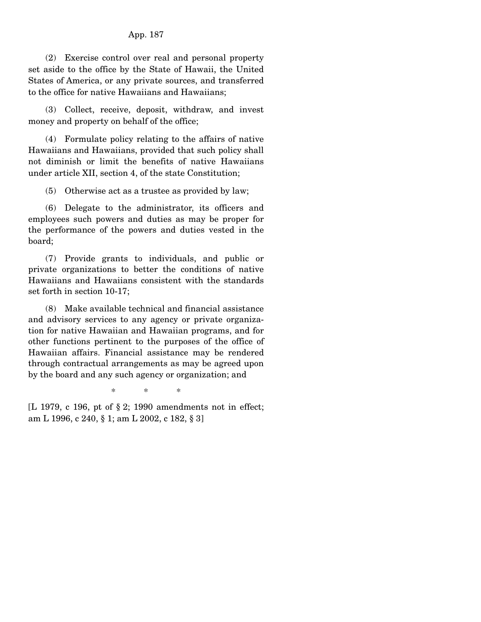(2) Exercise control over real and personal property set aside to the office by the State of Hawaii, the United States of America, or any private sources, and transferred to the office for native Hawaiians and Hawaiians;

 (3) Collect, receive, deposit, withdraw, and invest money and property on behalf of the office;

 (4) Formulate policy relating to the affairs of native Hawaiians and Hawaiians, provided that such policy shall not diminish or limit the benefits of native Hawaiians under article XII, section 4, of the state Constitution;

(5) Otherwise act as a trustee as provided by law;

 (6) Delegate to the administrator, its officers and employees such powers and duties as may be proper for the performance of the powers and duties vested in the board;

 (7) Provide grants to individuals, and public or private organizations to better the conditions of native Hawaiians and Hawaiians consistent with the standards set forth in section 10-17;

 (8) Make available technical and financial assistance and advisory services to any agency or private organization for native Hawaiian and Hawaiian programs, and for other functions pertinent to the purposes of the office of Hawaiian affairs. Financial assistance may be rendered through contractual arrangements as may be agreed upon by the board and any such agency or organization; and

\* \* \*

[L 1979, c 196, pt of § 2; 1990 amendments not in effect; am L 1996, c 240, § 1; am L 2002, c 182, § 3]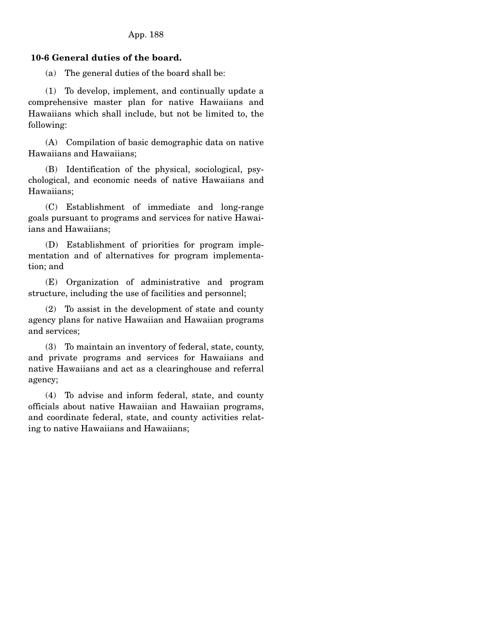## **10-6 General duties of the board.**

(a) The general duties of the board shall be:

 (1) To develop, implement, and continually update a comprehensive master plan for native Hawaiians and Hawaiians which shall include, but not be limited to, the following:

 (A) Compilation of basic demographic data on native Hawaiians and Hawaiians;

 (B) Identification of the physical, sociological, psychological, and economic needs of native Hawaiians and Hawaiians;

 (C) Establishment of immediate and long-range goals pursuant to programs and services for native Hawaiians and Hawaiians;

 (D) Establishment of priorities for program implementation and of alternatives for program implementation; and

 (E) Organization of administrative and program structure, including the use of facilities and personnel;

 (2) To assist in the development of state and county agency plans for native Hawaiian and Hawaiian programs and services;

 (3) To maintain an inventory of federal, state, county, and private programs and services for Hawaiians and native Hawaiians and act as a clearinghouse and referral agency;

 (4) To advise and inform federal, state, and county officials about native Hawaiian and Hawaiian programs, and coordinate federal, state, and county activities relating to native Hawaiians and Hawaiians;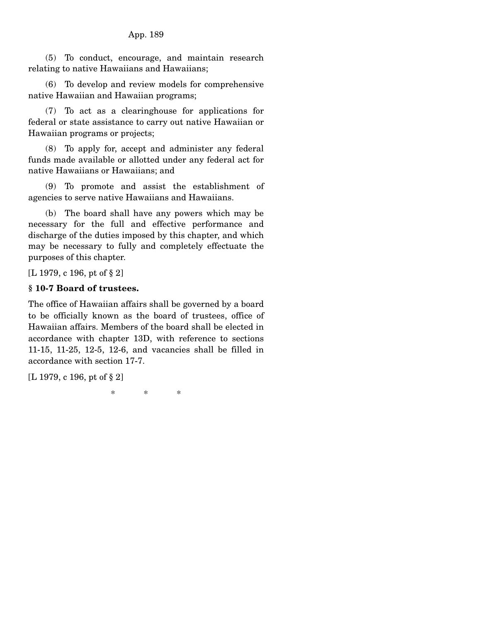(5) To conduct, encourage, and maintain research relating to native Hawaiians and Hawaiians;

 (6) To develop and review models for comprehensive native Hawaiian and Hawaiian programs;

 (7) To act as a clearinghouse for applications for federal or state assistance to carry out native Hawaiian or Hawaiian programs or projects;

 (8) To apply for, accept and administer any federal funds made available or allotted under any federal act for native Hawaiians or Hawaiians; and

 (9) To promote and assist the establishment of agencies to serve native Hawaiians and Hawaiians.

 (b) The board shall have any powers which may be necessary for the full and effective performance and discharge of the duties imposed by this chapter, and which may be necessary to fully and completely effectuate the purposes of this chapter.

[L 1979, c 196, pt of § 2]

## **§ 10-7 Board of trustees.**

The office of Hawaiian affairs shall be governed by a board to be officially known as the board of trustees, office of Hawaiian affairs. Members of the board shall be elected in accordance with chapter 13D, with reference to sections 11-15, 11-25, 12-5, 12-6, and vacancies shall be filled in accordance with section 17-7.

[L 1979, c 196, pt of § 2]

\* \* \*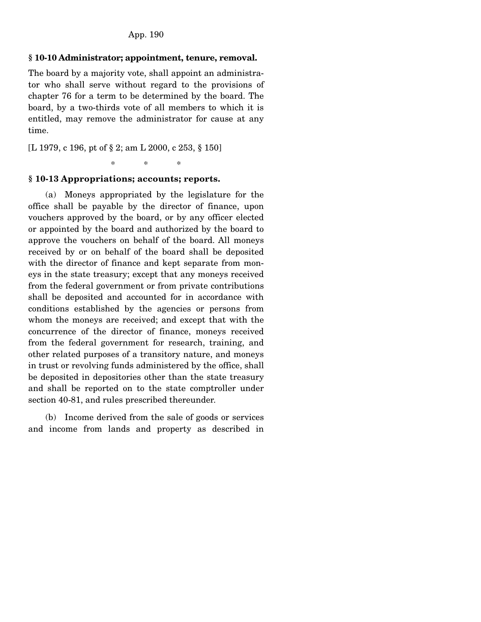#### **§ 10-10 Administrator; appointment, tenure, removal.**

The board by a majority vote, shall appoint an administrator who shall serve without regard to the provisions of chapter 76 for a term to be determined by the board. The board, by a two-thirds vote of all members to which it is entitled, may remove the administrator for cause at any time.

[L 1979, c 196, pt of § 2; am L 2000, c 253, § 150]

\* \* \*

#### **§ 10-13 Appropriations; accounts; reports.**

 (a) Moneys appropriated by the legislature for the office shall be payable by the director of finance, upon vouchers approved by the board, or by any officer elected or appointed by the board and authorized by the board to approve the vouchers on behalf of the board. All moneys received by or on behalf of the board shall be deposited with the director of finance and kept separate from moneys in the state treasury; except that any moneys received from the federal government or from private contributions shall be deposited and accounted for in accordance with conditions established by the agencies or persons from whom the moneys are received; and except that with the concurrence of the director of finance, moneys received from the federal government for research, training, and other related purposes of a transitory nature, and moneys in trust or revolving funds administered by the office, shall be deposited in depositories other than the state treasury and shall be reported on to the state comptroller under section 40-81, and rules prescribed thereunder.

 (b) Income derived from the sale of goods or services and income from lands and property as described in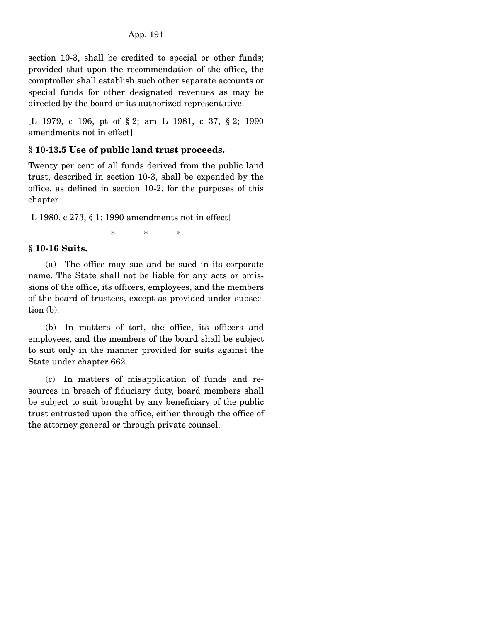section 10-3, shall be credited to special or other funds; provided that upon the recommendation of the office, the comptroller shall establish such other separate accounts or special funds for other designated revenues as may be directed by the board or its authorized representative.

[L 1979, c 196, pt of § 2; am L 1981, c 37, § 2; 1990 amendments not in effect]

## **§ 10-13.5 Use of public land trust proceeds.**

Twenty per cent of all funds derived from the public land trust, described in section 10-3, shall be expended by the office, as defined in section 10-2, for the purposes of this chapter.

[L 1980, c 273, § 1; 1990 amendments not in effect]

\* \* \*

### **§ 10-16 Suits.**

 (a) The office may sue and be sued in its corporate name. The State shall not be liable for any acts or omissions of the office, its officers, employees, and the members of the board of trustees, except as provided under subsection (b).

 (b) In matters of tort, the office, its officers and employees, and the members of the board shall be subject to suit only in the manner provided for suits against the State under chapter 662.

 (c) In matters of misapplication of funds and resources in breach of fiduciary duty, board members shall be subject to suit brought by any beneficiary of the public trust entrusted upon the office, either through the office of the attorney general or through private counsel.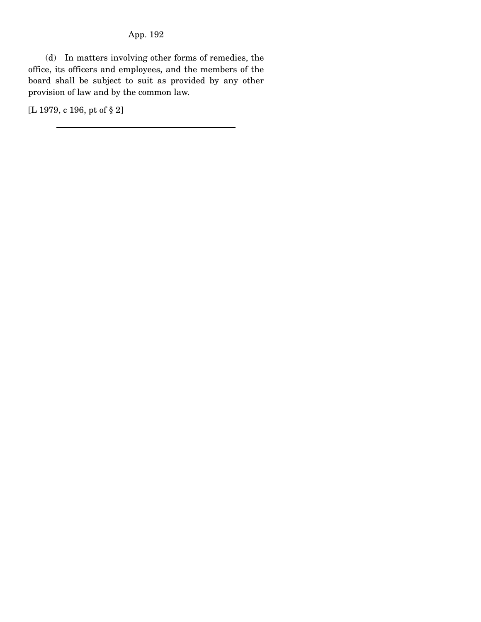(d) In matters involving other forms of remedies, the office, its officers and employees, and the members of the board shall be subject to suit as provided by any other provision of law and by the common law.

[L 1979, c 196, pt of § 2]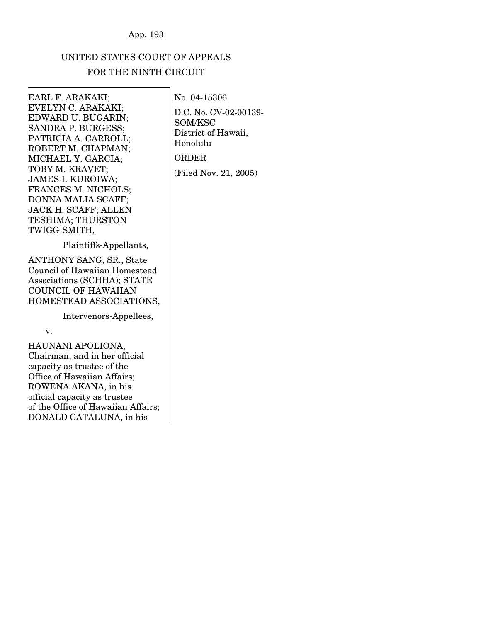# UNITED STATES COURT OF APPEALS FOR THE NINTH CIRCUIT

### EARL F. ARAKAKI; EVELYN C. ARAKAKI; EDWARD U. BUGARIN; SANDRA P. BURGESS; PATRICIA A. CARROLL; ROBERT M. CHAPMAN; MICHAEL Y. GARCIA; TOBY M. KRAVET; JAMES I. KUROIWA; FRANCES M. NICHOLS; DONNA MALIA SCAFF; JACK H. SCAFF; ALLEN TESHIMA; THURSTON TWIGG-SMITH,

Plaintiffs-Appellants,

ANTHONY SANG, SR., State Council of Hawaiian Homestead Associations (SCHHA); STATE COUNCIL OF HAWAIIAN HOMESTEAD ASSOCIATIONS,

Intervenors-Appellees,

v.

HAUNANI APOLIONA, Chairman, and in her official capacity as trustee of the Office of Hawaiian Affairs; ROWENA AKANA, in his official capacity as trustee of the Office of Hawaiian Affairs; DONALD CATALUNA, in his

D.C. No. CV-02-00139- SOM/KSC District of Hawaii, Honolulu ORDER (Filed Nov. 21, 2005)

No. 04-15306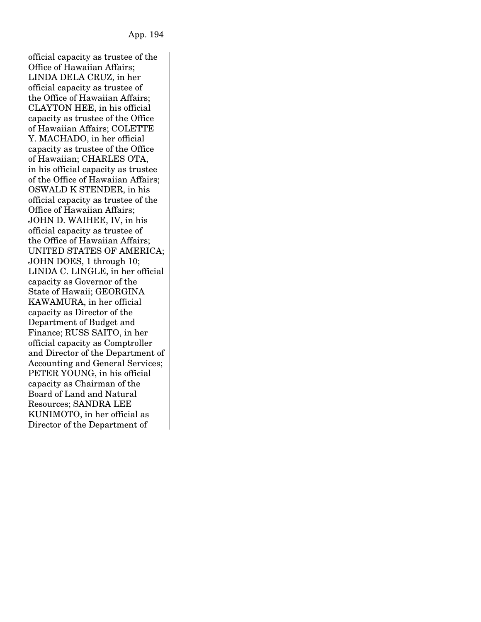official capacity as trustee of the Office of Hawaiian Affairs; LINDA DELA CRUZ, in her official capacity as trustee of the Office of Hawaiian Affairs; CLAYTON HEE, in his official capacity as trustee of the Office of Hawaiian Affairs; COLETTE Y. MACHADO, in her official capacity as trustee of the Office of Hawaiian; CHARLES OTA, in his official capacity as trustee of the Office of Hawaiian Affairs; OSWALD K STENDER, in his official capacity as trustee of the Office of Hawaiian Affairs; JOHN D. WAIHEE, IV, in his official capacity as trustee of the Office of Hawaiian Affairs; UNITED STATES OF AMERICA; JOHN DOES, 1 through 10; LINDA C. LINGLE, in her official capacity as Governor of the State of Hawaii; GEORGINA KAWAMURA, in her official capacity as Director of the Department of Budget and Finance; RUSS SAITO, in her official capacity as Comptroller and Director of the Department of Accounting and General Services; PETER YOUNG, in his official capacity as Chairman of the Board of Land and Natural Resources; SANDRA LEE KUNIMOTO, in her official as Director of the Department of